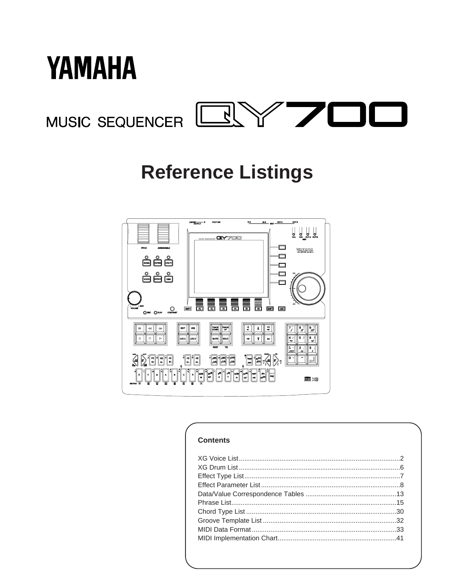



# **Reference Listings**



### **Contents**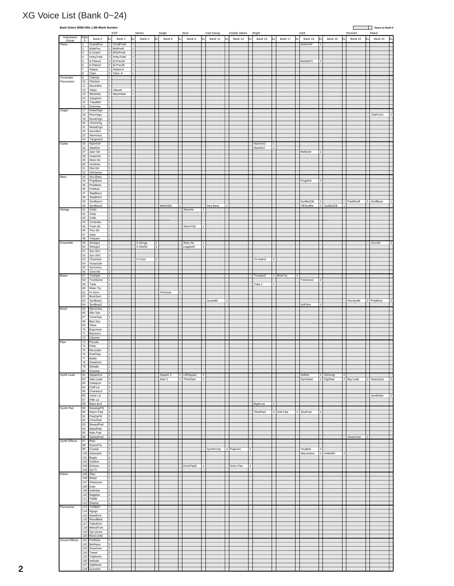### XG Voice List (Bank 0~24)

| Instrument                                             | $Pgm_{\#}$            | Bank 0<br>E                                              | <b>KSP</b><br>Bank 1     | EL                  | Stereo<br>Bank 3 | E              | Single<br>Bank 6 | Slow           | Bank 8     | Fast Decay     | Bank 12  | Double Attack<br>EL.<br>Bank 14 | EL             | Bright<br>Bank 16 |                | Bank 17         |                | Bank 18              | EL             | Bank 19    | lει | Rsonant<br>Bank 20 |                | Attack<br>Bank 24 |
|--------------------------------------------------------|-----------------------|----------------------------------------------------------|--------------------------|---------------------|------------------|----------------|------------------|----------------|------------|----------------|----------|---------------------------------|----------------|-------------------|----------------|-----------------|----------------|----------------------|----------------|------------|-----|--------------------|----------------|-------------------|
| Group                                                  |                       |                                                          |                          |                     |                  |                |                  |                |            |                |          |                                 |                |                   |                |                 |                |                      |                |            |     |                    |                |                   |
| Piano                                                  | 1<br>$\overline{2}$   | GrandPno<br>$\overline{1}$<br>BritePno                   | GrndPnoK<br>1 BritPnoK   | ī<br>1              |                  |                |                  |                |            |                |          |                                 |                |                   |                |                 |                | MelloGrP             |                |            |     |                    |                |                   |
|                                                        | 3                     | E.Grand                                                  | 2 ElGrPnoK               | 2                   |                  |                |                  |                |            |                |          |                                 |                |                   |                |                 |                |                      |                |            |     |                    |                |                   |
|                                                        | $\overline{4}$        | HnkyTonk<br>2                                            | HnkyTnkK                 | $\overline{2}$      |                  |                |                  |                |            |                |          |                                 |                |                   |                |                 |                |                      |                |            |     |                    |                |                   |
|                                                        | 5<br>6                | E.Piano1<br>$\overline{\mathbf{2}}$<br>E.Piano2          | El.Pno1K<br>$2$ El.Pno2K | $\overline{1}$<br>1 |                  |                |                  |                |            |                |          |                                 |                |                   |                |                 |                | MelloEP1             |                |            |     |                    |                |                   |
|                                                        | $\overline{7}$        | Harpsi.                                                  | 1 Harpsi.K               | $\vert$ 1           |                  |                |                  |                |            |                |          |                                 |                |                   |                |                 |                |                      |                |            |     |                    |                |                   |
|                                                        | 8                     | Clavi.                                                   | 2 Clavi. K               | $\vert$ 1           |                  |                |                  |                |            |                |          |                                 |                |                   |                |                 |                |                      |                |            |     |                    |                |                   |
| Chromatic                                              | 9                     | Celesta<br>$\mathbf{1}$                                  |                          |                     |                  |                |                  |                |            |                |          |                                 |                |                   |                |                 |                |                      |                |            |     |                    |                |                   |
| Percussion                                             | 10<br>11              | Glocken<br>1<br>MusicBox<br>2                            |                          |                     |                  |                |                  |                |            |                |          |                                 |                |                   |                |                 |                |                      |                |            |     |                    |                |                   |
|                                                        | 12                    | Vibes                                                    | VibesK                   |                     |                  |                |                  |                |            |                |          |                                 |                |                   |                |                 |                |                      |                |            |     |                    |                |                   |
|                                                        | 13                    | Marimba<br>1                                             | MarimbaK                 | 1                   |                  |                |                  |                |            |                |          |                                 |                |                   |                |                 |                |                      |                |            |     |                    |                |                   |
|                                                        | 14                    | Τī<br>Xylophon                                           |                          |                     |                  |                |                  |                |            |                |          |                                 |                |                   |                |                 |                |                      |                |            |     |                    |                |                   |
|                                                        | 15                    | TubulBel<br>1                                            |                          |                     |                  |                |                  |                |            |                |          |                                 |                |                   |                |                 |                |                      |                |            |     |                    |                |                   |
| Organ                                                  | 16                    | Dulcimer<br>$\vert$ 1<br>17 DrawOrgn                     | $\vert$ 1 $\vert$        |                     |                  |                |                  |                |            |                |          |                                 |                |                   |                |                 |                |                      |                |            |     |                    |                |                   |
|                                                        | 18                    | $\vert$ 1<br>PercOrgn                                    |                          |                     |                  |                |                  |                |            |                |          |                                 |                |                   |                |                 |                |                      |                |            |     |                    |                | 70sPcOr1          |
|                                                        | 19                    | RockOrgn<br>$\overline{\mathbf{2}}$                      |                          |                     |                  |                |                  |                |            |                |          |                                 |                |                   |                |                 |                |                      |                |            |     |                    |                |                   |
|                                                        | 20                    | ChrchOrg<br>2                                            |                          |                     |                  |                |                  |                |            |                |          |                                 |                |                   |                |                 |                |                      |                |            |     |                    |                |                   |
|                                                        | 21<br>$\overline{22}$ | Īī<br>ReedOrgn<br>12                                     |                          |                     |                  |                |                  |                |            |                |          |                                 |                |                   |                |                 |                |                      |                |            |     |                    |                |                   |
|                                                        | 23                    | Acordion<br>Harmnica<br>$\overline{1}$                   |                          |                     |                  |                |                  |                |            |                |          |                                 |                |                   |                |                 |                |                      |                |            |     |                    |                |                   |
|                                                        | 24                    | TangoAcd<br>$ 2\rangle$                                  |                          |                     |                  |                |                  |                |            |                |          |                                 |                |                   |                |                 |                |                      |                |            |     |                    |                |                   |
| Guitar                                                 | 25                    | NylonGtr<br>$\vert$ 1                                    |                          |                     |                  |                |                  |                |            |                |          |                                 |                | NylonGt2          | 1              |                 |                |                      |                |            |     |                    |                |                   |
|                                                        | $26\,$                | SteelGtr<br>1                                            |                          |                     |                  |                |                  |                |            |                |          |                                 |                | SteelGt2          |                |                 |                |                      |                |            |     |                    |                |                   |
|                                                        | 27<br>28              | Jazz Gtr<br>$\overline{1}$<br>ĪΤ<br>CleanGtr             |                          |                     |                  |                |                  |                |            |                |          |                                 |                |                   |                |                 |                | MelloGtr             |                |            |     |                    |                |                   |
|                                                        | 29                    | Mute.Gtr<br>T                                            |                          |                     |                  |                |                  |                |            |                |          |                                 |                |                   |                |                 |                |                      |                |            |     |                    |                |                   |
|                                                        | 30                    | Ovrdrive<br>$\overline{1}$                               |                          |                     |                  |                |                  |                |            |                |          |                                 |                |                   |                |                 |                |                      |                |            |     |                    |                |                   |
|                                                        | 31                    | Dist.Gtr                                                 | 1                        |                     |                  |                |                  |                |            |                |          |                                 |                |                   |                |                 |                |                      |                |            |     |                    |                |                   |
|                                                        | 32                    | $\vert$ 1<br>GtrHarmo                                    |                          |                     |                  |                |                  |                |            |                |          |                                 |                |                   |                |                 |                |                      |                |            |     |                    |                |                   |
| Bass                                                   | 33                    | Aco.Bass<br> 1 <br>FngrBass                              |                          |                     |                  |                |                  |                |            |                |          |                                 |                |                   |                |                 |                |                      |                |            |     |                    |                |                   |
|                                                        | 34<br>35              | $\overline{1}$<br>1<br>PickBass                          |                          |                     |                  |                |                  |                |            |                |          |                                 |                |                   |                |                 |                | FingrDrk             |                |            |     |                    |                |                   |
|                                                        | 36                    | π<br>Fretless                                            |                          |                     |                  |                |                  |                |            |                |          |                                 |                |                   |                |                 |                |                      |                |            |     |                    |                |                   |
|                                                        | 37                    | SlapBas1<br>⊺                                            |                          |                     |                  |                |                  |                |            |                |          |                                 |                |                   |                |                 |                |                      |                |            |     |                    |                |                   |
|                                                        | 38                    | SlapBas2<br>1                                            |                          |                     |                  |                |                  |                |            |                |          |                                 |                |                   |                |                 |                |                      |                |            |     |                    |                |                   |
|                                                        | 39<br>40              | SynBass1<br>1<br>SynBass2<br>$\overline{2}$              |                          |                     |                  |                | MelloSB1         | $\overline{1}$ |            |                | Seq Bass | 2                               |                |                   |                |                 |                | SynBa1Dk<br>ClkSynBa | 1              | 2 SynBa2Dk | 1   | FastResB           |                | 1 AcidBass        |
| Strings                                                | 41                    | Violin<br>$\mathbf{1}$                                   |                          |                     |                  |                |                  |                | SlowVin    |                |          |                                 |                |                   |                |                 |                |                      |                |            |     |                    |                |                   |
|                                                        | $42\,$                | $\overline{1}$<br>Viola                                  |                          |                     |                  |                |                  |                |            |                |          |                                 |                |                   |                |                 |                |                      |                |            |     |                    |                |                   |
|                                                        | 43                    | IT.<br>Cello                                             |                          |                     |                  |                |                  |                |            |                |          |                                 |                |                   |                |                 |                |                      |                |            |     |                    |                |                   |
|                                                        | 44                    | T<br>Contrabs                                            |                          |                     |                  |                |                  |                |            |                |          |                                 |                |                   |                |                 |                |                      |                |            |     |                    |                |                   |
|                                                        | 45<br>46              | Trem.Str<br>1<br>1                                       |                          |                     |                  |                |                  |                | SlowTrStr  | 1              |          |                                 |                |                   |                |                 |                |                      |                |            |     |                    |                |                   |
|                                                        | 47                    | Pizz.Str<br>Harp<br>1                                    |                          |                     |                  |                |                  |                |            |                |          |                                 |                |                   |                |                 |                |                      |                |            |     |                    |                |                   |
|                                                        | 48                    | T1<br>Timpani                                            |                          |                     |                  |                |                  |                |            |                |          |                                 |                |                   |                |                 |                |                      |                |            |     |                    |                |                   |
| Ensemble                                               | 49                    | Strings1<br>1                                            |                          |                     | S.Strngs         | $\vert$ 2      |                  |                | Slow Str   | $\vert$ 1      |          |                                 |                |                   |                |                 |                |                      |                |            |     |                    |                | ArcoStr           |
|                                                        | 50                    | ĪΤ<br>Strings2                                           |                          |                     | S.SIwStr         | $\overline{2}$ |                  |                | LegatoSt   | $\overline{2}$ |          |                                 |                |                   |                |                 |                |                      |                |            |     |                    |                |                   |
|                                                        | 51                    | $\overline{2}$<br>Syn.Str1                               |                          |                     |                  |                |                  |                |            |                |          |                                 |                |                   |                |                 |                |                      |                |            |     |                    |                |                   |
|                                                        | 52<br>53              | Syn.Str2<br>2<br>ChoirAah<br>1                           |                          |                     | S.Choir          | $ 2\rangle$    |                  |                |            |                |          |                                 |                | Ch.Aahs2          | 2              |                 |                |                      |                |            |     |                    |                |                   |
|                                                        | 54                    | VoiceOoh<br>11                                           |                          |                     |                  |                |                  |                |            |                |          |                                 |                |                   |                |                 |                |                      |                |            |     |                    |                |                   |
|                                                        | 55                    | SynVoice                                                 |                          |                     |                  |                |                  |                |            |                |          |                                 |                |                   |                |                 |                |                      |                |            |     |                    |                |                   |
|                                                        | 56                    | Orch.Hit<br>2                                            |                          |                     |                  |                |                  |                |            |                |          |                                 |                |                   |                |                 |                |                      |                |            |     |                    |                |                   |
| Brass                                                  | 57                    | T1<br>Trumpet                                            |                          |                     |                  |                |                  |                |            |                |          |                                 |                | Trumpet2          |                | 1 BriteTrp<br>2 |                |                      |                |            |     |                    |                |                   |
|                                                        | 58<br>59              | π<br>Trombone<br>$\overline{1}$                          |                          |                     |                  |                |                  |                |            |                |          |                                 |                |                   |                |                 |                | Trmbone2             | $\overline{2}$ |            |     |                    |                |                   |
|                                                        | 60                    | Tuba<br>Mute.Trp<br>1                                    |                          |                     |                  |                |                  |                |            |                |          |                                 |                | Tuba 2            |                |                 |                |                      |                |            |     |                    |                |                   |
|                                                        | 61                    | Fr.Horn<br>$\mathbf{z}$                                  |                          |                     |                  |                | FrHrSolo         | 2              |            |                |          |                                 |                |                   |                |                 |                |                      |                |            |     |                    |                |                   |
|                                                        | 62                    | <b>BrasSect</b><br>1                                     |                          |                     |                  |                |                  |                |            |                |          |                                 |                |                   |                |                 |                |                      |                |            |     |                    |                |                   |
|                                                        | 63                    | SynBras1<br>2<br>Ħ                                       |                          |                     |                  |                |                  |                |            |                | QuackBr  | 2                               |                |                   |                |                 |                |                      |                |            |     | RezSynBr           | $\overline{2}$ | PolyBrss          |
| Reed                                                   | 64<br>65              | SynBras2<br>SprnoSax<br>π                                |                          |                     |                  |                |                  |                |            |                |          |                                 |                |                   |                |                 |                | Soft Brs             | $\overline{2}$ |            |     |                    |                |                   |
|                                                        | 66                    | Alto Sax<br>$\overline{1}$                               |                          |                     |                  |                |                  |                |            |                |          |                                 |                |                   |                |                 |                |                      |                |            |     |                    |                |                   |
|                                                        | 67                    | TenorSax<br>1                                            |                          |                     |                  |                |                  |                |            |                |          |                                 |                |                   |                |                 |                |                      |                |            |     |                    |                |                   |
|                                                        | 68                    | Bari.Sax                                                 | $\overline{1}$           |                     |                  |                |                  |                |            |                |          |                                 |                |                   |                |                 |                |                      |                |            |     |                    |                |                   |
|                                                        | 69                    | Oboe<br>$\overline{2}$                                   |                          |                     |                  |                |                  |                |            |                |          |                                 |                |                   |                |                 |                |                      |                |            |     |                    |                |                   |
|                                                        | 70<br>$\overline{71}$ | 1<br>Eng.Horn<br>ĪΤ                                      |                          |                     |                  |                |                  |                |            |                |          |                                 |                |                   |                |                 |                |                      |                |            |     |                    |                |                   |
|                                                        | 72                    | Bassoon<br>π<br>Clarinet                                 |                          |                     |                  |                |                  |                |            |                |          |                                 |                |                   |                |                 |                |                      |                |            |     |                    |                |                   |
| Pipe                                                   | 73                    | Piccolo                                                  | $\overline{1}$           |                     |                  |                |                  |                |            |                |          |                                 |                |                   |                |                 |                |                      |                |            |     |                    |                |                   |
|                                                        | 74                    | Flute                                                    | $\mathbf{1}$             |                     |                  |                |                  |                |            |                |          |                                 |                |                   |                |                 |                |                      |                |            |     |                    |                |                   |
|                                                        | 75                    | Recorder<br>1                                            |                          |                     |                  |                |                  |                |            |                |          |                                 |                |                   |                |                 |                |                      |                |            |     |                    |                |                   |
|                                                        | 76                    | PanFlute<br>T.                                           |                          |                     |                  |                |                  |                |            |                |          |                                 |                |                   |                |                 |                |                      |                |            |     |                    |                |                   |
|                                                        | 78                    | <b>Bottle</b><br>$\vert$ <sub>2</sub><br>Shakhchi        |                          |                     |                  |                |                  |                |            |                |          |                                 |                |                   |                |                 |                |                      |                |            |     |                    |                |                   |
|                                                        | 79                    | Ħ<br>Whistle                                             |                          |                     |                  |                |                  |                |            |                |          |                                 |                |                   |                |                 |                |                      |                |            |     |                    |                |                   |
|                                                        | 80                    | Ocarina<br>π                                             |                          |                     |                  |                |                  |                |            |                |          |                                 |                |                   |                |                 |                |                      |                |            |     |                    |                |                   |
| Synth Lead                                             | 81                    | SquareLd<br>$\sqrt{2}$                                   |                          |                     |                  |                | Square 2         |                | 1 LMSquare | $\sqrt{2}$     |          |                                 |                |                   |                |                 |                | Hollow               |                | 1 Shmoog   | 2   |                    |                |                   |
|                                                        | 82                    | Saw.Lead<br>2                                            |                          |                     |                  |                | Saw 2            |                | 1 ThickSaw | 12             |          |                                 |                |                   |                |                 |                | DynaSaw              |                | 1 DigiSaw  |     | 2 Big Lead         |                | 2 HeavySyn        |
|                                                        | 83<br>84              | CaliopLd<br>2<br>Chiff Ld<br>$\overline{2}$              |                          |                     |                  |                |                  |                |            |                |          |                                 |                |                   |                |                 |                |                      |                |            |     |                    |                |                   |
|                                                        | 85                    | 12<br>CharanLd                                           |                          |                     |                  |                |                  |                |            |                |          |                                 |                |                   |                |                 |                |                      |                |            |     |                    |                |                   |
|                                                        | 86                    | $\overline{2}$<br>Voice Ld                               |                          |                     |                  |                |                  |                |            |                |          |                                 |                |                   |                |                 |                |                      |                |            |     |                    |                | SynthAah          |
|                                                        | 87                    | $\overline{2}$<br>Fifth Ld                               |                          |                     |                  |                |                  |                |            |                |          |                                 |                |                   |                |                 |                |                      |                |            |     |                    |                |                   |
| Synth Pad                                              | 88<br>89              | Bass &Ld<br>$\vert$ 2                                    |                          |                     |                  |                |                  |                |            |                |          |                                 |                | Big&Low           | 12             |                 |                |                      |                |            |     |                    |                |                   |
|                                                        | $\overline{90}$       | NewAgePd<br> 2 <br>Warm Pad<br>2                         |                          |                     |                  |                |                  |                |            |                |          |                                 |                | ThickPad          | $\overline{2}$ | Soft Pad        | $\overline{2}$ | SinePad              | $\overline{2}$ |            |     |                    |                |                   |
|                                                        | 91                    | PolySyPd<br>$\overline{2}$                               |                          |                     |                  |                |                  |                |            |                |          |                                 |                |                   |                |                 |                |                      |                |            |     |                    |                |                   |
|                                                        | 92                    | 2<br>ChoirPad                                            |                          |                     |                  |                |                  |                |            |                |          |                                 |                |                   |                |                 |                |                      |                |            |     |                    |                |                   |
|                                                        | 93                    | 12<br>BowedPad                                           |                          |                     |                  |                |                  |                |            |                |          |                                 |                |                   |                |                 |                |                      |                |            |     |                    |                |                   |
|                                                        |                       |                                                          |                          |                     |                  |                |                  |                |            |                |          |                                 |                |                   |                |                 |                |                      |                |            |     |                    |                |                   |
|                                                        | 94                    | MetalPad<br>$\overline{2}$                               |                          |                     |                  |                |                  |                |            |                |          |                                 |                |                   |                |                 |                |                      |                |            |     |                    |                |                   |
|                                                        | 95<br>96              | Halo Pad<br> 2 <br> 2                                    |                          |                     |                  |                |                  |                |            |                |          |                                 |                |                   |                |                 |                |                      |                |            |     |                    | $\mathfrak{p}$ |                   |
|                                                        | 97                    | SweepPad<br>Rain<br> 2                                   |                          |                     |                  |                |                  |                |            |                |          |                                 |                |                   |                |                 |                |                      |                |            |     | Shwimmer           |                |                   |
|                                                        | 98                    | SoundTrk<br>$\overline{2}$                               |                          |                     |                  |                |                  |                |            |                |          |                                 |                |                   |                |                 |                |                      |                |            |     |                    |                |                   |
|                                                        | 99                    | Crystal<br>$\overline{2}$                                |                          |                     |                  |                |                  |                |            |                | SynDrCmp | 2 Popcorn                       | $\overline{2}$ |                   |                |                 |                | TinyBell             |                |            |     |                    |                |                   |
|                                                        | 100                   | 12<br>Atmosphr                                           |                          |                     |                  |                |                  |                |            |                |          |                                 |                |                   |                |                 |                | WarmAtms             |                | 2 HollwRis | 2   |                    |                |                   |
|                                                        | 101<br>102            | 12<br>Bright<br>Goblins<br>2                             |                          |                     |                  |                |                  |                |            |                |          |                                 |                |                   |                |                 |                |                      |                |            |     |                    |                |                   |
|                                                        |                       | $\vert$ <sub>2</sub><br>103 Echoes                       |                          |                     |                  |                |                  |                | EchoPad2   | $\vert$ 2      |          | Echo Pan                        | $\overline{2}$ |                   |                |                 |                |                      |                |            |     |                    |                |                   |
|                                                        | 104                   | Sci-Fi<br> 2                                             |                          |                     |                  |                |                  |                |            |                |          |                                 |                |                   |                |                 |                |                      |                |            |     |                    |                |                   |
|                                                        | 105                   | Sitar<br> 1                                              |                          |                     |                  |                |                  |                |            |                |          |                                 |                |                   |                |                 |                |                      |                |            |     |                    |                |                   |
|                                                        | 106                   | Banjo<br>$\vert$ 1                                       |                          |                     |                  |                |                  |                |            |                |          |                                 |                |                   |                |                 |                |                      |                |            |     |                    |                |                   |
|                                                        | 107<br>108            | π<br>Shamisen<br>π<br>Koto                               |                          |                     |                  |                |                  |                |            |                |          |                                 |                |                   |                |                 |                |                      |                |            |     |                    |                |                   |
|                                                        | 109                   | Kalimba<br>T                                             |                          |                     |                  |                |                  |                |            |                |          |                                 |                |                   |                |                 |                |                      |                |            |     |                    |                |                   |
|                                                        |                       | $\overline{2}$<br>110 Bagpipe                            |                          |                     |                  |                |                  |                |            |                |          |                                 |                |                   |                |                 |                |                      |                |            |     |                    |                |                   |
|                                                        | 111                   | $\overline{0}$<br>Fiddle                                 |                          |                     |                  |                |                  |                |            |                |          |                                 |                |                   |                |                 |                |                      |                |            |     |                    |                |                   |
|                                                        | 112                   | T1.<br>Shanai                                            |                          |                     |                  |                |                  |                |            |                |          |                                 |                |                   |                |                 |                |                      |                |            |     |                    |                |                   |
|                                                        | 113                   | TnklBell<br>$\overline{2}$                               |                          |                     |                  |                |                  |                |            |                |          |                                 |                |                   |                |                 |                |                      |                |            |     |                    |                |                   |
|                                                        | 114                   | 2<br>Agogo                                               |                          |                     |                  |                |                  |                |            |                |          |                                 |                |                   |                |                 |                |                      |                |            |     |                    |                |                   |
|                                                        | 115<br>116            | $\overline{2}$<br>SteelDrm<br>WoodBlok<br>T              |                          |                     |                  |                |                  |                |            |                |          |                                 |                |                   |                |                 |                |                      |                |            |     |                    |                |                   |
|                                                        |                       | 117 TaikoDrm<br>1                                        |                          |                     |                  |                |                  |                |            |                |          |                                 |                |                   |                |                 |                |                      |                |            |     |                    |                |                   |
|                                                        | 118                   | MelodTom<br>2                                            |                          |                     |                  |                |                  |                |            |                |          |                                 |                |                   |                |                 |                |                      |                |            |     |                    |                |                   |
|                                                        | 119                   | Syn.Drum<br>11                                           |                          |                     |                  |                |                  |                |            |                |          |                                 |                |                   |                |                 |                |                      |                |            |     |                    |                |                   |
|                                                        | 120                   | RevCymbl<br>$\overline{1}$                               |                          |                     |                  |                |                  |                |            |                |          |                                 |                |                   |                |                 |                |                      |                |            |     |                    |                |                   |
|                                                        | 121                   | FretNoiz<br>2                                            |                          |                     |                  |                |                  |                |            |                |          |                                 |                |                   |                |                 |                |                      |                |            |     |                    |                |                   |
|                                                        | $122$<br>123          | $\overline{2}$<br>BrthNoiz<br>$\overline{2}$<br>Seashore |                          |                     |                  |                |                  |                |            |                |          |                                 |                |                   |                |                 |                |                      |                |            |     |                    |                |                   |
|                                                        | 124                   | 2<br>Tweet                                               |                          |                     |                  |                |                  |                |            |                |          |                                 |                |                   |                |                 |                |                      |                |            |     |                    |                |                   |
|                                                        | 125                   | 1<br>Telphone                                            |                          |                     |                  |                |                  |                |            |                |          |                                 |                |                   |                |                 |                |                      |                |            |     |                    |                |                   |
| Synth Effects<br>Ethnic<br>Percussive<br>Sound Effects | 126<br>127            | Helicptr<br>1<br>Applause<br>1                           |                          |                     |                  |                |                  |                |            |                |          |                                 |                |                   |                |                 |                |                      |                |            |     |                    |                |                   |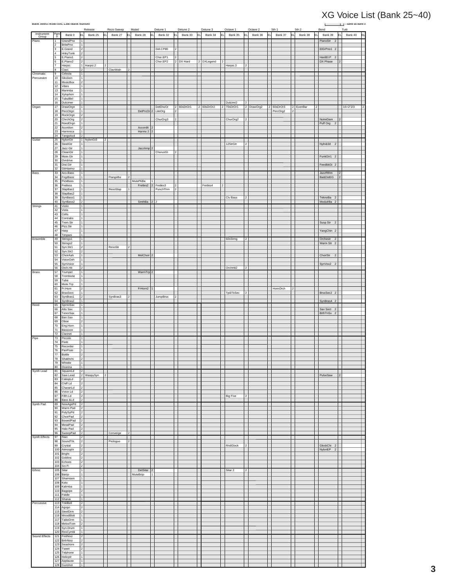# ERAT REPORT IN BENDEM SURFACE DIST (BANK 25∼40)<br>Release Rezo Sweep Muted Detune 1 Detune 2 Detune 3 Octave 1 Octave 2 5th 1 5th 2 Bend — Tutti Tutti

|                |                       | Dalik OBIECI MIOD=000, LOD=Dalik Nullibe | Release                                   | Rezo Sweep    | Muted                                  | Detune 1 | Detune 2                         | Detune 3      | Octave 1        | Octave 2     | 5th 1                 | 5th 2          | Bend                               | . .<br>Same as Bank 0<br>Tutti |
|----------------|-----------------------|------------------------------------------|-------------------------------------------|---------------|----------------------------------------|----------|----------------------------------|---------------|-----------------|--------------|-----------------------|----------------|------------------------------------|--------------------------------|
| Instrument     | Pgm                   | Bank 0                                   | Bank 25<br>EL<br>E                        | Bank 27<br>ΕL | Bank 28                                | Bank 32  | Bank 33<br>EI                    | Bank 34       | Bank 35         | Bank 36<br>E | Bank 37<br>EL         | Bank 38<br>EL. | Bank 39                            | Bank 40                        |
| Group<br>Piano | 1                     | GrandPno                                 | l 1                                       |               |                                        |          |                                  |               |                 |              |                       |                | PianoStr 2                         |                                |
|                | $\sqrt{2}$            | <b>BritePno</b>                          | 1                                         |               |                                        |          |                                  |               |                 |              |                       |                |                                    |                                |
|                | 3                     | E.Grand                                  | $\overline{2}$                            |               |                                        | Det.CP80 | $\boldsymbol{2}$                 |               |                 |              |                       |                | EIGrPno1 2                         |                                |
|                | $\sqrt{4}$<br>5       | HnkyTonk<br>E.Piano1                     | $\overline{\mathbf{c}}$<br>$\overline{2}$ |               |                                        | Chor.EP1 | $\overline{2}$                   |               |                 |              |                       |                | HardEl.P 2                         |                                |
|                | 6                     | E.Piano2                                 |                                           |               |                                        | Chor.EP2 | $\overline{2}$<br>DX Hard        | DXLegend      |                 |              |                       |                | DX Phase                           |                                |
|                | 7                     | Harpsi.                                  | 1 Harpsi.2<br>12                          |               |                                        |          |                                  |               | Harpsi.3        | 12           |                       |                |                                    |                                |
| Chromatic      | Γ8<br>9               | Clavi.<br>Celesta                        | $\overline{2}$<br>$\overline{1}$          | ClaviWah      | $\overline{2}$                         |          |                                  |               |                 |              |                       |                |                                    |                                |
| Percussion     | 10                    | Glocken                                  | $\mathbf{1}$                              |               |                                        |          |                                  |               |                 |              |                       |                |                                    |                                |
|                | 11<br>12              | MusicBox                                 | $\sqrt{2}$<br>$\overline{1}$              |               |                                        |          |                                  |               |                 |              |                       |                |                                    |                                |
|                | 13                    | Vibes<br>Marimba                         | $\overline{1}$                            |               |                                        |          |                                  |               |                 |              |                       |                |                                    |                                |
|                | 14                    | Xylophon                                 | $\overline{1}$                            |               |                                        |          |                                  |               |                 |              |                       |                |                                    |                                |
|                | 15<br>16              | TubulBel<br>Dulcimer                     | $\overline{1}$<br>$\overline{1}$          |               |                                        |          |                                  |               | Dulcimr2        | 2            |                       |                |                                    |                                |
| Organ          | 17                    | DrawOrgn                                 | $\overline{1}$                            |               |                                        | DetDrwOr | 2 60sDrOr1                       | 2 60sDrOr2    | 2 70sDrOr1      | 2 DrawOrg2   | $\vert$ 2<br>60sDrOr3 | 2 EvenBar<br>2 |                                    | $16+2"2/3$                     |
|                | 18                    | PercOrgn                                 | $\mathbf{1}$                              |               | DetProOr 2 LiteOrg                     |          | $\overline{2}$                   |               |                 |              | PercOrg2              | 2              |                                    |                                |
|                | 19<br>20              | RockOrgn<br>ChrchOrg                     | $\overline{2}$<br>$\overline{2}$          |               |                                        | ChurOrg3 | $\boldsymbol{2}$                 |               | ChurOrg2<br>Is  |              |                       |                | NotreDam                           |                                |
|                | 21                    | ReedOrgn                                 | $\overline{1}$                            |               |                                        |          |                                  |               |                 |              |                       |                | Puff Org 2                         |                                |
|                | 22<br>23              | Acordion                                 | $\overline{2}$<br>$\overline{1}$          |               | Accordit<br>$\mathfrak{p}$<br>Harmo 2  |          |                                  |               |                 |              |                       |                |                                    |                                |
|                | 24                    | Harmnica<br>TangoAcd                     | $\overline{2}$                            |               |                                        |          |                                  |               |                 |              |                       |                |                                    |                                |
| Guitar         | 25                    | NylonGtr                                 | 1 NylonGt3<br>2                           |               |                                        |          |                                  |               |                 |              |                       |                |                                    |                                |
|                | $\overline{26}$<br>27 | SteelGtr<br>Jazz Gtr                     | l 1<br>$\overline{1}$                     |               | JazzAmp                                |          |                                  |               | 12StrGtr        | 2            |                       |                | Nyln&Stl 2                         |                                |
|                | 28                    | CleanGtr                                 | $\overline{1}$                            |               |                                        | ChorusGt | $\boldsymbol{2}$                 |               |                 |              |                       |                |                                    |                                |
|                | 29                    | Mute.Gtr                                 | $\overline{1}$<br>$\overline{1}$          |               |                                        |          |                                  |               |                 |              |                       |                | FunkGtr1 2                         |                                |
|                | 30<br>31              | Ovrdrive<br>Dist.Gtr                     | 1                                         |               |                                        |          |                                  |               |                 |              |                       |                | FeedbkGt 2                         |                                |
|                | 32                    | GtrHarmo                                 | $\mathbf{1}$                              |               |                                        |          |                                  |               |                 |              |                       |                |                                    |                                |
| Bass           | 33<br>34              | Aco.Bass<br>FngrBass                     | $\mathbf{1}$<br>$\mathbf{1}$              | FlangeBa      |                                        |          |                                  |               |                 |              |                       |                | JazzRthm<br>Ba&DstEG               |                                |
|                | 35                    | PickBass                                 | 1                                         |               | MutePkBa                               |          |                                  |               |                 |              |                       |                |                                    |                                |
|                | 36<br>37              | Fretless<br>SlapBas1                     | $\overline{1}$<br>$\overline{1}$          | ResoSlap      | Fretles2 2 Fretles3<br>$\overline{1}$  | PunchThm | $\overline{2}$<br>$\overline{2}$ | Fretles4<br>2 |                 |              |                       |                |                                    |                                |
|                | 38                    | SlapBas2                                 | 1                                         |               |                                        |          |                                  |               |                 |              |                       |                |                                    |                                |
|                | 39<br>40              | SynBass1                                 | $\mathbf{1}$                              |               |                                        | 2 2      |                                  |               | Clv Bass        | 2            |                       |                | TeknoBa <sub>2</sub>               |                                |
| Strings        | 41                    | SynBass2<br>Violin                       | $\overline{2}$<br>$\overline{1}$          |               | SmthBa                                 |          |                                  |               |                 |              |                       |                | ModulrBa <sub>2</sub>              |                                |
|                | 42                    | Viola                                    | $\overline{1}$                            |               |                                        |          |                                  |               |                 |              |                       |                |                                    |                                |
|                | 43<br>44              | Cello<br>Contrabs                        | Π<br>Π                                    |               |                                        |          |                                  |               |                 |              |                       |                |                                    |                                |
|                | 45                    | Trem.Str                                 | $\overline{1}$                            |               |                                        |          |                                  |               |                 |              |                       |                | Susp Str 2                         |                                |
|                | 46<br>47              | Pizz.Str                                 | $\mathbf{1}$                              |               |                                        |          |                                  |               |                 |              |                       |                |                                    |                                |
|                | 48                    | Harp<br>Timpani                          | $\mathbf{1}$<br>$\overline{1}$            |               |                                        |          |                                  |               |                 |              |                       |                | YangChin 2                         |                                |
| Ensemble       | 49                    | Strings1                                 | $\overline{1}$                            |               |                                        |          |                                  |               | 60sStrng<br>12  |              |                       |                | Orchestr 2                         |                                |
|                | 50<br>51              | Strings2<br>Syn.Str1                     | T<br>$\overline{2}$                       | ResoStr       | $\overline{2}$                         |          |                                  |               |                 |              |                       |                | Warm Str 2                         |                                |
|                | 52                    | Syn.Str2                                 | $\overline{2}$                            |               |                                        |          |                                  |               |                 |              |                       |                |                                    |                                |
|                | 53<br>54              | ChoirAah                                 | $\mathbf{1}$                              |               | MelChoir <sup>2</sup>                  |          |                                  |               |                 |              |                       |                | ChoirStr 2                         |                                |
|                | 55                    | VoiceOoh<br>SynVoice                     | $\mathbf{1}$<br>$\mathbf{1}$              |               |                                        |          |                                  |               |                 |              |                       |                | SynVox2 2                          |                                |
|                | 56                    | Orch.Hit                                 | $\overline{2}$                            |               |                                        |          |                                  |               | OrchHit2<br>l 2 |              |                       |                |                                    |                                |
| <b>Brass</b>   | 57<br>58              | Trumpet<br>Trombone                      | $\overline{1}$<br>T                       |               | WarmTrp 2                              |          |                                  |               |                 |              |                       |                |                                    |                                |
|                | 59                    | Tuba                                     | $\overline{1}$                            |               |                                        |          |                                  |               |                 |              |                       |                |                                    |                                |
|                | 60<br>61              | Mute.Trp<br>Fr.Horn                      | $\mathbf{1}$<br>$\overline{2}$            |               | FrHorn2<br>$\mathbf{1}$                |          |                                  |               |                 |              | HornOrch              | 2              |                                    |                                |
|                | 62                    | <b>BrasSect</b>                          | $\overline{1}$                            |               |                                        |          |                                  |               | Tp&TbSec<br>l 2 |              |                       |                | BrssSec2 2                         |                                |
|                | 63<br>64              | SynBras1<br>SynBras2                     | $\overline{2}$<br>l 1                     | SynBras3      |                                        | JumpBrss |                                  |               |                 |              |                       |                | SynBras4 2                         |                                |
| Reed           | 65                    | SprnoSax                                 | $\overline{1}$                            |               |                                        |          |                                  |               |                 |              |                       |                |                                    |                                |
|                | 66<br>67              | Alto Sax<br>TenorSax                     | $\mathbf{1}$                              |               |                                        |          |                                  |               |                 |              |                       |                | Sax Sect 2<br>BrthTnSx 2           |                                |
|                | 68                    | Bari.Sax                                 | $\mathbf{1}$                              |               |                                        |          |                                  |               |                 |              |                       |                |                                    |                                |
|                | 69<br>70              | Oboe<br>Eng.Horn                         | $\overline{2}$<br>$\overline{1}$          |               |                                        |          |                                  |               |                 |              |                       |                |                                    |                                |
|                | 71                    | Bassoon                                  | $\overline{1}$                            |               |                                        |          |                                  |               |                 |              |                       |                |                                    |                                |
| Pipe           | 72<br>73              | Clarinet<br>Piccolo                      | $\vert$ 1<br>$\overline{1}$               |               |                                        |          |                                  |               |                 |              |                       |                |                                    |                                |
|                | 74                    | Flute                                    | $\mathbf{1}$                              |               |                                        |          |                                  |               |                 |              |                       |                |                                    |                                |
|                | 75<br>76              | Recorder<br>PanFlute                     | $\overline{1}$                            |               |                                        |          |                                  |               |                 |              |                       |                |                                    |                                |
|                | 77                    | Bottle                                   | $\overline{1}$<br>$\overline{2}$          |               |                                        |          |                                  |               |                 |              |                       |                |                                    |                                |
|                | 78                    | Shakhchi                                 | $\overline{2}$                            |               |                                        |          |                                  |               |                 |              |                       |                |                                    |                                |
|                | 79<br>80              | Whistle<br>Ocarina                       | $\overline{1}$<br>$\overline{1}$          |               |                                        |          |                                  |               |                 |              |                       |                |                                    |                                |
| Synth Lead     | 81                    | SquareLd                                 | $\overline{2}$                            |               |                                        |          |                                  |               |                 |              |                       |                |                                    |                                |
|                | 82<br>83              | Saw.Lead<br>CaliopLd                     | 2 WaspySyn<br>  2<br>$\overline{2}$       |               |                                        |          |                                  |               |                 |              |                       |                | PulseSaw                           | $\overline{2}$                 |
|                | 84                    | Chiff Ld                                 | $\overline{2}$                            |               |                                        |          |                                  |               |                 |              |                       |                |                                    |                                |
|                | 85                    | CharanLd                                 | $\overline{2}$                            |               |                                        |          |                                  |               |                 |              |                       |                |                                    |                                |
|                | 86<br>87              | Voice Ld<br>Fifth Ld                     | $\overline{2}$<br>$\overline{2}$          |               |                                        |          |                                  |               | <b>Big Five</b> | 2            |                       |                |                                    |                                |
|                | 88                    | Bass &Ld                                 | $\overline{2}$                            |               |                                        |          |                                  |               |                 |              |                       |                |                                    |                                |
| Synth Pad      | 89<br>90              | NewAgePd<br>Warm Pad                     | 2 <br>$\overline{2}$                      |               |                                        |          |                                  |               |                 |              |                       |                |                                    |                                |
|                | 91                    | PolySyPd                                 | $\overline{2}$                            |               |                                        |          |                                  |               |                 |              |                       |                |                                    |                                |
|                | 92<br>93              | ChoirPad<br>BowedPad                     | $\overline{2}$<br>$\overline{2}$          |               |                                        |          |                                  |               |                 |              |                       |                |                                    |                                |
|                | 94                    | MetalPad                                 | 2                                         |               |                                        |          |                                  |               |                 |              |                       |                |                                    |                                |
|                | 95                    | Halo Pad                                 | $\overline{2}$                            |               |                                        |          |                                  |               |                 |              |                       |                |                                    |                                |
| Synth Effects  | 96<br>97              | SweepPad<br>Rain                         | 2<br>$\overline{2}$                       | Converge      | 2                                      |          |                                  |               |                 |              |                       |                |                                    |                                |
|                | 98                    | SoundTrk                                 | $\overline{2}$                            | Prologue      |                                        |          |                                  |               |                 |              |                       |                |                                    |                                |
|                | 99<br>100             | Crystal<br>Atmosphr                      | $\overline{2}$<br>$\overline{2}$          |               |                                        |          |                                  |               | RndGlock<br>2   |              |                       |                | GlockChi 2<br>NylonEP <sub>2</sub> |                                |
|                | 101                   | Bright                                   | $\overline{2}$                            |               |                                        |          |                                  |               |                 |              |                       |                |                                    |                                |
|                | 102<br>103            | Goblins<br>Echoes                        | $\overline{2}$<br>$\overline{2}$          |               |                                        |          |                                  |               |                 |              |                       |                |                                    |                                |
|                | 104                   | Sci-Fi                                   | $\overline{2}$                            |               |                                        |          |                                  |               |                 |              |                       |                |                                    |                                |
| Ethnic         | 105<br>106            | Sitar<br>Banjo                           | $\vert$ 1 $\vert$<br>$\mathbf{1}$         |               | DetSitar<br>2 <sup>1</sup><br>MuteBnjo |          |                                  |               | Sitar 2         | $ 2\rangle$  |                       |                |                                    |                                |
|                | 107                   | Shamisen                                 | $\overline{1}$                            |               |                                        |          |                                  |               |                 |              |                       |                |                                    |                                |
|                | 108<br>109            | Koto<br>Kalimba                          | $\overline{1}$<br>$\mathbf{1}$            |               |                                        |          |                                  |               |                 |              |                       |                |                                    |                                |
|                |                       | 110 Bagpipe                              | $\overline{2}$                            |               |                                        |          |                                  |               |                 |              |                       |                |                                    |                                |
|                | 111<br>112            | Fiddle<br>Shanai                         | $\overline{1}$<br>$\overline{1}$          |               |                                        |          |                                  |               |                 |              |                       |                |                                    |                                |
| Percussive     | 113                   | TnklBell                                 | $\overline{\mathbf{c}}$                   |               |                                        |          |                                  |               |                 |              |                       |                |                                    |                                |
|                | 114                   | Agogo                                    | $\overline{2}$                            |               |                                        |          |                                  |               |                 |              |                       |                |                                    |                                |
|                | 115<br>116            | SteelDrm<br>WoodBlok                     | $\overline{2}$<br>$\overline{1}$          |               |                                        |          |                                  |               |                 |              |                       |                |                                    |                                |
|                | 117                   | TaikoDrm                                 | 1                                         |               |                                        |          |                                  |               |                 |              |                       |                |                                    |                                |
|                | 118<br>119            | MelodTom<br>Syn.Drum                     | $\overline{2}$<br>l 1                     |               |                                        |          |                                  |               |                 |              |                       |                |                                    |                                |
|                | 120                   | RevCymbl                                 | $\overline{1}$                            |               |                                        |          |                                  |               |                 |              |                       |                |                                    |                                |
| Sound Effects  | 121                   | FretNoiz                                 | $\overline{2}$                            |               |                                        |          |                                  |               |                 |              |                       |                |                                    |                                |
|                | $122$<br>123          | BrthNoiz<br>Seashore                     | $\overline{2}$<br>$\overline{2}$          |               |                                        |          |                                  |               |                 |              |                       |                |                                    |                                |
|                | 124                   | Tweet                                    | $\overline{2}$                            |               |                                        |          |                                  |               |                 |              |                       |                |                                    |                                |
|                | 125<br>126            | Telphone<br>Helicptr                     | $\mathbf{1}$<br>$\overline{1}$            |               |                                        |          |                                  |               |                 |              |                       |                |                                    |                                |
|                | 127                   | Applause                                 | $\overline{1}$                            |               |                                        |          |                                  |               |                 |              |                       |                |                                    |                                |
|                | 128                   | Gunshot                                  | $\vert$ 1                                 |               |                                        |          |                                  |               |                 |              |                       |                |                                    |                                |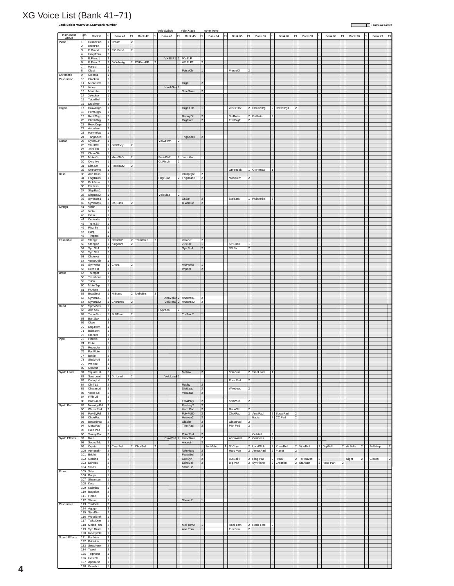### XG Voice List (Bank 41~71)

### **Bank Select MSB=000, LSB=Bank Number : Same as Bank 0**

|                     |                                  |                            |                                             |            |                |            |                | Velo-Switch                | Velo-Xfade                     |                                        | other wave    |                         |                                  |            |                |                                    |                         |   |                              |                                  |    |          |     |
|---------------------|----------------------------------|----------------------------|---------------------------------------------|------------|----------------|------------|----------------|----------------------------|--------------------------------|----------------------------------------|---------------|-------------------------|----------------------------------|------------|----------------|------------------------------------|-------------------------|---|------------------------------|----------------------------------|----|----------|-----|
| Instrument<br>Group | Pgn                              | Bank 0                     | lΕL                                         | Bank 41    |                | Bank 42    |                | Bank 43<br>lΕι             | Bank 45                        |                                        | Bank 64<br>FΙ | Bank 65<br>F            |                                  | Bank 66    |                | Bank 67<br>FI                      | Bank 68<br>IFI          |   | Bank 69<br>FI                | Bank 70                          | F١ | Bank 71  | lΕι |
| Piano               | $\overline{1}$<br>$\overline{2}$ | GrandPno<br>BritePno       | $\mathbf{1}$                                | 1 Dream    | 2              |            |                |                            |                                |                                        |               |                         |                                  |            |                |                                    |                         |   |                              |                                  |    |          |     |
|                     | 3                                | E.Grand                    | $\overline{2}$                              | EIGrPno2   | $\overline{2}$ |            |                |                            |                                |                                        |               |                         |                                  |            |                |                                    |                         |   |                              |                                  |    |          |     |
|                     | 4<br>l 5                         | HnkyTonk<br>E.Piano1       | $\overline{\phantom{a}}$                    |            |                |            |                | $VX ELP1$ 2                | 60sEI.P                        | l 1                                    |               |                         |                                  |            |                |                                    |                         |   |                              |                                  |    |          |     |
|                     | 6                                | E.Piano2                   | $\overline{2}$                              | DX+Analg   |                | 2 DXKotoEP | $\overline{2}$ |                            | VX EI.P2                       | $\overline{2}$                         |               |                         |                                  |            |                |                                    |                         |   |                              |                                  |    |          |     |
|                     | $\overline{7}$<br>8              | Harpsi.<br>Clavi.          | $\mathbf{1}$<br>$\overline{2}$              |            |                |            |                |                            | PulseClv                       | 1                                      |               | PierceCl                | 2                                |            |                |                                    |                         |   |                              |                                  |    |          |     |
| Chromatic           | 9                                | Celesta                    | $\vert$ 1                                   |            |                |            |                |                            |                                |                                        |               |                         |                                  |            |                |                                    |                         |   |                              |                                  |    |          |     |
| Percussion          | 10<br>11                         | Glocken<br>MusicBox        | $\mathbf{1}$<br>$\overline{2}$              |            |                |            |                |                            | Orgel                          | $\overline{2}$                         |               |                         |                                  |            |                |                                    |                         |   |                              |                                  |    |          |     |
|                     | $12$                             | Vibes                      | 1                                           |            |                |            |                | HardVibe <sub>2</sub>      |                                |                                        |               |                         |                                  |            |                |                                    |                         |   |                              |                                  |    |          |     |
|                     | 13<br>14                         | Marimba<br>Xylophon        | $\overline{1}$<br>$\mathbf 1$               |            |                |            |                |                            | SineMrmb                       | $\overline{2}$                         |               |                         |                                  |            |                |                                    |                         |   |                              |                                  |    |          |     |
|                     | 15                               | TubulBel                   | 1                                           |            |                |            |                |                            |                                |                                        |               |                         |                                  |            |                |                                    |                         |   |                              |                                  |    |          |     |
| Organ               | 16<br>17                         | Dulcimer<br>DrawOrgn       | 1<br>1                                      |            |                |            |                |                            | Organ Ba                       | $\mathbf{1}$                           |               | 70sDrOr2                |                                  | 2 CheezOrg |                | 2 DrawOrg3<br>2                    |                         |   |                              |                                  |    |          |     |
|                     | 18                               | PercOrgn                   |                                             |            |                |            |                |                            |                                |                                        |               |                         |                                  |            |                |                                    |                         |   |                              |                                  |    |          |     |
|                     | 19<br>20                         | RockOrgn<br>ChrchOrg       | $\overline{2}$<br>$\overline{2}$            |            |                |            |                |                            | RotaryOr<br>OrgFlute           | 2 <br>$\vert$ <sub>2</sub>             |               | SloRotar<br>TrmOrgFI    | $\overline{2}$<br>$\overline{2}$ | FstRotar   | $\mathfrak{p}$ |                                    |                         |   |                              |                                  |    |          |     |
|                     | 21                               | ReedOrgn                   | $\mathbf{1}$                                |            |                |            |                |                            |                                |                                        |               |                         |                                  |            |                |                                    |                         |   |                              |                                  |    |          |     |
|                     | 22<br>23                         | Acordion<br>Harmnica       | $\overline{2}$<br>$\mathbf{1}$              |            |                |            |                |                            |                                |                                        |               |                         |                                  |            |                |                                    |                         |   |                              |                                  |    |          |     |
| Guitar              | 24                               | TangoAcd<br>NylonGtr       | $\overline{2}$                              |            |                |            |                | VelGtHrm                   | TngoAcd2                       | $\overline{2}$                         |               |                         |                                  |            |                |                                    |                         |   |                              |                                  |    |          |     |
|                     | 25<br>26                         | SteelGtr                   | $\mathbf{1}$                                | Stl&Body   | $\mathcal{D}$  |            |                |                            |                                |                                        |               |                         |                                  |            |                |                                    |                         |   |                              |                                  |    |          |     |
|                     | 27<br>28                         | Jazz Gtr<br>CleanGtr       | 1<br>$\mathbf{1}$                           |            |                |            |                |                            |                                |                                        |               |                         |                                  |            |                |                                    |                         |   |                              |                                  |    |          |     |
|                     | 29                               | Mute.Gtr                   |                                             | 1 MuteStlG |                |            |                | FunkGtr2<br>2              | Jazz Man                       |                                        |               |                         |                                  |            |                |                                    |                         |   |                              |                                  |    |          |     |
|                     | 30<br>31                         | Ovrdrive<br>Dist.Gtr       | $\mathbf{1}$<br>$\mathbf{1}$                | FeedbGt2   |                |            |                | Gt.Pinch<br>  2            |                                |                                        |               |                         |                                  |            |                |                                    |                         |   |                              |                                  |    |          |     |
|                     | 32                               | GtrHarmo                   |                                             |            |                |            |                |                            |                                |                                        |               | GtFeedbk                | 1                                | GtrHrmo2   |                |                                    |                         |   |                              |                                  |    |          |     |
| Bass                | 33<br>34                         | Aco.Bass<br>FngrBass       | $\overline{1}$<br>$\overline{1}$            |            |                |            |                | $\overline{2}$<br>FngrSlap | VXUprght<br>FngBass2           | $\vert$ <sub>2</sub><br>T2             |               | ModAlem<br>12           |                                  |            |                |                                    |                         |   |                              |                                  |    |          |     |
|                     | 35                               | PickBass                   | $\overline{1}$                              |            |                |            |                |                            |                                |                                        |               |                         |                                  |            |                |                                    |                         |   |                              |                                  |    |          |     |
|                     | 36<br>37                         | Fretless<br>SlapBas1       | $\mathbf{1}$<br>1                           |            |                |            |                |                            |                                |                                        |               |                         |                                  |            |                |                                    |                         |   |                              |                                  |    |          |     |
|                     | 38<br>39                         | SlapBas2<br>SynBass1       | $\vert$ 1                                   |            |                |            |                | VeloSlap<br>12             | Oscar                          |                                        |               | <b>SqrBass</b>          |                                  | RubberBa   |                |                                    |                         |   |                              |                                  |    |          |     |
|                     | 40                               | SynBass2                   |                                             | 2 DX Bass  | ١D             |            |                |                            | X WireBa                       | $\overline{2}$                         |               |                         |                                  |            |                |                                    |                         |   |                              |                                  |    |          |     |
| Strings             | 41<br>42                         | Violin<br>Viola            | $\mathbf{1}$<br>$\overline{1}$              |            |                |            |                |                            |                                |                                        |               |                         |                                  |            |                |                                    |                         |   |                              |                                  |    |          |     |
|                     | 43                               | Cello                      | $\mathbf{1}$                                |            |                |            |                |                            |                                |                                        |               |                         |                                  |            |                |                                    |                         |   |                              |                                  |    |          |     |
|                     | 44<br>45                         | Contrabs<br>Trem.Str       | 1<br>$\vert$ 1                              |            |                |            |                |                            |                                |                                        |               |                         |                                  |            |                |                                    |                         |   |                              |                                  |    |          |     |
|                     | 46                               | Pizz.Str                   | $\mathbf{1}$                                |            |                |            |                |                            |                                |                                        |               |                         |                                  |            |                |                                    |                         |   |                              |                                  |    |          |     |
|                     | 47<br>48                         | Harp<br>Timpani            | $\overline{1}$<br>$\overline{1}$            |            |                |            |                |                            |                                |                                        |               |                         |                                  |            |                |                                    |                         |   |                              |                                  |    |          |     |
| Ensemble            | 49                               | Strings1                   |                                             | 1 Orchstr2 |                | 2 TremOrch | $\overline{2}$ |                            | VeloStr                        | $\overline{2}$                         |               |                         |                                  |            |                |                                    |                         |   |                              |                                  |    |          |     |
|                     | 50<br>51                         | Strings2<br>Syn.Str1       | $\overline{2}$                              | 1 Kingdom  |                |            |                |                            | 70s Str<br>Syn Str4            | 1<br>$\vert$ 2                         |               | Str Ens3<br>1<br>SS Str | 2                                |            |                |                                    |                         |   |                              |                                  |    |          |     |
|                     | 52<br>53                         | Syn.Str2                   | 2                                           |            |                |            |                |                            |                                |                                        |               |                         |                                  |            |                |                                    |                         |   |                              |                                  |    |          |     |
|                     | 54                               | ChoirAah<br>VoiceOoh       | $\mathbf{1}$<br>$\mathbf{1}$                |            |                |            |                |                            |                                |                                        |               |                         |                                  |            |                |                                    |                         |   |                              |                                  |    |          |     |
|                     | 55<br>56                         | SynVoice<br>Orch.Hit       | $\overline{2}$                              | 1 Choral   | $\mathcal{P}$  |            |                |                            | AnaVoice<br>Impact             | $\vert$ 1<br>$\overline{2}$            |               |                         |                                  |            |                |                                    |                         |   |                              |                                  |    |          |     |
| <b>Brass</b>        | 57                               | Trumpet                    | $\overline{1}$                              |            |                |            |                |                            |                                |                                        |               |                         |                                  |            |                |                                    |                         |   |                              |                                  |    |          |     |
|                     | 58<br>59                         | Trombone<br>Tuba           | 1<br>1                                      |            |                |            |                |                            |                                |                                        |               |                         |                                  |            |                |                                    |                         |   |                              |                                  |    |          |     |
|                     | 60                               | Mute.Trp                   | $\mathbf{1}$                                |            |                |            |                |                            |                                |                                        |               |                         |                                  |            |                |                                    |                         |   |                              |                                  |    |          |     |
|                     | 61<br>62                         | Fr.Horn<br><b>BrasSect</b> |                                             | 1 HiBrass  |                | 2 MelloBrs | $\overline{a}$ |                            |                                |                                        |               |                         |                                  |            |                |                                    |                         |   |                              |                                  |    |          |     |
|                     | 63                               | SynBras1                   | $\overline{2}$                              |            |                |            |                | AnaVelBr 2 AnaBrss1        |                                | $\overline{2}$                         |               |                         |                                  |            |                |                                    |                         |   |                              |                                  |    |          |     |
| Reed                | 64<br>65                         | SynBras2<br>SprnoSax       | $\overline{1}$<br>$\mathbf{1}$              | ChorBrss   |                |            |                | VelBras2 2 AnaBrss2        |                                | l2                                     |               |                         |                                  |            |                |                                    |                         |   |                              |                                  |    |          |     |
|                     | 66<br>67                         | Alto Sax                   | $\overline{1}$<br>1                         | SoftTenr   |                |            |                | HyprAlto                   |                                | $\mathbf{1}$                           |               |                         |                                  |            |                |                                    |                         |   |                              |                                  |    |          |     |
|                     | 68                               | TenorSax<br>Bari.Sax       |                                             |            | $\overline{2}$ |            |                |                            | TnrSax 2                       |                                        |               |                         |                                  |            |                |                                    |                         |   |                              |                                  |    |          |     |
|                     | 69                               | Oboe                       | $\overline{2}$<br>$\overline{1}$            |            |                |            |                |                            |                                |                                        |               |                         |                                  |            |                |                                    |                         |   |                              |                                  |    |          |     |
|                     | 70<br>71                         | Eng.Horn<br>Bassoon        | $\mathbf{1}$                                |            |                |            |                |                            |                                |                                        |               |                         |                                  |            |                |                                    |                         |   |                              |                                  |    |          |     |
| Pipe                | 72<br>$73$                       | Clarinet<br>Piccolo        | $\vert$ 1<br>$\vert$ 1                      |            |                |            |                |                            |                                |                                        |               |                         |                                  |            |                |                                    |                         |   |                              |                                  |    |          |     |
|                     | $\overline{74}$                  | Flute                      | $\mathbf{1}$                                |            |                |            |                |                            |                                |                                        |               |                         |                                  |            |                |                                    |                         |   |                              |                                  |    |          |     |
|                     | 75<br>76                         | Recorder<br>PanFlute       | 1                                           |            |                |            |                |                            |                                |                                        |               |                         |                                  |            |                |                                    |                         |   |                              |                                  |    |          |     |
|                     | 77                               | Bottle                     | $\overline{2}$                              |            |                |            |                |                            |                                |                                        |               |                         |                                  |            |                |                                    |                         |   |                              |                                  |    |          |     |
|                     | 78<br>79                         | Shakhchi<br>Whistle        | 2<br>$\mathbf 1$                            |            |                |            |                |                            |                                |                                        |               |                         |                                  |            |                |                                    |                         |   |                              |                                  |    |          |     |
|                     | 80                               | Ocarina                    | 1                                           |            |                |            |                |                            |                                |                                        |               |                         |                                  |            |                |                                    |                         |   |                              |                                  |    |          |     |
| Synth Lead          | 81<br>82                         | SquareLd<br>Saw.Lead       | 2<br>$\boldsymbol{2}$                       | Dr. Lead   |                |            |                | VeloLead                   | Mellow                         | 2                                      |               | SoloSine                | 12                               | SineLead   | 11             |                                    |                         |   |                              |                                  |    |          |     |
|                     | 83                               | CaliopLd                   | $\overline{\mathbf{2}}$                     |            |                |            |                |                            |                                |                                        |               | Pure Pad                | 2                                |            |                |                                    |                         |   |                              |                                  |    |          |     |
|                     | 84<br>85                         | Chiff Ld<br>CharanLd       | $\overline{2}$<br>2                         |            |                |            |                |                            | Rubby<br>DistLead              | $\vert$ <sub>2</sub><br>$\overline{2}$ |               | WireLead                | $\overline{2}$                   |            |                |                                    |                         |   |                              |                                  |    |          |     |
|                     | 86                               | Voice Ld                   | $\overline{2}$                              |            |                |            |                |                            | VoxLead                        | 2                                      |               |                         |                                  |            |                |                                    |                         |   |                              |                                  |    |          |     |
|                     | 87<br>88                         | Fifth Ld<br>Bass &Ld       | $\overline{2}$<br>2                         |            |                |            |                |                            | Fat&Prky                       | 2                                      |               | SoftWurl                | 2                                |            |                |                                    |                         |   |                              |                                  |    |          |     |
| Synth Pad           | 89<br>90                         | NewAgePd<br>Warm Pad       | $\overline{\mathbf{2}}$<br>$\boldsymbol{2}$ |            |                |            |                |                            | Fantasy2<br>Horn Pad           | 2<br>2                                 |               | RotarStr<br>2           |                                  |            |                |                                    |                         |   |                              |                                  |    |          |     |
|                     | 91                               | PolySyPd                   | 2                                           |            |                |            |                |                            | PolyPd80                       | $ 2\rangle$                            |               | ClickPad                |                                  | 2 Ana Pad  |                | 2 SquarPad<br>2                    |                         |   |                              |                                  |    |          |     |
|                     | 92<br>93                         | ChoirPad<br>BowedPad       | $\overline{2}$<br>$\overline{\mathbf{2}}$   |            |                |            |                |                            | Heaven <sub>2</sub><br>Glacier | $\overline{2}$<br>$\vert$ 2            |               | GlassPad                | $\overline{2}$                   | Itopia     |                | 2 CC Pad<br>$\overline{2}$         |                         |   |                              |                                  |    |          |     |
|                     | 94                               | MetalPad                   | $\overline{2}$                              |            |                |            |                |                            | Tine Pad                       | 2                                      |               | Pan Pad                 | $\overline{2}$                   |            |                |                                    |                         |   |                              |                                  |    |          |     |
|                     | 95<br>96                         | Halo Pad<br>SweepPad       | $\overline{\mathbf{2}}$<br>2                |            |                |            |                |                            | PolarPad                       | l 2                                    |               |                         |                                  | Celstial   |                |                                    |                         |   |                              |                                  |    |          |     |
| Synth Effects       | 97                               | Rain                       | $\overline{\mathbf{c}}$<br>$\overline{2}$   |            |                |            |                | ClaviPad 2                 | HrmoRain                       | 2<br>$\overline{2}$                    |               | AfrcnWnd<br>  2         |                                  | Caribean   | $\overline{c}$ |                                    |                         |   |                              |                                  |    |          |     |
|                     | 98<br>99                         | SoundTrk<br>Crystal        |                                             | 2 ClearBel |                | 2 ChorBell | $\overline{2}$ |                            | Ancestri                       |                                        | SynMalet      | 1 SftCryst              |                                  | 2 LoudGlok |                | 2 XmasBell<br>$\vert$ <sub>2</sub> | VibeBell                |   | 2 DigiBell<br>$\overline{2}$ | AirBells<br>$\overline{2}$       |    | BellHarp | 2   |
|                     | 100                              | Atmosphr<br>101 Bright     | $\overline{\mathbf{2}}$<br>$\overline{2}$   |            |                |            |                |                            | NylnHarp<br>FantaBel           | 12<br>$\vert$ 2                        |               | Harp Vox                | $\overline{2}$                   | AtmosPad   |                | 2 Planet                           |                         |   |                              |                                  |    |          |     |
|                     | 102                              | Goblins                    | $\overline{\mathbf{2}}$                     |            |                |            |                |                            | GobSyn                         | $ 2\rangle$                            |               | 50sSciFi                |                                  | 2 Ring Pad |                | 2 Ritual<br>2                      | ToHeaven<br>$ 2\rangle$ |   |                              | Night<br>$\overline{\mathbf{z}}$ |    | Glisten  | 2   |
|                     | 103<br>104                       | Echoes<br>Sci-Fi           | $\overline{2}$<br>$\overline{2}$            |            |                |            |                |                            | EchoBell<br>Starz <sub>2</sub> | $\overline{2}$                         |               | Big Pan                 | 2                                | SynPiano   | 2.             | Creation<br>$\overline{2}$         | Stardust                | 2 | Reso Pan                     |                                  |    |          |     |
| Ethnic              | 105                              | Sitar                      | $\overline{1}$                              |            |                |            |                |                            |                                |                                        |               |                         |                                  |            |                |                                    |                         |   |                              |                                  |    |          |     |
|                     | 106<br>107                       | Banjo<br>Shamisen          | $\overline{1}$<br>$\mathbf{1}$              |            |                |            |                |                            |                                |                                        |               |                         |                                  |            |                |                                    |                         |   |                              |                                  |    |          |     |
|                     | 108                              | Koto                       | $\mathbf 1$                                 |            |                |            |                |                            |                                |                                        |               |                         |                                  |            |                |                                    |                         |   |                              |                                  |    |          |     |
|                     | 109<br>110                       | Kalimba<br>Bagpipe         | $\vert$ 1<br>2                              |            |                |            |                |                            |                                |                                        |               |                         |                                  |            |                |                                    |                         |   |                              |                                  |    |          |     |
|                     | 111                              | Fiddle                     | $\overline{1}$                              |            |                |            |                |                            |                                |                                        |               |                         |                                  |            |                |                                    |                         |   |                              |                                  |    |          |     |
| Percussive          | 112<br>113                       | Shanai<br>TnklBell         | $\vert$ 1<br>$\overline{2}$                 |            |                |            |                |                            | Shanai2                        | 1                                      |               |                         |                                  |            |                |                                    |                         |   |                              |                                  |    |          |     |
|                     |                                  | 114 Agogo                  | $\boldsymbol{2}$                            |            |                |            |                |                            |                                |                                        |               |                         |                                  |            |                |                                    |                         |   |                              |                                  |    |          |     |
|                     | 115<br>116                       | SteelDrm<br>WoodBlok       | $\overline{\mathbf{2}}$<br>$\vert$ 1        |            |                |            |                |                            |                                |                                        |               |                         |                                  |            |                |                                    |                         |   |                              |                                  |    |          |     |
|                     | 117                              | TaikoDrm                   | 1                                           |            |                |            |                |                            |                                |                                        |               |                         |                                  |            |                |                                    |                         |   |                              |                                  |    |          |     |
|                     | 118<br>119                       | MelodTom<br>Syn.Drum       | 1                                           |            |                |            |                |                            | Mel Tom2<br>Ana Tom            | 1                                      |               | Real Tom<br>ElecPerc    | 2<br>$\overline{2}$              | Rock Tom   |                |                                    |                         |   |                              |                                  |    |          |     |
| Sound Effects       | 120<br>121                       | RevCymbl<br>FretNoiz       | $\overline{1}$<br>$\overline{2}$            |            |                |            |                |                            |                                |                                        |               |                         |                                  |            |                |                                    |                         |   |                              |                                  |    |          |     |
|                     |                                  | 122 BrthNoiz               | $\overline{2}$                              |            |                |            |                |                            |                                |                                        |               |                         |                                  |            |                |                                    |                         |   |                              |                                  |    |          |     |
|                     | 123<br>124                       | Seashore<br>Tweet          | 2<br>2                                      |            |                |            |                |                            |                                |                                        |               |                         |                                  |            |                |                                    |                         |   |                              |                                  |    |          |     |
|                     | 125                              | Telphone                   | $\overline{1}$                              |            |                |            |                |                            |                                |                                        |               |                         |                                  |            |                |                                    |                         |   |                              |                                  |    |          |     |
|                     | 126<br>$127\,$                   | Helicptr<br>Applause       | 1<br>$\overline{1}$                         |            |                |            |                |                            |                                |                                        |               |                         |                                  |            |                |                                    |                         |   |                              |                                  |    |          |     |
|                     |                                  | 128 Gunshot                | $\overline{1}$                              |            |                |            |                |                            |                                |                                        |               |                         |                                  |            |                |                                    |                         |   |                              |                                  |    |          |     |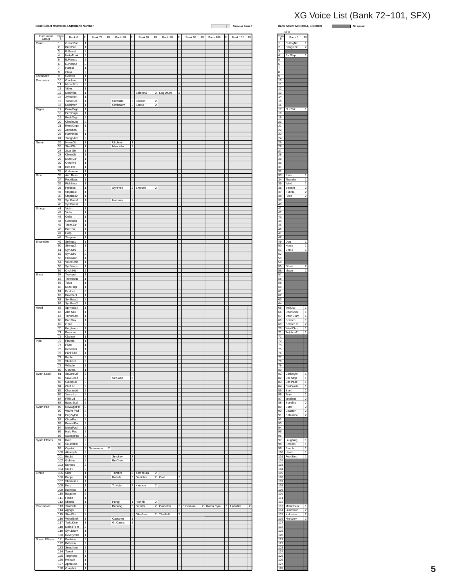| Bank Select MSB=000, LSB=Bank Number |                       |                                        |                                                  |            |    |                      |                         |                        |                |            |    |               | Ш                     |            | : Same as Bank 0 | Bank Select MSB=064, LSB=000                                                   | <b>Contract Contract</b> | : No sound |
|--------------------------------------|-----------------------|----------------------------------------|--------------------------------------------------|------------|----|----------------------|-------------------------|------------------------|----------------|------------|----|---------------|-----------------------|------------|------------------|--------------------------------------------------------------------------------|--------------------------|------------|
| Instrument<br>Group                  | Pgrr<br>#             | Bank 0                                 | ΕL                                               | Bank 72    | EL | Bank 96              | l۴ı                     | Bank 97                | lΕL            | Bank 98    | EL | Bank 99<br>EL | Bank 100              | <b>IEL</b> | <b>Bank 101</b>  | <b>SFX</b><br>Pgrr<br>#<br>Bank 0<br>IΕI                                       |                          |            |
| Piano                                | 1<br>$\overline{2}$   | GrandPno<br>BritePno                   | 1                                                |            |    |                      |                         |                        |                |            |    |               |                       |            |                  | CuttngNz<br>1<br>CttngNz2<br>$\mathfrak{p}$<br>$\overline{2}$                  |                          |            |
|                                      | $\overline{3}$<br>4   | E.Grand<br>HnkyTonk                    | $\overline{2}$<br>$\overline{2}$                 |            |    |                      |                         |                        |                |            |    |               |                       |            |                  | 3<br>$\overline{4}$<br>Str Slap<br>$\mathbf{1}$                                |                          |            |
|                                      | 5<br>6                | E.Piano1<br>E.Piano2                   | $\overline{\mathbf{2}}$<br>2                     |            |    |                      |                         |                        |                |            |    |               |                       |            |                  | 5<br>6                                                                         |                          |            |
|                                      | 7<br>8                | Harpsi.<br>Clavi.                      | 1<br>$\overline{2}$                              |            |    |                      |                         |                        |                |            |    |               |                       |            |                  | $\overline{7}$<br>8                                                            |                          |            |
| Chromatic<br>Percussion              | 9<br>10               | Celesta<br>Glocken                     | $\mathbf{1}$<br>$\overline{1}$                   |            |    |                      |                         |                        |                |            |    |               |                       |            |                  | 9<br>10                                                                        |                          |            |
|                                      | 11<br>12              | MusicBox<br>Vibes                      | $\overline{c}$<br>1                              |            |    |                      |                         |                        |                |            |    |               |                       |            |                  | 11<br>12                                                                       |                          |            |
|                                      | 13<br>14              | Marimba<br>Xylophon                    | 1<br>$\overline{1}$                              |            |    |                      |                         | Balafon <sub>2</sub>   |                | 2 Log Drum |    |               |                       |            |                  | 13<br>14                                                                       |                          |            |
|                                      | 15<br>16              | TubulBel<br>Dulcimer                   | 1<br>1                                           |            |    | ChrchBel<br>Cimbalom | $\overline{2}$<br> 2    | Carillon<br>Santur     | $\overline{2}$ |            |    |               |                       |            |                  | 15<br>$16\,$                                                                   |                          |            |
| Organ                                | 17 <sub>2</sub><br>18 | DrawOrgn<br>PercOrgn                   | 1<br>1                                           |            |    |                      |                         |                        |                |            |    |               |                       |            |                  | 17<br>Fl.KClik<br>$\overline{1}$<br>18                                         |                          |            |
|                                      | 19<br>20              | RockOrgn<br>ChrchOrg                   | $\mathbf{2}$<br>2                                |            |    |                      |                         |                        |                |            |    |               |                       |            |                  | 19<br>$\overline{20}$                                                          |                          |            |
|                                      | 21<br>$\overline{22}$ | ReedOrgn<br>Acordion                   | 1                                                |            |    |                      |                         |                        |                |            |    |               |                       |            |                  | $\overline{21}$<br>22                                                          |                          |            |
|                                      | 23<br>24              | Harmnica<br>TangoAcd                   | 1<br>$\overline{2}$                              |            |    |                      |                         |                        |                |            |    |               |                       |            |                  | $23\,$<br>24                                                                   |                          |            |
| Guitar                               | 25<br>26              | NylonGtr<br>SteelGtr                   | 1 <br>1                                          |            |    | Ukulele<br>Mandolin  | l 1<br>$\boldsymbol{2}$ |                        |                |            |    |               |                       |            |                  | 25<br>${\bf 26}$                                                               |                          |            |
|                                      | 27<br>28              | Jazz Gtr<br>CleanGtr                   | 1<br>1                                           |            |    |                      |                         |                        |                |            |    |               |                       |            |                  | $27\,$<br>${\bf 28}$                                                           |                          |            |
|                                      | 29<br>30              | Mute.Gtr<br>Ovrdrive                   | 1<br>$\mathbf{1}$                                |            |    |                      |                         |                        |                |            |    |               |                       |            |                  | 29<br>30 <sub>o</sub>                                                          |                          |            |
|                                      | 31<br>32              | Dist.Gtr<br>GtrHarmo                   | $\mathbf{1}$<br>$\overline{1}$                   |            |    |                      |                         |                        |                |            |    |               |                       |            |                  | 31<br>32                                                                       |                          |            |
| Bass                                 | 33                    | Aco.Bass<br>34 FngrBass                | $\overline{1}$<br>1                              |            |    |                      |                         |                        |                |            |    |               |                       |            |                  | 33<br>Rain<br>34<br>Thunder                                                    |                          |            |
|                                      | 35<br>36              | PickBass<br>Fretless                   | 1<br>$\mathbf{1}$                                |            |    | SynFretl             | $\overline{2}$          | Smooth                 | l2             |            |    |               |                       |            |                  | 35<br>Wind<br>36<br>Stream<br>2                                                |                          |            |
|                                      | 37                    | SlapBas1                               | 1                                                |            |    |                      |                         |                        |                |            |    |               |                       |            |                  | $37\,$<br>Bubble<br>$\overline{2}$                                             |                          |            |
|                                      | 38<br>39<br>40        | SlapBas2<br>SynBass1<br>SynBass2       | $\mathbf{1}$<br>$\overline{1}$<br>$\overline{2}$ |            |    | Hammer               | 2                       |                        |                |            |    |               |                       |            |                  | $38\,$<br>Feed<br>39<br>40                                                     |                          |            |
| Strings                              | 41<br>42              | Violin<br>Viola                        | 1<br>1                                           |            |    |                      |                         |                        |                |            |    |               |                       |            |                  | 41<br>42                                                                       |                          |            |
|                                      | 43<br>44              | Cello<br>Contrabs                      | $\mathbf{1}$<br>1                                |            |    |                      |                         |                        |                |            |    |               |                       |            |                  | 43<br>44                                                                       |                          |            |
|                                      | 45<br>46              | Trem.Str<br>Pizz.Str                   | $\mathbf{1}$<br>$\overline{1}$                   |            |    |                      |                         |                        |                |            |    |               |                       |            |                  | 45<br>46                                                                       |                          |            |
|                                      | 47<br>48              | Harp<br>Timpani                        | $\mathbf{1}$<br>1                                |            |    |                      |                         |                        |                |            |    |               |                       |            |                  | 47<br>48                                                                       |                          |            |
| Ensemble                             | 49<br>50              | Strings1<br>Strings2                   | 1<br>1                                           |            |    |                      |                         |                        |                |            |    |               |                       |            |                  | 49<br>Dog<br>1<br>50<br>Horse                                                  |                          |            |
|                                      | 51<br>52              | Syn.Str1                               | 2<br>$\overline{\mathbf{c}}$                     |            |    |                      |                         |                        |                |            |    |               |                       |            |                  | 51<br>Bird 2                                                                   |                          |            |
|                                      | 53<br>54              | Syn.Str2<br>ChoirAah                   | $\overline{1}$<br>$\overline{1}$                 |            |    |                      |                         |                        |                |            |    |               |                       |            |                  | 52<br>53<br>54                                                                 |                          |            |
|                                      | 55                    | VoiceOoh<br>SynVoice                   | 1                                                |            |    |                      |                         |                        |                |            |    |               |                       |            |                  | 55<br>Ghost                                                                    |                          |            |
| <b>Brass</b>                         | 56<br>57              | Orch.Hit<br>Trumpet                    | $\overline{2}$<br>1                              |            |    |                      |                         |                        |                |            |    |               |                       |            |                  | 56<br>Maou<br>$\boldsymbol{2}$<br>57                                           |                          |            |
|                                      | 58<br>59              | Trombone<br>Tuba                       | 1<br>$\mathbf{1}$<br>$\mathbf{1}$                |            |    |                      |                         |                        |                |            |    |               |                       |            |                  | 58<br>59                                                                       |                          |            |
|                                      | 60<br>61<br>62        | Mute.Trp<br>Fr.Horn<br><b>BrasSect</b> | $\overline{2}$<br>1                              |            |    |                      |                         |                        |                |            |    |               |                       |            |                  | 60<br>61<br>62                                                                 |                          |            |
|                                      | 64                    | 63 SynBras1                            | $\boldsymbol{2}$<br>$\vert$ 1                    |            |    |                      |                         |                        |                |            |    |               |                       |            |                  | 63<br>64                                                                       |                          |            |
| Reed                                 | 65<br>66              | SynBras2<br>SprnoSax<br>Alto Sax       | 1<br>1                                           |            |    |                      |                         |                        |                |            |    |               |                       |            |                  | 65<br>Tel.Dial<br>66<br>DoorSqek                                               |                          |            |
|                                      | 67                    | TenorSax                               | 1<br>$\overline{1}$                              |            |    |                      |                         |                        |                |            |    |               |                       |            |                  | 67<br>Door Slam<br>1<br>1                                                      |                          |            |
|                                      | 68<br>69<br>70        | Bari.Sax<br>Oboe<br>Eng.Horn           | $\overline{2}$<br>1                              |            |    |                      |                         |                        |                |            |    |               |                       |            |                  | 68<br>Scratch<br>69<br>Scratch <sub>2</sub><br>$\overline{a}$<br>70<br>WindChm |                          |            |
|                                      | 71<br>72              | Bassoon<br>Clarinet                    | 1<br>$\overline{1}$                              |            |    |                      |                         |                        |                |            |    |               |                       |            |                  | 71<br>Telphon2<br>1<br>$\overline{72}$                                         |                          |            |
| Pipe                                 | 73<br>74              | Piccolo<br>Flute                       | 1.<br>$\mathbf{1}$                               |            |    |                      |                         |                        |                |            |    |               |                       |            |                  | 73<br>74                                                                       |                          |            |
|                                      | 75<br>76              | Recorder<br>PanFlute                   | $\overline{1}$<br>$\overline{11}$                |            |    |                      |                         |                        |                |            |    |               |                       |            |                  | 75<br>76                                                                       |                          |            |
|                                      | 77<br>78              | Bottle<br>Shakhchi                     | $\overline{\mathbf{2}}$<br>$\vert$ 2             |            |    |                      |                         |                        |                |            |    |               |                       |            |                  | $77\,$<br>78                                                                   |                          |            |
|                                      | 79<br>80              | Whistle<br>Ocarina                     | 1<br>$\mathbf{1}$                                |            |    |                      |                         |                        |                |            |    |               |                       |            |                  | 79<br>80                                                                       |                          |            |
| Synth Lead                           | 81<br>82              | SquareLd<br>Saw.Lead                   | 2<br>$\overline{2}$                              |            |    |                      | $\overline{2}$          |                        |                |            |    |               |                       |            |                  | 81<br>CarEngin<br>82                                                           |                          |            |
|                                      | 83<br>84              | CaliopLd<br>Chiff Ld                   | $\overline{2}$<br>$\overline{c}$                 |            |    | Seq Ana              |                         |                        |                |            |    |               |                       |            |                  | Car Stop<br>83<br>Car Pass<br>84<br>CarCrash                                   |                          |            |
|                                      | 85<br>86              | CharanLd<br>Voice Ld                   | $\overline{2}$<br>2                              |            |    |                      |                         |                        |                |            |    |               |                       |            |                  | 85 Siren<br>$\overline{2}$<br>86<br>Train                                      |                          |            |
|                                      | 87<br>88              | Fifth Ld<br>Bass &Ld                   | 2<br>$\overline{a}$                              |            |    |                      |                         |                        |                |            |    |               |                       |            |                  | 87<br>Jetplane<br>$\overline{a}$<br>88<br>Starship                             |                          |            |
| Synth Pad                            | 89<br>90              | NewAgePd<br>Warm Pad                   | $\overline{2}$<br>$\overline{2}$                 |            |    |                      |                         |                        |                |            |    |               |                       |            |                  | 89<br>$\overline{2}$<br>Burst<br>90<br>Coaster<br>$\overline{2}$               |                          |            |
|                                      | 91<br>92              | PolySyPd<br>ChoirPad                   | 2<br>$\overline{2}$                              |            |    |                      |                         |                        |                |            |    |               |                       |            |                  | 91<br>SbMarine<br>$\mathbf 2$<br>92                                            |                          |            |
|                                      | 93<br>94              | BowedPad<br>MetalPad                   | $\overline{2}$                                   |            |    |                      |                         |                        |                |            |    |               |                       |            |                  | 93<br>94                                                                       |                          |            |
|                                      | 95<br>96              | Halo Pad<br>SweepPad                   | $\mathcal{P}$                                    |            |    |                      |                         |                        |                |            |    |               |                       |            |                  | 95<br>96                                                                       |                          |            |
| Synth Effects                        | 98                    | 97 Rain<br>SoundTrk                    | $\overline{2}$                                   |            |    |                      |                         |                        |                |            |    |               |                       |            |                  | 97<br>Laughing<br>98<br>Scream<br>1                                            |                          |            |
|                                      | 99<br>100             | Crystal<br>Atmosphr                    | 2                                                | 2 Gamelmba | 2  |                      |                         |                        |                |            |    |               |                       |            |                  | 99<br>Punch<br>100<br>Heart                                                    |                          |            |
|                                      | 101<br>102            | <b>Bright</b><br>Goblins               | 2<br>2                                           |            |    | Smokey<br>BelChoir   | 2<br>$\overline{2}$     |                        |                |            |    |               |                       |            |                  | 101<br>FootStep<br>$\mathbf{1}$<br>102                                         |                          |            |
|                                      | 103<br>104            | Echoes<br>Sci-Fi                       | $\boldsymbol{2}$<br>$\overline{2}$               |            |    |                      |                         |                        |                |            |    |               |                       |            |                  | 103<br>104                                                                     |                          |            |
| Ethnic                               | 105                   | Sitar<br>106 Banjo                     | 1<br>$\overline{1}$                              |            |    | Tambra<br>Rabab      | $\overline{2}$          | 2 Tamboura<br>Gopichnt | $\overline{2}$ | 2 Oud      |    |               |                       |            |                  | 105<br>106                                                                     |                          |            |
|                                      | 108                   | 107 Shamisen<br>Koto                   | 1 <br>1                                          |            |    | T. Koto              |                         | 2 Kanoon               | $\vert$ 2      |            |    |               |                       |            |                  | 107<br>108                                                                     |                          |            |
|                                      | 109<br>110            | Kalimba<br>Bagpipe                     | 1<br>$\overline{2}$                              |            |    |                      |                         |                        |                |            |    |               |                       |            |                  | 109<br>110                                                                     |                          |            |
|                                      | 111<br>112            | Fiddle<br>Shanai                       | $\overline{1}$<br>$\overline{1}$                 |            |    | Pungi                |                         | 1 Hichriki             | 2              |            |    |               |                       |            |                  | 111<br>112                                                                     |                          |            |
| Percussive                           | 113<br>114            | TnklBell<br>Agogo                      | $\overline{2}$<br>$\overline{2}$                 |            |    | Bonang               |                         | 2 Gender               |                | 2 Gamelan  |    | 2 S.Gamlan    | 2 Rama Cym 2 AsianBel |            |                  | 113 MchinGun<br>114 LaserGun                                                   |                          |            |
|                                      | 115<br>116            | SteelDrm<br>WoodBlok                   | 2<br>$\mathbf{1}$                                |            |    | Castanet             | 1                       | GlasPerc               |                | 2 ThaiBell |    |               |                       |            |                  | 115 Xplosion<br>116 FireWork<br>2                                              |                          |            |
|                                      | 117<br>118            | TaikoDrm<br>MelodTom                   | $\overline{1}$<br>$\vert$ 2                      |            |    | Gr.Cassa             |                         |                        |                |            |    |               |                       |            |                  | 117<br>118                                                                     |                          |            |
|                                      | 119<br>120            | Syn.Drum<br>RevCymbl                   | $\overline{1}$<br>$\overline{1}$                 |            |    |                      |                         |                        |                |            |    |               |                       |            |                  | 119<br>120                                                                     |                          |            |
| Sound Effects                        |                       | 121 FretNoiz<br>122 BrthNoiz           | $\overline{\mathbf{2}}$<br>2                     |            |    |                      |                         |                        |                |            |    |               |                       |            |                  | $121$<br>122                                                                   |                          |            |
|                                      | 123<br>124            | Seashore<br>Tweet                      | $\mathfrak{p}$                                   |            |    |                      |                         |                        |                |            |    |               |                       |            |                  | 123<br>124                                                                     |                          |            |
|                                      | 125<br>126            | Telphone<br>Helicptr                   | $\mathbf{1}$<br>$\overline{1}$                   |            |    |                      |                         |                        |                |            |    |               |                       |            |                  | 125<br>126                                                                     |                          |            |
|                                      | 127                   | Applause<br>128 Gunshot                | $\overline{1}$<br>1                              |            |    |                      |                         |                        |                |            |    |               |                       |            |                  | 127<br>128                                                                     |                          |            |
|                                      |                       |                                        |                                                  |            |    |                      |                         |                        |                |            |    |               |                       |            |                  |                                                                                |                          |            |

#### 2uttngNz 2 CttngNz2 2 3 4 Str Slap | 1 5 6 7 8 9 10 11 12 13 14 15 16 17 Fl.KClik 1 18 19 20 21 22 23 24 25 26 27 28 29 30 31 32 33 Rain 1 34 Thunder 1 35 Wind 1 36 Stream 2 37 Bubble 2 38 Feed 2 39 40 41 42 43 44 45 46 47 48 49 Dog 1 50 Horse 1 51 Bird 2 1 52 53 54 55 Ghost 2 56 Maou 2 57 58 59 60 61 62 63 64 Bank  $0$ # SFX 65 Tel.Dial 1 66 DoorSqek 1 67 Door Slam 1 68 Scratch 1 69 Scratch 2 2 70 WindChm 1 71 Telphon2 1 72 73 74 75 76 77 78 79 80 81 CarEngin 1 82 Car Stop | 1 83 Car Pass | 1 84 CarCrash 1 85 Siren 2 86 Train 1 87 Jetplane 2 88 Starship 2 89 Burst 2 90 Coaster 2 91 SbMarine 2 92 93 94 95 96 97 Laughing 1<br>98 Scream 1 99 Punch 1 100 **Heart** 1 101 FootStep | 1 102 103 104 105 106 107 108 109 110 111 112 113 MchinGun | 1 114 LaserGun | 2 115 Xplosion 2 116 FireWork 2 117 118 119 120 121 122 123 124 125 126

### XG Voice List (Bank 72~101, SFX)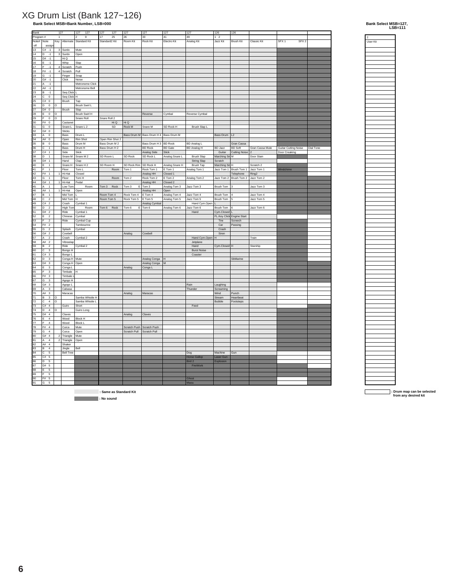# **Bank Select MSB=Bank Number, LSB=000** XG Drum List (Bank 127~126)

| Bank                        |                                           | 127                      |                        | 127<br>127                     | 127<br>127      | 127                    | 127                                   | 127            | 127                 | 126            | 126                       |                 |                                      |           |
|-----------------------------|-------------------------------------------|--------------------------|------------------------|--------------------------------|-----------------|------------------------|---------------------------------------|----------------|---------------------|----------------|---------------------------|-----------------|--------------------------------------|-----------|
| Program#                    |                                           | $\mathbf{1}$             |                        | $\boldsymbol{9}$<br>2          | 17<br>25        | 26                     | 33                                    | 41             | 49                  | $1\quad2$      |                           |                 |                                      |           |
| Note# Note                  |                                           |                          |                        |                                | Standard2 Kit   | Room Kit               | Rock Kit                              | Electro Kit    |                     | Jazz Kit       | <b>Brush Kit</b>          | Classic Kit     | SFX <sub>1</sub><br>SFX <sub>2</sub> |           |
|                             |                                           |                          |                        | Key   Alternate   Standard Kit |                 |                        |                                       |                | Analog Kit          |                |                           |                 |                                      |           |
| off                         | assign                                    |                          |                        |                                |                 |                        |                                       |                |                     |                |                           |                 |                                      |           |
| 13                          | $C# -1$                                   |                          | 3 Surdo                | Mute                           |                 |                        |                                       |                |                     |                |                           |                 |                                      |           |
| 14                          | $ D - 1 $                                 |                          | 3 Surdo                | Open                           |                 |                        |                                       |                |                     |                |                           |                 |                                      |           |
| 15                          | $D# -1$                                   |                          | Hi Q                   |                                |                 |                        |                                       |                |                     |                |                           |                 |                                      |           |
|                             |                                           |                          |                        |                                |                 |                        |                                       |                |                     |                |                           |                 |                                      |           |
| 16                          | İΕ<br>$-1$                                |                          | Whip                   | Slap                           |                 |                        |                                       |                |                     |                |                           |                 |                                      |           |
| 17                          | F<br>$-1$                                 |                          | 4 Scratch              | Push                           |                 |                        |                                       |                |                     |                |                           |                 |                                      |           |
| 18                          | $F# -1$                                   |                          | 4 Scratch              | Pull                           |                 |                        |                                       |                |                     |                |                           |                 |                                      |           |
| 19                          | G<br>$-1$                                 |                          | Finger                 | Snap                           |                 |                        |                                       |                |                     |                |                           |                 |                                      |           |
|                             |                                           |                          | Click                  | Noise                          |                 |                        |                                       |                |                     |                |                           |                 |                                      |           |
| 20                          | G#<br>$-1$                                |                          |                        |                                |                 |                        |                                       |                |                     |                |                           |                 |                                      |           |
| $^{21}$                     | $\overline{A}$<br>$-1$                    |                          |                        | Metronome Click                |                 |                        |                                       |                |                     |                |                           |                 |                                      |           |
| 22                          | $AH -1$                                   |                          |                        | Metronome Bell                 |                 |                        |                                       |                |                     |                |                           |                 |                                      |           |
| 23                          | B.<br>$-1$                                |                          | Seq Click L            |                                |                 |                        |                                       |                |                     |                |                           |                 |                                      |           |
| 24                          | $\circ$<br>l c                            |                          | Seq Click H            |                                |                 |                        |                                       |                |                     |                |                           |                 |                                      |           |
|                             |                                           |                          |                        |                                |                 |                        |                                       |                |                     |                |                           |                 |                                      |           |
| 25                          | C#<br>$\overline{\mathbf{0}}$             |                          | Brush                  | Tap                            |                 |                        |                                       |                |                     |                |                           |                 |                                      |           |
| 26                          | l D<br>$\,$ 0                             | $\circ$                  |                        | Brush Swirl L                  |                 |                        |                                       |                |                     |                |                           |                 |                                      |           |
| 27                          | D# 0                                      |                          | Brush                  | Slap                           |                 |                        |                                       |                |                     |                |                           |                 |                                      |           |
| 28                          | E<br>$\mathbf 0$                          | 0                        |                        | Brush Swirl H                  |                 |                        | Reverse                               | Cymbal         | Reverse Cymbal      |                |                           |                 |                                      |           |
|                             |                                           |                          |                        |                                |                 |                        |                                       |                |                     |                |                           |                 |                                      |           |
| 29                          | $\circ$<br>l F                            | l o                      |                        | Snare Roll                     | Snare Roll 2    |                        |                                       |                |                     |                |                           |                 |                                      |           |
| 30                          | F#<br>$\,0\,$                             |                          | Castanet               |                                | Hi Q            | Hi Q                   |                                       |                |                     |                |                           |                 |                                      |           |
| 31                          | G<br>$\mathbf 0$                          |                          | Snare L                | Snare L <sub>2</sub>           | SD              | ${\sf Rock}\, {\sf M}$ | Snare M                               | SD Rock H      | Brush Slap L        |                |                           |                 |                                      |           |
| 32                          | G# 0                                      |                          | Sticks                 |                                |                 |                        |                                       |                |                     |                |                           |                 |                                      |           |
|                             |                                           |                          |                        |                                |                 |                        |                                       |                |                     |                |                           |                 |                                      |           |
| 33                          | A 0                                       |                          | Bass                   | Drum L                         |                 |                        | Bass Drum M Bass Drum H 4 Bass Drum M |                |                     | Bass Drum   L2 |                           |                 |                                      |           |
| 34                          | A# 0                                      |                          | Open                   | <b>Rim Shot</b>                | Open Rim Shot 2 |                        |                                       |                |                     |                |                           |                 |                                      |           |
| 35                          | B<br>$\,$ 0                               |                          | Bass                   | Drum M                         | Bass Drum M 2   |                        | Bass Drum H 3                         | <b>BD Rock</b> | BD Analog L         |                | Gran Cassa                |                 |                                      |           |
| 36                          | c<br>$\overline{1}$                       |                          | Bass                   | Drum H                         | Bass Drum H 2   |                        | <b>BD Rock</b>                        | <b>BD</b> Gate | <b>BD Analog H</b>  | <b>BD Jazz</b> | <b>BD</b> Soft            | Gran Cassa Mute | <b>Guitar Cutting Noise</b>          | Dial Tone |
| 37                          | C#<br>$\overline{1}$                      |                          | Side                   | Stick                          |                 |                        | Analog Side                           | Stick          |                     | Guitar         | <b>Cutting Noise</b>      |                 | Door Creaking                        |           |
|                             |                                           |                          |                        |                                |                 |                        |                                       |                |                     |                |                           |                 |                                      |           |
| 38                          | D<br>$\overline{1}$                       |                          |                        | Snare M Snare M 2              | SD Room L       | SD Rock                | SD Rock L                             | Analog Snare L | Brush Slap          | Marching Sn M  |                           | Door Slam       |                                      |           |
| 39                          | $D#$ 1                                    |                          | Hand                   | Clap                           |                 |                        |                                       |                | String Slap         | Scratch        |                           |                 |                                      |           |
| 40                          | E<br>$\overline{1}$                       |                          | Snare H                | Snare H <sub>2</sub>           | SD Room H       | SD Rock Rim            | SD Rock H                             | Analog Snare H | Brush Tap           | Marching Sn    | Н                         | Scratch 2       |                                      |           |
| 41                          | F<br>$\overline{1}$                       |                          | Floor                  | Tom L                          | Room            | Tom 1                  | Rock Tom 1                            | E Tom 1        | Analog Tom 1        |                | Jazz Tom 1   Brush Tom 1  | Jazz Tom 1      | Windchime                            |           |
|                             |                                           |                          |                        |                                |                 |                        |                                       |                |                     |                |                           |                 |                                      |           |
| 42                          | F#<br>$\overline{1}$                      |                          | Hi-Hat                 | Closed                         |                 |                        | Analog HH                             | Closed 1       |                     |                | Telephone                 | Ring2           |                                      |           |
| 43                          | l G<br>$\overline{1}$                     |                          | Floor                  | Tom H                          | Room            | Tom 2                  | Rock Tom 2                            | E Tom 2        | Analog Tom 2        |                | Jazz Tom 2 Brush Tom 2    | Jazz Tom 2      |                                      |           |
| 44                          | G#<br>$\overline{1}$                      |                          | Hi-Hat                 | Pedal                          |                 |                        | Analog HH                             | Closed 2       |                     |                |                           |                 |                                      |           |
| 45                          | A<br>$\,$ 1                               |                          | Low Tom                | Room                           | Tom 3<br>Rock   | Tom 3<br>E             | Tom 3                                 | Analog Tom 3   | Jazz Tom 3          | Brush Tom      | 3                         | Jazz Tom 3      |                                      |           |
| 46                          | A# 1                                      |                          | Hi-Hat                 |                                |                 |                        |                                       | Open           |                     |                |                           |                 |                                      |           |
|                             |                                           |                          |                        | Open                           |                 |                        | Analog HH                             |                |                     |                |                           |                 |                                      |           |
| 47                          | B<br>$\overline{1}$                       |                          | Mid Tom                | İΕ                             | Room Tom 4      | Rock Tom 4             | E Tom 4                               | Analog Tom 4   | Jazz Tom 4          | Brush Tom      | $\overline{4}$            | Jazz Tom 4      |                                      |           |
| 48                          | ∣c.<br>$\overline{a}$                     |                          | Mid Tom   H            |                                | Room Tom 5      | Rock Tom 5             | E Tom 5                               | Analog Tom 5   | Jazz Tom 5          | Brush Tom 5    |                           | Jazz Tom 5      |                                      |           |
| 49                          | C#<br>$\overline{2}$                      |                          | Crash                  | Cymbal 1                       |                 |                        | Analog Cymbal                         |                | Hand Cym.Open       |                |                           |                 |                                      |           |
| 50                          | D.<br>$\overline{\mathbf{c}}$             |                          | High Tom               | Room                           | Tom 6 Rock      | Tom 6                  | $E$ Tom 6                             | Analog Tom 6   | Jazz Tom 6          | Brush Tom      | 6                         | Jazz Tom 6      |                                      |           |
|                             | D#2                                       |                          |                        |                                |                 |                        |                                       |                |                     |                |                           |                 |                                      |           |
| $\overline{51}$             |                                           |                          | Ride                   | Cymbal 1                       |                 |                        |                                       |                | Hand                | Cym.Closed L   |                           |                 |                                      |           |
| 52                          | $\overline{2}$<br>E                       |                          | Chinese                | Cymbal                         |                 |                        |                                       |                |                     |                | FL.Key Click Engine Start |                 |                                      |           |
| 53                          | l F<br>$\overline{2}$                     |                          | Ride                   | Cymbal Cup                     |                 |                        |                                       |                |                     | Tire           | Screech                   |                 |                                      |           |
| 54                          | $\overline{2}$<br>F#                      |                          |                        | Tambourine                     |                 |                        |                                       |                |                     | Car            | Passing                   |                 |                                      |           |
|                             |                                           |                          |                        |                                |                 |                        |                                       |                |                     |                |                           |                 |                                      |           |
| 55                          | G<br>$\overline{2}$                       |                          | Splash                 | Cymbal                         |                 |                        |                                       |                |                     | Crash          |                           |                 |                                      |           |
| $\overline{56}$             | G#2                                       |                          | Cowbell                |                                |                 | Analog                 | Cowbell                               |                |                     | Siren          |                           |                 |                                      |           |
| 57                          | $\overline{2}$<br>A                       |                          | Crash                  | Cymbal 2                       |                 |                        |                                       |                | Hand Cym.Open       | H              |                           | Train           |                                      |           |
| 58                          | A# 2                                      |                          | Vibraslap              |                                |                 |                        |                                       |                | Jetplane            |                |                           |                 |                                      |           |
| 59                          | B<br>$\overline{2}$                       |                          | Ride                   | Cymbal 2                       |                 |                        |                                       |                | Hand                | Cym.Closed H   |                           | Starship        |                                      |           |
|                             |                                           |                          |                        |                                |                 |                        |                                       |                |                     |                |                           |                 |                                      |           |
| 60                          | $\overline{c}$<br>$\overline{\mathbf{3}}$ |                          | Bongo H                |                                |                 |                        |                                       |                | <b>Burst Noise</b>  |                |                           |                 |                                      |           |
| $\overline{\phantom{1}}$ 61 | C#<br>$\overline{\phantom{a}3}$           |                          | Bongo L                |                                |                 |                        |                                       |                | Coaster             |                |                           |                 |                                      |           |
| 62                          | D<br>$\overline{\mathbf{3}}$              |                          | Conga H Mute           |                                |                 |                        | Analog Conga                          | H              |                     |                | SbMarine                  |                 |                                      |           |
| 63                          | D# 3                                      |                          | Conga H Open           |                                |                 |                        | Analog Conga                          | M              |                     |                |                           |                 |                                      |           |
|                             | E<br>$\mathsf 3$                          |                          | Conga L                |                                |                 |                        |                                       |                |                     |                |                           |                 |                                      |           |
| 64                          |                                           |                          |                        |                                |                 | Analog                 | Conga L                               |                |                     |                |                           |                 |                                      |           |
| 65                          | ١F<br>$\ensuremath{\mathsf{3}}$           |                          | Timbale                | lн                             |                 |                        |                                       |                |                     |                |                           |                 |                                      |           |
| 66                          | $\overline{\mathbf{3}}$<br>F#             |                          | Timbale $\overline{L}$ |                                |                 |                        |                                       |                |                     |                |                           |                 |                                      |           |
| 67                          | ∣G<br>$\overline{\mathbf{3}}$             |                          | Agogo H                |                                |                 |                        |                                       |                |                     |                |                           |                 |                                      |           |
|                             |                                           |                          |                        |                                |                 |                        |                                       |                |                     |                |                           |                 |                                      |           |
| 68                          | G# 3                                      |                          | Agogo L                |                                |                 |                        |                                       |                | Rain                | Laughing       |                           |                 |                                      |           |
| 69                          | $\mathsf 3$<br>A                          |                          | Cabasa                 |                                |                 |                        |                                       |                | Thunder             | Screaming      |                           |                 |                                      |           |
| 70                          | A#<br>$\mathsf 3$                         |                          | Maracas                |                                |                 | Analog                 | Maracas                               |                |                     | Wind           | Punch                     |                 |                                      |           |
| 71                          | E<br>$\overline{\mathbf{3}}$              | ۱o                       |                        | Samba Whistle H                |                 |                        |                                       |                |                     | Stream         | Heartbeat                 |                 |                                      |           |
| 72                          | c<br>$\overline{4}$                       | 0                        |                        | Samba Whistle L                |                 |                        |                                       |                |                     | Bubble         | Footsteps                 |                 |                                      |           |
| 73                          | $\overline{4}$<br>l C#                    |                          | Guiro                  | Short                          |                 |                        |                                       |                | Feed                |                |                           |                 |                                      |           |
|                             |                                           |                          |                        |                                |                 |                        |                                       |                |                     |                |                           |                 |                                      |           |
| 74                          | D<br>$\sqrt{4}$                           | $\circ$                  |                        | Guiro Long                     |                 |                        |                                       |                |                     |                |                           |                 |                                      |           |
| 75                          | D#<br>$\overline{4}$                      |                          | Claves                 |                                |                 | Analog                 | Claves                                |                |                     |                |                           |                 |                                      |           |
| 76                          | E<br>$\sqrt{4}$                           |                          | Wood                   | <b>Block H</b>                 |                 |                        |                                       |                |                     |                |                           |                 |                                      |           |
| 77                          | F<br>$\sqrt{4}$                           |                          | Wood                   | <b>Block L</b>                 |                 |                        |                                       |                |                     |                |                           |                 |                                      |           |
| 78                          | $F#$ 4                                    |                          | Cuica                  | Mute                           |                 | Scratch Push           | Scratch Push                          |                |                     |                |                           |                 |                                      |           |
|                             |                                           |                          |                        |                                |                 |                        |                                       |                |                     |                |                           |                 |                                      |           |
| 79                          | G<br>$\sqrt{4}$                           |                          | Cuica                  | Open                           |                 | Scratch Pull           | Scratch Pull                          |                |                     |                |                           |                 |                                      |           |
| 80                          | l G#<br>$\overline{4}$                    | $\overline{\phantom{a}}$ | Triangle               | Mute                           |                 |                        |                                       |                |                     |                |                           |                 |                                      |           |
| 81                          | $\overline{4}$<br>A                       | $\overline{2}$           | Triangle               | Open                           |                 |                        |                                       |                |                     |                |                           |                 |                                      |           |
| 82                          | $A#$ 4                                    |                          | Shaker                 |                                |                 |                        |                                       |                |                     |                |                           |                 |                                      |           |
|                             |                                           |                          |                        |                                |                 |                        |                                       |                |                     |                |                           |                 |                                      |           |
| 83                          | $\overline{4}$<br>B                       |                          | Jingle                 | Bell                           |                 |                        |                                       |                |                     |                |                           |                 |                                      |           |
| $\overline{84}$             | $\overline{c}$<br>$\overline{5}$          |                          | <b>Bell Tree</b>       |                                |                 |                        |                                       |                | Dog                 | Machine        | Gun                       |                 |                                      |           |
| 85                          | $\overline{C}$<br>5                       |                          |                        |                                |                 |                        |                                       |                | <b>Horse Gallop</b> | Laser Gun      |                           |                 |                                      |           |
| 86                          | $\overline{\mathsf{D}}$<br>$\overline{5}$ |                          |                        |                                |                 |                        |                                       |                | Bird 2              | Explosion      |                           |                 |                                      |           |
|                             |                                           |                          |                        |                                |                 |                        |                                       |                |                     |                |                           |                 |                                      |           |
| 87                          | D# 5                                      |                          |                        |                                |                 |                        |                                       |                | FireWork            |                |                           |                 |                                      |           |
| 88                          | $\overline{5}$<br>E                       |                          |                        |                                |                 |                        |                                       |                |                     |                |                           |                 |                                      |           |
| 69                          | F<br>$\overline{\phantom{a}}$             |                          |                        |                                |                 |                        |                                       |                |                     |                |                           |                 |                                      |           |
| 90                          | F#<br>5                                   |                          |                        |                                |                 |                        |                                       |                | Ghost               |                |                           |                 |                                      |           |
| 91                          | TG.<br>$\overline{\phantom{a}}$           |                          |                        |                                |                 |                        |                                       |                | Maou                |                |                           |                 |                                      |           |
|                             |                                           |                          |                        |                                |                 |                        |                                       |                |                     |                |                           |                 |                                      |           |

**Bank Select MSB=127, LSB=111**

2 User Kit

**: Drum map can be selected from any desired kit**

D

**: Same as Standard Kit**

**in the soundary of the soundary set of the soundary set of the soundary set of the soundary set of the soundary set of the soundary set of the soundary set of the soundary set of the soundary set of the soundary set of th**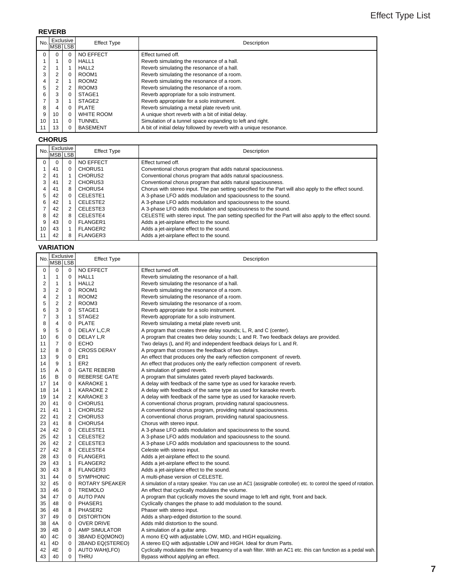### **REVERB**

| No.             | <b>MSBLSB</b> | Exclusive | <b>Effect Type</b> | Description                                                        |
|-----------------|---------------|-----------|--------------------|--------------------------------------------------------------------|
| $\Omega$        |               | 0         | NO EFFECT          | Effect turned off.                                                 |
|                 |               | 0         | HALL1              | Reverb simulating the resonance of a hall.                         |
| $\overline{2}$  |               |           | HALL <sub>2</sub>  | Reverb simulating the resonance of a hall.                         |
| 3               |               | 0         | ROOM1              | Reverb simulating the resonance of a room.                         |
| 4               | ົ             |           | ROOM <sub>2</sub>  | Reverb simulating the resonance of a room.                         |
| 5               |               | 2         | ROOM3              | Reverb simulating the resonance of a room.                         |
| 6               |               | 0         | STAGE1             | Reverb appropriate for a solo instrument.                          |
| 7               | 3             |           | STAGE <sub>2</sub> | Reverb appropriate for a solo instrument.                          |
| 8               |               | 0         | PLATE              | Reverb simulating a metal plate reverb unit.                       |
| 9               | 10            | 0         | <b>WHITE ROOM</b>  | A unique short reverb with a bit of initial delay.                 |
| 10 <sup>1</sup> | 11            | 0         | <b>TUNNEL</b>      | Simulation of a tunnel space expanding to left and right.          |
| 11              | 13            |           | BASEMENT           | A bit of initial delay followed by reverb with a unique resonance. |

### **CHORUS**

| No. | Exclusive |          | <b>Effect Type</b>  | Description                                                                                            |
|-----|-----------|----------|---------------------|--------------------------------------------------------------------------------------------------------|
|     | MSB LSB   |          |                     |                                                                                                        |
| 0   |           | 0        | <b>NO EFFECT</b>    | Effect turned off.                                                                                     |
|     | 41        | 0        | CHORUS <sub>1</sub> | Conventional chorus program that adds natural spaciousness.                                            |
|     | 41        |          | CHORUS <sub>2</sub> | Conventional chorus program that adds natural spaciousness.                                            |
|     | 41        | 2        | CHORUS3             | Conventional chorus program that adds natural spaciousness.                                            |
| 4   | 41        | 8        | CHORUS4             | Chorus with stereo input. The pan setting specified for the Part will also apply to the effect sound.  |
| 5   | 42        | $\Omega$ | CELESTE1            | A 3-phase LFO adds modulation and spaciousness to the sound.                                           |
| 6   | 42        |          | CELESTE2            | A 3-phase LFO adds modulation and spaciousness to the sound.                                           |
|     | 42        | 2        | CELESTE3            | A 3-phase LFO adds modulation and spaciousness to the sound.                                           |
| 8   | 42        | 8        | CELESTE4            | CELESTE with stereo input. The pan setting specified for the Part will also apply to the effect sound. |
| 9   | 43        | $\Omega$ | FLANGER1            | Adds a jet-airplane effect to the sound.                                                               |
| 10  | 43        |          | FLANGER2            | Adds a jet-airplane effect to the sound.                                                               |
| 11  | 42        | 8        | FLANGER3            | Adds a jet-airplane effect to the sound.                                                               |

### **VARIATION**

| No                      | MSB LSB                 | Exclusive      | <b>Effect Type</b>   | Description                                                                                                         |
|-------------------------|-------------------------|----------------|----------------------|---------------------------------------------------------------------------------------------------------------------|
| 0                       | 0                       | 0              | NO EFFECT            | Effect turned off.                                                                                                  |
| 1                       | 1                       | 0              | HALL1                | Reverb simulating the resonance of a hall.                                                                          |
| $\overline{\mathbf{c}}$ | 1                       | $\mathbf{1}$   | HALL <sub>2</sub>    | Reverb simulating the resonance of a hall.                                                                          |
| 3                       | $\overline{\mathbf{c}}$ | 0              | ROOM <sub>1</sub>    | Reverb simulating the resonance of a room.                                                                          |
| 4                       | $\boldsymbol{2}$        | $\mathbf{1}$   | ROOM <sub>2</sub>    | Reverb simulating the resonance of a room.                                                                          |
| 5                       | $\overline{\mathbf{c}}$ | 2              | ROOM3                | Reverb simulating the resonance of a room.                                                                          |
| 6                       | 3                       | 0              | STAGE1               | Reverb appropriate for a solo instrument.                                                                           |
| 7                       | 3                       | 1              | STAGE2               | Reverb appropriate for a solo instrument.                                                                           |
| 8                       | 4                       | 0              | <b>PLATE</b>         | Reverb simulating a metal plate reverb unit.                                                                        |
| 9                       | 5                       | 0              | DELAY L,C,R          | A program that creates three delay sounds; L, R, and C (center).                                                    |
| 10                      | 6                       | 0              | DELAY L,R            | A program that creates two delay sounds; L and R. Two feedback delays are provided.                                 |
| 11                      | $\overline{7}$          | 0              | <b>ECHO</b>          | Two delays (L and R) and independent feedback delays for L and R.                                                   |
| 12                      | 8                       | 0              | <b>CROSS DERAY</b>   | A program that crosses the feedback of two delays.                                                                  |
| 13                      | 9                       | 0              | ER <sub>1</sub>      | An effect that produces only the early reflection component of reverb.                                              |
| 14                      | 9                       | 1              | ER <sub>2</sub>      | An effect that produces only the early reflection component of reverb.                                              |
| 15                      | Α                       | 0              | <b>GATE REBERB</b>   | A simulation of gated reverb.                                                                                       |
| 16                      | В                       | 0              | <b>REBERSE GATE</b>  | A program that simulates gated reverb played backwards.                                                             |
| 17                      | 14                      | 0              | <b>KARAOKE 1</b>     | A delay with feedback of the same type as used for karaoke reverb.                                                  |
| 18                      | 14                      | 1              | <b>KARAOKE 2</b>     | A delay with feedback of the same type as used for karaoke reverb.                                                  |
| 19                      | 14                      | $\overline{2}$ | <b>KARAOKE 3</b>     | A delay with feedback of the same type as used for karaoke reverb.                                                  |
| 20                      | 41                      | 0              | CHORUS1              | A conventional chorus program, providing natural spaciousness.                                                      |
| 21                      | 41                      | $\mathbf{1}$   | CHORUS2              | A conventional chorus program, providing natural spaciousness.                                                      |
| 22                      | 41                      | 2              | CHORUS3              | A conventional chorus program, providing natural spaciousness.                                                      |
| 23                      | 41                      | 8              | CHORUS4              | Chorus with stereo input.                                                                                           |
| 24                      | 42                      | 0              | CELESTE1             | A 3-phase LFO adds modulation and spaciousness to the sound.                                                        |
| 25                      | 42                      | 1              | CELESTE2             | A 3-phase LFO adds modulation and spaciousness to the sound.                                                        |
| 26                      | 42                      | 2              | CELESTE3             | A 3-phase LFO adds modulation and spaciousness to the sound.                                                        |
| 27                      | 42                      | 8              | CELESTE4             | Celeste with stereo input.                                                                                          |
| 28                      | 43                      | 0              | FLANGER1             | Adds a jet-airplane effect to the sound.                                                                            |
| 29                      | 43                      | 1              | <b>FLANGER2</b>      | Adds a jet-airplane effect to the sound.                                                                            |
| 30                      | 43                      | 8              | <b>FLANGER3</b>      | Adds a jet-airplane effect to the sound.                                                                            |
| 31                      | 44                      | 0              | <b>SYMPHONIC</b>     | A multi-phase version of CELESTE.                                                                                   |
| 32                      | 45                      | 0              | ROTARY SPEAKER       | A simulation of a rotary speaker. You can use an AC1 (assignable controller) etc. to control the speed of rotation. |
| 33                      | 46                      | 0              | <b>TREMOLO</b>       | An effect that cyclically modulates the volume.                                                                     |
| 34                      | 47                      | 0              | <b>AUTO PAN</b>      | A program that cyclically moves the sound image to left and right, front and back.                                  |
| 35                      | 48                      | 0              | PHASER1              | Cyclically changes the phase to add modulation to the sound.                                                        |
| 36                      | 48                      | 8              | PHASER <sub>2</sub>  | Phaser with stereo input.                                                                                           |
| 37                      | 49                      | 0              | <b>DISTORTION</b>    | Adds a sharp-edged distortion to the sound.                                                                         |
| 38                      | 4A                      | 0              | <b>OVER DRIVE</b>    | Adds mild distortion to the sound.                                                                                  |
| 39                      | 4B                      | 0              | AMP SIMULATOR        | A simulation of a guitar amp.                                                                                       |
| 40                      | 4C                      | 0              | 3BAND EQ(MONO)       | A mono EQ with adjustable LOW, MID, and HIGH equalizing.                                                            |
| 41                      | 4D                      | 0              | 2BAND EQ(STEREO)     | A stereo EQ with adjustable LOW and HIGH. Ideal for drum Parts.                                                     |
| 42                      | 4E                      | 0              | <b>AUTO WAH(LFO)</b> | Cyclically modulates the center frequency of a wah filter. With an AC1 etc. this can function as a pedal wah.       |
|                         |                         |                |                      |                                                                                                                     |
| 43                      | 40                      | 0              | <b>THRU</b>          | Bypass without applying an effect.                                                                                  |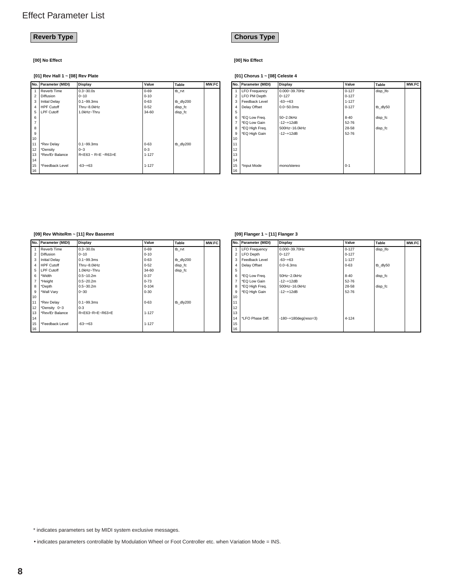**[00] No Effect [00] No Effect**

### **[01] Rev Hall 1 ~ [08] Rev Plate [01] Chorus 1 ~ [08] Celeste 4**

|                | No. Parameter (MIDI) | Display                     | Value     | <b>Table</b> | MW.FC |    | No.   Parameter (MIDI) | Display       | Value     | Table    | MW.FC |
|----------------|----------------------|-----------------------------|-----------|--------------|-------|----|------------------------|---------------|-----------|----------|-------|
|                | Reverb Time          | $0.3 - 30.0s$               | $0 - 69$  | tb_rvt       |       |    | <b>ILFO</b> Frequency  | 0.000~39.70Hz | $0 - 127$ | disp_lfo |       |
|                | 2 Diffusion          | $0 - 10$                    | $0 - 10$  |              |       |    | 2   LFO PM Depth       | $0 - 127$     | $0 - 127$ |          |       |
|                | 3 Initial Delay      | $0.1 - 99.3$ ms             | $0 - 63$  | tb dly200    |       | 3  | l Feedback Level       | $-63 - +63$   | $1 - 127$ |          |       |
|                | 4 HPF Cutoff         | Thru~8.0kHz                 | $0 - 52$  | disp_fc      |       | 4  | Delay Offset           | 0.0~50.0ms    | $0 - 127$ | tb_dly50 |       |
|                | 5   LPF Cutoff       | 1.0kHz~Thru                 | 34-60     | disp_fc      |       | 5  |                        |               |           |          |       |
| 6              |                      |                             |           |              |       | 6  | *EQ Low Freq.          | 50~2.0kHz     | 8-40      | disp_fc  |       |
| $\overline{7}$ |                      |                             |           |              |       |    | *EQ Low Gain           | $-12 - +12dB$ | 52-76     |          |       |
| 8              |                      |                             |           |              |       | 8  | *EQ High Freq.         | 500Hz~16.0kHz | 28-58     | disp_fc  |       |
| 9              |                      |                             |           |              |       | 9  | *EQ High Gain          | $-12 - +12dB$ | 52-76     |          |       |
| 10             |                      |                             |           |              |       | 10 |                        |               |           |          |       |
| 11             | *Rev Delay           | $0.1 - 99.3$ ms             | $0 - 63$  | tb dly200    |       | 11 |                        |               |           |          |       |
| 12             | *Density             | $0 - 3$                     | $0 - 3$   |              |       | 12 |                        |               |           |          |       |
| 13             | *Rev/Er Balance      | $R < E63 - R = E - R63 > E$ | $1 - 127$ |              |       | 13 |                        |               |           |          |       |
| 14             |                      |                             |           |              |       | 14 |                        |               |           |          |       |
| 15             | *Feedback Level      | $-63 - +63$                 | $1 - 127$ |              |       | 15 | *Input Mode            | mono/stereo   | $0 - 1$   |          |       |
| 16             |                      |                             |           |              |       | 16 |                        |               |           |          |       |

### **Reverb Type Chorus Type**

|                | No. Parameter (MIDI) | Display         | Value     | Table    | MW.FC |
|----------------|----------------------|-----------------|-----------|----------|-------|
|                | <b>LFO Frequency</b> | 0.000~39.70Hz   | $0 - 127$ | disp Ifo |       |
| $\overline{2}$ | LFO PM Depth         | $0 - 127$       | $0 - 127$ |          |       |
| 3              | Feedback Level       | $-63 - +63$     | $1 - 127$ |          |       |
| $\overline{4}$ | Delay Offset         | $0.0 - 50.0$ ms | $0 - 127$ | tb dly50 |       |
| 5              |                      |                 |           |          |       |
| 6              | *EQ Low Freq.        | 50~2.0kHz       | $8 - 40$  | disp fc  |       |
| 7              | *EQ Low Gain         | $-12 - +12$ dB  | 52-76     |          |       |
| 8              | *EQ High Freq.       | 500Hz~16.0kHz   | 28-58     | disp fc  |       |
| 9              | *EQ High Gain        | $-12 - +12dB$   | 52-76     |          |       |
| 10             |                      |                 |           |          |       |
| 11             |                      |                 |           |          |       |
| 12             |                      |                 |           |          |       |
| 13             |                      |                 |           |          |       |
| 14             |                      |                 |           |          |       |
| 15             | *Input Mode          | mono/stereo     | $0 - 1$   |          |       |
| 16             |                      |                 |           |          |       |

#### **[09] Rev WhiteRm ~ [11] Rev Basemnt**

|                | No. Parameter (MIDI) | Display                     | Value     | <b>Table</b> | MW.FC |
|----------------|----------------------|-----------------------------|-----------|--------------|-------|
| $\mathbf{1}$   | Reverb Time          | $0.3 - 30.0s$               | $0 - 69$  | tb rvt       |       |
| $\mathfrak{p}$ | <b>Diffusion</b>     | $0 - 10$                    | $0 - 10$  |              |       |
| 3              | <b>Initial Delay</b> | $0.1 - 99.3$ ms             | $0 - 63$  | tb dly200    |       |
| 4              | <b>HPF Cutoff</b>    | Thru~8.0kHz                 | $0 - 52$  | disp fc      |       |
| 5              | <b>LPF Cutoff</b>    | 1.0kHz~Thru                 | 34-60     | disp fc      |       |
| 6              | *Width               | $0.5 - 10.2m$               | $0 - 37$  |              |       |
| $\overline{7}$ | *Height              | $0.5 - 20.2m$               | $0 - 73$  |              |       |
| 8              | *Depth               | $0.5 - 30.2m$               | $0 - 104$ |              |       |
| 9              | *Wall Vary           | $0 - 30$                    | $0 - 30$  |              |       |
| 10             |                      |                             |           |              |       |
| 11             | *Rev Delay           | $0.1 - 99.3$ ms             | $0 - 63$  | tb_dly200    |       |
| 12             | *Density 0~3         | $0 - 3$                     |           |              |       |
| 13             | *Rev/Er Balance      | $R < E63 - R = E - R63 > E$ | $1 - 127$ |              |       |
| 14             |                      |                             |           |              |       |
| 15             | *Feedback Level      | $-63 - +63$                 | $1 - 127$ |              |       |
| 16             |                      |                             |           |              |       |

### **[09] Flanger 1 ~ [11] Flanger 3**

|                | No.   Parameter (MIDI) | Display                   | Value     | Table    | MW.FC |
|----------------|------------------------|---------------------------|-----------|----------|-------|
| 1              | <b>LFO Frequency</b>   | 0.000~39.70Hz             | $0 - 127$ | disp Ifo |       |
| $\overline{2}$ | LFO Depth              | $0 - 127$                 | $0 - 127$ |          |       |
| 3              | Feedback Level         | $-63 - +63$               | $1 - 127$ |          |       |
| 4              | Delay Offset           | $0.0 - 6.3$ ms            | $0 - 63$  | tb dly50 |       |
| 5              |                        |                           |           |          |       |
| 6              | *EQ Low Freq.          | 50Hz~2.0kHz               | $8 - 40$  | disp fc  |       |
| $\overline{7}$ | *EQ Low Gain           | $-12 - +12dB$             | 52-76     |          |       |
| 8              | *EQ High Freq.         | 500Hz~16.0kHz             | 28-58     | disp fc  |       |
| 9              | *EQ High Gain          | $-12 - +12$ dB            | 52-76     |          |       |
| 10             |                        |                           |           |          |       |
| 11             |                        |                           |           |          |       |
| 12             |                        |                           |           |          |       |
| 13             |                        |                           |           |          |       |
| 14             | *LFO Phase Diff.       | $-180 - +180$ deg(reso=3) | 4-124     |          |       |
| 15             |                        |                           |           |          |       |
| 16             |                        |                           |           |          |       |

\* indicates parameters set by MIDI system exclusive messages.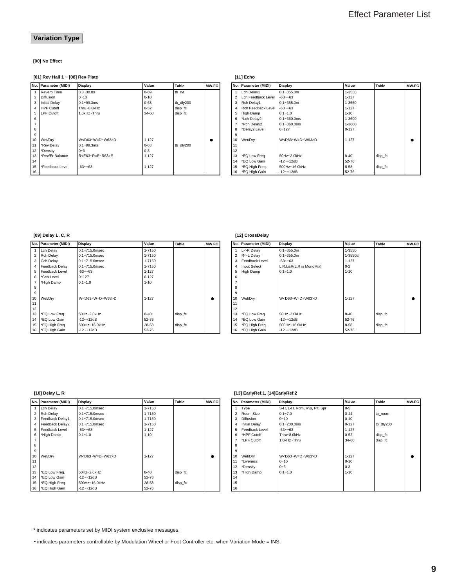### **Variation Type**

### **[00] No Effect**

### **[01] Rev Hall 1 ~ [08] Rev Plate**

|                | No. Parameter (MIDI) | Display                        | Value     | Table     | <b>MW.FC</b> |
|----------------|----------------------|--------------------------------|-----------|-----------|--------------|
| 1              | Reverb Time          | $0.3 - 30.0s$                  | $0 - 69$  | tb rvt    |              |
| $\overline{2}$ | <b>Diffusion</b>     | $0 - 10$                       | $0 - 10$  |           |              |
| 3              | <b>Initial Delay</b> | $0.1 - 99.3$ ms                | $0 - 63$  | tb dly200 |              |
| 4              | <b>HPF Cutoff</b>    | Thru~8.0kHz                    | $0 - 52$  | disp fc   |              |
| 5              | <b>LPF Cutoff</b>    | 1.0kHz~Thru                    | 34-60     | disp fc   |              |
| 6              |                      |                                |           |           |              |
| $\overline{7}$ |                      |                                |           |           |              |
| 8              |                      |                                |           |           |              |
| 9              |                      |                                |           |           |              |
| 10             | Wet/Dry              | W <d63~w=d~w63>D</d63~w=d~w63> | $1 - 127$ |           |              |
| 11             | *Rev Delay           | $0.1 - 99.3$ ms                | $0 - 63$  | tb dly200 |              |
| 12             | *Density             | $0 - 3$                        | $0 - 3$   |           |              |
| 13             | *Rev/Er Balance      | R <e63~r=e~r63>E</e63~r=e~r63> | $1 - 127$ |           |              |
| 14             |                      |                                |           |           |              |
| 15             | *Feedback Level      | $-63 - +63$                    | $1 - 127$ |           |              |
| 16             |                      |                                |           |           |              |

### **[11] Echo**

|                         | No. Parameter (MIDI) | Display                      | Value     | Table   | <b>MW.FC</b> |
|-------------------------|----------------------|------------------------------|-----------|---------|--------------|
| 1                       | Lch Delay1           | $0.1 - 355.0m$               | 1-3550    |         |              |
| $\overline{\mathbf{c}}$ | Lch Feedback Level   | $-63 - +63$                  | $1 - 127$ |         |              |
| 3                       | Rch Delay1           | $0.1 - 355.0m$               | 1-3550    |         |              |
| 4                       | Rch Feedback Level   | $-63 - +63$                  | $1 - 127$ |         |              |
| 5                       | High Damp            | $0.1 - 1.0$                  | $1 - 10$  |         |              |
| 6                       | *Lch Delay2          | $0.1 - 360.0$ ms             | 1-3600    |         |              |
| $\overline{7}$          | *Rch Delay2          | $0.1 - 360.0$ ms             | 1-3600    |         |              |
| 8                       | *Delay2 Level        | $0 - 127$                    | $0 - 127$ |         |              |
| 9                       |                      |                              |           |         |              |
| 10                      | Wet/Dry              | $W < D63-W = D \sim W63 > D$ | $1 - 127$ |         |              |
| 11                      |                      |                              |           |         |              |
| 12                      |                      |                              |           |         |              |
| 13                      | *EQ Low Freq.        | 50Hz~2.0kHz                  | $8 - 40$  | disp fc |              |
| 14                      | *EQ Low Gain         | $-12 - +12dB$                | 52-76     |         |              |
| 15                      | *EQ High Freq.       | 500Hz~16.0kHz                | $8 - 58$  | disp fc |              |
| 16                      | *EQ High Gain        | $-12 - +12dB$                | 52-76     |         |              |

### **[09] Delay L, C, R**

|                | No. Parameter (MIDI) | Display                        | Value     | Table   | MW.FC |
|----------------|----------------------|--------------------------------|-----------|---------|-------|
| 1              | Lch Delay            | $0.1 - 715.0$ msec             | 1-7150    |         |       |
| $\mathfrak{p}$ | <b>Rch Delay</b>     | $0.1 - 715.0$ msec             | 1-7150    |         |       |
| 3              | Cch Delay            | $0.1 - 715.0$ msec             | 1-7150    |         |       |
| 4              | Feedback Delay       | $0.1 - 715.0$ msec             | 1-7150    |         |       |
| 5              | Feedback Level       | $-63 - +63$                    | $1 - 127$ |         |       |
| 6              | *Cch Level           | $0 - 127$                      | $0 - 127$ |         |       |
| 7              | *High Damp           | $0.1 - 1.0$                    | $1 - 10$  |         |       |
| 8              |                      |                                |           |         |       |
| 9              |                      |                                |           |         |       |
| 10             | Wet/Drv              | W <d63~w=d~w63>D</d63~w=d~w63> | $1 - 127$ |         |       |
| 11             |                      |                                |           |         |       |
| 12             |                      |                                |           |         |       |
| 13             | *EQ Low Freq.        | 50Hz~2.0kHz                    | $8 - 40$  | disp fc |       |
| 14             | *EQ Low Gain         | $-12 - +12$ dB                 | 52-76     |         |       |
| 15             | *EQ High Freq.       | 500Hz~16.0kHz                  | 28-58     | disp fc |       |
| 16             | *EQ High Gain        | $-12 - +12dB$                  | 52-76     |         |       |

### **[12] CrossDelay**

|                | No.   Parameter (MIDI) | Display                        | Value     | Table   | MW.FC |
|----------------|------------------------|--------------------------------|-----------|---------|-------|
| 1              | L->R Delay             | $0.1 - 355.0m$                 | 1-3550    |         |       |
| $\mathfrak{p}$ | R->L Delay             | $0.1 - 355.0m$                 | 1-3550ß   |         |       |
| 3              | Feedback Level         | $-63 - +63$                    | $1 - 127$ |         |       |
| 4              | <b>Input Select</b>    | L,R,L&R(L,R is MonoMix)        | $0 - 2$   |         |       |
| 5              | High Damp              | $0.1 - 1.0$                    | $1 - 10$  |         |       |
| 6              |                        |                                |           |         |       |
| $\overline{7}$ |                        |                                |           |         |       |
| 8              |                        |                                |           |         |       |
| 9              |                        |                                |           |         |       |
| 10             | Wet/Dry                | W <d63~w=d~w63>D</d63~w=d~w63> | $1 - 127$ |         |       |
| 11             |                        |                                |           |         |       |
| 12             |                        |                                |           |         |       |
| 13             | *EQ Low Freq.          | 50Hz~2.0kHz                    | $8 - 40$  | disp fc |       |
| 14             | *EQ Low Gain           | $-12 - +12$ dB                 | 52-76     |         |       |
| 15             | *EQ High Freq.         | 500Hz~16.0kHz                  | $8 - 58$  | disp_fc |       |
| 16             | *EQ High Gain          | $-12 - +12dB$                  | 52-76     |         |       |

### **[10] Delay L, R**

|                | No. Parameter (MIDI) | Display                        | Value     | Table   | MW.FC |    | No. Parameter (MIDI) | <b>Display</b>                 | Value     | Table     | MW.FC |
|----------------|----------------------|--------------------------------|-----------|---------|-------|----|----------------------|--------------------------------|-----------|-----------|-------|
| $\overline{1}$ | Lch Delay            | $0.1 - 715.0$ msec             | 1-7150    |         |       |    | Type                 | S-H, L-H, Rdm, Rvs, Plt, Spr   | $0 - 5$   |           |       |
|                | 2 Rch Delay          | 0.1~715.0msec                  | 1-7150    |         |       |    | Room Size            | $0.1 - 7.0$                    | $0 - 44$  | tb room   |       |
|                | 3 Feedback Delay1    | 0.1~715.0msec                  | 1-7150    |         |       | 3  | Diffusion            | $0 - 10$                       | $0 - 10$  |           |       |
|                | 4 Feedback Delay2    | $0.1 - 715.0$ msec             | 1-7150    |         |       |    | <b>Initial Delay</b> | $0.1 - 200.0$ ms               | $0 - 127$ | tb dly200 |       |
|                | 5   Feedback Level   | $-63 - +63$                    | $1 - 127$ |         |       | 5  | Feedback Level       | $-63 - +63$                    | $1 - 127$ |           |       |
|                | 6 *High Damp         | $0.1 - 1.0$                    | $1 - 10$  |         |       | 6  | *HPF Cutoff          | Thru~8.0kHz                    | $0 - 52$  | disp_fc   |       |
| $\overline{7}$ |                      |                                |           |         |       |    | *LPF Cutoff          | 1.0kHz~Thru                    | 34-60     | disp_fc   |       |
| 8              |                      |                                |           |         |       | 8  |                      |                                |           |           |       |
| 9              |                      |                                |           |         |       | q  |                      |                                |           |           |       |
| 10             | Wet/Dry              | W <d63~w=d~w63>D</d63~w=d~w63> | $1 - 127$ |         |       | 10 | Wet/Dry              | W <d63~w=d~w63>D</d63~w=d~w63> | $1 - 127$ |           | ٠     |
| 11             |                      |                                |           |         |       | 11 | *Liveness            | $0 - 10$                       | $0 - 10$  |           |       |
| 12             |                      |                                |           |         |       | 12 | *Density             | $0 - 3$                        | $0 - 3$   |           |       |
| 13             | *EQ Low Freq.        | 50Hz~2.0kHz                    | $8 - 40$  | disp_fc |       | 13 | *High Damp           | $0.1 - 1.0$                    | $1 - 10$  |           |       |
| 14             | *EQ Low Gain         | $-12 - +12dB$                  | 52-76     |         |       | 14 |                      |                                |           |           |       |
| 15             | *EQ High Freq.       | 500Hz~16.0kHz                  | 28-58     | disp_fc |       | 15 |                      |                                |           |           |       |
|                | 16   *EQ High Gain   | $-12 - +12dB$                  | $52 - 76$ |         |       | 16 |                      |                                |           |           |       |

### **[13] EarlyRef.1, [14]EarlyRef.2**

|                | No. Parameter (MIDI) | Display                        | Value     | <b>Table</b> | MW.FC |
|----------------|----------------------|--------------------------------|-----------|--------------|-------|
| 1              | Type                 | S-H, L-H, Rdm, Rvs, Plt, Spr   | $0 - 5$   |              |       |
| $\overline{2}$ | Room Size            | $0.1 - 7.0$                    | $0 - 44$  | tb room      |       |
| 3              | <b>Diffusion</b>     | $0 - 10$                       | $0 - 10$  |              |       |
| 4              | <b>Initial Delay</b> | $0.1 - 200.0$ ms               | $0 - 127$ | tb dly200    |       |
| 5              | Feedback Level       | $-63 - +63$                    | $1 - 127$ |              |       |
| 6              | *HPF Cutoff          | Thru~8.0kHz                    | $0 - 52$  | disp fc      |       |
| $\overline{7}$ | *LPF Cutoff          | 1.0kHz~Thru                    | 34-60     | disp fc      |       |
| 8              |                      |                                |           |              |       |
| 9              |                      |                                |           |              |       |
| 10             | Wet/Dry              | W <d63~w=d~w63>D</d63~w=d~w63> | $1 - 127$ |              |       |
| 11             | *Liveness            | $0 - 10$                       | $0 - 10$  |              |       |
| 12             | *Density             | $0 - 3$                        | $0 - 3$   |              |       |
| 13             | *High Damp           | $0.1 - 1.0$                    | $1 - 10$  |              |       |
| 14             |                      |                                |           |              |       |
| 15             |                      |                                |           |              |       |
| 16             |                      |                                |           |              |       |

\* indicates parameters set by MIDI system exclusive messages.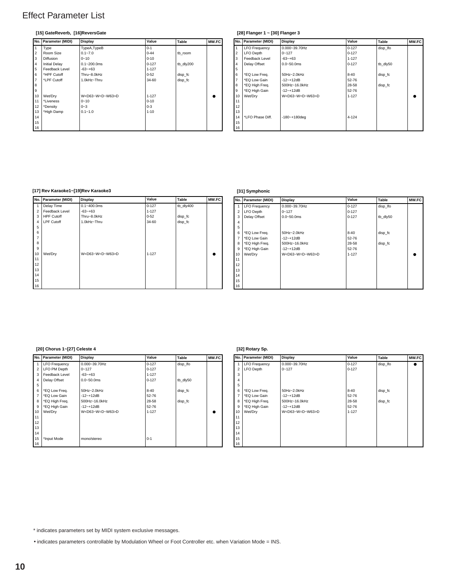### **[15] GateReverb, [16]ReversGate**

|                         | No. Parameter (MIDI) | Display                        | Value     | Table     | MW.FC |
|-------------------------|----------------------|--------------------------------|-----------|-----------|-------|
|                         | Type                 | TypeA, TypeB                   | $0 - 1$   |           |       |
| $\overline{\mathbf{c}}$ | Room Size            | $0.1 - 7.0$                    | $0 - 44$  | tb room   |       |
| 3                       | <b>Diffusion</b>     | $0 - 10$                       | $0 - 10$  |           |       |
| $\overline{4}$          | <b>Initial Delay</b> | $0.1 - 200.0$ ms               | $0 - 127$ | tb dly200 |       |
| 5                       | Feedback Level       | $-63 - +63$                    | $1 - 127$ |           |       |
| 6                       | *HPF Cutoff          | Thru~8.0kHz                    | $0 - 52$  | disp fc   |       |
| $\overline{7}$          | *LPF Cutoff          | 1.0kHz~Thru                    | 34-60     | disp fc   |       |
| 8                       |                      |                                |           |           |       |
| 9                       |                      |                                |           |           |       |
| 10                      | Wet/Dry              | W <d63~w=d~w63>D</d63~w=d~w63> | $1 - 127$ |           |       |
| 11                      | *Liveness            | $0 - 10$                       | $0 - 10$  |           |       |
| 12                      | *Density             | $0 - 3$                        | $0 - 3$   |           |       |
| 13                      | *High Damp           | $0.1 - 1.0$                    | $1 - 10$  |           |       |
| 14                      |                      |                                |           |           |       |
| 15                      |                      |                                |           |           |       |
| 16                      |                      |                                |           |           |       |

### **[28] Flanger 1 ~ [30] Flanger 3**

| N.FC      |                | No. Parameter (MIDI) | <b>Display</b>                 | Value     | Table    | MW.FC |
|-----------|----------------|----------------------|--------------------------------|-----------|----------|-------|
|           |                | <b>LFO Frequency</b> | 0.000~39.70Hz                  | $0 - 127$ | disp Ifo |       |
|           | 2              | LFO Depth            | $0 - 127$                      | $0 - 127$ |          |       |
|           | 3              | Feedback Level       | $-63 - +63$                    | $1 - 127$ |          |       |
|           | 4              | Delay Offset         | $0.0 - 50.0$ ms                | $0 - 127$ | tb dly50 |       |
|           | 5              |                      |                                |           |          |       |
|           | 6              | *EQ Low Freq.        | 50Hz~2.0kHz                    | $8 - 40$  | disp fc  |       |
|           | $\overline{7}$ | *EQ Low Gain         | $-12 - +12dB$                  | 52-76     |          |       |
|           | 8              | *EQ High Freq.       | 500Hz~16.0kHz                  | 28-58     | disp fc  |       |
|           | 9              | *EQ High Gain        | $-12 - +12dB$                  | 52-76     |          |       |
| $\bullet$ | 10             | Wet/Drv              | W <d63~w=d~w63>D</d63~w=d~w63> | $1 - 127$ |          |       |
|           | 11             |                      |                                |           |          |       |
|           | 12             |                      |                                |           |          |       |
|           | 13             |                      |                                |           |          |       |
|           | 14             | *LFO Phase Diff.     | $-180 - +180$ deg              | 4-124     |          |       |
|           | 15             |                      |                                |           |          |       |
|           | 16             |                      |                                |           |          |       |

### **[17] Rev Karaoke1~[19]Rev Karaoke3**

| No.            | Parameter (MIDI)  | <b>Display</b>                 | Value     | Table     | MW.FC |
|----------------|-------------------|--------------------------------|-----------|-----------|-------|
|                | Delay Time        | $0.1 - 400.0$ ms               | $0 - 127$ | tb_dly400 |       |
| $\overline{2}$ | Feedback Level    | $-63 - +63$                    | $1 - 127$ |           |       |
| 3              | <b>HPF Cutoff</b> | Thru~8.0kHz                    | $0 - 52$  | disp_fc   |       |
| $\overline{4}$ | <b>LPF Cutoff</b> | 1.0kHz~Thru                    | 34-60     | disp_fc   |       |
| 5              |                   |                                |           |           |       |
| 6              |                   |                                |           |           |       |
| $\overline{7}$ |                   |                                |           |           |       |
| 8              |                   |                                |           |           |       |
| 9              |                   |                                |           |           |       |
| 10             | Wet/Dry           | W <d63~w=d~w63>D</d63~w=d~w63> | $1 - 127$ |           | ٠     |
| 11             |                   |                                |           |           |       |
| 12             |                   |                                |           |           |       |
| 13             |                   |                                |           |           |       |
| 14             |                   |                                |           |           |       |
| 15             |                   |                                |           |           |       |
| 16             |                   |                                |           |           |       |

### **[31] Symphonic**

|                | No. Parameter (MIDI) | Display                        | Value     | Table    | MW.FC |
|----------------|----------------------|--------------------------------|-----------|----------|-------|
|                | <b>LFO Frequency</b> | 0.000~39.70Hz                  | $0 - 127$ | disp_lfo |       |
| $\overline{2}$ | <b>LFO Depth</b>     | $0 - 127$                      | $0 - 127$ |          |       |
| 3              | Delay Offset         | $0.0 - 50.0$ ms                | $0 - 127$ | tb dly50 |       |
| 4              |                      |                                |           |          |       |
| 5              |                      |                                |           |          |       |
| 6              | *EQ Low Freq.        | 50Hz~2.0kHz                    | $8 - 40$  | disp fc  |       |
| 7              | *EQ Low Gain         | $-12 - +12dB$                  | 52-76     |          |       |
| 8              | *EQ High Freq.       | 500Hz~16.0kHz                  | 28-58     | disp_fc  |       |
| 9              | *EQ High Gain        | $-12 - +12dB$                  | 52-76     |          |       |
| 10             | Wet/Dry              | W <d63~w=d~w63>D</d63~w=d~w63> | $1 - 127$ |          |       |
| 11             |                      |                                |           |          |       |
| 12             |                      |                                |           |          |       |
| 13             |                      |                                |           |          |       |
| 14             |                      |                                |           |          |       |
| 15             |                      |                                |           |          |       |
| 16             |                      |                                |           |          |       |

### **[20] Chorus 1~[27] Celeste 4**

|                | No. Parameter (MIDI) | <b>Display</b>                 | Value     | Table    | MW.FC |                | No. Parameter (MIDI) | <b>Display</b>                 | Value     | Table    | MW.FC     |
|----------------|----------------------|--------------------------------|-----------|----------|-------|----------------|----------------------|--------------------------------|-----------|----------|-----------|
|                | 1   LFO Frequency    | 0.000~39.70Hz                  | $0 - 127$ | disp_lfo |       |                | <b>LFO Frequency</b> | 0.000~39.70Hz                  | $0 - 127$ | disp_lfo | $\bullet$ |
|                | 2   LFO PM Depth     | $0 - 127$                      | $0 - 127$ |          |       | $\mathfrak{p}$ | LFO Depth            | $0 - 127$                      | $0 - 127$ |          |           |
|                | 3 Feedback Level     | $-63 - +63$                    | $1 - 127$ |          |       |                |                      |                                |           |          |           |
|                | 4 Delay Offset       | $0.0 - 50.0$ ms                | $0 - 127$ | tb dly50 |       |                |                      |                                |           |          |           |
| 5              |                      |                                |           |          |       | 5              |                      |                                |           |          |           |
| $6-1$          | *EQ Low Freq.        | 50Hz~2.0kHz                    | $8 - 40$  | disp_fc  |       | 6              | *EQ Low Freq.        | 50Hz~2.0kHz                    | $8 - 40$  | disp_fc  |           |
| 7 <sup>1</sup> | *EQ Low Gain         | $-12 - +12dB$                  | 52-76     |          |       |                | *EQ Low Gain         | $-12 - +12dB$                  | 52-76     |          |           |
|                | 8   *EQ High Freq.   | 500Hz~16.0kHz                  | 28-58     | disp_fc  |       | 8              | *EQ High Freq.       | 500Hz~16.0kHz                  | 28-58     | disp_fc  |           |
|                | 9   *EQ High Gain    | $-12 - +12dB$                  | 52-76     |          |       | 9              | *EQ High Gain        | $-12 - +12dB$                  | 52-76     |          |           |
| 10             | Wet/Dry              | W <d63~w=d~w63>D</d63~w=d~w63> | $1 - 127$ |          |       | 10             | Wet/Dry              | W <d63~w=d~w63>D</d63~w=d~w63> | $1 - 127$ |          |           |
| 11             |                      |                                |           |          |       | 11             |                      |                                |           |          |           |
| 12             |                      |                                |           |          |       | 12             |                      |                                |           |          |           |
| 13             |                      |                                |           |          |       | 13             |                      |                                |           |          |           |
| 14             |                      |                                |           |          |       | 14             |                      |                                |           |          |           |
| 15             | *Input Mode          | mono/stereo                    | $0 - 1$   |          |       | 15             |                      |                                |           |          |           |
| 16             |                      |                                |           |          |       | 16             |                      |                                |           |          |           |

### **[32] Rotary Sp.**

|                | No.   Parameter (MIDI) | Display                        | Value     | Table    | <b>MW.FC</b> |
|----------------|------------------------|--------------------------------|-----------|----------|--------------|
| 1              | <b>LFO Frequency</b>   | 0.000~39.70Hz                  | $0 - 127$ | disp Ifo |              |
| $\overline{2}$ | <b>LFO Depth</b>       | $0 - 127$                      | $0 - 127$ |          |              |
| 3              |                        |                                |           |          |              |
| 4              |                        |                                |           |          |              |
| 5              |                        |                                |           |          |              |
| 6              | *EQ Low Freq.          | 50Hz~2.0kHz                    | $8 - 40$  | disp fc  |              |
| $\overline{7}$ | *EQ Low Gain           | $-12 - +12dB$                  | 52-76     |          |              |
| 8              | *EQ High Freq.         | 500Hz~16.0kHz                  | 28-58     | disp fc  |              |
| 9              | *EQ High Gain          | $-12 - +12dB$                  | 52-76     |          |              |
| 10             | Wet/Dry                | W <d63~w=d~w63>D</d63~w=d~w63> | $1 - 127$ |          |              |
| 11             |                        |                                |           |          |              |
| 12             |                        |                                |           |          |              |
| 13             |                        |                                |           |          |              |
| 14             |                        |                                |           |          |              |
| 15             |                        |                                |           |          |              |
| 16             |                        |                                |           |          |              |

\* indicates parameters set by MIDI system exclusive messages.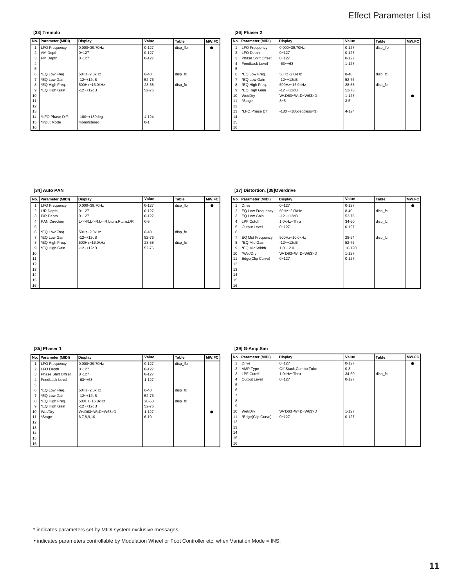**[33] Tremolo**

|                   | No. Parameter (MIDI) | Value<br>Display   |           | Table    | <b>MW.FC</b> |
|-------------------|----------------------|--------------------|-----------|----------|--------------|
|                   | <b>LFO Frequency</b> | $0.000 - 39.70$ Hz | $0 - 127$ | disp Ifo | $\bullet$    |
| $\overline{2}$    | AM Depth             | $0 - 127$          | $0 - 127$ |          |              |
| 3                 | PM Depth             | $0 - 127$          | $0 - 127$ |          |              |
| 4                 |                      |                    |           |          |              |
| 5                 |                      |                    |           |          |              |
| 6                 | *EQ Low Freq.        | 50Hz~2.0kHz        | $8 - 40$  | disp fc  |              |
| $\overline{7}$    | *EQ Low Gain         | $-12 - +12dB$      | 52-76     |          |              |
| 8                 | *EQ High Freq.       | 500Hz~16.0kHz      | 28-58     | disp fc  |              |
| 9                 | *EQ High Gain        | $-12 - +12dB$      | 52-76     |          |              |
| 10                |                      |                    |           |          |              |
| 11                |                      |                    |           |          |              |
| 12                |                      |                    |           |          |              |
| 13                |                      |                    |           |          |              |
| 14                | *LFO Phase Diff.     | $-180 - +180$ deg  | $4 - 124$ |          |              |
| 15<br>*Input Mode |                      | mono/stereo        | $0 - 1$   |          |              |
| 16                |                      |                    |           |          |              |

### **[36] Phaser 2**

|                | No. Parameter (MIDI) | <b>Display</b>                 | Value     | Table    | MW.FC |
|----------------|----------------------|--------------------------------|-----------|----------|-------|
|                | <b>LFO Frequency</b> | $0.000 - 39.70$ Hz             | $0 - 127$ | disp Ifo |       |
| $\overline{2}$ | <b>LFO</b> Depth     | $0 - 127$                      |           |          |       |
| 3              | Phase Shift Offset   | $0 - 127$                      | $0 - 127$ |          |       |
| 4              | Feedback Level       | $-63 - +63$                    | $1 - 127$ |          |       |
| 5              |                      |                                |           |          |       |
| 6              | *EQ Low Freq.        | 50Hz~2.0kHz                    | $8 - 40$  | disp fc  |       |
| $\overline{7}$ | *EQ Low Gain         | $-12 - +12dB$                  | 52-76     |          |       |
| 8              | *EQ High Freq.       | 500Hz~16.0kHz                  | 28-58     | disp fc  |       |
| 9              | *EQ High Gain        | $-12 - +12dB$                  | 52-76     |          |       |
| 10             | Wet/Dry              | W <d63~w=d~w63>D</d63~w=d~w63> | $1 - 127$ |          |       |
| 11             | *Stage               | $3 - 5$                        | $3-5$     |          |       |
| 12             |                      |                                |           |          |       |
| 13             | *LFO Phase Diff.     | $-180 - +180$ deg(reso=3)      | $4 - 124$ |          |       |
| 14             |                      |                                |           |          |       |
| 15             |                      |                                |           |          |       |
| 16             |                      |                                |           |          |       |

### **[34] Auto PAN**

|                | No. Parameter (MIDI) | Display                         | Value     | Table    | MW.FC |
|----------------|----------------------|---------------------------------|-----------|----------|-------|
| 1              | <b>LFO Frequency</b> | 0.000~39.70Hz                   |           | disp_lfo | ٠     |
| $\overline{2}$ | L/R Depth            | $0 - 127$                       | $0 - 127$ |          |       |
| 3              | F/R Depth            | $0 - 127$                       | $0 - 127$ |          |       |
| 4              | <b>PAN Direction</b> | L<->R,L->R,L<-R,Lturn,Rturn,L/R | $0 - 5$   |          |       |
| 5              |                      |                                 |           |          |       |
| 6              | *EQ Low Freq.        | 50Hz~2.0kHz                     | $8 - 40$  | disp fc  |       |
| $\overline{7}$ | *EQ Low Gain         | $-12 - +12dB$                   | 52-76     |          |       |
| 8              | *EQ High Freq.       | 500Hz~16.0kHz                   | 28-58     | disp fc  |       |
| 9              | *EQ High Gain        | $-12 - +12dB$                   | 52-76     |          |       |
| 10             |                      |                                 |           |          |       |
| 11             |                      |                                 |           |          |       |
| 12             |                      |                                 |           |          |       |
| 13             |                      |                                 |           |          |       |
| 14             |                      |                                 |           |          |       |
| 15             |                      |                                 |           |          |       |
| 16             |                      |                                 |           |          |       |

### **[37] Distortion, [38]Overdrive**

| $\overline{V.FC}$ |                | No. Parameter (MIDI) | Display                        | Value     | Table   | MW.FC |
|-------------------|----------------|----------------------|--------------------------------|-----------|---------|-------|
| $\bullet$         |                | <b>Drive</b>         | $0 - 127$                      | $0 - 127$ |         |       |
|                   | $\overline{2}$ | EQ Low Frequency     | 50Hz~2.0kHz                    | $8 - 40$  | disp fc |       |
|                   | 3              | EQ Low Gain          | $-12 - +12dB$                  | 52-76     |         |       |
|                   | 4              | LPF Cutoff           | 1.0kHz~Thru                    | 34-60     | disp_fc |       |
|                   | 5              | Output Level         | $0 - 127$                      | $0 - 127$ |         |       |
|                   | 6              |                      |                                |           |         |       |
|                   | 7              | EQ Mid Frequency     | 500Hz~10.0kHz                  | 28-54     | disp_fc |       |
|                   | 8              | *EQ Mid Gain         | $-12 - +12dB$                  | 52-76     |         |       |
|                   | 9              | *EQ Mid Width        | $1.0 - 12.0$                   | 10-120    |         |       |
|                   | 10             | *Wet/Dry             | W <d63~w=d~w63>D</d63~w=d~w63> | $1 - 127$ |         |       |
|                   | 11             | Edge(Clip Curve)     | $0 - 127$                      | $0 - 127$ |         |       |
|                   | 12             |                      |                                |           |         |       |
|                   | 13             |                      |                                |           |         |       |
|                   | 14             |                      |                                |           |         |       |
|                   | 15             |                      |                                |           |         |       |
|                   | 16             |                      |                                |           |         |       |

### **[35] Phaser 1**

|       | No. Parameter (MIDI) | Display                        | Value     | Table    | MW.FC |                | No. Parameter (MIDI) | Display                        | Value     | Table   | MW.FC     |
|-------|----------------------|--------------------------------|-----------|----------|-------|----------------|----------------------|--------------------------------|-----------|---------|-----------|
|       | 1   LFO Frequency    | 0.000~39.70Hz                  | $0 - 127$ | disp_lfo |       |                | Drive                | $0 - 127$                      | $0 - 127$ |         | $\bullet$ |
|       | 2   LFO Depth        | $0 - 127$                      | $0 - 127$ |          |       | $\overline{2}$ | AMP Type             | Off,Stack,Combo,Tube           | $0-3$     |         |           |
|       | 3 Phase Shift Offset | $0 - 127$                      | $0 - 127$ |          |       |                | 3 LPF Cutoff         | 1.0kHz~Thru                    | 34-60     | disp_fc |           |
|       | 4 Feedback Level     | $-63 - +63$                    | $1 - 127$ |          |       | 4              | Output Level         | $0 - 127$                      | $0 - 127$ |         |           |
| 5     |                      |                                |           |          |       | 5              |                      |                                |           |         |           |
| $6-1$ | *EQ Low Freq.        | 50Hz~2.0kHz                    | $8 - 40$  | disp_fc  |       | 6              |                      |                                |           |         |           |
|       | 7   *EQ Low Gain     | $-12 - +12dB$                  | $52 - 76$ |          |       |                |                      |                                |           |         |           |
|       | 8   *EQ High Freq.   | 500Hz~16.0kHz                  | 28-58     | disp_fc  |       | 8              |                      |                                |           |         |           |
| 9 I   | *EQ High Gain        | $-12 - +12dB$                  | 52-76     |          |       | 9              |                      |                                |           |         |           |
|       | 10 Wet/Dry           | W <d63~w=d~w63>D</d63~w=d~w63> | $1 - 127$ |          |       | 10             | Wet/Dry              | W <d63~w=d~w63>D</d63~w=d~w63> | $1 - 127$ |         |           |
| 11    | *Stage               | 6,7,8,9,10                     | $6 - 10$  |          |       | 11             | *Edge(Clip Curve)    | $0 - 127$                      | $0 - 127$ |         |           |
| 12    |                      |                                |           |          |       | 12             |                      |                                |           |         |           |
| 13    |                      |                                |           |          |       | 13             |                      |                                |           |         |           |
| 14    |                      |                                |           |          |       | 14             |                      |                                |           |         |           |
| 15    |                      |                                |           |          |       | 15             |                      |                                |           |         |           |
| 16    |                      |                                |           |          |       | 16             |                      |                                |           |         |           |

### **[39] G-Amp.Sim**

|                | No. Parameter (MIDI) | <b>Display</b>                 | Value     | Table   | MW.FC |
|----------------|----------------------|--------------------------------|-----------|---------|-------|
| $\mathbf{1}$   | <b>Drive</b>         | $0 - 127$                      | $0 - 127$ |         |       |
| $\overline{2}$ | AMP Type             | Off,Stack,Combo,Tube           | $0 - 3$   |         |       |
| 3              | <b>LPF Cutoff</b>    | 1.0kHz~Thru                    | 34-60     | disp fc |       |
| $\overline{4}$ | Output Level         | $0 - 127$                      | $0 - 127$ |         |       |
| 5              |                      |                                |           |         |       |
| 6              |                      |                                |           |         |       |
| $\overline{7}$ |                      |                                |           |         |       |
| 8              |                      |                                |           |         |       |
| 9              |                      |                                |           |         |       |
| 10             | Wet/Dry              | W <d63~w=d~w63>D</d63~w=d~w63> | $1 - 127$ |         |       |
| 11             | *Edge(Clip Curve)    | $0 - 127$                      | $0 - 127$ |         |       |
| 12             |                      |                                |           |         |       |
| 13             |                      |                                |           |         |       |
| 14             |                      |                                |           |         |       |
| 15             |                      |                                |           |         |       |
| 16             |                      |                                |           |         |       |

\* indicates parameters set by MIDI system exclusive messages.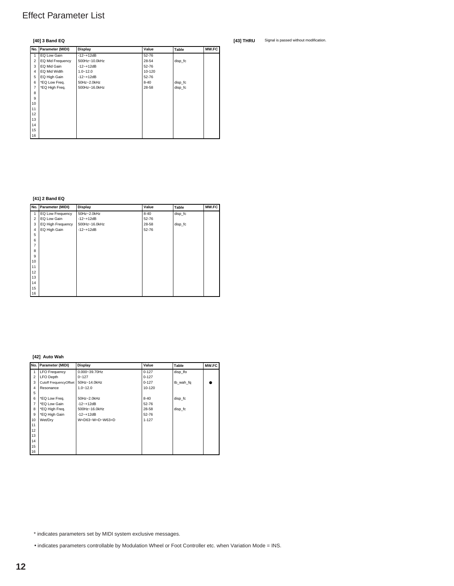### **[40] 3 Band EQ**

|                | No. Parameter (MIDI) | Display       | Value  | Table   | MW.FC |
|----------------|----------------------|---------------|--------|---------|-------|
| 1              | EQ Low Gain          | $-12 - +12dB$ | 52-76  |         |       |
| $\overline{2}$ | EQ Mid Frequency     | 500Hz~10.0kHz | 28-54  | disp_fc |       |
| 3              | EQ Mid Gain          | $-12 - +12dB$ | 52-76  |         |       |
| 4              | EQ Mid Width         | $1.0 - 12.0$  | 10-120 |         |       |
| 5              | EQ High Gain         | $-12 - +12dB$ | 52-76  |         |       |
| 6              | *EQ Low Freq.        | 50Hz~2.0kHz   | 8-40   | disp_fc |       |
| 7              | *EQ High Freq.       | 500Hz~16.0kHz | 28-58  | disp_fc |       |
| 8              |                      |               |        |         |       |
| 9              |                      |               |        |         |       |
| 10             |                      |               |        |         |       |
| 11             |                      |               |        |         |       |
| 12             |                      |               |        |         |       |
| 13             |                      |               |        |         |       |
| 14             |                      |               |        |         |       |
| 15             |                      |               |        |         |       |
| 16             |                      |               |        |         |       |

**[41] 2 Band EQ**

|                | No.   Parameter (MIDI) | <b>Display</b> | Value    | Table   | MW.FC |
|----------------|------------------------|----------------|----------|---------|-------|
|                | EQ Low Frequency       | 50Hz~2.0kHz    | $8 - 40$ | disp_fc |       |
| $\overline{2}$ | EQ Low Gain            | $-12 - +12dB$  | 52-76    |         |       |
| 3              | EQ High Frequency      | 500Hz~16.0kHz  | 28-58    | disp_fc |       |
| 4              | EQ High Gain           | $-12 - +12dB$  | 52-76    |         |       |
| 5              |                        |                |          |         |       |
| 6              |                        |                |          |         |       |
| $\overline{7}$ |                        |                |          |         |       |
| 8              |                        |                |          |         |       |
| 9              |                        |                |          |         |       |
| 10             |                        |                |          |         |       |
| 11             |                        |                |          |         |       |
| 12             |                        |                |          |         |       |
| 13             |                        |                |          |         |       |
| 14             |                        |                |          |         |       |
| 15             |                        |                |          |         |       |
| 16             |                        |                |          |         |       |

### **[42] Auto Wah**

|                | No. Parameter (MIDI)   | Display                        | Value     | Table     | MW.FC |
|----------------|------------------------|--------------------------------|-----------|-----------|-------|
| 1              | <b>LFO Frequency</b>   | $0.000 - 39.70$ Hz             | $0 - 127$ | disp Ifo  |       |
| $\overline{2}$ | <b>LFO Depth</b>       | $0 - 127$                      | $0 - 127$ |           |       |
| 3              | Cutoff FrequencyOffset | 50Hz~14.0kHz                   |           | tb wah fq |       |
| $\overline{4}$ | Resonance              | $1.0 - 12.0$                   | 10-120    |           |       |
| 5              |                        |                                |           |           |       |
| 6              | *EQ Low Freq.          | 50Hz~2.0kHz                    | $8 - 40$  | disp fc   |       |
| $\overline{7}$ | *EQ Low Gain           | $-12 - +12dB$                  | 52-76     |           |       |
| 8              | *EQ High Freq.         | 500Hz~16.0kHz                  | 28-58     | disp fc   |       |
| 9              | *EQ High Gain          | $-12 - +12dB$                  | 52-76     |           |       |
| 10             | Wet/Dry                | W <d63~w=d~w63>D</d63~w=d~w63> | $1 - 127$ |           |       |
| 11             |                        |                                |           |           |       |
| 12             |                        |                                |           |           |       |
| 13             |                        |                                |           |           |       |
| 14             |                        |                                |           |           |       |
| 15             |                        |                                |           |           |       |
| 16             |                        |                                |           |           |       |

\* indicates parameters set by MIDI system exclusive messages.

• indicates parameters controllable by Modulation Wheel or Foot Controller etc. when Variation Mode = INS.

**[43] THRU** Signal is passed without modification.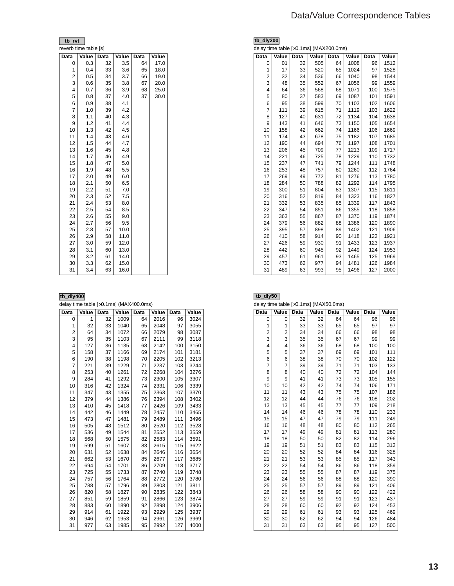### Data/Value Correspondence Tables

| tb rvt                |       |      |       |      |       |
|-----------------------|-------|------|-------|------|-------|
| reverb time table [s] |       |      |       |      |       |
| Data                  | Value | Data | Value | Data | Value |
| 0                     | 0.3   | 32   | 3.5   | 64   | 17.0  |
| 1                     | 0.4   | 33   | 3.6   | 65   | 18.0  |
| 2                     | 0.5   | 34   | 3.7   | 66   | 19.0  |
| 3                     | 0.6   | 35   | 3.8   | 67   | 20.0  |
| 4                     | 0.7   | 36   | 3.9   | 68   | 25.0  |
| 5                     | 0.8   | 37   | 4.0   | 37   | 30.0  |
| 6                     | 0.9   | 38   | 4.1   |      |       |
| 7                     | 1.0   | 39   | 4.2   |      |       |
| 8                     | 1.1   | 40   | 4.3   |      |       |
| 9                     | 1.2   | 41   | 4.4   |      |       |
| 10                    | 1.3   | 42   | 4.5   |      |       |
| 11                    | 1.4   | 43   | 4.6   |      |       |
| 12                    | 1.5   | 44   | 4.7   |      |       |
| 13                    | 1.6   | 45   | 4.8   |      |       |
| 14                    | 1.7   | 46   | 4.9   |      |       |
| 15                    | 1.8   | 47   | 5.0   |      |       |
| 16                    | 1.9   | 48   | 5.5   |      |       |
| 17                    | 2.0   | 49   | 6.0   |      |       |
| 18                    | 2.1   | 50   | 6.5   |      |       |
| 19                    | 2.2   | 51   | 7.0   |      |       |
| 20                    | 2.3   | 52   | 7.5   |      |       |
| 21                    | 2.4   | 53   | 8.0   |      |       |
| 22                    | 2.5   | 54   | 8.5   |      |       |
| 23                    | 2.6   | 55   | 9.0   |      |       |
| 24                    | 2.7   | 56   | 9.5   |      |       |
| 25                    | 2.8   | 57   | 10.0  |      |       |
| 26                    | 2.9   | 58   | 11.0  |      |       |
| 27                    | 3.0   | 59   | 12.0  |      |       |
| 28                    | 3.1   | 60   | 13.0  |      |       |
| 29                    | 3.2   | 61   | 14.0  |      |       |
| 30                    | 3.3   | 62   | 15.0  |      |       |
| 31                    | 3.4   | 63   | 16.0  |      |       |

#### **tb\_dly400**

delay time table [×0.1ms] (MAX400.0ms)

| Data           | Value | Data | Value | Data | Value | Data | Value |
|----------------|-------|------|-------|------|-------|------|-------|
| 0              | 1     | 32   | 1009  | 64   | 2016  | 96   | 3024  |
| 1              | 32    | 33   | 1040  | 65   | 2048  | 97   | 3055  |
| 2              | 64    | 34   | 1072  | 66   | 2079  | 98   | 3087  |
| 3              | 95    | 35   | 1103  | 67   | 2111  | 99   | 3118  |
| 4              | 127   | 36   | 1135  | 68   | 2142  | 100  | 3150  |
| 5              | 158   | 37   | 1166  | 69   | 2174  | 101  | 3181  |
| 6              | 190   | 38   | 1198  | 70   | 2205  | 102  | 3213  |
| $\overline{7}$ | 221   | 39   | 1229  | 71   | 2237  | 103  | 3244  |
| 8              | 253   | 40   | 1261  | 72   | 2268  | 104  | 3276  |
| 9              | 284   | 41   | 1292  | 73   | 2300  | 105  | 3307  |
| 10             | 316   | 42   | 1324  | 74   | 2331  | 106  | 3339  |
| 11             | 347   | 43   | 1355  | 75   | 2363  | 107  | 3370  |
| 12             | 379   | 44   | 1386  | 76   | 2394  | 108  | 3402  |
| 13             | 410   | 45   | 1418  | 77   | 2426  | 109  | 3433  |
| 14             | 442   | 46   | 1449  | 78   | 2457  | 110  | 3465  |
| 15             | 473   | 47   | 1481  | 79   | 2489  | 111  | 3496  |
| 16             | 505   | 48   | 1512  | 80   | 2520  | 112  | 3528  |
| 17             | 536   | 49   | 1544  | 81   | 2552  | 113  | 3559  |
| 18             | 568   | 50   | 1575  | 82   | 2583  | 114  | 3591  |
| 19             | 599   | 51   | 1607  | 83   | 2615  | 115  | 3622  |
| 20             | 631   | 52   | 1638  | 84   | 2646  | 116  | 3654  |
| 21             | 662   | 53   | 1670  | 85   | 2677  | 117  | 3685  |
| 22             | 694   | 54   | 1701  | 86   | 2709  | 118  | 3717  |
| 23             | 725   | 55   | 1733  | 87   | 2740  | 119  | 3748  |
| 24             | 757   | 56   | 1764  | 88   | 2772  | 120  | 3780  |
| 25             | 788   | 57   | 1796  | 89   | 2803  | 121  | 3811  |
| 26             | 820   | 58   | 1827  | 90   | 2835  | 122  | 3843  |
| 27             | 851   | 59   | 1859  | 91   | 2866  | 123  | 3874  |
| 28             | 883   | 60   | 1890  | 92   | 2898  | 124  | 3906  |
| 29             | 914   | 61   | 1922  | 93   | 2929  | 125  | 3937  |
| 30             | 946   | 62   | 1953  | 94   | 2961  | 126  | 3969  |
| 31             | 977   | 63   | 1985  | 95   | 2992  | 127  | 4000  |

|                | tb_dly200                              |      |       |      |       |      |       |  |  |  |
|----------------|----------------------------------------|------|-------|------|-------|------|-------|--|--|--|
|                | delay time table [x0.1ms] (MAX200.0ms) |      |       |      |       |      |       |  |  |  |
| Data           | Value                                  | Data | Value | Data | Value | Data | Value |  |  |  |
| 0              | 01                                     | 32   | 505   | 64   | 1008  | 96   | 1512  |  |  |  |
| 1              | 17                                     | 33   | 520   | 65   | 1024  | 97   | 1528  |  |  |  |
| $\overline{2}$ | 32                                     | 34   | 536   | 66   | 1040  | 98   | 1544  |  |  |  |
| 3              | 48                                     | 35   | 552   | 67   | 1056  | 99   | 1559  |  |  |  |
| 4              | 64                                     | 36   | 568   | 68   | 1071  | 100  | 1575  |  |  |  |
| 5              | 80                                     | 37   | 583   | 69   | 1087  | 101  | 1591  |  |  |  |
| 6              | 95                                     | 38   | 599   | 70   | 1103  | 102  | 1606  |  |  |  |
| 7              | 111                                    | 39   | 615   | 71   | 1119  | 103  | 1622  |  |  |  |
| 8              | 127                                    | 40   | 631   | 72   | 1134  | 104  | 1638  |  |  |  |
| 9              | 143                                    | 41   | 646   | 73   | 1150  | 105  | 1654  |  |  |  |
| 10             | 158                                    | 42   | 662   | 74   | 1166  | 106  | 1669  |  |  |  |
| 11             | 174                                    | 43   | 678   | 75   | 1182  | 107  | 1685  |  |  |  |
| 12             | 190                                    | 44   | 694   | 76   | 1197  | 108  | 1701  |  |  |  |
| 13             | 206                                    | 45   | 709   | 77   | 1213  | 109  | 1717  |  |  |  |
| 14             | 221                                    | 46   | 725   | 78   | 1229  | 110  | 1732  |  |  |  |
| 15             | 237                                    | 47   | 741   | 79   | 1244  | 111  | 1748  |  |  |  |
| 16             | 253                                    | 48   | 757   | 80   | 1260  | 112  | 1764  |  |  |  |
| 17             | 269                                    | 49   | 772   | 81   | 1276  | 113  | 1780  |  |  |  |
| 18             | 284                                    | 50   | 788   | 82   | 1292  | 114  | 1795  |  |  |  |
| 19             | 300                                    | 51   | 804   | 83   | 1307  | 115  | 1811  |  |  |  |
| 20             | 316                                    | 52   | 819   | 84   | 1323  | 116  | 1827  |  |  |  |
| 21             | 332                                    | 53   | 835   | 85   | 1339  | 117  | 1843  |  |  |  |
| 22             | 347                                    | 54   | 851   | 86   | 1355  | 118  | 1858  |  |  |  |
| 23             | 363                                    | 55   | 867   | 87   | 1370  | 119  | 1874  |  |  |  |
| 24             | 379                                    | 56   | 882   | 88   | 1386  | 120  | 1890  |  |  |  |
| 25             | 395                                    | 57   | 898   | 89   | 1402  | 121  | 1906  |  |  |  |
| 26             | 410                                    | 58   | 914   | 90   | 1418  | 122  | 1921  |  |  |  |
| 27             | 426                                    | 59   | 930   | 91   | 1433  | 123  | 1937  |  |  |  |
| 28             | 442                                    | 60   | 945   | 92   | 1449  | 124  | 1953  |  |  |  |
| 29             | 457                                    | 61   | 961   | 93   | 1465  | 125  | 1969  |  |  |  |
| 30             | 473                                    | 62   | 977   | 94   | 1481  | 126  | 1984  |  |  |  |
| 31             | 489                                    | 63   | 993   | 95   | 1496  | 127  | 2000  |  |  |  |

| tb_dly50<br>delay time table [x0.1ms] (MAX50.0ms) |                |             |       |             |       |      |       |  |  |
|---------------------------------------------------|----------------|-------------|-------|-------------|-------|------|-------|--|--|
| Data                                              | Value          | <b>Data</b> | Value | <b>Data</b> | Value | Data | Value |  |  |
| 0                                                 | 0              | 32          | 32    | 64          | 64    | 96   | 96    |  |  |
| 1                                                 | 1              | 33          | 33    | 65          | 65    | 97   | 97    |  |  |
| $\overline{2}$                                    | $\overline{2}$ | 34          | 34    | 66          | 66    | 98   | 98    |  |  |
| 3                                                 | 3              | 35          | 35    | 67          | 67    | 99   | 99    |  |  |
| 4                                                 | $\overline{4}$ | 36          | 36    | 68          | 68    | 100  | 100   |  |  |
| 5                                                 | 5              | 37          | 37    | 69          | 69    | 101  | 111   |  |  |
| 6                                                 | 6              | 38          | 38    | 70          | 70    | 102  | 122   |  |  |
| 7                                                 | 7              | 39          | 39    | 71          | 71    | 103  | 133   |  |  |
| 8                                                 | 8              | 40          | 40    | 72          | 72    | 104  | 144   |  |  |
| 9                                                 | 9              | 41          | 41    | 73          | 73    | 105  | 155   |  |  |
| 10                                                | 10             | 42          | 42    | 74          | 74    | 106  | 171   |  |  |
| 11                                                | 11             | 43          | 43    | 75          | 75    | 107  | 186   |  |  |
| 12                                                | 12             | 44          | 44    | 76          | 76    | 108  | 202   |  |  |
| 13                                                | 13             | 45          | 45    | 77          | 77    | 109  | 218   |  |  |
| 14                                                | 14             | 46          | 46    | 78          | 78    | 110  | 233   |  |  |
| 15                                                | 15             | 47          | 47    | 79          | 79    | 111  | 249   |  |  |
| 16                                                | 16             | 48          | 48    | 80          | 80    | 112  | 265   |  |  |
| 17                                                | 17             | 49          | 49    | 81          | 81    | 113  | 280   |  |  |
| 18                                                | 18             | 50          | 50    | 82          | 82    | 114  | 296   |  |  |
| 19                                                | 19             | 51          | 51    | 83          | 83    | 115  | 312   |  |  |
| 20                                                | 20             | 52          | 52    | 84          | 84    | 116  | 328   |  |  |
| 21                                                | 21             | 53          | 53    | 85          | 85    | 117  | 343   |  |  |
| 22                                                | 22             | 54          | 54    | 86          | 86    | 118  | 359   |  |  |
| 23                                                | 23             | 55          | 55    | 87          | 87    | 119  | 375   |  |  |
| 24                                                | 24             | 56          | 56    | 88          | 88    | 120  | 390   |  |  |
| 25                                                | 25             | 57          | 57    | 89          | 89    | 121  | 406   |  |  |
| 26                                                | 26             | 58          | 58    | 90          | 90    | 122  | 422   |  |  |
| 27                                                | 27             | 59          | 59    | 91          | 91    | 123  | 437   |  |  |
| 28                                                | 28             | 60          | 60    | 92          | 92    | 124  | 453   |  |  |
| 29                                                | 29             | 61          | 61    | 93          | 93    | 125  | 469   |  |  |
| 30                                                | 30             | 62          | 62    | 94          | 94    | 126  | 484   |  |  |
| 31                                                | 31             | 63          | 63    | 95          | 95    | 127  | 500   |  |  |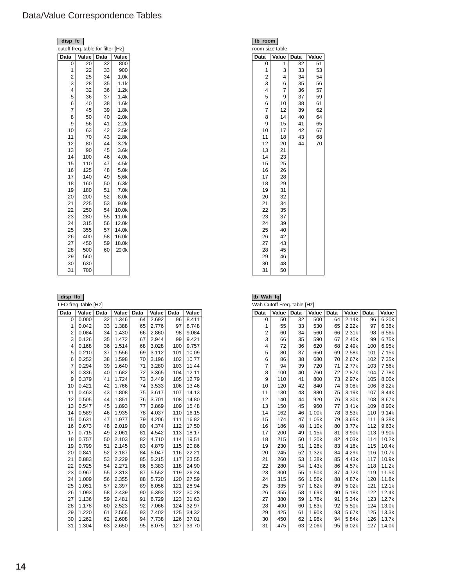### Data/Value Correspondence Tables

| disp_fc        |                                    |      |                  | tb_room                 |                |
|----------------|------------------------------------|------|------------------|-------------------------|----------------|
|                | cutoff freq. table for filter [Hz] |      |                  | room size table         |                |
| Data           | Value                              | Data | Value            | Data                    | Value          |
| $\mathbf 0$    | 20                                 | 32   | 800              | 0                       |                |
| 1              | 22                                 | 33   | 900              | 1                       | 3              |
| $\mathbf 2$    | 25                                 | 34   | 1.0k             | 2                       |                |
| 3              | 28                                 | 35   | 1.1k             | 3                       |                |
| 4              | 32                                 | 36   | 1.2k             | $\overline{\mathbf{4}}$ | $\overline{7}$ |
| 5              | 36                                 | 37   | 1.4k             | 5                       | 9              |
| 6              | 40                                 | 38   | 1.6k             | 6                       | 10             |
| $\overline{7}$ | 45                                 | 39   | 1.8k             | $\overline{7}$          | 12             |
| 8              | 50                                 | 40   | 2.0 <sub>k</sub> | 8                       | 14             |
| 9              | 56                                 | 41   | 2.2k             | 9                       | 15             |
| 10             | 63                                 | 42   | 2.5k             | 10                      | 17             |
| 11             | 70                                 | 43   | 2.8k             | 11                      | 18             |
| 12             | 80                                 | 44   | 3.2k             | 12                      | 20             |
| 13             | 90                                 | 45   | 3.6k             | 13                      | 21             |
| 14             | 100                                | 46   | 4.0k             | 14                      | 23             |
| 15             | 110                                | 47   | 4.5k             | 15                      | 25             |
| 16             | 125                                | 48   | 5.0k             | 16                      | 26             |
| 17             | 140                                | 49   | 5.6k             | 17                      | 28             |
| 18             | 160                                | 50   | 6.3k             | 18                      | 29             |
| 19             | 180                                | 51   | 7.0k             | 19                      | 31             |
| 20             | 200                                | 52   | 8.0k             | 20                      | 32             |
| 21             | 225                                | 53   | 9.0k             | 21                      | 34             |
| 22             | 250                                | 54   | 10.0k            | 22                      | 35             |
| 23             | 280                                | 55   | 11.0k            | 23                      | 37             |
| 24             | 315                                | 56   | 12.0k            | 24                      | 39             |
| 25             | 355                                | 57   | 14.0k            | 25                      | 40             |
| 26             | 400                                | 58   | 16.0k            | 26                      | 42             |
| 27             | 450                                | 59   | 18.0k            | 27                      | 43             |
| 28             | 500                                | 60   | 20.0k            | 28                      | 45             |
| 29             | 560                                |      |                  | 29                      | 46             |
| 30             | 630                                |      |                  | 30                      | 48             |
| 31             | 700                                |      |                  | 31                      | 50             |

LFO freq. table [Hz]

| Data                    | Value | Data | Value | Data | Value | Data | Value |
|-------------------------|-------|------|-------|------|-------|------|-------|
| 0                       | 0.000 | 32   | 1.346 | 64   | 2.692 | 96   | 8.411 |
| 1                       | 0.042 | 33   | 1.388 | 65   | 2.776 | 97   | 8.748 |
| 2                       | 0.084 | 34   | 1.430 | 66   | 2.860 | 98   | 9.084 |
| 3                       | 0.126 | 35   | 1.472 | 67   | 2.944 | 99   | 9.421 |
| $\overline{\mathbf{4}}$ | 0.168 | 36   | 1.514 | 68   | 3.028 | 100  | 9.757 |
| 5                       | 0.210 | 37   | 1.556 | 69   | 3.112 | 101  | 10.09 |
| 6                       | 0.252 | 38   | 1.598 | 70   | 3.196 | 102  | 10.77 |
| $\overline{7}$          | 0.294 | 39   | 1.640 | 71   | 3.280 | 103  | 11.44 |
| 8                       | 0.336 | 40   | 1.682 | 72   | 3.365 | 104  | 12.11 |
| 9                       | 0.379 | 41   | 1.724 | 73   | 3.449 | 105  | 12.79 |
| 10                      | 0.421 | 42   | 1.766 | 74   | 3.533 | 106  | 13.46 |
| 11                      | 0.463 | 43   | 1.808 | 75   | 3.617 | 107  | 14.13 |
| 12                      | 0.505 | 44   | 1.851 | 76   | 3.701 | 108  | 14.80 |
| 13                      | 0.547 | 45   | 1.893 | 77   | 3.869 | 109  | 15.48 |
| 14                      | 0.589 | 46   | 1.935 | 78   | 4.037 | 110  | 16.15 |
| 15                      | 0.631 | 47   | 1.977 | 79   | 4.206 | 111  | 16.82 |
| 16                      | 0.673 | 48   | 2.019 | 80   | 4.374 | 112  | 17.50 |
| 17                      | 0.715 | 49   | 2.061 | 81   | 4.542 | 113  | 18.17 |
| 18                      | 0.757 | 50   | 2.103 | 82   | 4.710 | 114  | 19.51 |
| 19                      | 0.799 | 51   | 2.145 | 83   | 4.879 | 115  | 20.86 |
| 20                      | 0.841 | 52   | 2.187 | 84   | 5.047 | 116  | 22.21 |
| 21                      | 0.883 | 53   | 2.229 | 85   | 5.215 | 117  | 23.55 |
| 22                      | 0.925 | 54   | 2.271 | 86   | 5.383 | 118  | 24.90 |
| 23                      | 0.967 | 55   | 2.313 | 87   | 5.552 | 119  | 26.24 |
| 24                      | 1.009 | 56   | 2.355 | 88   | 5.720 | 120  | 27.59 |
| 25                      | 1.051 | 57   | 2.397 | 89   | 6.056 | 121  | 28.94 |
| 26                      | 1.093 | 58   | 2.439 | 90   | 6.393 | 122  | 30.28 |
| 27                      | 1.136 | 59   | 2.481 | 91   | 6.729 | 123  | 31.63 |
| 28                      | 1.178 | 60   | 2.523 | 92   | 7.066 | 124  | 32.97 |
| 29                      | 1.220 | 61   | 2.565 | 93   | 7.402 | 125  | 34.32 |
| 30                      | 1.262 | 62   | 2.608 | 94   | 7.738 | 126  | 37.01 |
| 31                      | 1.304 | 63   | 2.650 | 95   | 8.075 | 127  | 39.70 |

|                                | room size table         |    |    |  |  |  |  |  |  |  |
|--------------------------------|-------------------------|----|----|--|--|--|--|--|--|--|
| Value<br>Value<br>Data<br>Data |                         |    |    |  |  |  |  |  |  |  |
| 0                              | 1                       | 32 | 51 |  |  |  |  |  |  |  |
| 1                              | 3                       | 33 | 53 |  |  |  |  |  |  |  |
| $\overline{\mathbf{c}}$        | $\overline{\mathbf{4}}$ | 34 | 54 |  |  |  |  |  |  |  |
| 3<br>4                         | 6                       | 35 | 56 |  |  |  |  |  |  |  |
|                                | $\overline{7}$          | 36 | 57 |  |  |  |  |  |  |  |
| 5                              | 9                       | 37 | 59 |  |  |  |  |  |  |  |
| 6                              | 10                      | 38 | 61 |  |  |  |  |  |  |  |
| $\overline{7}$                 | 12                      | 39 | 62 |  |  |  |  |  |  |  |
| 8                              | 14                      | 40 | 64 |  |  |  |  |  |  |  |
| 9                              | 15                      | 41 | 65 |  |  |  |  |  |  |  |
| 10                             | 17                      | 42 | 67 |  |  |  |  |  |  |  |
| 11                             | 18                      | 43 | 68 |  |  |  |  |  |  |  |
| 12                             | 20                      | 44 | 70 |  |  |  |  |  |  |  |
| 13                             | 21                      |    |    |  |  |  |  |  |  |  |
| 14                             | 23                      |    |    |  |  |  |  |  |  |  |
| 15                             | 25                      |    |    |  |  |  |  |  |  |  |
| 16                             | 26                      |    |    |  |  |  |  |  |  |  |
| 17                             | 28                      |    |    |  |  |  |  |  |  |  |
| 18                             | 29                      |    |    |  |  |  |  |  |  |  |
| 19                             | 31                      |    |    |  |  |  |  |  |  |  |
| 20                             | 32                      |    |    |  |  |  |  |  |  |  |
| 21                             | 34                      |    |    |  |  |  |  |  |  |  |
| 22                             | 35                      |    |    |  |  |  |  |  |  |  |
| 23                             | 37                      |    |    |  |  |  |  |  |  |  |
| 24                             | 39                      |    |    |  |  |  |  |  |  |  |
| 25                             | 40                      |    |    |  |  |  |  |  |  |  |
| 26                             | 42                      |    |    |  |  |  |  |  |  |  |
| 27                             | 43                      |    |    |  |  |  |  |  |  |  |
| 28                             | 45                      |    |    |  |  |  |  |  |  |  |
| 29                             | 46                      |    |    |  |  |  |  |  |  |  |
| 30                             | 48                      |    |    |  |  |  |  |  |  |  |
| 31                             | 50                      |    |    |  |  |  |  |  |  |  |

| tb_Wah_fq                   |  |
|-----------------------------|--|
| Wah Cutoff Freq. table [Hz] |  |

| Data | Value | Data | Value | Data | Value | Data | Value |
|------|-------|------|-------|------|-------|------|-------|
| 0    | 50    | 32   | 500   | 64   | 2.14k | 96   | 6.20k |
| 1    | 55    | 33   | 530   | 65   | 2.22k | 97   | 6.38k |
| 2    | 60    | 34   | 560   | 66   | 2.31k | 98   | 6.56k |
| 3    | 66    | 35   | 590   | 67   | 2.40k | 99   | 6.75k |
| 4    | 72    | 36   | 620   | 68   | 2.49k | 100  | 6.95k |
| 5    | 80    | 37   | 650   | 69   | 2.58k | 101  | 7.15k |
| 6    | 86    | 38   | 680   | 70   | 2.67k | 102  | 7.35k |
| 7    | 94    | 39   | 720   | 71   | 2.77k | 103  | 7.56k |
| 8    | 100   | 40   | 760   | 72   | 2.87k | 104  | 7.78k |
| 9    | 110   | 41   | 800   | 73   | 2.97k | 105  | 8.00k |
| 10   | 120   | 42   | 840   | 74   | 3.08k | 106  | 8.22k |
| 11   | 130   | 43   | 880   | 75   | 3.19k | 107  | 8.44k |
| 12   | 140   | 44   | 920   | 76   | 3.30k | 108  | 8.67k |
| 13   | 150   | 45   | 960   | 77   | 3.41k | 109  | 8.90k |
| 14   | 162   | 46   | 1.00k | 78   | 3.53k | 110  | 9.14k |
| 15   | 174   | 47   | 1.05k | 79   | 3.65k | 111  | 9.38k |
| 16   | 186   | 48   | 1.10k | 80   | 3.77k | 112  | 9.63k |
| 17   | 200   | 49   | 1.15k | 81   | 3.90k | 113  | 9.90k |
| 18   | 215   | 50   | 1.20k | 82   | 4.03k | 114  | 10.2k |
| 19   | 230   | 51   | 1.26k | 83   | 4.16k | 115  | 10.4k |
| 20   | 245   | 52   | 1.32k | 84   | 4.29k | 116  | 10.7k |
| 21   | 260   | 53   | 1.38k | 85   | 4.43k | 117  | 10.9k |
| 22   | 280   | 54   | 1.43k | 86   | 4.57k | 118  | 11.2k |
| 23   | 300   | 55   | 1.50k | 87   | 4.72k | 119  | 11.5k |
| 24   | 315   | 56   | 1.56k | 88   | 4.87k | 120  | 11.8k |
| 25   | 335   | 57   | 1.62k | 89   | 5.02k | 121  | 12.1k |
| 26   | 355   | 58   | 1.69k | 90   | 5.18k | 122  | 12.4k |
| 27   | 380   | 59   | 1.76k | 91   | 5.34k | 123  | 12.7k |
| 28   | 400   | 60   | 1.83k | 92   | 5.50k | 124  | 13.0k |
| 29   | 425   | 61   | 1.90k | 93   | 5.67k | 125  | 13.3k |
| 30   | 450   | 62   | 1.98k | 94   | 5.84k | 126  | 13.7k |
| 31   | 475   | 63   | 2.06k | 95   | 6.02k | 127  | 14.0k |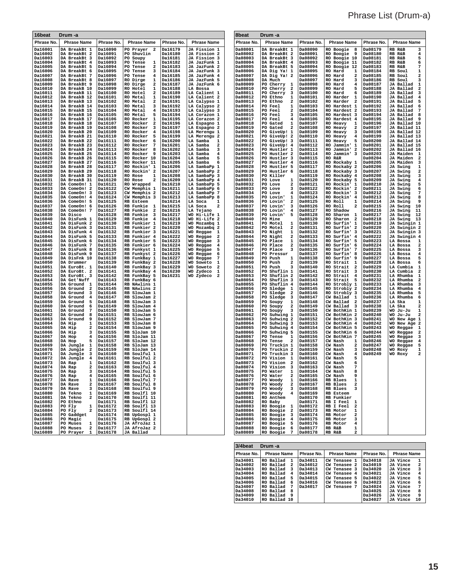# Phrase List (Drum-a)

| 16beat             | Drum -a                                           |                      |                                               |                           |                                                        | 8beat              | Drum -a                                                             |                           |                                                                   |                    |                                                        |
|--------------------|---------------------------------------------------|----------------------|-----------------------------------------------|---------------------------|--------------------------------------------------------|--------------------|---------------------------------------------------------------------|---------------------------|-------------------------------------------------------------------|--------------------|--------------------------------------------------------|
| Phrase No.         | <b>Phrase Name</b>                                | Phrase No.           | <b>Phrase Name</b>                            | Phrase No.                | <b>Phrase Name</b>                                     | Phrase No.         | <b>Phrase Name</b>                                                  | Phrase No.                | <b>Phrase Name</b>                                                | Phrase No.         | <b>Phrase Name</b>                                     |
| Da16001<br>Da16002 | DA BreakBt 1<br>DA BreakBt 2                      | Da16090<br>Da16091   | $\mathbf{2}$<br>PO Prayer<br>PO Shuvlin       | Da16179<br><b>Da16180</b> | JA Fission 1<br>JA Fission 2                           | Da08001<br>Da08002 | DA BreakBt 1<br>DA BreakBt 2                                        | <b>Da08090</b><br>Da08091 | RO Boogie<br>8<br>RO Boogie<br>9                                  | Da08179<br>Da08180 | 3<br><b>RB R&amp;B</b><br>RB R&B<br>4                  |
| Da16003            | DA BreakBt 3                                      | Da16092              | PO Soupy                                      | Da16181                   | JA Fission 3                                           | Da08003            | DA BreakBt 3                                                        | Da08092                   | RO Boogie 10                                                      | Da08181            | RB R&B<br>5                                            |
| Da16004<br>Da16005 | DA BreakBt 4<br>DA BreakBt 5                      | Da16093<br>Da16094   | PO Tense<br>1<br>PO Tense<br>2                | Da16182<br>Da16183        | JA JazFunk 1<br>JA JazFunk 2                           | Da08004<br>Da08005 | DA BreakBt 4<br>DA BreakBt 5                                        | Da08093<br>Da08094        | RO Boogie 11<br>RO Boogie 12                                      | Da08182<br>Da08183 | RB R&B<br>6<br>7<br>RB R&B                             |
| Da16006            | DA BreakBt 6                                      | Da16095              | PO Tense<br>3                                 | Da16184                   | JA JazFunk 3                                           | Da08006            | DA Dig Ya! 1                                                        | Da08095                   | RO Hard<br>ı                                                      | Da08184            | RB Soul<br>1                                           |
| Da16007<br>Da16008 | DA BreakBt 7<br>DA BreakBt 8                      | Da16096<br>Da16097   | PO Tense<br>4<br>RO Dirge<br>1                | Da16185<br>Da16186        | JA JazFunk 4<br>JA JazFunk 5                           | Da08007<br>Da08008 | DA Dig Ya! 2<br>DA Much                                             | Da08096<br>Da08097        | <b>RO</b> Hard<br>2<br>RO Hard<br>3                               | Da08185<br>Da08186 | RB Soul<br>2<br>RB Soul<br>з                           |
| Da16009            | DA BreakBt 9                                      | Da16098              | RO Dirge<br>2                                 | Da16187                   | JA JazFunk 6                                           | Da08009            | PO Cherry<br>$\mathbf{1}$                                           | Da08098                   | RO Hard<br>4                                                      | Da08187            | JA Ballad<br>1                                         |
| Da16010<br>Da16011 | DA BreakB 10<br>DA BreakB 11                      | Da16099<br>Da16100   | <b>RO</b> Hotel<br>1<br><b>RO</b> Hotel<br>2  | Da16188<br>Da16189        | LA Bossa<br>LA Calient 1                               | Da08010<br>Da08011 | PO Cherry<br>2<br>PO Cherry<br>3                                    | Da08099<br>Da08100        | 5<br><b>RO</b> Hard<br><b>RO</b> Hard<br>6                        | Da08188<br>Da08189 | JA Ballad<br>2<br>JA Ballad<br>3                       |
| Da16012            | DA BreakB 12                                      | Da16101              | <b>RO Metal</b><br>1                          | Da16190                   | LA Calient 2                                           | Da08012            | PO Ethno<br>1                                                       | Da08101                   | <b>RO Harder</b><br>1                                             | Da08190            | JA Ballad<br>4                                         |
| Da16013<br>Da16014 | DA BreakB 13<br>DA BreakB 14                      | Da16102<br>Da16103   | RO Metal<br>2<br>3<br>RO Metal                | Da16191<br>Da16192        | LA Calypso 1<br>LA Calypso 2                           | Da08013<br>Da08014 | PO Ethno<br>2<br><b>PO Feel</b><br>1                                | Da08102<br>Da08103        | <b>RO Harder</b><br>$\overline{\mathbf{2}}$<br>RO Hardest 1       | Da08191<br>Da08192 | JA Ballad<br>5<br>JA Ballad<br>6                       |
| Da16015            | DA BreakB 15                                      | Da16104              | RO Metal<br>4                                 | Da16193                   | LA Calypso 3                                           | Da08015            | PO Feel<br>2                                                        | Da08104                   | RO Hardest 2                                                      | Da08193            | JA Ballad<br>- 7                                       |
| Da16016<br>Da16017 | DA BreakB 16<br>DA BreakB 17                      | Da16105<br>Da16106   | 5<br>RO Metal<br>RO Rocker<br>1               | Da16194<br>Da16195        | LA Corazon 1<br>LA Corazon 2                           | Da08016<br>Da08017 | PO Feel<br>3<br>PO Feel<br>4                                        | Da08105<br>Da08106        | RO Hardest 3<br>RO Hardest 4                                      | Da08194<br>Da08195 | JA Ballad<br>8<br>JA Ballad<br>9                       |
| Da16018            | DA BreakB 18                                      | Da16107              | RO Rocker<br>$\mathbf{2}$                     | Da16196                   | LA Espagno 1                                           | Da08018            | 1<br>PO Gated                                                       | Da08107                   | RO Heavy<br>ı                                                     | Da08196            | JA Ballad 10                                           |
| Da16019<br>Da16020 | DA BreakB 19<br>DA BreakB 20                      | Da16108<br>Da16109   | RO Rocker<br>3<br>RO Rocker<br>$\overline{4}$ | Da16197<br>Da16198        | LA Espagno 2<br>LA Merengu 1                           | Da08019<br>Da08020 | PO Gated<br>2<br>PO GiveUp! 1                                       | Da08108<br>Da08109        | RO Heavy<br>2<br>RO Heavy<br>3                                    | Da08197<br>Da08198 | JA Ballad 11<br>JA Ballad 12                           |
| Da16021<br>Da16022 | DA BreakB 21<br>DA BreakB 22                      | Da16110<br>Da16111   | RO Rocker<br>5<br>RO Rocker<br>6              | Da16199<br>Da16200        | LA Merengu 2<br>LA Samba<br>1                          | Da08021<br>Da08022 | PO GiveUp! 2<br>PO GiveUp! 3                                        | Da08110<br>Da08111        | RO Heavy<br>4<br>RO Heavy<br>5                                    | Da08199<br>Da08200 | JA Ballad 13<br>JA Ballad 14                           |
| Da16023            | DA BreakB 23                                      | Da16112              | RO Rocker<br>7                                | Da16201                   | LA Samba<br>2                                          | Da08023            | PO GiveUp! 4                                                        | Da08112                   | RO Jammin' 1                                                      | Da08201            | JA Ballad 15                                           |
| Da16024<br>Da16025 | DA BreakB 24<br>DA BreakB 25                      | Da16113<br>Da16114   | RO Rocker<br>8<br>RO Rocker<br>9              | Da16202<br>Da16203        | LA Samba<br>3<br>LA Samba<br>4                         | Da08024<br>Da08025 | PO Hustler 1<br>PO Hustler 2                                        | Da08113<br>Da08114        | RO Jammin'<br>$\overline{\mathbf{2}}$<br>RO Jammin' 3             | Da08202<br>Da08203 | JA Ballad 16<br>JA Maiden<br>1                         |
| Da16026            | DA BreakB 26                                      | Da16115              | RO Rocker 10                                  | Da16204                   | LA Samba<br>5                                          | Da08026            | PO Hustler 3                                                        | Da08115                   | RO R&R                                                            | Da08204            | JA Maiden<br>$\overline{\mathbf{z}}$                   |
| Da16027<br>Da16028 | DA BreakB 27<br>DA BreakB 28                      | Da16116<br>Da16117   | RO Rocker 11<br>RO Rockin' 1                  | Da16205<br>Da16206        | LA Samba<br>6<br>LA SambaPp<br>1                       | Da08027<br>Da08028 | PO Hustler 4<br>PO Hustler 5                                        | Da08116<br>Da08117        | RO Rockaby 1<br>RO Rockaby 2                                      | Da08205<br>Da08206 | JA Maiden<br>3<br>JA Swing<br>1                        |
| Da16029            | DA BreakB 29                                      | Da16118              | RO Rockin' 2                                  | Da16207                   | LA SambaPp<br>-2                                       | Da08029            | PO Hustler 6                                                        | Da08118                   | RO Rockaby 3                                                      | Da08207            | JA Swing<br>2                                          |
| Da16030<br>Da16031 | DA BreakB 30<br>DA BreakB 31                      | Da16119<br>Da16120   | RO Rose<br>1<br>RO Rose<br>2                  | Da16208<br>Da16209        | LA SambaPp<br>- 3<br>LA SambaPp 4                      | Da08030<br>Da08031 | PO Killer<br>PO Love<br>1                                           | Da08119<br>Da08120        | RO Rockaby 4<br>RO Rockaby 5                                      | Da08208<br>Da08209 | JA Swing<br>3<br>JA Swing<br>4                         |
| Da16032            | DA ComeOn! 1                                      | Da16121              | RO Wrapped                                    | Da16210                   | LA SambaPp 5                                           | Da08032            | PO Love<br>2                                                        | Da08121                   | RO Rockin'<br>-1                                                  | Da08210            | JA Swing<br>5                                          |
| Da16033<br>Da16034 | DA ComeOn! 2<br>DA ComeOn! 3                      | Da16122<br>Da16123   | CW Memphis 1<br>CW Memphis 2                  | Da16211<br>Da16212        | LA SambaPp 6<br>LA SambaPp<br>-7                       | Da08033<br>Da08034 | PO Love<br>з<br>PO Love<br>4                                        | Da08122<br>Da08123        | RO Rockin' 2<br>RO Rockin'<br>3                                   | Da08211<br>Da08212 | JA Swing<br>6<br>JA Swing<br>7                         |
| Da16035            | DA ComeOn! 4                                      | Da16124              | CW Memphis 3                                  | Da16213                   | LA SambaPp 8                                           | Da08035            | PO Lovin'<br>1                                                      | Da08124                   | RO Rockin' 4                                                      | Da08213            | JA Swing<br>8                                          |
| Da16036<br>Da16037 | DA ComeOn! 5<br>DA ComeOn! 6                      | Da16125<br>Da16126   | RB Esteem<br>RB Funkie<br>$\mathbf{1}$        | Da16214<br>Da16215        | LA Soca<br>1<br>LA Soca<br>2                           | Da08036<br>Da08037 | PO Lovin'<br>$\overline{\mathbf{2}}$<br>PO Lovin'<br>з              | Da08125<br>Da08126        | RO Roll<br>1<br>RO Roll<br>2                                      | Da08214<br>Da08215 | JA Swing<br>9<br>JA Swing<br>10                        |
| Da16038            | DA ComeOn! 7                                      | Da16127              | RB Funkie<br>2                                | Da16216                   | LA Tejano                                              | Da08038            | PO Lovin'<br>4                                                      | Da08127                   | RO Shadow                                                         | Da08216            | JA Swing<br>11                                         |
| Da16039<br>Da16040 | DA Disco<br>DA DisFunk 1                          | Da16128<br>Da16129   | RB Funkie<br>3<br>RB Funkie<br>$\overline{4}$ | Da16217<br>Da16218        | WO Hi-Life 1<br>WO Hi-Life 2                           | Da08039<br>Da08040 | PO Lovin'<br>5<br>PO Mine                                           | Da08128<br>Da08129        | RO Sharon<br>$\mathbf{1}$<br>RO Sharon<br>$\overline{\mathbf{2}}$ | Da08217<br>Da08218 | JA Swing<br>12<br>JA Swing<br>13                       |
| Da16041            | DA DisFunk 2                                      | Da16130<br>Da16131   | RB Funkier 1<br>RB Funkier 2                  | Da16219<br>Da16220        | WO Mozambq 1<br>WO Mozambq 2                           | Da08041<br>Da08042 | PO Motel<br>1<br>2                                                  | Da08130<br>Da08131        | RO Surfin'<br>-1                                                  | Da08219<br>Da08220 | JA Swingin 1<br>JA Swingin 2                           |
| Da16042<br>Da16043 | DA DisFunk 3<br>DA DisFunk 4                      | Da16132              | RB Funkier 3                                  | Da16221                   | WO Reggae<br>$\mathbf{1}$                              | Da08043            | PO Motel<br>PO Night<br>1                                           | Da08132                   | RO Surfin' 2<br>RO Surfin' 3                                      | Da08221            | JA Swingin 3                                           |
| Da16044<br>Da16045 | DA DisFunk 5<br>DA DisFunk 6                      | Da16133<br>Da16134   | RB Funkier 4<br>RB Funkier 5                  | Da16222<br>Da16223        | WO Reggae<br>$\overline{\mathbf{2}}$<br>WO Reggae<br>3 | Da08044<br>Da08045 | PO Night<br>2<br>PO Place<br>1                                      | Da08133<br>Da08134        | RO Surfin'<br>$\overline{\bf 4}$<br>RO Surfin' 5                  | Da08222<br>Da08223 | JA Swingin 4<br>LA Bossa<br>1                          |
| Da16046            | DA DisFunk 7                                      | Da16135              | RB Funkier 6                                  | Da16224                   | WO Reggae<br>4                                         | Da08046            | PO Place<br>2                                                       | Da08135                   | RO Surfin' 6                                                      | Da08224            | LA Bossa<br>2                                          |
| Da16047<br>Da16048 | DA DisFunk 8<br>DA DisFunk 9                      | Da16136<br>Da16137   | RB Funkyst 1<br>RB Funkyst 2                  | Da16225<br>Da16226        | WO Reggae<br>5<br>WO Reggae<br>6                       | Da08047<br>Da08048 | PO Place<br>3<br>PO Pressur                                         | Da08136<br>Da08137        | RO Surfin'<br>7<br>RO Surfin'<br>8                                | Da08225<br>Da08226 | LA Bossa<br>3<br>LA Bossa<br>4                         |
| Da16049            | DA DisFnk 10                                      | Da16138              | RB FunkBay 1                                  | Da16227                   | WO Reggae<br>7                                         | Da08049            | PO Push<br>1                                                        | Da08138                   | RO Surfin'<br>9                                                   | Da08227            | LA Bossa<br>5                                          |
| Da16050<br>Da16051 | DA Drummer<br>DA EuroBt. 1                        | Da16139<br>Da16140   | RB FunkBay 2<br>RB FunkBay 3                  | Da16228<br>Da16229        | WO Soweto<br>1<br>2<br>WO Soweto                       | Da08050<br>Da08051 | PO Push<br>$\overline{\mathbf{2}}$<br>PO Push<br>3                  | Da08139<br>Da08140        | RO Strait<br>1<br>2<br>RO Strait                                  | Da08228<br>Da08229 | LA Bossa<br>6<br>LA Cumbia<br>1                        |
| Da16052            | DA EuroBt. 2                                      | Da16141              | RB FunkBay 4                                  | Da16230                   | WO Zydeco<br>1                                         | Da08052            | PO Shuflin 1                                                        | Da08141                   | RO Strait<br>3                                                    | Da08230            | LA Cumbia<br>2                                         |
| Da16053<br>Da16054 | DA EuroBt. 3<br>DA Get'Nuff                       | Da16142<br>Da16143   | RB FunkBay 5<br>RB FunkBay 6                  | Da16231                   | WO Zydeco<br>2                                         | Da08053<br>Da08054 | PO Shuflin 2<br>PO Shuflin 3                                        | Da08142<br>Da08143        | RO Strait<br>4<br>5<br>RO Strait                                  | Da08231<br>Da08232 | LA Rhumba<br>1<br>LA Rhumba<br>$\overline{\mathbf{2}}$ |
| Da16055<br>Da16056 | DA Ground 1<br>DA Ground<br>2                     | Da16144<br>Da16145   | RB NAwlins 1<br>RB NAwlins 2                  |                           |                                                        | Da08055<br>Da08056 | PO Shuflin 4<br>PO Sledge<br>-1                                     | Da08144<br>Da08145        | RO Strobly 1<br>RO Strobly 2                                      | Da08233<br>Da08234 | LA Rhumba<br>3<br>LA Rhumba<br>4                       |
| Da16057            | DA Ground<br>-3                                   | Da16146              | RB SlowJam 1                                  |                           |                                                        | Da08057            | PO Sledge<br>2                                                      | Da08146                   | RO Strobly 3                                                      | Da08235            | LA Rhumba<br>5                                         |
| Da16058<br>Da16059 | DA Ground<br>4<br>DA Ground<br>5                  | Da16147<br>Da16148   | RB SlowJam 2<br>RB SlowJam 3                  |                           |                                                        | Da08058<br>Da08059 | PO Sledge<br>3<br>PO Soupy<br>1                                     | Da08147<br>Da08148        | CW Ballad<br>- 1<br>CW Ballad<br>$\overline{\mathbf{2}}$          | Da08236<br>Da08237 | LA Rhumba<br>6<br>LA Ska<br>1                          |
| Da16060            | DA Ground<br>6                                    | Da16149              | RB SlowJam 4                                  |                           |                                                        | Da08060            | PO Soupy<br>2                                                       | Da08149                   | CW Ballad<br>3                                                    | Da08238            | LA Ska<br>2                                            |
| Da16061<br>Da16062 | DA Ground<br>7<br>DA Ground<br>8                  | Da16150<br>Da16151   | RB SlowJam 5<br>RB SlowJam 6                  |                           |                                                        | Da08061<br>Da08062 | PO Soupy<br>3<br>PO Suhwing 1                                       | Da08150<br>Da08151        | CW BothKin 1<br>CW BothKin 2                                      | Da08239<br>Da08240 | WO Ju-Ju<br>1<br>WO Ju-Ju<br>2                         |
| Da16063            | DA Ground<br>9                                    | Da16152              | RB SlowJam 7                                  |                           |                                                        | Da08063            | PO Suhwing 2                                                        | Da08152                   | CW BothKin 3                                                      | Da08241            | WO New Age 1                                           |
| Da16064<br>Da16065 | DA Hip<br>1<br>2<br>DA Hip                        | Da16153<br>Da16154   | RB SlowJam 8<br>RB SlowJam 9                  |                           |                                                        | Da08064<br>Da08065 | PO Suhwing 3<br>PO Suhwing 4                                        | Da08153<br>Da08154        | CW BothKin 4<br>CW BothKin 5                                      | Da08242<br>Da08243 | WO New Age 2<br>WO Reggae 1                            |
| Da16066            | DA Hip<br>з<br>4                                  | Da16155              | RB SloJam 10                                  |                           |                                                        | Da08066            | PO Suhwing 5                                                        | Da08155                   | CW BothKin 6                                                      | Da08244            | WO Reggae 2                                            |
| Da16067<br>Da16068 | DA Hop<br>5<br>DA Hop                             | Da16156<br>Da16157   | RB SloJam 11<br>RB SloJam 12                  |                           |                                                        | Da08067<br>Da08068 | PO Tense<br>-1<br>PO Tense<br>2                                     | Da08156<br>Da08157        | CW BothKin 7<br>CW Nash<br>1                                      | Da08245<br>Da08246 | WO Reggae 3<br>WO Reggae<br>$\overline{4}$             |
| Da16069<br>Da16070 | DA Jungle<br>1<br>DA Jungle<br>2                  | Da16158<br>Da16159   | RB SloJam 13<br>RB SloJam 14                  |                           |                                                        | Da08069<br>Da08070 | PO Truckin 1<br>PO Truckin 2                                        | Da08158<br>Da08159        | $\mathbf{2}$<br>CW Nash<br>CW Nash<br>3                           | Da08247<br>Da08248 | WO Reggae<br>5<br>WO Roxy<br>1                         |
| Da16071            | DA Jungle<br>3                                    | Da16160              | RB Soulful 1                                  |                           |                                                        | Da08071            | PO Truckin 3                                                        | Da08160                   | CW Nash<br>4                                                      | Da08249            | $\mathbf{2}$<br>WO Roxy                                |
| Da16072<br>Daiou/3 | DA Jungle<br>$\overline{4}$<br>DA Rap<br><b>T</b> | Da16161<br>nateres   | RB Soulful 2<br>RB Soulful 3                  |                           |                                                        | Da08072<br>Da08073 | PO Vision 1<br>PO Vision<br>-4                                      | Da08161<br>Dauslez        | CW Nash<br>5<br>CW Nash                                           |                    |                                                        |
| Da16074            | DA Rap<br>$\overline{a}$                          | Da16163              | RB Soulful 4                                  |                           |                                                        | Da08074            | PO Vision 3                                                         | Da08163                   | 7<br>CW Nash                                                      |                    |                                                        |
| Da16075<br>Da16076 | DA Rap<br>3<br>DA Rap<br>4                        | Da16164<br>Da16165   | RB Soulful 5<br>RB Soulful 6                  |                           |                                                        | Da08075<br>Da08076 | PO Water<br>1<br>PO Water<br>2                                      | Da08164<br>Da08165        | CW Nash<br>8<br>CW Nash<br>9                                      |                    |                                                        |
| Da16077            | DA Rave<br>$\mathbf{1}$                           | Da16166              | RB Soulful 7                                  |                           |                                                        | Da08077            | PO Woody<br>$\mathbf{1}$                                            | Da08166                   | RB Blues<br>1                                                     |                    |                                                        |
| Da16078<br>Da16079 | DA Rave<br>$\overline{a}$<br>DA Rave<br>3         | Da16167<br>Da16168   | RB Soulful 8<br>RB Soulful 9                  |                           |                                                        | Da08078<br>Da08079 | PO Woody<br>2<br>PO Woody<br>3                                      | Da08167<br>Da08168        | RB Blues<br>2<br>RB Blues<br>3                                    |                    |                                                        |
| Da16080            | DA Tekno<br>$\mathbf{1}$                          | Da16169              | RB Soulfl 10                                  |                           |                                                        | Da08080            | PO Woody<br>$4^{\circ}$                                             | Da08169                   | RB Esteem                                                         |                    |                                                        |
| Da16081<br>Da16082 | DA Tekno<br>2<br>PO Ethno                         | Da16170<br>Da16171   | RB Soulfl 11<br>RB Soulfl 12                  |                           |                                                        | Da08081<br>Da08082 | RO Anthem<br>RO Baby                                                | Da08170<br>Da08171        | RB Funkier<br>RB I Feel<br>1                                      |                    |                                                        |
| Da16083<br>Da16084 | PO Fly<br>1                                       | Da16172              | RB Soulfl 13<br>RB Soulfl 14                  |                           |                                                        | Da08083<br>Da08084 | RO Boogie<br>$\mathbf{1}$                                           | Da08172<br>Da08173        | RB I Feel<br>2<br>RB Motor                                        |                    |                                                        |
| Da16085            | PO Fly<br>$\mathbf{2}$<br>PO Gaddget              | Da16173<br>Da16174   | RB UpGospl 1                                  |                           |                                                        | Da08085            | RO Boogie<br>$\overline{2}$<br>RO Boogie<br>$\overline{\mathbf{3}}$ | Da08174                   | 1<br>RB Motor<br>2                                                |                    |                                                        |
| Da16086<br>Da16087 | PO Magic<br>PO Muses                              | Da16175<br>1 Da16176 | RB UpGospl 2<br>JA AfroJaz 1                  |                           |                                                        | Da08086<br>Da08087 | RO Boogie<br>$\overline{4}$<br>RO Boogie<br>5                       | Da08175<br>Da08176        | RB Motor<br>з<br>RB Motor<br>4                                    |                    |                                                        |
| Da16088            | PO Muses                                          | 2 Da16177            | JA AfroJaz 2                                  |                           |                                                        | Da08088            | RO Boogie<br>6                                                      | Da08177                   | RB R&B<br>1                                                       |                    |                                                        |
| Da16089            | PO Prayer<br>$\mathbf{1}$                         | Da16178              | JA Ballad                                     |                           |                                                        | Da08089            | RO Boogie<br>7                                                      | Da08178                   | RB R&B<br>2                                                       |                    |                                                        |

| 3/4beat    | Drum -a            |   |            |                             |            |                            |
|------------|--------------------|---|------------|-----------------------------|------------|----------------------------|
| Phrase No. | <b>Phrase Name</b> |   | Phrase No. | <b>Phrase Name</b>          | Phrase No. | <b>Phrase Name</b>         |
| Da 34001   | Ballad<br>RO.      | 1 | Da34011    | Tenasee 1<br>CW             | Da34018    | 1<br>JA Vince              |
| Da 34002   | RO Ballad          | 2 | Da34012    | CW Tenasee 2                | Da34019    | $\overline{a}$<br>JA Vince |
| Da 34003   | RO Ballad          | 3 | Da34013    | CW Tenasee 3                | Da34020    | 3<br>JA Vince              |
| Da 34004   | RO Ballad          | 4 | Da34014    | CW Tenasee 4                | Da34021    | JA Vince<br>4              |
| Da 34005   | RO Ballad          | 5 | Da34015    | Tenasee 5<br>CW <sub></sub> | Da34022    | 5<br>JA Vince              |
| Da34006    | RO Ballad          | 6 | Da34016    | CW<br>Tenasee 6             | Da34023    | 6<br>JA Vince              |
| Da 34007   | RO Ballad          | 7 | Da34017    | CW Tenasee 7                | Da34024    | 7<br>JA Vince              |
| Da 34008   | Ballad<br>RO.      | я |            |                             | Da34025    | JA Vince<br>я              |
| Da 34009   | RO Ballad          | ٩ |            |                             | Da34026    | 9<br>JA Vince              |
| Da 34010   | RO Ballad 10       |   |            |                             | Da34027    | 10<br>JA Vince             |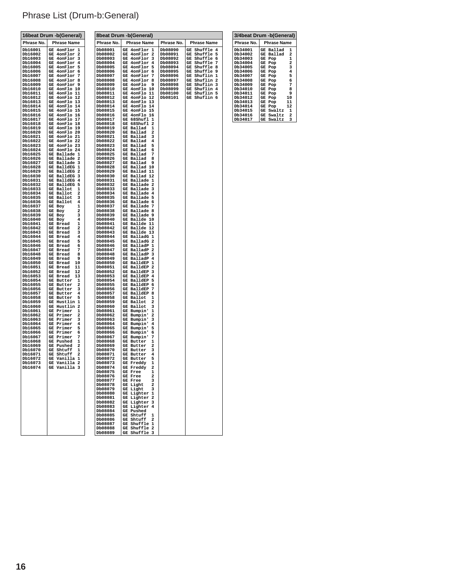### Phrase List (Drum-b:General)

|                    | 16beat Drum -b(General)                     |                    | 8beat Drum -b(General)                                  |                    |                              |                    | 3/4beat Drum -b(General)                               |
|--------------------|---------------------------------------------|--------------------|---------------------------------------------------------|--------------------|------------------------------|--------------------|--------------------------------------------------------|
| Phrase No.         | <b>Phrase Name</b>                          | Phrase No.         | <b>Phrase Name</b>                                      | Phrase No.         | <b>Phrase Name</b>           | Phrase No.         | <b>Phrase Name</b>                                     |
| Db16001            | GE 4onFlor 1                                | Db08001            | GE 4onFlor 1                                            | Db08090            | <b>GE Shuffle 4</b>          | Db34001            | GE Ballad<br>$\mathbf{1}$                              |
| Db16002            | GE 4onFlor 2                                | Db08002            | GE 4onFlor 2                                            | Db08091            | GE Shuffle 5                 | Db34002            | GE Ballad 2                                            |
| Db16003            | GE 4onFlor 3                                | Db08003            | GE 4onFlor 3                                            | Db08092            | GE Shuffle 6                 | Db34003            | GE Pop<br>1                                            |
| Db16004<br>Db16005 | GE 4onFlor 4<br>GE 4onFlor 5                | Db08004<br>Db08005 | GE 4onFlor 4<br>GE 4onFlor 5                            | Db08093<br>Db08094 | GE Shuffle 7<br>GE Shuffle 8 | Db34004<br>Db34005 | GE Pop<br>2<br>GE Pop<br>з                             |
| Db16006            | GE 4onFlor 6                                | Db08006            | GE 4onFlor 6                                            | Db08095            | GE Shuffle 9                 | Db34006            | GE Pop<br>4                                            |
| Db16007            | GE 4onFlor 7                                | Db08007            | GE 4onFlor 7                                            | Db08096            | GE Shuflin 1                 | Db34007            | GE Pop<br>5                                            |
| Db16008            | GE 4onFlor 8                                | Db08008            | GE 4onFlor 8                                            | Db08097            | GE Shuflin 2                 | Db34008            | GE Pop<br>6                                            |
| Db16009            | GE 4onFlor 9                                | Db08009            | GE 4onFlo 9                                             | Db08098            | GE Shuflin 3                 | Db34009            | GE Pop<br>7                                            |
| Db16010<br>Db16011 | GE 4onFlo 10<br>GE 4onFlo 11                | Db08010<br>Db08011 | GE 4onFlo 10<br>GE 4onFlo 11                            | Db08099<br>Db08100 | GE Shuflin 4<br>GE Shuflin 5 | Db34010<br>Db34011 | GE Pop<br>8<br>GE Pop<br>9                             |
| Db16012            | GE 4onFlo 12                                | Db08012            | GE 4onFlo 12                                            | Db08101            | GE Shuflin 6                 | Db34012            | GE Pop<br>10                                           |
| Db16013            | GE 4onFlo 13                                | Db08013            | GE 4onFlo 13                                            |                    |                              | Db34013            | GE Pop<br>11                                           |
| Db16014            | GE 4onFlo 14<br>GE 4onFlo 15                | Db08014            | GE 4onFlo 14                                            |                    |                              | Db34014            | GE Pop<br>12                                           |
| Db16015<br>Db16016 | GE 4onFlo 16                                | Db08015<br>Db08016 | GE 4onFlo 15<br>GE 4onFlo 16                            |                    |                              | Db34015<br>Db34016 | GE Swaltz<br>$\mathbf{1}$<br>GE Swaltz<br>$\mathbf{2}$ |
| Db16017            | GE 4onFlo 17                                | Db08017            | GE 68Shufl 1                                            |                    |                              | Db34017            | GE Swaltz<br>3                                         |
| Db16018            | GE 4onFlo 18                                | Db08018            | GE 68Shufl 2                                            |                    |                              |                    |                                                        |
| Db16019            | GE 4onFlo 19                                | Db08019            | GE Ballad<br>ı                                          |                    |                              |                    |                                                        |
| Db16020<br>Db16021 | GE 4onFlo 20<br>GE 4onFlo 21                | Db08020<br>Db08021 | GE Ballad<br>2<br>GE Ballad<br>3                        |                    |                              |                    |                                                        |
| Db16022            | GE 4onFlo 22                                | Db08022            | GE Ballad<br>4                                          |                    |                              |                    |                                                        |
| Db16023            | GE 4onFlo 23                                | Db08023            | GE Ballad 5                                             |                    |                              |                    |                                                        |
| Db16024            | GE 4onFlo 24                                | Db08024            | GE Ballad 6                                             |                    |                              |                    |                                                        |
| Db16025            | GE Ballade 1<br>GE Ballade 2                | Db08025            | GE Ballad 7<br>GE Ballad 8                              |                    |                              |                    |                                                        |
| Db16026<br>Db16027 | GE Ballade 3                                | Db08026<br>Db08027 | GE Ballad 9                                             |                    |                              |                    |                                                        |
| Db16028            | GE BalldEG 1                                | Db08028            | GE Ballad 10                                            |                    |                              |                    |                                                        |
| Db16029            | GE BalldEG 2                                | Db08029            | GE Ballad 11                                            |                    |                              |                    |                                                        |
| Db16030            | GE BalldEG 3<br>GE BalldEG 4                | Db08030<br>Db08031 | GE Ballad 12<br>GE Ballade 1                            |                    |                              |                    |                                                        |
| Db16031<br>Db16032 | GE BalldEG 5                                | Db08032            | GE Ballade 2                                            |                    |                              |                    |                                                        |
| Db16033            | GE Ballot<br>1                              | Db08033            | GE Ballade 3                                            |                    |                              |                    |                                                        |
| Db16034            | GE Ballot<br>$\overline{a}$                 | Db08034            | GE Ballade 4                                            |                    |                              |                    |                                                        |
| Db16035            | GE Ballot<br>3                              | Db08035            | GE Ballade 5                                            |                    |                              |                    |                                                        |
| Db16036<br>Db16037 | GE Ballot<br>4<br>GE Boy<br>1               | Db08036<br>Db08037 | GE Ballade 6<br>GE Ballade 7                            |                    |                              |                    |                                                        |
| Db16038            | GE Boy<br>2                                 | Db08038            | GE Ballade 8                                            |                    |                              |                    |                                                        |
| Db16039            | GE Boy<br>з                                 | Db08039            | GE Ballade 9                                            |                    |                              |                    |                                                        |
| Db16040            | GE Boy<br>4                                 | Db08040            | GE Ballde 10                                            |                    |                              |                    |                                                        |
| Db16041<br>Db16042 | GE Bread<br>1<br>GE Bread<br>2              | Db08041<br>Db08042 | GE Ballde 11<br>GE Ballde 12                            |                    |                              |                    |                                                        |
| Db16043            | GE Bread<br>3                               | Db08043            | GE Ballde 13                                            |                    |                              |                    |                                                        |
| Db16044            | GE Bread<br>4                               | Db08044            | GE BalladG 1                                            |                    |                              |                    |                                                        |
| Db16045<br>Db16046 | GE Bread<br>5                               | Db08045            | GE BalladG 2<br>GE BalladP 1                            |                    |                              |                    |                                                        |
| Db16047            | GE Bread<br>6<br>GE Bread<br>7              | Db08046<br>Db08047 | GE BalladP 2                                            |                    |                              |                    |                                                        |
| Db16048            | GE Bread<br>8                               | Db08048            | GE BalladP 3                                            |                    |                              |                    |                                                        |
| Db16049            | GE Bread<br>- 9                             | Db08049            | GE BalladP 4                                            |                    |                              |                    |                                                        |
| Db16050            | GE Bread 10<br>GE Bread 11                  | Db08050            | GE BalldEP 1<br>GE BalldEP 2                            |                    |                              |                    |                                                        |
| Db16051<br>Db16052 | GE Bread 12                                 | Db08051<br>Db08052 | GE BalldEP 3                                            |                    |                              |                    |                                                        |
| Db16053            | GE Bread 13                                 | Db08053            | GE BalldEP 4                                            |                    |                              |                    |                                                        |
| Db16054            | GE Butter 1                                 | Db08054            | GE BalldEP 5                                            |                    |                              |                    |                                                        |
| Db16055            | GE Butter 2<br>GE Butter 3                  | Db08055            | GE BalldEP 6<br>GE BalldEP 7                            |                    |                              |                    |                                                        |
| Db16056<br>Db16057 | <b>GE Butter</b><br>$\overline{\mathbf{4}}$ | Db08056<br>Db08057 | GE BalldEP 8                                            |                    |                              |                    |                                                        |
| Db16058            | GE Butter<br>5                              | Db08058            | GE Ballot<br>1                                          |                    |                              |                    |                                                        |
| Db16059            | GE Hustlin 1                                | Db08059            | GE Ballot<br>2                                          |                    |                              |                    |                                                        |
| Db16060            | GE Hustlin 2                                | Db08060            | GE Ballot<br>GE Bumpin'                                 |                    |                              |                    |                                                        |
| Db16061<br>Db16062 | GE Primer<br>1<br>GE Primer<br>2            | Db08061<br>Db08062 | 1<br>GE Bumpin'<br>2                                    |                    |                              |                    |                                                        |
| Db16063            | <b>GE Primer</b><br>-3                      | Db08063            | GE Bumpin'<br>з                                         |                    |                              |                    |                                                        |
| Db16064            | GE Primer 4                                 | Db08064            | GE Bumpin'<br>4                                         |                    |                              |                    |                                                        |
| Db16065<br>Db16066 | GE Primer 5<br><b>GE Primer</b><br>-6       | Db08065<br>Db08066 | GE Bumpin'<br>-5<br>GE Bumpin'<br>6                     |                    |                              |                    |                                                        |
| Db16067            | GE Primer<br>-7                             | Db08067            | GE Bumpin'<br>7                                         |                    |                              |                    |                                                        |
| Db16068            | GE Pushed 1                                 | Db08068            | GE Butter<br>ı                                          |                    |                              |                    |                                                        |
| Db16069            | GE Pushed 2                                 | Db08069            | GE Butter<br>2                                          |                    |                              |                    |                                                        |
| Db16070<br>Db16071 | GE Shtuff<br>1<br>GE Shtuff 2               | Db08070<br>Db08071 | GE Butter<br>3<br>GE Butter<br>4                        |                    |                              |                    |                                                        |
| Db16072            | GE Vanilla 1                                | Db08072            | GE Butter<br>5                                          |                    |                              |                    |                                                        |
| Db16073            | GE Vanilla 2                                | Db08073            | GE Freddy 1                                             |                    |                              |                    |                                                        |
| Db16074            | GE Vanilla 3                                | Db08074            | <b>GE Freddy</b><br>2                                   |                    |                              |                    |                                                        |
|                    |                                             | Db08075<br>Db08076 | <b>GE Free</b><br>1<br><b>GE Free</b><br>$\overline{a}$ |                    |                              |                    |                                                        |
|                    |                                             | Db08077            | <b>GE Free</b><br>3                                     |                    |                              |                    |                                                        |
|                    |                                             | Db08078            | GE Light<br>$\overline{a}$                              |                    |                              |                    |                                                        |
|                    |                                             | Db08079            | GE Light<br>3                                           |                    |                              |                    |                                                        |
|                    |                                             | Db08080<br>Db08081 | GE Lighter 1<br>GE Lighter 2                            |                    |                              |                    |                                                        |
|                    |                                             | Db08082            | GE Lighter 3                                            |                    |                              |                    |                                                        |
|                    |                                             | Db08083            | GE Lighter 4                                            |                    |                              |                    |                                                        |
|                    |                                             | Db08084            | GE Pushed                                               |                    |                              |                    |                                                        |
|                    |                                             | Db08085<br>Db08086 | GE Shtuff<br>1<br>GE Shtuff 2                           |                    |                              |                    |                                                        |
|                    |                                             | Db08087            | GE Shuffle 1                                            |                    |                              |                    |                                                        |
|                    |                                             | Db08088            | GE Shuffle 2                                            |                    |                              |                    |                                                        |
|                    |                                             | Db08089            | GE Shuffle 3                                            |                    |                              |                    |                                                        |

| 3/4beat Drum -b(General) |                    |           |                |  |  |  |  |  |  |  |
|--------------------------|--------------------|-----------|----------------|--|--|--|--|--|--|--|
| Phrase No.               | <b>Phrase Name</b> |           |                |  |  |  |  |  |  |  |
| Db34001                  | GE                 | Ballad    | 1              |  |  |  |  |  |  |  |
| Db34002                  |                    | GE Ballad | $\overline{a}$ |  |  |  |  |  |  |  |
| Db34003                  | GЕ                 | Pop       | 1              |  |  |  |  |  |  |  |
| Db34004                  | GE                 | Pop       | $\overline{a}$ |  |  |  |  |  |  |  |
| Db34005                  | GE                 | Pop       | 3              |  |  |  |  |  |  |  |
| Db34006                  | GE                 | Pop       | 4              |  |  |  |  |  |  |  |
| Db34007                  | GE                 | Pop       | -5             |  |  |  |  |  |  |  |
| Db34008                  | GE                 | Pop       | 6              |  |  |  |  |  |  |  |
| Db34009                  | GE                 | Pop       | 7              |  |  |  |  |  |  |  |
| Db34010                  | GE                 | Pop       | 8              |  |  |  |  |  |  |  |
| Db34011                  | GE                 | Pop       | 9              |  |  |  |  |  |  |  |
| Db34012                  | GE                 | Pop       | 10             |  |  |  |  |  |  |  |
| Db34013                  | GE                 | Pop       | 11             |  |  |  |  |  |  |  |
| Db34014                  | GE                 | Pop       | 12             |  |  |  |  |  |  |  |
| Db34015                  | GE                 | Swaltz    | 1              |  |  |  |  |  |  |  |
| Db34016                  | GE                 | Swaltz    | 2              |  |  |  |  |  |  |  |
| Db34017                  | GE                 | Swaltz    | 3              |  |  |  |  |  |  |  |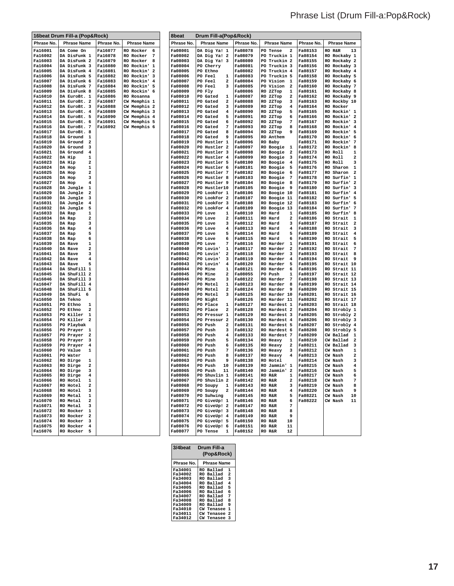|                    | 16beat Drum Fill-a (Pop&Rock)              |                    |                              | 8beat              | Drum Fill-a(Pop&Rock)            |                    |                                                 |                    |                                                        |
|--------------------|--------------------------------------------|--------------------|------------------------------|--------------------|----------------------------------|--------------------|-------------------------------------------------|--------------------|--------------------------------------------------------|
| Phrase No.         | <b>Phrase Name</b>                         | Phrase No.         | <b>Phrase Name</b>           | Phrase No.         | <b>Phrase Name</b>               | Phrase No.         | <b>Phrase Name</b>                              | Phrase No.         | <b>Phrase Name</b>                                     |
| Fa16001            | DA Come On                                 | <b>Fa16077</b>     | RO Rocker<br>6               | Fa08001            | DA Dig Ya! 1                     | Fa08078            | PO Tense<br>2                                   | Fa08153            | 13<br>RO R&R                                           |
| Fa16002            | DA DisFunk 1                               | Fa16078            | RO Rocker<br>7               | Fa08002            | DA Dig Ya! 2                     | Fa08079            | PO Truckin 1                                    | Fa08154            | RO Rockaby 1                                           |
| Fa16003            | DA DisFunk 2                               | Fa16079            | RO Rocker<br>8               | Fa08003            | DA Dig Ya! 3                     | Fa08080            | PO Truckin 2                                    | Fa08155            | RO Rockaby 2                                           |
| Fa16004            | DA DisFunk 3                               | Fa16080            | RO Rockin'<br>1              | Fa08004            | PO Cherry                        | Fa08081            | PO Truckin 3                                    | Fa08156            | RO Rockaby 3                                           |
| Fa16005            | DA DisFunk 4                               | Fa16081            | RO Rockin'<br>2              | Fa08005            | PO Ethno                         | Fa08082            | PO Truckin 4                                    | <b>Fa08157</b>     | RO Rockaby 4                                           |
| Fa16006<br>Fa16007 | DA DisFunk 5<br>DA DisFunk 6               | Fa16082<br>Fa16083 | RO Rockin' 3<br>RO Rockin' 4 | Fa08006<br>Fa08007 | PO Feel<br>1<br>PO Feel<br>2     | Fa08083<br>Fa08084 | PO Truckin 5<br>PO Vision<br>$\mathbf{1}$       | Fa08158<br>Fa08159 | RO Rockaby 5<br>RO Rockaby 6                           |
| Fa16008            | DA DisFunk 7                               | Fa16084            | RO Rockin' 5                 | Fa08008            | PO Feel<br>3                     | Fa08085            | PO Vision<br>2                                  | Fa08160            | RO Rockaby 7                                           |
| Fa16009            | DA DisFunk 8                               | Fa16085            | RO Rockin' 6                 | Fa08009            | PO Fly                           | Fa08086            | RO 2ZTop<br>1                                   | Fa08161            | RO Rockaby 8                                           |
| Fa16010            | DA EuroBt. 1                               | Fa16086            | RO Rosanna                   | Fa08010            | PO Gated<br>1                    | Fa08087            | RO 2ZTop<br>2                                   | Fa08162            | RO Rockaby 9                                           |
| Fa16011            | DA EuroBt. 2                               | Fa16087            | CW Memphis 1                 | Fa08011            | PO Gated<br>2                    | Fa08088            | RO 2ZTop<br>з                                   | Fa08163            | RO Rockby 10                                           |
| Fa16012            | DA EuroBt. 3                               | Fa16088            | CW Memphis 2                 | Fa08012            | PO Gated<br>3                    | Fa08089            | RO 2ZTop<br>4                                   | Fa08164            | <b>RO Rocker</b>                                       |
| Fa16013            | DA EuroBt. 4                               | Fa16089            | CW Memphis 3                 | Fa08013            | PO Gated<br>4                    | Fa08090            | RO 2ZTop<br>5                                   | Fa08165            | RO Rockin' 1                                           |
| Fa16014<br>Fa16015 | DA EuroBt. 5<br>DA EuroBt. 6               | Fa16090<br>Fa16091 | CW Memphis 4<br>CW Memphis 5 | Fa08014<br>Fa08015 | PO Gated<br>5<br>PO Gated<br>6   | Fa08091<br>Fa08092 | RO 2ZTop<br>6<br>RO 2ZTop<br>7                  | Fa08166<br>Fa08167 | RO Rockin' 2<br>RO Rockin' 3                           |
| Fa16016            | DA EuroBt. 7                               | Fa16092            | CW Memphis 6                 | Fa08016            | PO Gated<br>7                    | Fa08093            | RO 2ZTop<br>8                                   | Fa08168            | RO Rockin' 4                                           |
| Fa16017            | DA EuroBt. 8                               |                    |                              | Fa08017            | PO Gated<br>8                    | Fa08094            | RO 2ZTop<br>9                                   | Fa08169            | RO Rockin' 5                                           |
| Fa16018            | DA Ground<br>1                             |                    |                              | Fa08018            | PO Gated<br>9                    | Fa08095            | RO Anthem                                       | Fa08170            | RO Rockin' 6                                           |
| Fa16019            | DA Ground<br>$\mathbf{2}$                  |                    |                              | Fa08019            | PO Hustler 1                     | Fa08096            | RO Baby                                         | <b>Fa08171</b>     | RO Rockin' 7                                           |
| Fa16020            | DA Ground<br>3                             |                    |                              | Fa08020            | PO Hustler 2                     | Fa08097            | RO Boogie 1                                     | Fa08172            | RO Rockin' 8                                           |
| Fa16021<br>Fa16022 | DA Ground<br>$\overline{4}$<br>DA Hip<br>1 |                    |                              | Fa08021<br>Fa08022 | PO Hustler 3<br>PO Hustler 4     | Fa08098<br>Fa08099 | RO Boogie<br>2<br>RO Boogie<br>з                | Fa08173<br>Fa08174 | RO Roll<br>1<br>RO Roll<br>2                           |
| Fa16023            | DA Hip<br>2                                |                    |                              | Fa08023            | PO Hustler 5                     | Fa08100            | RO Boogie<br>4                                  | Fa08175            | RO Roll<br>з                                           |
| Fa16024            | DA Hop<br>1                                |                    |                              | Fa08024            | PO Hustler 6                     | Fa08101            | RO Boogie<br>5                                  | Fa08176            | RO Sharon 1                                            |
| Fa16025            | DA Hop<br>2                                |                    |                              | Fa08025            | PO Hustler 7                     | Fa08102            | RO Boogie<br>6                                  | Fa08177            | RO Sharon<br>$\overline{\mathbf{2}}$                   |
| Fa16026            | DA Hop<br>з                                |                    |                              | Fa08026            | PO Hustler 8                     | Fa08103            | RO Boogie<br>-7                                 | Fa08178            | RO Surfin' 1                                           |
| Fa16027            | DA Hop<br>4                                |                    |                              | Fa08027            | PO Hustler 9                     | Fa08104            | RO Boogie<br>- 8                                | Fa08179            | RO Surfin' 2                                           |
| Fa16028<br>Fa16029 | DA Jungle<br>1<br>DA Jungle<br>2           |                    |                              | Fa08028<br>Fa08029 | PO Hustler10<br>PO LookFor 1     | Fa08105<br>Fa08106 | RO Boogie<br>و.<br>RO Boogie 10                 | Fa08180<br>Fa08181 | RO Surfin' 3<br>RO Surfin' 4                           |
| Fa16030            | DA Jungle<br>з                             |                    |                              | Fa08030            | PO LookFor 2                     | Fa08107            | RO Boogie 11                                    | Fa08182            | RO Surfin' 5                                           |
| Fa16031            | DA Jungle<br>4                             |                    |                              | Fa08031            | PO LookFor 3                     | Fa08108            | RO Boogie 12                                    | Fa08183            | RO Surfin' 6                                           |
| Fa16032            | DA Jungle<br>5                             |                    |                              | Fa08032            | PO LOOKFOr 4                     | Fa08109            | RO Boogie 13                                    | Fa08184            | RO Surfin' 7                                           |
| Fa16033            | DA Rap<br>1                                |                    |                              | Fa08033            | PO Love<br>1                     | Fa08110            | RO Hard<br>1                                    | Fa08185            | RO Surfin' 8                                           |
| Fa16034            | DA Rap<br>2                                |                    |                              | Fa08034            | PO Love<br>2                     | Fa08111            | RO Hard<br>2                                    | Fa08186            | RO Strait<br>1                                         |
| Fa16035<br>Fa16036 | DA Rap<br>з<br>DA Rap<br>4                 |                    |                              | Fa08035<br>Fa08036 | PO Love<br>3<br>PO Love<br>4     | Fa08112<br>Fa08113 | RO Hard<br>з<br>RO Hard<br>4                    | Fa08187<br>Fa08188 | RO Strait<br>$\overline{\mathbf{2}}$<br>RO Strait<br>з |
| Fa16037            | DA Rap<br>5                                |                    |                              | Fa08037            | PO Love<br>5                     | Fa08114            | RO Hard<br>5                                    | Fa08189            | RO Strait<br>$\overline{4}$                            |
| Fa16038            | DA Rap<br>6                                |                    |                              | Fa08038            | PO Love<br>6                     | Fa08115            | RO Hard<br>6                                    | Fa08190            | RO Strait<br>5                                         |
| Fa16039            | DA Rave<br>1                               |                    |                              | Fa08039            | PO Love<br>7                     | Fa08116            | RO Harder<br>ı                                  | Fa08191            | RO Strait<br>6                                         |
| Fa16040            | DA Rave<br>2                               |                    |                              | Fa08040            | PO Lovin'<br>1                   | Fa08117            | <b>RO</b> Harder<br>2                           | Fa08192            | RO Strait<br>7                                         |
| Fa16041<br>Fa16042 | з<br>DA Rave<br>DA Rave<br>4               |                    |                              | Fa08041<br>Fa08042 | PO Lovin'<br>2<br>PO Lovin'<br>з | Fa08118<br>Fa08119 | <b>RO</b> Harder<br>з<br><b>RO</b> Harder<br>4  | Fa08193<br>Fa08194 | RO Strait<br>8<br>RO Strait<br>9                       |
| Fa16043            | 5<br>DA Rave                               |                    |                              | Fa08043            | PO Lovin'<br>4                   | Fa08120            | <b>RO</b> Harder<br>5                           | Fa08195            | RO Strait 10                                           |
| Fa16044            | DA ShuFill 1                               |                    |                              | Fa08044            | PO Mine<br>1                     | Fa08121            | RO Harder<br>6                                  | Fa08196            | RO Strait 11                                           |
| Fa16045            | DA ShuFill 2                               |                    |                              | Fa08045            | PO Mine<br>2                     | Fa08055            | PO Push<br>1                                    | Fa08197            | RO Strait 12                                           |
| Fa16046            | DA ShuFill 3                               |                    |                              | Fa08046            | PO Mine<br>3                     | Fa08122            | <b>RO Harder</b><br>-7                          | Fa08198            | RO Strait 13                                           |
| Fa16047<br>Fa16048 | DA ShuFill 4<br>DA ShuFill 5               |                    |                              | Fa08047<br>Fa08048 | PO Motel<br>1<br>PO Motel<br>2   | Fa08123            | <b>RO</b> Harder<br>8<br><b>RO</b> Harder<br>و. | Fa08199<br>Fa08200 | RO Strait 14<br>RO Strait 15                           |
| Fa16049            | DA ShuFi 6                                 |                    |                              | Fa08049            | PO Motel<br>з                    | Fa08124<br>Fa08125 | RO Harder 10                                    | Fa08201            | RO Strait 16                                           |
| Fa16050            | DA Tekno                                   |                    |                              | <b>Fa08050</b>     | PO Night                         | Fa08126            | RO Harder 11                                    | Fa08202            | RO Strait 17                                           |
| Fa16051            | PO Ethno<br>1                              |                    |                              | Fa08051            | PO Place<br>1                    | Fa08127            | RO Hardest 1                                    | Fa08203            | RO Strait 18                                           |
| Fa16052            | PO Ethno<br>2                              |                    |                              | Fa08052            | PO Place<br>2                    | Fa08128            | RO Hardest 2                                    | Fa08204            | RO Strobly 1                                           |
| Fa16053            | PO Killer<br>1                             |                    |                              | Fa08053            | PO Pressur 1                     | Fa08129            | RO Hardest 3                                    | Fa08205            | RO Strobly 2                                           |
| Fa16054<br>Fa16055 | PO Killer<br>2<br>PO Playbak               |                    |                              | Fa08054<br>Fa08056 | PO Pressur 2<br>PO Push<br>2     | Fa08130<br>Fa08131 | RO Hardest 4<br>RO Hardest 5                    | Fa08206<br>Fa08207 | RO Strobly 3<br>RO Strobly 4                           |
| Fa16056            | PO Prayer<br>1                             |                    |                              | Fa08057            | PO Push<br>з                     | Fa08132            | RO Hardest 6                                    | Fa08208            | RO Strobly 5                                           |
| Fa16057            | PO Prayer<br>2                             |                    |                              | <b>Fa08058</b>     | PO Push<br>4                     | Fa08133            | RO Hardest 7                                    | Fa08209            | CW Ballad 1                                            |
| Fa16058            | PO Prayer<br>3                             |                    |                              | Fa08059            | PO Push<br>5                     | Fa08134            | RO Heavy<br>1                                   | Fa08210            | CW Ballad 2                                            |
| Fa16059            | PO Prayer<br>4                             |                    |                              | Fa08060            | PO Push<br>6                     | Fa08135            | RO Heavy<br>2                                   | Fa08211            | CW Ballad<br>3                                         |
| Fa16060            | PO Value<br>1                              |                    |                              | Fa08061            | PO Push<br>7                     | Fa08136            | RO Heavy<br>з                                   | Fa08212            | CW Nash<br>1                                           |
| Fa16061<br>Fa16062 | PO Water<br>RO Dirge<br>1                  |                    |                              | Fa08062<br>Fa08063 | PO Push<br>8<br>PO Push<br>9     | Fa08137<br>Fa08138 | RO Heavy<br>4<br>RO Hotel                       | Fa08213<br>Fa08214 | $\overline{\mathbf{c}}$<br>CW Nash<br>CW Nash<br>з     |
| Fa16063            | RO Dirge<br>2                              |                    |                              | <b>Fa08064</b>     | PO Push<br>10                    | Fa08139            | RO Jammin' 1                                    | Fa08215            | CW Nash<br>4                                           |
| Fa16064            | RO Dirge<br>3                              |                    |                              | <b>Fa08065</b>     | PO Push 11                       | Fa08140            | RO Jammin' 2                                    | Fa08216            | CW Nash<br>5                                           |
| Fa16065            | RO Dirge<br>4                              |                    |                              | Fa08066            | PO Shuvlin 1                     | Fa08141            | RO R&R<br>$\mathbf{1}$                          | Fa08217            | CW Nash<br>6                                           |
| Fa16066            | RO Hotel<br>1                              |                    |                              | Fa08067            | PO Shuvlin 2                     | <b>Fa08142</b>     | RO R&R<br>$\mathbf{2}$                          | Fa08218            | 7<br>CW Nash                                           |
| Fa16067            | RO Hotel<br>2                              |                    |                              | Fa08068            | PO Soupy 1                       | Fa08143            | RO R&R<br>$\overline{\mathbf{3}}$               | Fa08219            | CW Nash<br>8                                           |
| Fa16068<br>Fa16069 | RO Hotel<br>3<br>RO Metal 1                |                    |                              | Fa08069<br>Fa08070 | PO Soupy 2<br>PO Suhwing         | Fa08144<br>Fa08145 | RO R&R<br>$\overline{4}$<br>RO R&R<br>5         | Fa08220<br>Fa08221 | CW Nash<br>9<br>CW Nash<br>10                          |
| Fa16070            | RO Metal<br>2                              |                    |                              | Fa08071            | PO GiveUp! 1                     | Fa08146            | RO R&R<br>6                                     | Fa08222            | CW Nash<br>11                                          |
| <b>Fa16071</b>     | RO Metal<br>3                              |                    |                              | Fa08072            | PO GiveUp! 2                     | Fa08147            | RO R&R<br>7                                     |                    |                                                        |
| Fa16072            | RO Rocker 1                                |                    |                              | Fa08073            | PO GiveUp! 3                     | Fa08148            | RO R&R<br>8                                     |                    |                                                        |
| Fa16073            | RO Rocker 2                                |                    |                              | Fa08074            | PO GiveUp! 4                     | Fa08149            | RO R&R<br>9                                     |                    |                                                        |
| Fa16074            | RO Rocker 3                                |                    |                              | Fa08075            | PO GiveUp! 5                     | <b>Fa08150</b>     | RO R&R<br>10                                    |                    |                                                        |
| Fa16075<br>Fa16076 | RO Rocker 4<br>RO Rocker 5                 |                    |                              | Fa08076<br>Fa08077 | PO GiveUp! 6<br>PO Tense 1       | Fa08151<br>Fa08152 | RO R&R<br>11<br>12<br>RO R&R                    |                    |                                                        |
|                    |                                            |                    |                              |                    |                                  |                    |                                                 |                    |                                                        |

| 3/4beat<br>Drum Fill-a<br>(Pop&Rock) |                             |  |  |  |  |  |
|--------------------------------------|-----------------------------|--|--|--|--|--|
| Phrase No.                           | <b>Phrase Name</b>          |  |  |  |  |  |
| Fa34001                              | RO Ballad<br>1              |  |  |  |  |  |
| Fa34002                              | $\overline{a}$<br>RO Ballad |  |  |  |  |  |
| Fa34003                              | 3<br>RO Ballad              |  |  |  |  |  |
| Fa34004                              | 4<br>RO Ballad              |  |  |  |  |  |
| Fa34005                              | 5<br>RO Ballad              |  |  |  |  |  |
| Fa34006                              | 6<br>RO Ballad              |  |  |  |  |  |
| Fa34007                              | 7<br>RO Ballad              |  |  |  |  |  |
| Fa34008                              | 8<br>RO Ballad              |  |  |  |  |  |
| Fa34009                              | 9<br>RO Ballad              |  |  |  |  |  |
| Fa34010                              | 1<br><b>CW Tenasee</b>      |  |  |  |  |  |
| Fa34011                              | 2<br>CW Tenasee             |  |  |  |  |  |
| Fa34012                              | 3<br>CW Tenasee             |  |  |  |  |  |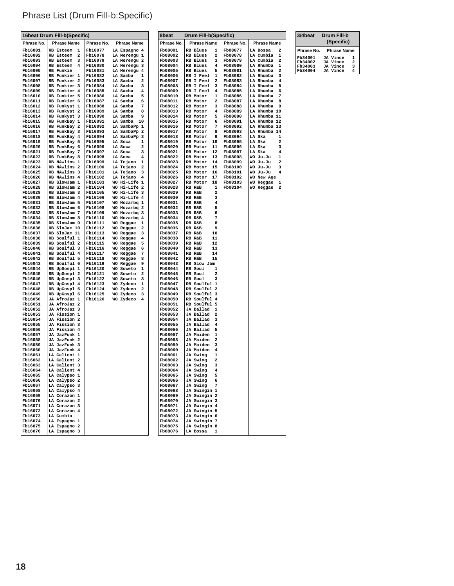# Phrase List (Drum Fill-b:Specific)

|                    | 16beat Drum Fill-b(Specific)        |                    |                                    |                     | Drum Fill-b(Specific)                            |                    |                                      |
|--------------------|-------------------------------------|--------------------|------------------------------------|---------------------|--------------------------------------------------|--------------------|--------------------------------------|
| Phrase No.         | <b>Phrase Name</b>                  | Phrase No.         | <b>Phrase Name</b>                 | 8beat<br>Phrase No. | <b>Phrase Name</b>                               | Phrase No.         | <b>Phrase Name</b>                   |
| Fb16001            | RB Esteem 1                         | Fb16077            | LA Espagno 4                       | Fb08001             | RB Blues<br>1                                    | Fb08077            | LA Bossa<br>2                        |
| Fb16002            | RB Esteem<br>- 2                    | Fb16078            | LA Merengu 1                       | Fb08002             | RB Blues<br>2                                    | Fb08078            | LA Cumbia<br>$\mathbf{1}$            |
| Fb16003            | RB Esteem<br>- 3                    | Fb16079            | LA Merengu 2                       | Fb08003             | RB Blues<br>3                                    | Fb08079            | LA Cumbia<br>$\overline{\mathbf{2}}$ |
| Fb16004            | RB Esteem<br>$\overline{4}$         | Fb16080            | LA Merengu 3                       | Fb08004             | RB Blues<br>4                                    | Fb08080            | LA Rhumba<br>1                       |
| Fb16005            | RB Funkie                           | Fb16081            | LA Merengu 4                       | Fb08005             | RB Blues<br>5                                    | Fb08081            | LA Rhumba<br>$\overline{\mathbf{2}}$ |
| Fb16006            | RB Funkier 1                        | Fb16082<br>Fb16083 | LA Samba<br>1                      | Fb08006             | RB I Feel<br>1<br>RB I Feel                      | Fb08082            | LA Rhumba<br>- 3<br>4                |
| Fb16007<br>Fb16008 | RB Funkier 2<br><b>RB Funkier 3</b> | Fb16084            | LA Samba<br>2<br>LA Samba<br>з     | Fb08007<br>Fb08008  | 2<br>RB I Feel<br>3                              | Fb08083<br>Fb08084 | LA Rhumba<br>LA Rhumba<br>5          |
| Fb16009            | RB Funkier 4                        | Fb16085            | LA Samba<br>4                      | Fb08009             | <b>RB I Feel</b><br>4                            | Fb08085            | LA Rhumba<br>6                       |
| Fb16010            | RB Funkier 5                        | Fb16086            | LA Samba<br>5                      | Fb08010             | RB Motor<br>1                                    | Fb08086            | LA Rhumba<br>7                       |
| Fb16011            | RB Funkier 6                        | Fb16087            | LA Samba<br>6                      | Fb08011             | RB Motor<br>2                                    | Fb08087            | LA Rhumba<br>8                       |
| Fb16012            | RB Funkyst 1                        | Fb16088            | 7<br>LA Samba                      | Fb08012             | RB Motor<br>з                                    | Fb08088            | LA Rhumba 9                          |
| Fb16013            | RB Funkyst 2                        | Fb16089            | LA Samba<br>8                      | Fb08013             | 4<br>RB Motor                                    | Fb08089            | LA Rhumba 10                         |
| Fb16014<br>Fb16015 | RB Funkyst 3<br>RB FunkBay 1        | Fb16090<br>Fb16091 | LA Samba<br>9<br>LA Samba 10       | Fb08014<br>Fb08015  | RB Motor<br>5<br>RB Motor<br>6                   | Fb08090<br>Fb08091 | LA Rhumba 11<br>LA Rhumba 12         |
| Fb16016            | RB FunkBay 2                        | Fb16092            | LA SambaPp 1                       | Fb08016             | RB Motor<br>7                                    | Fb08092            | LA Rhumba 13                         |
| Fb16017            | RB FunkBay 3                        | Fb16093            | LA SambaPp 2                       | Fb08017             | RB Motor<br>8                                    | Fb08093            | LA Rhumba 14                         |
| Fb16018            | RB FunkBay 4                        | Fb16094            | LA SambaPp 3                       | Fb08018             | RB Motor<br>9                                    | Fb08094            | LA Ska<br>1                          |
| Fb16019            | RB FunkBay 5                        | Fb16095            | LA Soca<br>1                       | Fb08019             | RB Motor<br>10                                   | Fb08095            | LA Ska<br>2                          |
| Fb16020            | RB FunkBay 6                        | Fb16096            | LA Soca<br>$\overline{\mathbf{2}}$ | Fb08020             | RB Motor<br>11                                   | Fb08096            | LA Ska<br>3                          |
| Fb16021            | RB FunkBay 7                        | Fb16097            | LA Soca<br>з                       | Fb08021             | RB Motor<br>12                                   | Fb08097            | LA Ska<br>4                          |
| Fb16022<br>Fb16023 | RB FunkBay 8<br>RB NAwlins 1        | Fb16098<br>Fb16099 | LA Soca<br>4<br>LA Tejano<br>1     | Fb08022<br>Fb08023  | RB Motor<br>13<br>RB Motor<br>14                 | Fb08098<br>Fb08099 | WO Ju-Ju<br>1<br>WO Ju-Ju<br>2       |
| Fb16024            | RB NAwlins 2                        | Fb16100            | LA Tejano<br>2                     | Fb08024             | RB Motor<br>15                                   | Fb08100            | WO Ju-Ju<br>з                        |
| Fb16025            | RB NAwlins 3                        | Fb16101            | LA Tejano<br>з                     | Fb08025             | RB Motor<br>16                                   | Fb08101            | WO Ju-Ju<br>4                        |
| Fb16026            | RB NAwlins 4                        | Fb16102            | LA Tejano<br>4                     | Fb08026             | RB Motor<br>17                                   | Fb08102            | WO New Age                           |
| Fb16027            | RB SlowJam 1                        | Fb16103            | WO Hi-Life 1                       | Fb08027             | RB Motor<br>18                                   | Fb08103            | WO Reggae 1                          |
| Fb16028            | RB SlowJam 2                        | Fb16104            | WO Hi-Life 2                       | Fb08028             | RB R&B<br>1                                      | Fb08104            | WO Reggae 2                          |
| Fb16029<br>Fb16030 | RB SlowJam 3<br>RB SlowJam 4        | Fb16105<br>Fb16106 | WO Hi-Life 3<br>WO Hi-Life 4       | Fb08029<br>Fb08030  | RB R&B<br>$\overline{\mathbf{z}}$<br>RB R&B<br>з |                    |                                      |
| Fb16031            | RB SlowJam 5                        | Fb16107            | WO Mozambq 1                       | Fb08031             | RB R&B<br>4                                      |                    |                                      |
| Fb16032            | RB SlowJam 6                        | Fb16108            | WO Mozambq 2                       | Fb08032             | RB R&B<br>5                                      |                    |                                      |
| Fb16033            | RB SlowJam 7                        | Fb16109            | WO Mozambq 3                       | Fb08033             | RB R&B<br>6                                      |                    |                                      |
| Fb16034            | RB SlowJam 8                        | Fb16110            | WO Mozambq 4                       | Fb08034             | RB R&B<br>7                                      |                    |                                      |
| Fb16035            | RB SlowJam 9                        | Fb16111            | WO Reggae<br>1                     | Fb08035             | RB R&B<br>8                                      |                    |                                      |
| Fb16036<br>Fb16037 | RB SloJam 10<br>RB SloJam 11        | Fb16112<br>Fb16113 | WO Reggae<br>2<br>WO Reggae<br>з   | Fb08036<br>Fb08037  | RB R&B<br>9<br>RB R&B<br>10                      |                    |                                      |
| Fb16038            | RB Soulful 1                        | Fb16114            | WO Reggae<br>4                     | Fb08038             | RB R&B<br>11                                     |                    |                                      |
| Fb16039            | RB Soulful 2                        | Fb16115            | WO Reggae<br>5                     | Fb08039             | RB R&B<br>12                                     |                    |                                      |
| Fb16040            | RB Soulful 3                        | Fb16116            | WO Reggae<br>6                     | Fb08040             | RB R&B<br>13                                     |                    |                                      |
| Fb16041            | RB Soulful 4                        | Fb16117            | WO Reggae<br>7                     | Fb08041             | RB R&B<br>14                                     |                    |                                      |
| Fb16042<br>Fb16043 | RB Soulful 5<br>RB Soulful 6        | Fb16118<br>Fb16119 | WO Reggae<br>8<br>WO Reggae<br>9   | Fb08042<br>Fb08043  | RB R&B<br>15<br>RB Slow Jam                      |                    |                                      |
| Fb16044            | RB UpGospl 1                        | Fb16120            | WO Soweto<br>1                     | Fb08044             | RB Soul<br>$\mathbf{1}$                          |                    |                                      |
| Fb16045            | RB UpGospl 2                        | Fb16121            | WO Soweto<br>2                     | Fb08045             | RB Soul<br>2                                     |                    |                                      |
| Fb16046            | RB UpGospl 3                        | Fb16122            | WO Soweto<br>з                     | Fb08046             | RB Soul<br>3                                     |                    |                                      |
| Fb16047            | RB UpGospl 4                        | Fb16123            | WO Zydeco<br>1                     | Fb08047             | RB Soulful 1                                     |                    |                                      |
| Fb16048            | RB UpGospl 5                        | Fb16124            | WO Zydeco<br>2<br>з                | Fb08048             | RB Soulful 2                                     |                    |                                      |
| Fb16049<br>Fb16050 | RB UpGospl 6<br>JA AfroJaz 1        | Fb16125<br>Fb16126 | WO Zydeco<br>WO Zydeco<br>4        | Fb08049<br>Fb08050  | RB Soulful 3<br>RB Soulful 4                     |                    |                                      |
| Fb16051            | JA AfroJaz 2                        |                    |                                    | Fb08051             | RB Soulful 5                                     |                    |                                      |
| Fb16052            | JA AfroJaz 3                        |                    |                                    | Fb08052             | JA Ballad<br>- 1                                 |                    |                                      |
| Fb16053            | JA Fission 1                        |                    |                                    | Fb08053             | JA Ballad<br>$\overline{\mathbf{2}}$             |                    |                                      |
| Fb16054            | JA Fission 2                        |                    |                                    | Fb08054             | JA Ballad<br>3                                   |                    |                                      |
| Fb16055<br>Fb16056 | JA Fission 3<br>JA Fission 4        |                    |                                    | Fb08055<br>Fb08056  | JA Ballad<br>4<br>JA Ballad<br>5                 |                    |                                      |
| Fb16057            | JA JazFunk 1                        |                    |                                    | Fb08057             | JA Maiden<br>1                                   |                    |                                      |
| Fb16058            | JA JazFunk 2                        |                    |                                    | Fb08058             | JA Maiden<br>$\overline{\mathbf{2}}$             |                    |                                      |
| Fb16059            | JA JazFunk 3                        |                    |                                    | Fb08059             | JA Maiden<br>3                                   |                    |                                      |
| Fb16060            | JA JazFunk 4                        |                    |                                    | Fb08060             | <b>JA Maiden</b><br>4                            |                    |                                      |
| Fb16061            | LA Calient 1                        |                    |                                    | Fb08061             | JA Swing<br>1                                    |                    |                                      |
| Fb16062<br>Fb16063 | LA Calient 2                        |                    |                                    | Fb08062             | JA Swing<br>2<br>3                               |                    |                                      |
| Fb16064            | LA Calient 3<br>LA Calient 4        |                    |                                    | Fb08063<br>Fb08064  | JA Swing<br>JA Swing<br>4                        |                    |                                      |
| Fb16065            | LA Calypso 1                        |                    |                                    | Fb08065             | JA Swing<br>5                                    |                    |                                      |
| Fb16066            | LA Calypso 2                        |                    |                                    | Fb08066             | JA Swing<br>6                                    |                    |                                      |
| Fb16067            | LA Calypso 3                        |                    |                                    | Fb08067             | JA Swing<br>7                                    |                    |                                      |
| Fb16068            | LA Calypso 4                        |                    |                                    | Fb08068             | JA Swingin 1                                     |                    |                                      |
| Fb16069<br>Fb16070 | LA Corazon 1<br>LA Corazon 2        |                    |                                    | Fb08069<br>Fb08070  | JA Swingin 2<br>JA Swingin 3                     |                    |                                      |
| Fb16071            | LA Corazon 3                        |                    |                                    | Fb08071             | JA Swingin 4                                     |                    |                                      |
| Fb16072            | LA Corazon 4                        |                    |                                    | Fb08072             | JA Swingin 5                                     |                    |                                      |
| Fb16073            | LA Cumbia                           |                    |                                    | Fb08073             | JA Swingin 6                                     |                    |                                      |
| Fb16074            | LA Espagno 1                        |                    |                                    | Fb08074             | JA Swingin 7                                     |                    |                                      |
| Fb16075<br>Fb16076 | LA Espagno 2<br>LA Espagno 3        |                    |                                    | Fb08075<br>Fb08076  | JA Swingin 8<br>LA Bossa<br>1                    |                    |                                      |
|                    |                                     |                    |                                    |                     |                                                  |                    |                                      |

| 3/4beat        | Drum Fill-b<br>(Specific)                  |
|----------------|--------------------------------------------|
| Phrase No.     | <b>Phrase Name</b>                         |
| Fb34001        | <b>JA Vince</b><br>1                       |
| Fb34002        | $\overline{\mathbf{2}}$<br><b>JA Vince</b> |
| <b>Fb34003</b> | 3<br><b>JA Vince</b>                       |
| Fb34004        | 4<br>JA Vince                              |
|                |                                            |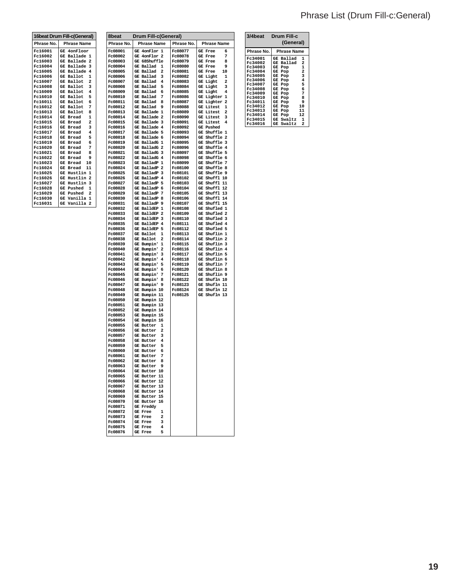# Phrase List (Drum Fill-c:General)

| 16beat Drum Fill-c(General) |                                      |  |  |  |
|-----------------------------|--------------------------------------|--|--|--|
| Phrase No.                  | <b>Phrase Name</b>                   |  |  |  |
| Fc16001                     | GE 4onFloor                          |  |  |  |
| Fc16002                     | GE Ballade<br>1                      |  |  |  |
| Fc16003                     | GE Ballade 2                         |  |  |  |
| Fc16004                     | GE Ballade<br>3                      |  |  |  |
| Fc16005                     | GE Ballade 4                         |  |  |  |
| Fc16006                     | GE Ballot<br>1                       |  |  |  |
| Fc16007                     | GE Ballot<br>$\overline{\mathbf{2}}$ |  |  |  |
| Fc16008                     | 3<br>GE Ballot                       |  |  |  |
| Fc16009                     | GE Ballot 4                          |  |  |  |
| Fc16010                     | Ballot 5<br>GE                       |  |  |  |
| Fc16011                     | Ballot 6<br>GE                       |  |  |  |
| Fc16012                     | GE Ballot<br>7                       |  |  |  |
| Fc16013                     | GE Ballot<br>8                       |  |  |  |
| Fc16014                     | <b>GE Bread</b><br>1                 |  |  |  |
| Fc16015                     | $\overline{a}$<br>GE Bread           |  |  |  |
| Fc16016                     | 3<br><b>GE Bread</b>                 |  |  |  |
| Fc16017                     | 4<br><b>GE Bread</b>                 |  |  |  |
| Fc16018                     | 5<br><b>GE Bread</b>                 |  |  |  |
| Fc16019                     | <b>GE Bread</b><br>6                 |  |  |  |
| Fc16020                     | 7<br><b>GE Bread</b>                 |  |  |  |
| Fc16021                     | <b>GE Bread</b><br>8                 |  |  |  |
| Fc16022                     | <b>GE Bread</b><br>٩                 |  |  |  |
| Fc16023                     | GE<br>10<br>Bread                    |  |  |  |
| Fc16024                     | 11<br>GE<br>Bread                    |  |  |  |
| Fc16025                     | $\mathbf{1}$<br>GE<br>Hustlin        |  |  |  |
| Fc16026                     | Hustlin <sub>2</sub><br>GE           |  |  |  |
| Fc16027                     | GE Hustlin 3                         |  |  |  |
| Fc16028                     | $\mathbf{1}$<br>GE Pushed            |  |  |  |
| Fc16029                     | GE Pushed 2                          |  |  |  |
| Fc16030                     | GE Vanilla 1                         |  |  |  |
| Fc16031                     | GE Vanilla 2                         |  |  |  |

| 8beat                     | Drum Fill-c(General)                                        |                    |                                           |  |  |
|---------------------------|-------------------------------------------------------------|--------------------|-------------------------------------------|--|--|
| Phrase No.                | <b>Phrase Name</b>                                          | Phrase No.         | <b>Phrase Name</b>                        |  |  |
| Fc08001                   | GE 4onFlor<br>1                                             | Fc08077            | <b>GE Free</b><br>6                       |  |  |
| Fc08002                   | GE 4onFlor<br>- 2                                           | <b>FC08078</b>     | <b>GE Free</b><br>7                       |  |  |
| Fc08003                   | GE 68Shuffle<br>GE Ballad<br>1                              | Fc08079            | <b>GE Free</b><br>8<br><b>GE Free</b>     |  |  |
| Fc08004<br>Fc08005        | GE Ballad<br>2                                              | Fc08080<br>Fc08081 | 9<br><b>GE Free</b><br>10                 |  |  |
| Fc08006                   | GE Ballad<br>3                                              | Fc08082            | GE Light<br>1                             |  |  |
| Fc08007                   | GE Ballad<br>4                                              | Fc08083            | GE Light<br>$\overline{a}$                |  |  |
| Fc08008<br>Fc08009        | GE Ballad<br>5<br>GE Ballad<br>6                            | Fc08084<br>Fc08085 | <b>GE Light</b><br>з<br>GE Light<br>4     |  |  |
| Fc08010                   | GE Ballad<br>7                                              | Fc08086            | GE Lighter<br>1                           |  |  |
| Fc08011                   | GE Ballad<br>8                                              | Fc08087            | GE Lighter<br>2                           |  |  |
| Fc08012                   | GE Ballad<br>9                                              | Fc08088            | GE Litest<br>1<br>$\overline{a}$          |  |  |
| <b>Fc08013</b><br>Fc08014 | GE Ballade 1<br>GE Ballade 2                                | Fc08089<br>Fc08090 | <b>GE Litest</b><br><b>GE Litest</b><br>3 |  |  |
| Fc08015                   | GE Ballade 3                                                | Fc08091            | <b>GE Litest</b><br>4                     |  |  |
| Fc08016                   | GE Ballade 4                                                | Fc08092            | GE Pushed                                 |  |  |
| Fc08017<br>Fc08018        | GE Ballade 5<br>GE Ballade 6                                | Fc08093<br>Fc08094 | GE Shuffle 1<br>GE Shuffle 2              |  |  |
| Fc08019                   | GE BalladG 1                                                | Fc08095            | GE Shuffle<br>3                           |  |  |
| Fc08020                   | GE BalladG 2                                                | Fc08096            | GE Shuffle 4                              |  |  |
| Fc08021                   | GE BalladG 3<br>GE BalladG 4                                | Fc08097            | GE Shuffle 5<br>GE Shuffle 6              |  |  |
| Fc08022<br>Fc08023        | GE BalladP<br>1                                             | Fc08098<br>Fc08099 | GE Shuffle 7                              |  |  |
| Fc08024                   | GE BalladP 2                                                | Fc08100            | GE Shuffle 8                              |  |  |
| Fc08025                   | GE BalladP 3                                                | Fc08101            | GE Shuffle 9                              |  |  |
| Fc08026<br>Fc08027        | GE BalladP 4<br>GE BalladP 5                                | Fc08102<br>Fc08103 | GE Shuffl 10<br>GE Shuffl 11              |  |  |
| Fc08028                   | GE BalladP 6                                                | Fc08104            | GE Shuffl 12                              |  |  |
| Fc08029                   | GE BalladP 7                                                | Fc08105            | GE Shuffl 13                              |  |  |
| Fc08030                   | GE BalladP 8<br>GE BalladP 9                                | Fc08106<br>Fc08107 | GE Shuffl 14<br>GE Shuffl 15              |  |  |
| Fc08031<br>Fc08032        | GE BalldEP 1                                                | Fc08108            | GE Shufled 1                              |  |  |
| Fc08033                   | GE BalldEP 2                                                | Fc08109            | GE Shufled 2                              |  |  |
| Fc08034                   | GE BalldEP 3                                                | Fc08110            | GE Shufled 3                              |  |  |
| Fc08035<br>Fc08036        | GE BalldEP 4<br>GE BalldEP 5                                | Fc08111<br>Fc08112 | GE Shufled 4<br>GE Shufled 5              |  |  |
| Fc08037                   | GE Ballot<br>1                                              | Fc08113            | GE Shuflin 1                              |  |  |
| Fc08038                   | GE Ballot<br>$\overline{a}$                                 | Fc08114            | GE Shuflin 2                              |  |  |
| Fc08039<br>Fc08040        | GE Bumpin'<br>1<br>GE Bumpin'<br>$\overline{a}$             | Fc08115<br>Fc08116 | GE Shuflin 3<br>GE Shuflin 4              |  |  |
| Fc08041                   | GE Bumpin'<br>3                                             | Fc08117            | GE Shuflin 5                              |  |  |
| Fc08042                   | GE Bumpin'<br>$\overline{\bf 4}$                            | Fc08118            | GE Shuflin 6                              |  |  |
| Fc08043<br>Fc08044        | GE Bumpin'<br>5<br>GE Bumpin'<br>6                          | Fc08119<br>Fc08120 | GE Shuflin 7<br>GE Shuflin 8              |  |  |
| Fc08045                   | GE Bumpin'<br>7                                             | Fc08121            | GE Shuflin 9                              |  |  |
| Fc08046                   | GE Bumpin'<br>8                                             | Fc08122            | GE Shufln 10                              |  |  |
| Fc08047                   | GE Bumpin'<br>9<br>GE Bumpin 10                             | Fc08123            | GE Shufln 11                              |  |  |
| Fc08048<br>Fc08049        | GE Bumpin 11                                                | Fc08124<br>Fc08125 | GE Shufln 12<br>GE Shufln 13              |  |  |
| Fc08050                   | GE Bumpin 12                                                |                    |                                           |  |  |
| Fc08051                   | GE Bumpin 13                                                |                    |                                           |  |  |
| Fc08052<br>Fc08053        | GE Bumpin 14<br>GE Bumpin 15                                |                    |                                           |  |  |
| Fc08054                   | GE Bumpin 16                                                |                    |                                           |  |  |
| Fc08055                   | <b>GE Butter</b><br>1                                       |                    |                                           |  |  |
| Fc08056<br>Fc08057        | <b>GE Butter</b><br>$\overline{a}$<br><b>GE Butter</b><br>з |                    |                                           |  |  |
| Fc08058                   | $\overline{4}$<br><b>GE Butter</b>                          |                    |                                           |  |  |
| Fc08059                   | <b>GE Butter</b><br>5                                       |                    |                                           |  |  |
| Fc08060<br>Fc08061        | <b>GE Butter</b><br>6<br><b>GE Butter</b><br>7              |                    |                                           |  |  |
| Fc08062                   | <b>GE Butter</b><br>8                                       |                    |                                           |  |  |
| Fc08063                   | GE Butter 9                                                 |                    |                                           |  |  |
| Fc08064                   | GE Butter 10                                                |                    |                                           |  |  |
| Fc08065<br>Fc08066        | GE Butter 11<br>GE Butter 12                                |                    |                                           |  |  |
| Fc08067                   | GE Butter 13                                                |                    |                                           |  |  |
| Fc08068                   | GE Butter 14                                                |                    |                                           |  |  |
| Fc08069<br>Fc08070        | GE Butter 15<br>GE Butter 16                                |                    |                                           |  |  |
| Fc08071                   | <b>GE Freddy</b>                                            |                    |                                           |  |  |
| Fc08072                   | <b>GE Free</b><br>1                                         |                    |                                           |  |  |
| Fc08073<br>Fc08074        | <b>GE Free</b><br>2<br><b>GE Free</b><br>з                  |                    |                                           |  |  |
| Fc08075                   | <b>GE Free</b><br>4                                         |                    |                                           |  |  |
| Fc08076                   | 5<br><b>GE Free</b>                                         |                    |                                           |  |  |

| 3/4beat    | Drum Fill-c        | (General)          |
|------------|--------------------|--------------------|
| Phrase No. | <b>Phrase Name</b> |                    |
| Fc34001    | GE Ballad          | 1                  |
| Fc34002    | Ballad<br>GE.      | $\overline{a}$     |
| Fc34003    | GЕ<br>Pop          | 1                  |
| Fc34004    | GE Pop             | $\overline{2}$     |
| Fc34005    | GЕ<br>Pop          | 3                  |
| Fc34006    | GE<br>Pop          | $\overline{\bf 4}$ |
| Fc34007    | GE<br>Pop          | - 5                |
| Fc34008    | GE<br>Pop          | 6                  |
| Fc34009    | GE<br>Pop          | 7                  |
| Fc34010    | GЕ<br>Pop          | 8                  |
| Fc34011    | GE<br>Pop          | 9                  |
| Fc34012    | GЕ<br>Pop          | 10                 |
| Fc34013    | GE<br>Pop          | 11                 |
| Fc34014    | GЕ<br>Pop          | 12                 |
| Fc34015    | Swaltz<br>GE.      | 1                  |
| Fc34016    | Swaltz<br>GЕ       | 2                  |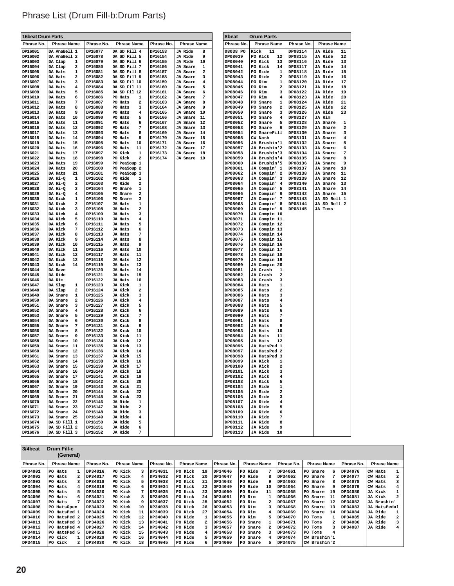| <b>16beat Drum Parts</b> |                                |                    |                                                           |                    |                                            | 8beat   |                     | <b>Drum Parts</b>              |                    |                                       |
|--------------------------|--------------------------------|--------------------|-----------------------------------------------------------|--------------------|--------------------------------------------|---------|---------------------|--------------------------------|--------------------|---------------------------------------|
| Phrase No.               | <b>Phrase Name</b>             | Phrase No.         | <b>Phrase Name</b>                                        | Phrase No.         | <b>Phrase Name</b>                         |         | Phrase No.          | <b>Phrase Name</b>             | Phrase No.         | <b>Phrase Name</b>                    |
| DP16001<br>DP16002       | DA AnaBell 1<br>DA AnaBell 2   | DP16077<br>DP16078 | DA SD Fill 4<br>DA SD Fill 5                              | DP16153<br>DP16154 | <b>JA Ride</b><br>8<br>9<br><b>JA Ride</b> |         | 08038 PO<br>DP08039 | Kick<br>11<br>PO Kick<br>12    | DP08114<br>DP08115 | <b>JA Ride</b><br>11<br>JA Ride       |
| DP16003                  | DA Clap<br>1                   | DP16079            | DA SD Fill 6                                              | DP16155            | <b>JA Ride</b><br>10                       |         | DP08040             | PO Kick<br>13                  | DP08116            | 12<br><b>JA Ride</b><br>13            |
| DP16004                  | DA Clap<br>2                   | DP16080            | DA SD Fill 7                                              | DP16156            | JA Snare<br>1                              |         | DP08041             | PO Kick<br>14                  | DP08117            | <b>JA Ride</b><br>14                  |
| DP16005                  | DA Hats<br>1                   | DP16081            | DA SD Fill 8                                              | DP16157            | 2<br>JA Snare                              |         | DP08042             | PO Ride<br>1                   | DP08118            | <b>JA Ride</b><br>15                  |
| DP16006                  | DA Hats<br>2                   | DP16082            | DA SD Fill 9                                              | DP16158            | JA Snare<br>з                              |         | DP08043             | PO Ride<br>2                   | DP08119            | JA Ride<br>16                         |
| DP16007                  | DA Hats<br>з                   | DP16083            | DA SD Fil 10                                              | DP16159            | JA Snare<br>4                              |         | DP08044             | PO Rim<br>1                    | DP08120            | <b>JA Ride</b><br>17                  |
| DP16008<br>DP16009       | DA Hats<br>4<br>5<br>DA Hats   | DP16084<br>DP16085 | DA SD Fil 11<br>DA SD Fil 12                              | DP16160<br>DP16161 | 5<br>JA Snare<br>JA Snare<br>6             |         | DP08045<br>DP08046  | PO Rim<br>2<br>PO Rim<br>з     | DP08121<br>DP08122 | <b>JA Ride</b><br>18<br>JA Ride<br>19 |
| DP16010                  | DA Hats<br>6                   | DP16086            | PO Hats<br>1                                              | DP16162            | 7<br>JA Snare                              |         | DP08047             | PO Rim<br>4                    | DP08123            | <b>JA Ride</b><br>20                  |
| DP16011                  | DA Hats<br>7                   | DP16087            | PO Hats<br>2                                              | DP16163            | JA Snare<br>8                              |         | DP08048             | PO Snare<br>1                  | DP08124            | JA Ride<br>21                         |
| DP16012                  | 8<br>DA Hats                   | DP16088            | PO Hats<br>3                                              | DP16164            | 9<br>JA Snare                              |         | DP08049             | PO Snare<br>2                  | DP08125            | <b>JA Ride</b><br>22                  |
| DP16013                  | DA Hats<br>9                   | DP16089            | PO Hats<br>4                                              | DP16165            | JA Snare<br>10                             |         | DP08050             | PO Snare<br>з                  | DP08126            | JA Ride<br>23                         |
| DP16014                  | DA Hats<br>10                  | DP16090            | PO Hats<br>5                                              | DP16166            | JA Snare<br>11                             |         | DP08051             | PO Snare<br>4                  | DP08127            | JA Rim                                |
| DP16015<br>DP16016       | DA Hats<br>11<br>12<br>DA Hats | DP16091<br>DP16092 | PO Hats<br>6<br>PO Hats<br>7                              | DP16167<br>DP16168 | JA Snare<br>12<br>JA Snare<br>-13          |         | DP08052<br>DP08053  | PO Snare<br>5<br>PO Snare<br>6 | DP08128<br>DP08129 | $\mathbf{1}$<br>JA Snare<br>JA Snare  |
| DP16017                  | DA Hats<br>13                  | DP16093            | PO Hats<br>8                                              | DP16169            | JA Snare<br>14                             |         | DP08054             | PO SnareFill                   | DP08130            | 3<br>JA Snare                         |
| DP16018                  | DA Hats<br>14                  | DP16094            | PO Hats<br>9                                              | DP16170            | JA Snare<br>15                             |         | DP08055             | CW Nash                        | DP08131            | <b>JA Snare</b><br>4                  |
| DP16019                  | DA Hats<br>15                  | DP16095            | PO Hats<br>10                                             | DP16171            | JA Snare<br>16                             |         | DP08056             | JA Brushin'1                   | DP08132            | JA Snare<br>5                         |
| DP16020                  | DA Hats<br>16                  | DP16096            | PO Hats<br>11                                             | DP16172            | JA Snare<br>17                             | DP08057 |                     | JA Brushin'2                   | DP08133            | JA Snare<br>6                         |
| DP16021                  | DA Hats<br>17                  | DP16097            | PO Kick<br>1                                              | DP16173            | JA Snare<br>18                             |         | DP08058             | JA Brushin'3                   | DP08134            | 7<br>JA Snare                         |
| DP16022                  | DA Hats<br>18                  | DP16098            | PO Kick<br>2                                              | DP16174            | <b>JA Snare</b> 19                         |         | DP08059             | JA Brushin'4                   | DP08135            | JA Snare<br>8                         |
| DP16023                  | 19<br>DA Hats                  | DP16099            | PO PeaSoup 1                                              |                    |                                            |         | DP08060             | JA Brushin'5                   | DP08136            | 9<br>JA Snare                         |
| DP16024<br>DP16025       | DA Hats<br>20<br>DA Hats<br>21 | DP16100<br>DP16101 | PO PeaSoup 2<br>PO PeaSoup 3                              |                    |                                            |         | DP08061<br>DP08062  | JA Compin' 1<br>JA Compin' 2   | DP08137<br>DP08138 | JA Snare<br>10<br>JA Snare<br>11      |
| DP16026                  | DA Hi-Q<br>1                   | DP16102            | PO Ride<br>1                                              |                    |                                            |         | DP08063             | JA Compin' 3                   | DP08139            | JA Snare<br>12                        |
| DP16027                  | 2<br>DA Hi-Q                   | DP16103            | PO Ride<br>2                                              |                    |                                            |         | DP08064             | JA Compin' 4                   | DP08140            | 13<br>JA Snare                        |
| DP16028                  | DA Hi-Q<br>з                   | DP16104            | PO Snare<br>1                                             |                    |                                            |         | DP08065             | JA Compin' 5                   | DP08141            | JA Snare<br>14                        |
| DP16029                  | DA Hi-Q<br>4                   | DP16105            | $\overline{\mathbf{2}}$<br>PO Snare                       |                    |                                            |         | DP08066             | JA Compin' 6                   | DP08142            | JA Snare 15                           |
| DP16030                  | DA Kick<br>1                   | DP16106            | PO Snare<br>3                                             |                    |                                            |         | DP08067             | JA Compin' 7                   | DP08143            | JA SD Roll 1                          |
| DP16031                  | DA Kick<br>2                   | DP16107            | JA Hats<br>1                                              |                    |                                            |         | DP08068             | JA Compin' 8                   | DP08144            | JA SD Roll 2                          |
| DP16032<br>DP16033       | DA Kick<br>з<br>DA Kick<br>4   | DP16108<br>DP16109 | JA Hats<br>2<br>JA Hats<br>з                              |                    |                                            |         | DP08069<br>DP08070  | JA Compin' 9<br>JA Compin 10   | DP08145            | JA Toms                               |
| DP16034                  | DA Kick<br>5                   | DP16110            | JA Hats<br>4                                              |                    |                                            |         | DP08071             | JA Compin 11                   |                    |                                       |
| DP16035                  | DA Kick<br>6                   | DP16111            | JA Hats<br>5                                              |                    |                                            |         | DP08072             | JA Compin 12                   |                    |                                       |
| DP16036                  | 7<br>DA Kick                   | DP16112            | JA Hats<br>6                                              |                    |                                            |         | DP08073             | JA Compin 13                   |                    |                                       |
| DP16037                  | DA Kick<br>8                   | DP16113            | JA Hats<br>7                                              |                    |                                            |         | DP08074             | JA Compin 14                   |                    |                                       |
| DP16038                  | DA Kick<br>9                   | DP16114            | JA Hats<br>8                                              |                    |                                            |         | DP08075             | JA Compin 15                   |                    |                                       |
| DP16039                  | DA Kick<br>10                  | DP16115            | JA Hats<br>9                                              |                    |                                            |         | DP08076             | JA Compin 16                   |                    |                                       |
| DP16040                  | DA Kick<br>11<br>DA Kick<br>12 | DP16116<br>DP16117 | JA Hats<br>10<br>JA Hats<br>11                            |                    |                                            | DP08078 | DP08077             | JA Compin 17<br>JA Compin 18   |                    |                                       |
| DP16041<br>DP16042       | DA Kick<br>13                  | DP16118            | JA Hats<br>12                                             |                    |                                            |         | DP08079             | JA Compin 19                   |                    |                                       |
| DP16043                  | DA Kick<br>14                  | DP16119            | JA Hats<br>13                                             |                    |                                            |         | DP08080             | JA Compin 20                   |                    |                                       |
| DP16044                  | DA Rave                        | DP16120            | JA Hats<br>14                                             |                    |                                            | DP08081 |                     | JA Crash<br>1                  |                    |                                       |
| DP16045                  | DA Ride                        | DP16121            | JA Hats<br>15                                             |                    |                                            |         | DP08082             | JA Crash<br>2                  |                    |                                       |
| DP16046                  | DA Rim                         | DP16122            | JA Hats<br>16                                             |                    |                                            |         | DP08083             | JA Crash<br>з                  |                    |                                       |
| DP16047                  | DA Slap<br>1                   | DP16123            | JA Kick<br>1                                              |                    |                                            |         | DP08084             | 1<br>JA Hats                   |                    |                                       |
| DP16048<br>DP16049       | DA Slap<br>2<br>DA Snare<br>1  | DP16124<br>DP16125 | $\overline{\mathbf{2}}$<br><b>JA Kick</b><br>JA Kick<br>3 |                    |                                            | DP08085 | DP08086             | 2<br>JA Hats<br>JA Hats<br>з   |                    |                                       |
| DP16050                  | DA Snare<br>2                  | DP16126            | JA Kick<br>4                                              |                    |                                            |         | DP08087             | JA Hats<br>4                   |                    |                                       |
| DP16051                  | DA Snare<br>з                  | DP16127            | JA Kick<br>5                                              |                    |                                            |         | DP08088             | 5<br>JA Hats                   |                    |                                       |
| DP16052                  | DA Snare<br>4                  | DP16128            | <b>JA Kick</b><br>6                                       |                    |                                            |         | DP08089             | JA Hats<br>6                   |                    |                                       |
| DP16053                  | DA Snare<br>5                  | DP16129            | 7<br>JA Kick                                              |                    |                                            |         | DP08090             | JA Hats<br>7                   |                    |                                       |
| DP16054                  | DA Snare<br>6                  | DP16130            | <b>JA Kick</b><br>8                                       |                    |                                            |         | DP08091             | JA Hats<br>8                   |                    |                                       |
| DP16055                  | DA Snare<br>7                  | DP16131            | JA Kick<br>9                                              |                    |                                            |         | DP08092             | JA Hats<br>9                   |                    |                                       |
| DP16056<br>DP16057       | DA Snare<br>8<br>DA Snare<br>9 | DP16132<br>DP16133 | JA Kick<br>10<br>JA Kick<br>11                            |                    |                                            |         | DP08093<br>DP08094  | JA Hats<br>10<br>JA Hats<br>11 |                    |                                       |
| DP16058                  | DA Snare<br>10                 | DP16134            | JA Kick<br>12                                             |                    |                                            |         | DP08095             | JA Hats<br>12                  |                    |                                       |
| DP16059                  | DA Snare<br>11                 | DP16135            | JA Kick<br>13                                             |                    |                                            |         | DP08096             | JA HatsPed 1                   |                    |                                       |
| DP16060                  | DA Snare<br>12                 | DP16136            | JA Kick<br>14                                             |                    |                                            |         | DP08097             | JA HatsPed 2                   |                    |                                       |
| DP16061                  | DA Snare 13                    | DP16137            | <b>JA Kick</b><br>15                                      |                    |                                            |         | DP08098             | JA HatsPed 3                   |                    |                                       |
| DP16062                  | DA Snare 14                    | DP16138            | JA Kick<br>16                                             |                    |                                            |         | DP08099             | JA Kick<br>1                   |                    |                                       |
| DP16063                  | DA Snare 15                    | DP16139            | JA Kick<br>17                                             |                    |                                            |         | DP08100             | 2<br>JA Kick                   |                    |                                       |
| DP16064                  | DA Snare 16                    | DP16140            | JA Kick<br>18                                             |                    |                                            |         | DP08101             | JA Kick<br>з                   |                    |                                       |
| DP16065<br>DP16066       | DA Snare 17<br>DA Snare 18     | DP16141<br>DP16142 | JA Kick<br>19<br><b>JA Kick</b><br>20                     |                    |                                            |         | DP08102<br>DP08103  | JA Kick<br>4<br>JA Kick<br>5   |                    |                                       |
| DP16067                  | DA Snare 19                    | DP16143            | JA Kick<br>21                                             |                    |                                            |         | DP08104             | JA Ride<br>1                   |                    |                                       |
| DP16068                  | DA Snare 20                    | DP16144            | JA Kick<br>22                                             |                    |                                            |         | DP08105             | JA Ride<br>2                   |                    |                                       |
| DP16069                  | DA Snare 21                    | DP16145            | <b>JA Kick</b><br>23                                      |                    |                                            |         | DP08106             | JA Ride<br>з                   |                    |                                       |
| DP16070                  | DA Snare 22                    | DP16146            | JA Ride<br>1                                              |                    |                                            | DP08107 |                     | JA Ride<br>4                   |                    |                                       |
| DP16071                  | DA Snare 23                    | DP16147            | JA Ride<br>2                                              |                    |                                            |         | DP08108             | <b>JA Ride</b><br>5            |                    |                                       |
| DP16072                  | DA Snare 24                    | DP16148            | JA Ride<br>3                                              |                    |                                            |         | DP08109             | JA Ride<br>6                   |                    |                                       |
| DP16073                  | DA Snare 25                    | DP16149            | <b>JA Ride</b><br>4                                       |                    |                                            |         | DP08110             | 7<br>JA Ride                   |                    |                                       |
| DP16074                  | DA SD Fill 1                   | DP16150            | JA Ride<br>5                                              |                    |                                            |         | DP08111             | JA Ride<br>8                   |                    |                                       |
| DP16075<br>DP16076       | DA SD Fill 2<br>DA SD Fill 3   | DP16151<br>DP16152 | JA Ride<br>6<br>JA Ride<br>7                              |                    |                                            |         | DP08112<br>DP08113  | 9<br>JA Ride<br>JA Ride<br>10  |                    |                                       |
|                          |                                |                    |                                                           |                    |                                            |         |                     |                                |                    |                                       |

| Phrase List (Drum Fill-b:Drum Parts) |  |
|--------------------------------------|--|
|--------------------------------------|--|

| 3/4beat        | <b>Drum Fill-c</b><br>(General) |            |                    |            |                    |            |                    |            |                    |            |                           |
|----------------|---------------------------------|------------|--------------------|------------|--------------------|------------|--------------------|------------|--------------------|------------|---------------------------|
| Phrase No.     | <b>Phrase Name</b>              | Phrase No. | <b>Phrase Name</b> | Phrase No. | <b>Phrase Name</b> | Phrase No. | <b>Phrase Name</b> | Phrase No. | <b>Phrase Name</b> | Phrase No. | <b>Phrase Name</b>        |
| DP34001        | PO Hats                         | DP34016    | PO Kick            | DP34031    | PO Kick<br>19      | DP34046    | PO Ride            | DP34061    | PO Snare<br>6      | DP34076    | CW Hats                   |
| DP34002        | PO Hats                         | DP34017    | PO Kick            | DP34032    | PO Kick<br>20      | DP34047    | PO Ride<br>8       | DP34062    | PO Snare           | DP34077    | 2<br>CW Hats              |
| DP34003        | PO Hats                         | DP34018    | PO Kick            | DP34033    | PO Kick<br>21      | DP34048    | PO Ride<br>q       | DP34063    | PO Snare           | DP34078    | CW Hats                   |
| DP34004        | PO Hats                         | DP34019    | PO Kick            | DP34034    | PO Kick<br>22      | DP34049    | PO Ride<br>10      | DP34064    | PO Snare           | DP34079    | CW Hats                   |
| DP34005        | PO Hats                         | DP34020    | PO Kick            | DP34035    | PO Kick<br>23      | DP34050    | PO Ride<br>11      | DP34065    | PO Snare<br>10     | DP34080    | JA Kick                   |
| DP34006        | PO Hats<br>6                    | DP34021    | PO Kick            | DP34036    | PO Kick<br>24      | DP34051    | PO Rim             | DP34066    | PO Snare<br>11     | DP34081    | JA Kick                   |
| DP34007        | PO Hats                         | DP34022    | PO Kick            | DP34037    | PO Kick<br>25      | DP34052    | PO Rim             | DP34067    | PO Snare<br>12     | DP34082    | JA Brushin'               |
| <b>DP34008</b> | PO HatsOpen                     | DP34023    | PO Kick<br>10      | DP34038    | PO Kick<br>26      | DP34053    | PO Rim             | DP34068    | PO Snare<br>13     | DP34083    | JA HatsPedal              |
| DP34009        | PO HatsPed 1                    | DP34024    | PO Kick<br>11      | DP34039    | PO Kick<br>27      | DP34054    | PO Rim<br>4        | DP34069    | PO Snare<br>14     | DP34084    | JA Ride                   |
| DP34010        | PO HatsPed 2                    | DP34025    | 12<br>PO Kick      | DP34040    | PO Ride            | DP34055    | PO Rim             | DP34070    | PO Toms            | DP34085    | JA Ride<br>$\overline{a}$ |
| DP34011        | PO HatsPed 3                    | DP34026    | 13<br>PO Kick      | DP34041    | PO Ride<br>2       | DP34056    | PO Snare           | DP34071    | PO Toms<br>2       | DP34086    | JA Ride<br>3              |
| DP34012        | PO HatsPed 4                    | DP34027    | PO Kick<br>14      | DP34042    | PO Ride<br>٦       | DP34057    | PO Snare           | DP34072    | PO Toms            | DP34087    | JA Ride                   |
| DP34013        | PO HatsPed 5                    | DP34028    | PO Kick<br>15      | DP34043    | PO Ride<br>4       | DP34058    | PO Snare           | DP34073    | PO Toms            |            |                           |
| DP34014        | PO Kick                         | DP34029    | PO Kick<br>16      | DP34044    | PO Ride<br>5       | DP34059    | PO Snare           | DP34074    | CW Brushin'1       |            |                           |
| DP34015        | PO Kick                         | DP34030    | 18<br>PO Kick      | DP34045    | PO Ride<br>6       | DP34060    | PO Snare           | DP34075    | CW Brushin'2       |            |                           |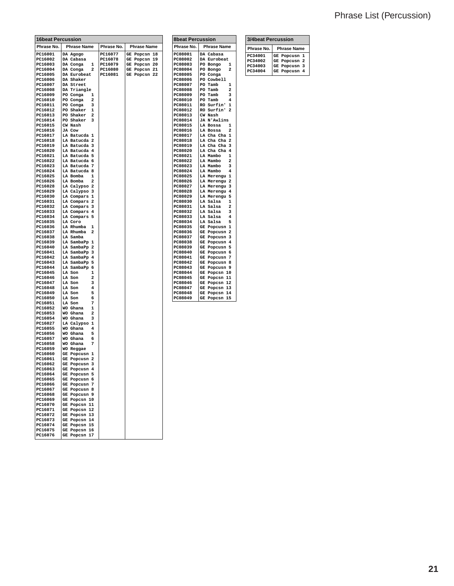### Phrase List (Percussion)

| <b>16beat Percussion</b> |                                       |                    |                              |  |  |
|--------------------------|---------------------------------------|--------------------|------------------------------|--|--|
| Phrase No.               | <b>Phrase Name</b>                    | Phrase No.         | <b>Phrase Name</b>           |  |  |
| PC16001                  | DA Agogo                              | PC16077            | GE Popcsn 18                 |  |  |
| PC16002<br>PC16003       | DA Cabasa<br>DA Conga<br>$\mathbf{1}$ | PC16078<br>PC16079 | GE Popcsn 19<br>GE Popcsn 20 |  |  |
| PC16004                  | DA Conga<br>$\mathbf{2}$              | PC16080            | GE Popcsn 21                 |  |  |
| PC16005                  | DA Eurobeat                           | PC16081            | GE Popcsn 22                 |  |  |
| PC16006                  | DA Shaker                             |                    |                              |  |  |
| PC16007<br>PC16008       | DA Street<br>DA Triangle              |                    |                              |  |  |
| PC16009                  | PO Conga<br>$\mathbf{1}$              |                    |                              |  |  |
| PC16010                  | PO Conga<br>2                         |                    |                              |  |  |
| PC16011<br>PC16012       | PO Conga<br>3<br>PO Shaker<br>-1      |                    |                              |  |  |
| PC16013                  | PO Shaker<br>$\overline{2}$           |                    |                              |  |  |
| PC16014                  | PO Shaker<br>3                        |                    |                              |  |  |
| PC16015<br>PC16016       | CW Nash<br>JA Cow                     |                    |                              |  |  |
| PC16017                  | LA Batucda 1                          |                    |                              |  |  |
| PC16018                  | LA Batucda 2                          |                    |                              |  |  |
| PC16019                  | LA Batucda 3                          |                    |                              |  |  |
| PC16020<br>PC16021       | LA Batucda 4<br>LA Batucda 5          |                    |                              |  |  |
| PC16022                  | LA Batucda 6                          |                    |                              |  |  |
| PC16023                  | LA Batucda 7                          |                    |                              |  |  |
| PC16024<br>PC16025       | LA Batucda 8<br>LA Bomba<br>1         |                    |                              |  |  |
| PC16026                  | LA Bomba<br>$\overline{\mathbf{2}}$   |                    |                              |  |  |
| PC16028                  | LA Calypso 2                          |                    |                              |  |  |
| PC16029                  | LA Calypso 3                          |                    |                              |  |  |
| PC16030<br>PC16031       | LA Compars 1<br>LA Compars 2          |                    |                              |  |  |
| PC16032                  | LA Compars 3                          |                    |                              |  |  |
| PC16033                  | LA Compars 4                          |                    |                              |  |  |
| PC16034<br>PC16035       | LA Compars 5<br>LA Coro               |                    |                              |  |  |
| PC16036                  | LA Rhumba<br>1                        |                    |                              |  |  |
| PC16037                  | LA Rhumba<br>$\overline{a}$           |                    |                              |  |  |
| PC16038                  | LA Samba                              |                    |                              |  |  |
| PC16039<br>PC16040       | LA SambaPp 1<br>LA SambaPp 2          |                    |                              |  |  |
| PC16041                  | LA SambaPp 3                          |                    |                              |  |  |
| PC16042                  | LA SambaPp 4                          |                    |                              |  |  |
| PC16043<br>PC16044       | LA SambaPp 5<br>LA SambaPp 6          |                    |                              |  |  |
| PC16045                  | LA Son<br>1                           |                    |                              |  |  |
| PC16046                  | LA Son<br>2                           |                    |                              |  |  |
| PC16047<br>PC16048       | LA Son<br>3<br>LA Son<br>4            |                    |                              |  |  |
| PC16049                  | LA Son<br>5                           |                    |                              |  |  |
| PC16050                  | LA Son<br>6                           |                    |                              |  |  |
| PC16051<br>PC16052       | LA Son<br>7<br>WO Ghana<br>1          |                    |                              |  |  |
| PC16053                  | WO Ghana<br>2                         |                    |                              |  |  |
| PC16054                  | WO Ghana<br>3                         |                    |                              |  |  |
| PC16027                  | LA Calypso 1                          |                    |                              |  |  |
| PC16055<br>PC16056       | WO Ghana<br>4<br>WO Ghana<br>5        |                    |                              |  |  |
| PC16057                  | WO Ghana<br>6                         |                    |                              |  |  |
| PC16058                  | WO Ghana<br>7                         |                    |                              |  |  |
| PC16059<br>PC16060       | WO Reggae<br>GE Popcusn 1             |                    |                              |  |  |
| PC16061                  | GE Popcusn 2                          |                    |                              |  |  |
| PC16062                  | GE Popcusn<br>з                       |                    |                              |  |  |
| PC16063                  | GE Popcusn 4                          |                    |                              |  |  |
| PC16064<br>PC16065       | GE Popcusn 5<br>GE Popcusn 6          |                    |                              |  |  |
| PC16066                  | GE Popcusn 7                          |                    |                              |  |  |
| PC16067                  | GE Popcusn 8                          |                    |                              |  |  |
| PC16068<br>PC16069       | GE Popcusn 9<br>GE Popcsn 10          |                    |                              |  |  |
| PC16070                  | GE Popcsn 11                          |                    |                              |  |  |
| PC16071                  | GE Popcsn 12                          |                    |                              |  |  |
| PC16072<br>PC16073       | GE Popcsn 13                          |                    |                              |  |  |
| PC16074                  | GE Popcsn 14<br>GE Popcsn 15          |                    |                              |  |  |
| PC16075                  | GE Popcsn 16                          |                    |                              |  |  |
| PC16076                  | GE Popcsn 17                          |                    |                              |  |  |

| <b>8beat Percussion</b> |                                          |  |  |  |  |
|-------------------------|------------------------------------------|--|--|--|--|
| Phrase No.              | <b>Phrase Name</b>                       |  |  |  |  |
| PC08001                 | Cabasa<br>DA                             |  |  |  |  |
| PC08002                 | DA<br>Eurobeat                           |  |  |  |  |
| PC08003                 | PO<br>Bongo<br>1                         |  |  |  |  |
| PC08004                 | PO<br>Bongo<br>2                         |  |  |  |  |
| PC08005                 | Conga<br>PO                              |  |  |  |  |
| PC08006                 | Cowbell<br>PO                            |  |  |  |  |
| PC08007                 | PO<br>Tamb<br>1                          |  |  |  |  |
| PC08008                 | Tamb<br>$\overline{a}$<br>PO             |  |  |  |  |
| PC08009                 | PO<br>Tamb<br>3                          |  |  |  |  |
| PC08010                 | $\overline{\mathbf{4}}$<br>PO<br>Tamb    |  |  |  |  |
| PC08011                 | $\mathbf{1}$<br>Surfin'<br><b>RO</b>     |  |  |  |  |
| PC08012                 | RO<br>Surfin'<br>$\overline{\mathbf{z}}$ |  |  |  |  |
| PC08013                 | CW<br>Nash                               |  |  |  |  |
| PC08014                 | N'Awlins<br>JA                           |  |  |  |  |
| PC08015                 | LA<br><b>Bossa</b><br>1                  |  |  |  |  |
| PC08016                 | LA<br><b>Bossa</b><br>2                  |  |  |  |  |
| PC08017                 | LA<br>Cha Cha<br>$\mathbf{1}$            |  |  |  |  |
| PC08018                 | LA<br>$\overline{a}$<br>Cha Cha          |  |  |  |  |
| PC08019                 | Cha Cha<br>3<br>LA                       |  |  |  |  |
| PC08020                 | LA<br>Cha Cha<br>4                       |  |  |  |  |
| PC08021                 | LA<br>Mambo<br>$\overline{1}$            |  |  |  |  |
| PC08022                 | LA<br>$\overline{\mathbf{z}}$<br>Mambo   |  |  |  |  |
| PC08023                 | LA<br>Mambo<br>3                         |  |  |  |  |
| PC08024                 | LA<br>Mambo<br>4                         |  |  |  |  |
| PC08025                 | LA<br>1<br>Merengu                       |  |  |  |  |
| PC08026                 | LA<br>Merengu<br>$\overline{a}$          |  |  |  |  |
| PC08027                 | LA<br>Merengu<br>3                       |  |  |  |  |
| PC08028                 | LA<br>Merengu<br>4                       |  |  |  |  |
| PC08029                 | LA<br>Merengu<br>5                       |  |  |  |  |
| PC08030                 | LA<br>Salsa<br>1                         |  |  |  |  |
| PC08031                 | LA<br>Salsa<br>2                         |  |  |  |  |
| PC08032                 | LA<br>Salsa<br>3                         |  |  |  |  |
| PC08033                 | LA<br>Salsa<br>4                         |  |  |  |  |
| PC08034                 | Salsa<br>5<br>LA                         |  |  |  |  |
| PC08035                 | $\mathbf{1}$<br>GE<br>Popcusn            |  |  |  |  |
| PC08036                 | GE<br>$\overline{a}$<br>Popcusn          |  |  |  |  |
| PC08037                 | GΕ<br>Popcusn<br>3                       |  |  |  |  |
| PC08038                 | GE<br>Popcusn<br>4                       |  |  |  |  |
| PC08039                 | GE<br>Popcusn<br>5                       |  |  |  |  |
| PC08040                 | GE<br>Popcusn<br>6                       |  |  |  |  |
| PC08041                 | GE<br>Popcusn<br>7                       |  |  |  |  |
| PC08042                 | GE<br>Popcusn<br>8                       |  |  |  |  |
| PC08043                 | GE<br>Popcusn<br>9                       |  |  |  |  |
| PC08044                 | GE<br>Popcsn<br>10                       |  |  |  |  |
| PC08045                 | 11<br>GE<br>Popcsn                       |  |  |  |  |
| PC08046                 | GE<br>Popcsn<br>12                       |  |  |  |  |
|                         | Popcsn                                   |  |  |  |  |
| PC08048                 | <b>GE</b><br>14<br>Popcsn                |  |  |  |  |
| PC08049                 | 15<br>GE<br>Popcsn                       |  |  |  |  |
| PC08047                 | GE<br>13                                 |  |  |  |  |

| <b>3/4beat Percussion</b> |                         |  |  |  |  |
|---------------------------|-------------------------|--|--|--|--|
| Phrase No.                | <b>Phrase Name</b>      |  |  |  |  |
| PC34001                   | GE Popcusn 1            |  |  |  |  |
| PC34002                   | GE Popcusn <sub>2</sub> |  |  |  |  |
| PC34003                   | GE Popcusn 3            |  |  |  |  |
| PC34004                   | GE Popcusn 4            |  |  |  |  |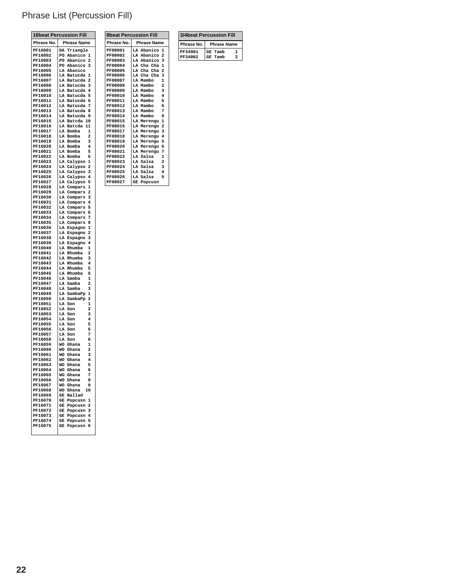### Phrase List (Percussion Fill)

**Phrase No.** Phrase Name<br>PF08001 LA Abanico 1<br>PF08002 LA Abanico 2 **8beat Percussion Fill**

PF08001 LA Abanico 1<br>
PF08002 LA Abanico 2<br>
PF08003 LA Abanico 3<br>
PF08005 LA Cha Cha 2<br>
PF08006 LA Cha Cha 2<br>
PF08006 LA Mambo 2<br>
PF08007 LA Mambo 2<br>
PF08009 LA Mambo 3<br>
PF08010 LA Mambo 4<br>
PF08011 LA Mambo 5

**PF08012 LA Mambo 6 PF08013 LA Mambo 7**

**PF08014 LA Mambo 8 PF08015 LA Merengu 1 PF08016 LA Merengu 2 PF08017 LA Merengu 3 PF08018 LA Merengu 4**

**PF08019 LA Merengu 5 PF08020 LA Merengu 6 PF08021 LA Merengu 7 PF08022 LA Salsa 1 PF08023 LA Salsa 2 PF08024 LA Salsa 3 PF08025 LA Salsa 4**

**PF08026 LA Salsa 5 PF08027 GE Popcusn**

|                    | <b>16beat Percussion Fill</b>                                 |
|--------------------|---------------------------------------------------------------|
| Phrase No.         | <b>Phrase Name</b>                                            |
| PF16001            | DA Triangle                                                   |
| PF16002<br>PF16003 | PO<br>Abanico<br>$\mathbf{1}$<br>PO Abanico<br>2              |
| PF16004            | PO Abanico<br>3                                               |
| PF16005            | LA Abanico                                                    |
| PF16006<br>PF16007 | $\mathbf{1}$<br>LA Batucda<br>LA Batucda<br>$\overline{a}$    |
| PF16008            | 3<br>LA Batucda                                               |
| PF16009            | LA Batucda<br>4                                               |
| PF16010<br>PF16011 | LA Batucda<br>5<br>LA Batucda<br>6                            |
| PF16012            | LA Batucda<br>7                                               |
| PF16013            | LA Batucda<br>8                                               |
| PF16014<br>PF16015 | LA Batucda<br>9<br>LA Batcda<br>10                            |
| PF16016            | LA Batcda<br>11                                               |
| PF16017            | LA Bomba<br>$\mathbf{1}$                                      |
| PF16018<br>PF16019 | LA Bomba<br>2<br>LA Bomba<br>3                                |
| PF16020            | LA Bomba<br>$\overline{4}$                                    |
| PF16021            | LA Bomba<br>5                                                 |
| PF16022<br>PF16023 | LA Bomba<br>6<br>LA Calypso<br>$\mathbf{1}$                   |
| PF16024            | LA Calypso<br>$\overline{2}$                                  |
| PF16025            | LA Calypso<br>3                                               |
| PF16026<br>PF16027 | LA Calypso<br>$\overline{\mathbf{4}}$<br>5<br>LA Calypso      |
| PF16028            | LA Compars<br>1                                               |
| PF16029            | 2<br>LA Compars                                               |
| PF16030<br>PF16031 | LA Compars<br>3<br>LA Compars<br>$\overline{\mathbf{4}}$      |
| PF16032            | LA<br>5<br>Compars                                            |
| PF16033            | LA Compars<br>6                                               |
| PF16034<br>PF16035 | LA Compars<br>7<br>LA Compars<br>8                            |
| PF16036            | LA<br>Espagno<br>1                                            |
| PF16037<br>PF16038 | LA Espagno<br>$\overline{\mathbf{z}}$<br>LA Espagno<br>3      |
| PF16039            | LA<br>Espagno<br>4                                            |
| PF16040            | LA Rhumba<br>$\mathbf{1}$                                     |
| PF16041<br>PF16042 | LA Rhumba<br>2<br>LA Rhumba<br>3                              |
| PF16043            | LA Rhumba<br>4                                                |
| PF16044            | LA Rhumba<br>5                                                |
| PF16045<br>PF16046 | LA Rhumba<br>6<br>$\overline{1}$<br>LA<br>Samba               |
| PF16047            | $\overline{a}$<br>LA Samba                                    |
| PF16048            | 3<br>LA Samba                                                 |
| PF16049<br>PF16050 | LA SambaPp<br>$\mathbf{1}$<br>$\overline{a}$<br>LA<br>SambaPp |
| PF16051            | LA Son<br>$\mathbf{1}$                                        |
| PF16052            | LA<br>2<br>Son                                                |
| PF16053<br>PF16054 | LA<br>3<br>Son<br>LA<br>4<br>Son                              |
| PF16055            | 5<br>LA Son                                                   |
| PF16056            | LA Son<br>6                                                   |
| PF16057<br>PF16058 | 7<br>LA<br>Son<br>LA Son<br>8                                 |
| PF16059            | WO Ghana<br>1                                                 |
| PF16060            | WO Ghana<br>2                                                 |
| PF16061<br>PF16062 | 3<br>WO Ghana<br>WO Ghana<br>4                                |
| PF16063            | WO Ghana<br>5                                                 |
| PF16064            | WO<br>Ghana<br>6                                              |
| PF16065<br>PF16066 | WO<br>Ghana<br>7<br>WO<br>8<br>Ghana                          |
| PF16067            | 9<br>WO<br>Ghana                                              |
| PF16068            | WO<br>10<br>Ghana                                             |
| PF16069<br>PF16070 | GE Ballad<br>GЕ<br>Popcusn<br>1                               |
| PF16071            | GЕ<br>2<br>Popcusn                                            |
| PF16072<br>PF16073 | GЕ<br>3<br>Popcusn                                            |
| PF16074            | GЕ<br>Popcusn<br>4<br>GЕ<br>5<br>Popcusn                      |
| PF16075            | GЕ<br>Popcusn<br>6                                            |
|                    |                                                               |

|            | <b>3/4beat Percussion Fill</b> |   |
|------------|--------------------------------|---|
| Phrase No. | <b>Phrase Name</b>             |   |
| PF34001    | GE Tamb                        |   |
| PF34002    | GE Tamb                        | 2 |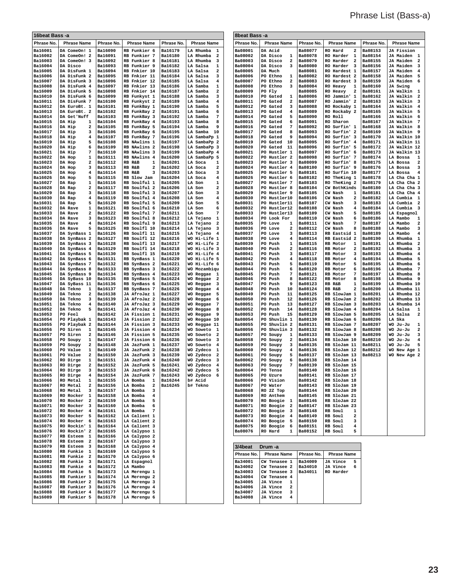| 16beat Bass -a                   |                                           |                                  |                                              |                    |                                                           | 8beat Bass -a             |                                                        |                           |                                             |                                  |                                                             |
|----------------------------------|-------------------------------------------|----------------------------------|----------------------------------------------|--------------------|-----------------------------------------------------------|---------------------------|--------------------------------------------------------|---------------------------|---------------------------------------------|----------------------------------|-------------------------------------------------------------|
| Phrase No.                       | <b>Phrase Name</b>                        | Phrase No.                       | <b>Phrase Name</b>                           | Phrase No.         | <b>Phrase Name</b>                                        | Phrase No                 | <b>Phrase Name</b>                                     | Phrase No.                | <b>Phrase Name</b>                          | Phrase No.                       | <b>Phrase Name</b>                                          |
| Ba16001                          | DA ComeOn! 1                              | <b>Ba16090</b>                   | RB Funkier 6                                 | <b>Ba16179</b>     | LA Rhumba<br>1                                            | Ba08001                   | DA Acid                                                | Ba08077                   | <b>RO Hard</b><br>$\overline{\mathbf{2}}$   | <b>Ba08153</b>                   | JA Fission                                                  |
| Ba16002                          | DA ComeOn! 2                              | <b>Ba16091</b>                   | RB Funkier 7                                 | Ba16180            | LA Rhumba<br>2                                            | Ba08002                   | DA Disco<br>1                                          | Ba08078                   | RO Harder<br>1                              | Ba08154                          | JA Maiden 1                                                 |
| Ba16003                          | DA ComeOn! 3                              | <b>Ba16092</b>                   | <b>RB Funkier 8</b>                          | Ba16181            | LA Rhumba<br>3                                            | Ba08003                   | 2<br>DA Disco                                          | Ba08079                   | <b>RO Harder</b><br>$\overline{\mathbf{2}}$ | Ba08155                          | JA Maiden<br>$\overline{\mathbf{2}}$                        |
| <b>Ba16004</b><br>Ba16005        | DA Disco<br>DA DisFunk 1                  | <b>Ba16093</b><br><b>Ba16094</b> | <b>RB Funkier 9</b><br>RB Fnkier 10          | Ba16182<br>Ba16183 | LA Salsa<br>1                                             | Ba08004<br>Ba08005        | з<br>DA Disco<br>DA Much                               | Ba08080                   | <b>RO Harder</b><br>3<br>RO Hardest<br>1    | Ba08156                          | JA Maiden 3<br>JA Maiden                                    |
| Ba16006                          | DA DisFunk 2                              | <b>Ba16095</b>                   | RB Fnkier 11                                 | Ba16184            | LA Salsa<br>2<br>LA Salsa<br>з                            | Ba08006                   | PO Ethno<br>1                                          | Ba08081<br>Ba08082        | RO Hardest<br>$\overline{\mathbf{2}}$       | Ba08157<br>Ba08158               | $\overline{4}$<br>JA Maiden<br>5                            |
| Ba16007                          | DA DisFunk 3                              | <b>Ba16096</b>                   | RB Fnkier 12                                 | Ba16185            | LA Salsa<br>4                                             | Ba08007                   | PO Ethno<br>2                                          | Ba08083                   | RO Hardest 3                                | Ba08159                          | JA Maiden<br>6                                              |
| <b>Ba16008</b>                   | DA DisFunk 4                              | <b>Ba16097</b>                   | RB Fnkier 13                                 | <b>Ba16186</b>     | LA Samba<br>1                                             | <b>Ba08008</b>            | PO Ethno<br>3                                          | Ba08084                   | RO Heavy<br>1                               | <b>Ba08160</b>                   | JA Swing                                                    |
| Ba16009                          | DA DisFunk 5                              | <b>Ba16098</b>                   | RB Fnkier 14                                 | Ba16187            | 2<br>LA Samba                                             | Ba08009                   | PO Fly                                                 | Ba08085                   | RO Heavy<br>2                               | Ba08161                          | JA Walkin 1                                                 |
| Ba16010<br>Ba16011               | DA DisFunk 6<br>DA DisFunk 7              | <b>Ba16099</b><br><b>Ba16100</b> | RB Funkyst 1<br>RB Funkyst 2                 | Ba16188<br>Ba16189 | LA Samba<br>з<br>LA Samba<br>4                            | Ba08010<br>Ba08011        | PO Gated<br>1<br>2<br>PO Gated                         | Ba08086<br>Ba08087        | RO Jammin' 1<br>RO Jammin' 2                | Ba08162<br>Ba08163               | $\overline{\mathbf{2}}$<br>JA Walkin<br>JA Walkin<br>$_{3}$ |
| Ba16012                          | DA EuroBt. 1                              | <b>Ba16101</b>                   | RB FunkBay 1                                 | Ba16190            | LA Samba<br>5                                             | Ba08012                   | PO Gated<br>з                                          | Ba08088                   | RO Rockaby 1                                | Ba08164                          | $\overline{\mathbf{4}}$<br>JA Walkin                        |
| Ba16013                          | DA EuroBt.<br>$\overline{\mathbf{2}}$     | <b>Ba16102</b>                   | RB FunkBay 2                                 | Ba16191            | 6<br>LA Samba                                             | <b>Ba08013</b>            | PO Gated<br>4                                          | Ba08089                   | RO Rockaby 2                                | Ba08165                          | JA Walkin<br>5                                              |
| Ba16014                          | DA Get'Nuff                               | <b>Ba16103</b>                   | RB FunkBay 3                                 | Ba16192            | 7<br>LA Samba                                             | Ba08014                   | 5<br>PO Gated                                          | Ba08090                   | <b>RO Roll</b>                              | Ba08166                          | JA Walkin<br>6                                              |
| Ba16015<br>Ba16016               | DA Hip<br>1<br>DA Hip<br>2                | <b>Ba16104</b><br>Ba16105        | RB FunkBay 4<br>RB FunkBay 5                 | Ba16193<br>Ba16194 | LA Samba<br>8<br>9<br>LA Samba                            | <b>Ba08015</b><br>Ba08016 | 6<br>PO Gated<br>7<br>PO Gated                         | Ba08091<br>Ba08092        | RO Sharon<br>RO Surfin' 1                   | Ba08167<br><b>Ba08168</b>        | JA Walkin<br>- 7<br>JA Walkin 8                             |
| Ba16017                          | DA Hip<br>з                               | Ba16106                          | RB FunkBay 6                                 | Ba16195            | LA Samba<br>10                                            | <b>Ba08017</b>            | PO Gated<br>8                                          | Ba08093                   | RO Surfin' 2                                | Ba08169                          | JA Walkin 9                                                 |
| Ba16018                          | 4<br>DA Hip                               | <b>Ba16107</b>                   | RB FunkBay 7                                 | <b>Ba16196</b>     | LA SambaPp 1                                              | Ba08018                   | 9<br>PO Gated                                          | Ba08094                   | RO Surfin' 3                                | Ba08170                          | JA Walkin 10                                                |
| Ba16019                          | DA Hip<br>5                               | Ba16108                          | RB NAwlins 1                                 | Ba16197            | LA SambaPp 2                                              | Ba08019                   | PO Gated<br>10                                         | Ba08095                   | RO Surfin'<br>$\overline{4}$                | Ba08171                          | JA Walkin 11                                                |
| Ba16020<br>Ba16021               | DA Hip<br>6<br>7<br>DA Hip                | Ba16109<br>Ba16110               | RB NAwlins 2<br><b>RB NAwlins 3</b>          | Ba16198<br>Ba16199 | LA SambaPp<br>-3<br>LA SambaPp<br>$\overline{\mathbf{4}}$ | <b>Ba08020</b><br>Ba08021 | PO Gated<br>11<br>PO Hustler 1                         | Ba08096<br>Ba08097        | RO Surfin'<br>- 5<br>RO Surfin' 6           | Ba08172<br>Ba08173               | JA Walkin 12<br>JA Walkin 13                                |
| Ba16022                          | DA Hop<br>1                               | <b>Ba16111</b>                   | RB NAwlins 4                                 | Ba16200            | LA SambaPp<br>5                                           | <b>Ba08022</b>            | <b>PO Hustler 2</b>                                    | Ba08098                   | RO Surfin' 7                                | Ba08174                          | LA Bossa<br>1                                               |
| Ba16023                          | DA Hop<br>2                               | Ba16112                          | RB R&B<br>1                                  | Ba16201            | LA Soca<br>1                                              | Ba08023                   | PO Hustler 3                                           | Ba08099                   | RO Surfin' 8                                | Ba08175                          | $\overline{\mathbf{2}}$<br>LA Bossa                         |
| Ba16024                          | DA Hop<br>з                               | Ba16113                          | RB R&B<br>2                                  | Ba16202            | LA Soca<br>2                                              | <b>Ba08024</b>            | <b>PO Hustler 4</b>                                    | Ba08100                   | RO Surfin' 9                                | <b>Ba08176</b>                   | LA Bossa<br>з                                               |
| Ba16025<br>Ba16026               | 4<br>DA Hop<br>DA Hop<br>5                | <b>Ba16114</b><br>Ba16115        | RB R&B<br>3<br>RB Slow Jam                   | Ba16203<br>Ba16204 | з<br>LA Soca<br>LA Soca<br>4                              | Ba08025<br>Ba08026        | <b>PO Hustler 5</b><br>PO Hustler 6                    | Ba08101<br>Ba08102        | RO Surfin 10<br>RO TheKing 1                | Ba08177<br>Ba08178               | $\overline{\mathbf{4}}$<br>LA Bossa<br>LA Cha Cha 1         |
| Ba16027                          | 1<br>DA Rap                               | Ba16116                          | RB Soulful 1                                 | Ba16205            | LA Son<br>1                                               | <b>Ba08027</b>            | PO Hustler 7                                           | Ba08103                   | <b>RO TheKing 2</b>                         | Ba08179                          | LA Cha Cha 2                                                |
| Ba16028                          | 2<br>DA Rap                               | Ba16117                          | RB Soulful 2                                 | Ba16206            | 2<br><b>LA Son</b>                                        | Ba08028                   | PO Hustler 8                                           | Ba08104                   | CW BothKinds                                | Ba08180                          | LA Cha Cha 3                                                |
| Ba16029                          | DA Rap<br>3                               | <b>Ba16118</b>                   | RB Soulful 3                                 | Ba16207            | <b>LA Son</b><br>з                                        | <b>Ba08029</b>            | <b>PO Hustler 9</b>                                    | Ba08105                   | CW Nash<br>1                                | Ba08181                          | LA Cha Cha 4                                                |
| Ba16030                          | DA Rap<br>4<br>5                          | Ba16119                          | RB Soulful 4                                 | Ba16208            | LA Son<br>4<br>5<br>LA Son                                | Ba08030<br>Ba08031        | PO Hustler10                                           | Ba08106                   | CW Nash<br>2<br>3                           | Ba08182                          | LA Cumbia 1                                                 |
| Ba16031<br>Ba16032               | DA Rap<br>DA Rave<br>1                    | Ba16120<br><b>Ba16121</b>        | RB Soulful 5<br>RB Soulful 6                 | Ba16209<br>Ba16210 | 6<br>LA Son                                               | Ba08032                   | PO Hustler11<br>PO Hustler12                           | Ba08107<br>Ba08108        | CW Nash<br>4<br>CW Nash                     | <b>Ba08183</b><br>Ba08184        | LA Cumbia 2<br>LA Cumbia 3                                  |
| Ba16033                          | DA Rave<br>2                              | Ba16122                          | RB Soulful 7                                 | Ba16211            | LA Son<br>7                                               | Ba08033                   | PO Hustler13                                           | Ba08109                   | CW Nash<br>5                                | Ba08185                          | LA Espagnol                                                 |
| Ba16034                          | 3<br>DA Rave                              | Ba16123                          | RB Soulful 8                                 | Ba16212            | LA Tejano<br>1                                            | <b>Ba08034</b>            | PO Look For                                            | Ba08110                   | CW Nash<br>6                                | Ba08186                          | LA Mambo<br>1                                               |
| Ba16035                          | 4<br>DA Rave<br>5                         | <b>Ba16124</b>                   | <b>RB Soulful 9</b>                          | Ba16213            | LA Tejano<br>2                                            | Ba08035                   | PO Love<br>1                                           | Ba08111                   | 7<br>CW Nash                                | Ba08187                          | $\mathbf{2}$<br>LA Mambo                                    |
| <b>Ba16036</b><br>Ba16037        | DA Rave<br>DA SynBass 1                   | <b>Ba16125</b><br>Ba16126        | RB Soulfl 10<br>RB Soulfl 11                 | Ba16214<br>Ba16215 | LA Tejano<br>3<br>LA Tejano<br>4                          | <b>Ba08036</b><br>Ba08037 | PO Love<br>2<br>PO Love<br>з                           | Ba08112<br>Ba08113        | CW Nash<br>8<br>RB Eastsid 1                | <b>Ba08188</b><br>Ba08189        | 3<br>LA Mambo<br>LA Mambo<br>4                              |
| Ba16038                          | $\overline{\mathbf{2}}$<br>DA SynBass     | <b>Ba16127</b>                   | RB Soulfl 12                                 | Ba16216            | WO Hi-Life 1                                              | Ba08038                   | PO Love<br>4                                           | Ba08114                   | RB Eastsid 2                                | <b>Ba08190</b>                   | LA Rhumba<br>1                                              |
| Ba16039                          | DA SynBass 3                              | <b>Ba16128</b>                   | RB Soulfl 13                                 | Ba16217            | WO Hi-Life 2                                              | Ba08039                   | PO Push<br>1                                           | Ba08115                   | RB Motor<br>1                               | Ba08191                          | $\overline{\mathbf{2}}$<br>LA Rhumba                        |
| Ba16040                          | DA SynBass 4                              | <b>Ba16129</b>                   | RB Soulfl 14                                 | Ba16218            | WO Hi-Life 3                                              | Ba08040                   | PO Push<br>2                                           | Ba08116                   | RB Motor<br>2                               | Ba08192                          | 3<br>LA Rhumba                                              |
| Ba16041<br>Ba16042               | DA SynBass 5<br>DA SynBass 6              | <b>Ba16130</b><br><b>Ba16131</b> | RB Soulfl 15<br>RB SynBass 1                 | Ba16219<br>Ba16220 | WO Hi-Life 4<br>WO Hi-Life 5                              | <b>Ba08041</b><br>Ba08042 | PO Push<br>з<br>4<br>PO Push                           | Ba08117<br>Ba08118        | RB Motor<br>з<br>RB Motor<br>4              | Ba08193<br><b>Ba08194</b>        | LA Rhumba<br>$\overline{\mathbf{4}}$<br>LA Rhumba<br>5      |
| Ba16043                          | DA SynBass 7                              | <b>Ba16132</b>                   | RB SynBass 2                                 | <b>Ba16221</b>     | WO Hi-Life 6                                              | <b>Ba08043</b>            | 5<br>PO Push                                           | Ba08119                   | 5<br><b>RB</b> Motor                        | <b>Ba08195</b>                   | LA Rhumba<br>6                                              |
| Ba16044                          | DA SynBass 8                              | <b>Ba16133</b>                   | RB SynBass 3                                 | Ba16222            | WO Mozambiqu                                              | Ba08044                   | PO Push<br>6                                           | Ba08120                   | RB Motor<br>6                               | <b>Ba08196</b>                   | LA Rhumba<br>7                                              |
| Ba16045                          | DA SynBass 9                              | <b>Ba16134</b>                   | RB SynBass 4                                 | Ba16223            | WO Reggae<br>1                                            | <b>Ba08045</b>            | 7<br>PO Push                                           | Ba08121                   | 7<br>RB Motor                               | <b>Ba08197</b>                   | LA Rhumba<br>8                                              |
| <b>Ba16046</b><br><b>Ba16047</b> | DA SyBass 10<br>DA SyBass 11              | <b>Ba16135</b><br><b>Ba16136</b> | RB SynBass 5<br>RB SynBass 6                 | Ba16224<br>Ba16225 | WO<br>Reggae<br>2<br>WO Reggae<br>3                       | Ba08046<br>Ba08047        | PO Push<br>8<br>PO Push<br>9                           | Ba08122<br>Ba08123        | 8<br>RB Motor<br>RB R&B<br>1                | Ba08198<br>Ba08199               | LA Rhumba<br>و.<br>LA Rhumba 10                             |
| Ba16048                          | DA Tekno<br>1                             | <b>Ba16137</b>                   | RB SynBass 7                                 | Ba16226            | WO Reggae<br>$\overline{4}$                               | <b>Ba08048</b>            | PO Push<br>10                                          | Ba08124                   | RB<br>R&B<br>2                              | Ba08200                          | LA Rhumba 11                                                |
| Ba16049                          | 2<br>DA Tekno                             | <b>Ba16138</b>                   | JA AfroJaz 1                                 | Ba16227            | WO Reggae<br>5                                            | Ba08049                   | PO Push<br>11                                          | Ba08125                   | RB SlowJam 1                                | <b>Ba08201</b>                   | LA Rhumba 12                                                |
| <b>Ba16050</b>                   | DA Tekno<br>з                             | <b>Ba16139</b>                   | JA AfroJaz 2                                 | Ba16228            | WO Reggae<br>6                                            | <b>Ba08050</b>            | PO Push<br>12                                          | Ba08126                   | RB SlowJam 2                                | <b>Ba08202</b>                   | LA Rhumba 13                                                |
| Ba16051<br>Ba16052               | DA Tekno<br>4<br>5<br>DA Tekno            | Ba16140<br>Ba16141               | JA AfroJaz 3<br>JA AfroJaz 4                 | Ba16229<br>Ba16230 | WO Reggae<br>7<br>WO Reggae<br>8                          | Ba08051<br><b>Ba08052</b> | PO Push<br>13<br>14<br>PO Push                         | Ba08127<br>Ba08128        | RB SlowJam 3<br>RB SlowJam 4                | <b>Ba08203</b><br><b>Ba08204</b> | LA Rhumba 14<br>LA Salsa<br>1                               |
| Ba16053                          | PO Feel                                   | <b>Ba16142</b>                   | JA Fission 1                                 | <b>Ba16231</b>     | WO Reggae<br>-9                                           | Ba08053                   | 15<br>PO Push                                          | Ba08129                   | RB SlowJam 5                                | Ba08205                          | LA Salsa<br>2                                               |
| <b>Ba16054</b>                   | PO Playbak 1                              | <b>Ba16143</b>                   | JA Fission 2                                 | Ba16232            | WO Reggae 10                                              | Ba08054                   | PO Shuvlin 1                                           | Ba08130                   | RB SlowJam 6                                | Ba08206                          | LA Ska                                                      |
| Ba16055                          | Playbak 2<br>PO                           | <b>Ba16144</b>                   | JA Fission 3                                 | Ba16233            | WO Reggae 11                                              | <b>Ba08055</b>            | PO Shuvlin 2                                           | Ba08131                   | RB SlowJam 7                                | Ba08207                          | WO Ju-Ju<br>1                                               |
| Ba16056<br>Ba16057               | PO Siren<br>1<br>PO Siren<br>2            | <b>Ba16145</b><br><b>Ba16146</b> | JA Fission 4<br>JA Fission 5                 | Ba16234<br>Ba16235 | WO Soweto<br>1<br>WO Soweto<br>2                          | Ba08056<br><b>Ba08057</b> | PO Shuvlin 3<br>PO Soupy<br>1                          | Ba08132<br>Ba08133        | RB SlowJam 8<br>RB SlowJam 9                | Ba08208<br>Ba08209               | WO Ju-Ju<br>$\mathbf{2}$<br>3<br>WO Ju-Ju                   |
| Ba16058                          | PO Soupy<br>1                             | <b>Ba16147</b>                   | JA Fission 6                                 | Ba16236            | WO Soweto<br>3                                            | Ba08058                   | PO Soupy<br>2                                          | Ba08134                   | RB SloJam 10                                | Ba08210                          | $\overline{\mathbf{4}}$<br>WO Ju-Ju                         |
| Ba16059                          | 2<br>PO Soupy                             | <b>Ba16148</b>                   | JA JazFunk 1                                 | Ba16237            | WO Soweto<br>4                                            | Ba08059                   | 3<br>PO Soupy                                          | Ba08135                   | RB SloJam 11                                | <b>Ba08211</b>                   | WO Ju-Ju<br>5                                               |
| Ba16060                          | PO Value<br>1                             | <b>Ba16149</b>                   | JA JazFunk 2                                 | Ba16238            | WO<br>Zydeco<br>1                                         | <b>Ba08060</b>            | 4<br>PO Soupy                                          | Ba08136                   | RB SloJam 12                                | <b>Ba08212</b>                   | WO New Age 1                                                |
| <b>Ba16061</b><br>Ba16062        | PO Value<br>2                             | Ba16150<br>Ba16151               | JA JazFunk 3                                 | Ba16239            | WO Zydeco<br>$\overline{\mathbf{2}}$<br>3                 | Ba08061                   | PO Soupy<br>5                                          | Ba08137                   | RB SloJam 13                                | Ba08213                          | WO New Age 2                                                |
| Ba16063                          | RO Dirge<br>1<br>RO Dirge<br>2            | Ba16152                          | JA JazFunk 4<br>JA JazFunk 5                 | Ba16240<br>Ba16241 | WO Zydeco<br>WO Zydeco 4                                  | Ba08062<br><b>Ba08063</b> | PO Soupy<br>6<br>PO Soupy                              | Ba08138<br><b>Ba08139</b> | RB SloJam 14<br>RB SloJam 15                |                                  |                                                             |
| <b>Ba16064</b>                   | RO Dirge<br>3                             | Ba16153                          | JA JazFunk 6                                 | Ba16242            | WO Zydeco 5                                               | Ba08064                   | PO Tense                                               | Ba08140                   | RB SloJam 16                                |                                  |                                                             |
| <b>Ba16065</b>                   | RO Dirge<br>4                             | Ba16154                          | JA JazFunk 7                                 | Ba16243            | WO Zydeco 6                                               | Ba08065                   | PO Uzure                                               | Ba08141                   | RB SloJam 17                                |                                  |                                                             |
| <b>Ba16066</b><br>Ba16067        | RO Metal<br>$\mathbf{1}$<br>RO Metal<br>2 | Ba16155<br>Ba16156               | LA Bomba<br>$\mathbf{1}$<br>LA Bomba<br>2    | Ba16244<br>Ba16245 | b# Acid<br>b# Tekno                                       | Ba08066<br>Ba08067        | PO Vision<br>PO Water                                  | Ba08142<br>Ba08143        | RB SloJam 18<br>RB SloJam 19                |                                  |                                                             |
| <b>Ba16068</b>                   | RO Metal<br>3                             | Ba16157                          | LA Bomba<br>3                                |                    |                                                           | Ba08068                   | RO 2Z Top                                              | Ba08144                   | RB SloJam 20                                |                                  |                                                             |
| <b>Ba16069</b>                   | RO Rocker<br>$\mathbf{1}$                 | Ba16158                          | LA Bomba<br>$4\phantom{1}$                   |                    |                                                           | Ba08069                   | RO Anthem                                              | Ba08145                   | RB SloJam 21                                |                                  |                                                             |
| <b>Ba16070</b>                   | RO Rocker 2                               | Ba16159                          | LA Bomba<br>5                                |                    |                                                           | Ba08070                   | RO Boogie 1                                            | Ba08146                   | RB SloJam 22                                |                                  |                                                             |
| Ba16071<br><b>Ba16072</b>        | RO Rocker 3<br>RO Rocker 4                | Ba16160<br>Ba16161               | LA Bomba<br>6<br>LA Bomba<br>$7\phantom{.0}$ |                    |                                                           | Ba08071<br>Ba08072        | RO Boogie<br>$\overline{\mathbf{2}}$<br>RO Boogie<br>3 | Ba08147<br>Ba08148        | RB SloJam 23<br>RB Soul<br>1                |                                  |                                                             |
| <b>Ba16073</b>                   | RO Rocker 5                               | Ba16162                          | LA Calient 1                                 |                    |                                                           | Ba08073                   | RO Boogie<br>$\overline{4}$                            | Ba08149                   | RB Soul<br>2                                |                                  |                                                             |
| Ba16074                          | RO Rocker 6                               | Ba16163                          | LA Calient 2                                 |                    |                                                           | Ba08074                   | RO Boogie<br>- 5                                       | Ba08150                   | RB Soul<br>3                                |                                  |                                                             |
| <b>Ba16075</b>                   | RO Rockin' 1                              | Ba16164                          | LA Calient 3                                 |                    |                                                           | Ba08075                   | RO Boogie<br>- 6                                       | Ba08151                   | RB Soul<br>4                                |                                  |                                                             |
| <b>Ba16076</b><br><b>Ba16077</b> | RO Rockin' 2<br>RB Esteem 1               | Ba16165<br>Ba16166               | LA Calypso 1<br>LA Calypso 2                 |                    |                                                           | Ba08076                   | RO Hard<br>1                                           | Ba08152                   | RB Soul<br>5                                |                                  |                                                             |
| <b>Ba16078</b>                   | RB Esteem 2                               | Ba16167                          | LA Calypso 3                                 |                    |                                                           |                           |                                                        |                           |                                             |                                  |                                                             |
| <b>Ba16079</b>                   | RB Esteem 3                               | Ba16168                          | LA Calypso 4                                 |                    |                                                           | 3/4beat                   | Drum -a                                                |                           |                                             |                                  |                                                             |
| <b>Ba16080</b>                   | RB Funkie 1                               | Ba16169                          | LA Calypso 5                                 |                    |                                                           | Phrase No.                | <b>Phrase Name</b>                                     | Phrase No.                | <b>Phrase Name</b>                          |                                  |                                                             |
| Ba16081<br><b>Ba16082</b>        | RB Funkie 2<br>RB Funkie 3                | Ba16170<br>Ba16171               | LA Calypso 6<br>LA Espagnol                  |                    |                                                           | Ba34001                   | CW Tenasee 1                                           | Ba34009                   | JA Vince<br>5                               |                                  |                                                             |
| <b>Ba16083</b>                   | RB Funkie 4                               | Ba16172                          | LA Mambo                                     |                    |                                                           | Ba34002                   | CW Tenasee 2                                           | Ba34010                   | JA Vince<br>6                               |                                  |                                                             |
| <b>Ba16084</b>                   | RB Funkie 5                               | Ba16173                          | LA Merengu 1                                 |                    |                                                           | Ba34003                   | CW Tenasee 3                                           | Ba34011                   | RO Harder                                   |                                  |                                                             |
| <b>Ba16085</b>                   | RB Funkier 1                              | Ba16174                          | LA Merengu 2                                 |                    |                                                           | Ba34004                   | CW Tenasee 4                                           |                           |                                             |                                  |                                                             |
| <b>Ba16086</b><br><b>Ba16087</b> | RB Funkier 2<br>RB Funkier 3              | Ba16175<br>Ba16176               | LA Merengu 3<br>LA Merengu 4                 |                    |                                                           | Ba34005<br>Ba34006        | JA Vince<br>1<br>JA Vince<br>2                         |                           |                                             |                                  |                                                             |
| <b>Ba16088</b>                   | RB Funkier 4                              | Ba16177                          | LA Merengu 5                                 |                    |                                                           | Ba34007                   | JA Vince<br>з                                          |                           |                                             |                                  |                                                             |
| <b>Ba16089</b>                   | RB Funkier 5                              | Ba16178                          | LA Merengu 6                                 |                    |                                                           | Ba34008                   | JA Vince<br>4                                          |                           |                                             |                                  |                                                             |
|                                  |                                           |                                  |                                              |                    |                                                           |                           |                                                        |                           |                                             |                                  |                                                             |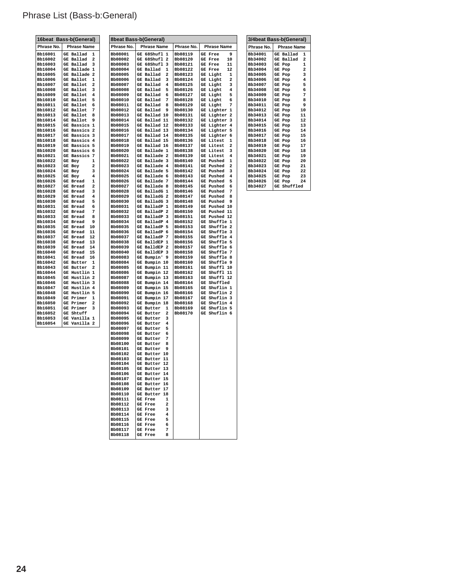|                           | 16beat Bass-b(General)              |                    | 8beat Bass-b(General)                     |                    |                                  |
|---------------------------|-------------------------------------|--------------------|-------------------------------------------|--------------------|----------------------------------|
| Phrase No.                | <b>Phrase Name</b>                  | Phrase No.         | <b>Phrase Name</b>                        | Phrase No.         | <b>Phrase Name</b>               |
| <b>Bb16001</b>            | GE Ballad<br>1                      | Bb08001            | GE 68Shufl 1                              | Bb08119            | 9<br><b>GE Free</b>              |
| Bb16002                   | GE Ballad<br>2                      | Bb08002            | GE 68Shufl 2                              | Bb08120            | 10<br>GE Free                    |
| Bb16003                   | GE Ballad<br>з                      | Bb08003            | GE 68Shufl<br>-3                          | Bb08121            | <b>GE Free</b><br>11             |
| Bb16004                   | GE Ballade 1                        | Bb08004            | GE Ballad<br>ı                            | Bb08122            | GE Free<br>12                    |
| <b>Bb16005</b>            | GE Ballade 2                        | Bb08005            | GE Ballad<br>2                            | Bb08123            | GE Light<br>1                    |
| Bb16006<br><b>Bb16007</b> | GE Ballot<br>1<br>GE Ballot<br>2    | Bb08006<br>Bb08007 | GE Ballad<br>з<br>GE Ballad<br>4          | Bb08124<br>Bb08125 | GE Light<br>2<br>3               |
| Bb16008                   | GE Ballot<br>з                      | Bb08008            | GE Ballad<br>5                            | Bb08126            | GE Light<br>GE Light<br>4        |
| Bb16009                   | GE Ballot<br>4                      | Bb08009            | GE Ballad<br>6                            | Bb08127            | GE Light<br>5                    |
| Bb16010                   | GE Ballot<br>5                      | Bb08010            | GE Ballad<br>7                            | Bb08128            | GE Light<br>6                    |
| Bb16011                   | GE Ballot<br>6                      | Bb08011            | GE Ballad<br>8                            | Bb08129            | 7<br>GE Light                    |
| Bb16012                   | GE Ballot<br>7                      | Bb08012            | GE Ballad<br>9                            | Bb08130            | GE Lighter 1                     |
| Bb16013                   | GE Ballot<br>8                      | Bb08013            | GE Ballad 10                              | Bb08131            | GE Lighter 2                     |
| <b>Bb16014</b>            | GE Ballot<br>9                      | Bb08014            | GE Ballad 11                              | Bb08132            | GE Lighter 3                     |
| Bb16015                   | GE Bassics 1                        | Bb08015            | GE Ballad 12                              | Bb08133<br>Bb08134 | GE Lighter 4<br>GE Lighter 5     |
| Bb16016<br>Bb16017        | GE Bassics 2<br>GE Bassics 3        | Bb08016<br>Bb08017 | GE Ballad 13<br>GE Ballad 14              | Bb08135            | GE Lighter 6                     |
| Bb16018                   | GE Bassics 4                        | Bb08018            | GE Ballad 15                              | Bb08136            | GE Litest<br>1                   |
| Bb16019                   | GE Bassics 5                        | Bb08019            | GE Ballad 16                              | Bb08137            | GE Litest<br>2                   |
| Bb16020                   | GE Bassics 6                        | Bb08020            | GE Ballade 1                              | Bb08138            | GE Litest<br>з                   |
| Bb16021                   | GE Bassics 7                        | Bb08021            | GE Ballade 2                              | Bb08139            | GE Litest<br>4                   |
| Bb16022                   | GE Boy<br>1                         | Bb08022            | GE Ballade 3                              | Bb08140            | GE Pushed<br>1                   |
| Bb16023                   | GE Boy<br>2                         | Bb08023            | GE Ballade 4                              | Bb08141            | GE Pushed<br>2                   |
| Bb16024                   | з<br>GE Boy                         | Bb08024            | GE Ballade 5                              | Bb08142            | <b>GE</b> Pushed<br>3            |
| Bb16025<br>Bb16026        | GE Boy<br>4<br><b>GE Bread</b><br>1 | Bb08025<br>Bb08026 | GE Ballade 6<br>GE Ballade 7              | Bb08143<br>Bb08144 | GE Pushed<br>4<br>GE Pushed<br>5 |
| Bb16027                   | GE Bread<br>2                       | Bb08027            | GE Ballade 8                              | Bb08145            | <b>GE</b> Pushed<br>6            |
| Bb16028                   | GE Bread<br>з                       | Bb08028            | GE BalladG 1                              | Bb08146            | <b>GE</b> Pushed<br>7            |
| Bb16029                   | GE Bread<br>4                       | Bb08029            | GE BalladG 2                              | Bb08147            | GE Pushed<br>8                   |
| Bb16030                   | 5<br><b>GE Bread</b>                | Bb08030            | GE BalladG 3                              | Bb08148            | 9<br><b>GE</b> Pushed            |
| Bb16031                   | GE Bread<br>6                       | Bb08031            | GE BalladP 1                              | Bb08149            | GE Pushed 10                     |
| Bb16032                   | 7<br>GE Bread                       | Bb08032            | GE BalladP 2                              | Bb08150            | GE Pushed 11                     |
| Bb16033                   | <b>GE Bread</b><br>8                | Bb08033            | GE BalladP 3                              | Bb08151            | GE Pushed 12                     |
| Bb16034                   | <b>GE Bread</b><br>9                | Bb08034            | GE BalladP 4                              | Bb08152            | GE Shuffle 1                     |
| Bb16035                   | GE Bread<br>10<br>GE Bread<br>11    | Bb08035            | GE BalladP 5                              | Bb08153            | GE Shuffle 2<br>GE Shuffle 3     |
| Bb16036<br>Bb16037        | GE Bread<br>12                      | Bb08036<br>Bb08037 | GE BalladP 6<br>GE BalladP 7              | Bb08154<br>Bb08155 | GE Shuffle 4                     |
| Bb16038                   | <b>GE Bread</b><br>13               | Bb08038            | GE BalldEP 1                              | Bb08156            | GE Shuffle 5                     |
| Bb16039                   | <b>GE Bread</b><br>14               | Bb08039            | GE BalldEP 2                              | Bb08157            | GE Shuffle 6                     |
| <b>Bb16040</b>            | GE Bread<br>15                      | Bb08040            | GE BalldEP 3                              | Bb08158            | GE Shuffle 7                     |
| Bb16041                   | GE Bread<br>16                      | Bb08083            | GE Bumpin' 9                              | Bb08159            | GE Shuffle 8                     |
| Bb16042                   | GE Butter<br>1                      | Bb08084            | GE Bumpin 10                              | Bb08160            | GE Shuffle 9                     |
| Bb16043                   | GE Butter<br>2                      | Bb08085            | GE Bumpin 11                              | Bb08161            | GE Shuffl 10                     |
| Bb16044                   | GE Hustlin 1                        | Bb08086            | GE Bumpin 12                              | Bb08162            | GE Shuffl 11                     |
| Bb16045<br>Bb16046        | GE Hustlin 2<br>GE Hustlin 3        | Bb08087<br>Bb08088 | GE Bumpin 13<br>GE Bumpin 14              | Bb08163<br>Bb08164 | GE Shuffl 12<br>GE Shuffled      |
| Bb16047                   | GE Hustlin 4                        | Bb08089            | GE Bumpin 15                              | Bb08165            | GE Shuflin 1                     |
| Bb16048                   | GE Hustlin 5                        | Bb08090            | GE Bumpin 16                              | Bb08166            | GE Shuflin 2                     |
| Bb16049                   | GE Primer<br>1                      | Bb08091            | GE Bumpin 17                              | Bb08167            | GE Shuflin 3                     |
| <b>Bb16050</b>            | GE Primer<br>2                      | Bb08092            | GE Bumpin 18                              | Bb08168            | GE Shuflin 4                     |
| Bb16051                   | GE Primer<br>з                      | Bb08093            | GE Butter<br>1                            | Bb08169            | GE Shuflin 5                     |
| Bb16052                   | GE Shtuff                           | Bb08094            | <b>GE Butter</b><br>2                     | Bb08170            | GE Shuflin 6                     |
| Bb16053                   | GE Vanilla 1                        | Bb08095            | GE Butter<br>з                            |                    |                                  |
| Bb16054                   | GE Vanilla 2                        | Bb08096            | <b>GE Butter</b><br>4<br><b>GE Butter</b> |                    |                                  |
|                           |                                     | Bb08097<br>Bb08098 | 5<br><b>GE Butter</b><br>6                |                    |                                  |
|                           |                                     | Bb08099            | <b>GE Butter</b><br>7                     |                    |                                  |
|                           |                                     | Bb08100            | 8<br>GE Butter                            |                    |                                  |
|                           |                                     | Bb08101            | <b>GE Butter</b><br>9                     |                    |                                  |
|                           |                                     | Bb08102            | GE Butter 10                              |                    |                                  |
|                           |                                     | Bb08103            | GE Butter 11                              |                    |                                  |
|                           |                                     | Bb08104            | GE Butter 12                              |                    |                                  |
|                           |                                     | Bb08105            | GE Butter 13                              |                    |                                  |
|                           |                                     | Bb08106<br>Bb08107 | GE Butter 14                              |                    |                                  |
|                           |                                     | Bb08108            | GE Butter 15<br>GE Butter 16              |                    |                                  |
|                           |                                     | Bb08109            | GE Butter 17                              |                    |                                  |
|                           |                                     | Bb08110            | GE Butter 18                              |                    |                                  |
|                           |                                     | Bb08111            | <b>GE Free</b><br>1                       |                    |                                  |
|                           |                                     | Bb08112            | <b>GE Free</b><br>$\overline{\mathbf{2}}$ |                    |                                  |
|                           |                                     | Bb08113            | <b>GE Free</b><br>$\overline{\mathbf{3}}$ |                    |                                  |
|                           |                                     | Bb08114            | <b>GE Free</b><br>$\overline{4}$          |                    |                                  |
|                           |                                     | Bb08115            | <b>GE Free</b><br>5                       |                    |                                  |
|                           |                                     | Bb08116            | <b>GE Free</b><br>6                       |                    |                                  |
|                           |                                     | Bb08117<br>Bb08118 | 7<br><b>GE Free</b><br>8                  |                    |                                  |
|                           |                                     |                    | <b>GE Free</b>                            |                    |                                  |

| 3/4beat Bass-b(General) |    |                    |                         |
|-------------------------|----|--------------------|-------------------------|
| Phrase No.              |    | <b>Phrase Name</b> |                         |
| Bb34001                 | GE | <b>Ballad</b>      | $\mathbf{1}$            |
| Bb34002                 |    | GE Ballad          | $\overline{a}$          |
| Bb34003                 |    | GE Pop             | $\mathbf{1}$            |
| Bb34004                 | GE | Pop                | $\overline{a}$          |
| Bb34005                 |    | GE Pop             | 3                       |
| Bb34006                 |    | GE Pop             | $\overline{\mathbf{4}}$ |
| Bb34007                 |    | GE Pop             | 5                       |
| Bb34008                 | GE | Pop                | 6                       |
| Bb34009                 |    | GE Pop             | 7                       |
| Bb34010                 |    | GE Pop             | 8                       |
| Bb34011                 |    | GE Pop             | 9                       |
| Bb34012                 | GE | Pop                | 10                      |
| Bb34013                 |    | GE Pop             | 11                      |
| Bb34014                 |    | GE Pop             | 12                      |
| Bb34015                 |    | GE Pop             | 13                      |
| Bb34016                 | GE | Pop                | 14                      |
| Bb34017                 |    | GE Pop             | 15                      |
| Bb34018                 |    | GE Pop             | 16                      |
| Bb34019                 |    | GE Pop             | 17                      |
| Bb34020                 | GE | Pop                | 18                      |
| Bb34021                 |    | GE Pop             | 19                      |
| Bb34022                 |    | GE Pop             | - 20                    |
| Bb34023                 |    | GE Pop             | 21                      |
| Bb34024                 | GE | Pop                | - 22                    |
| Bb34025                 | GE | Pop                | 23                      |
| Bb34026                 | GE | Pop                | 24                      |
| Bb34027                 | GE | Shuffled           |                         |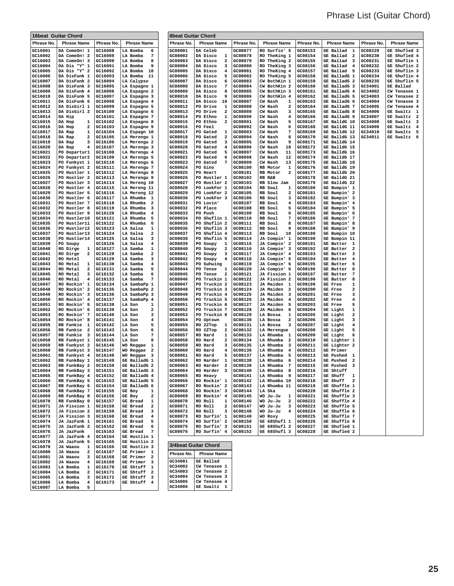### Phrase List (Guitar Chord)

|                    | 16beat Guitar Chord                                  |                    |                                   | <b>8beat Guitar Chord</b> |                                     |                    |                                       |                    |                                                                     |                    |                                                     |
|--------------------|------------------------------------------------------|--------------------|-----------------------------------|---------------------------|-------------------------------------|--------------------|---------------------------------------|--------------------|---------------------------------------------------------------------|--------------------|-----------------------------------------------------|
| Phrase No.         | <b>Phrase Name</b>                                   | Phrase No.         | <b>Phrase Name</b>                | Phrase No.                | <b>Phrase Name</b>                  | Phrase No.         | <b>Phrase Name</b>                    | Phrase No.         | <b>Phrase Name</b>                                                  | Phrase No.         | <b>Phrase Name</b>                                  |
| GC16001            | DA ComeOn! 1                                         | GC16088            | LA Bomba<br>6                     | GC08001                   | <b>DA Celeb</b>                     | GC08077            | RO Surfin' 5                          | GC08153            | GE Ballad<br>1                                                      | GC08229            | GE Shufled 3                                        |
| GC16002            | DA ComeOn! 2                                         | GC16089            | LA Bomba<br>7                     | GC08002                   | DA Disco<br>1                       | GC08078            | RO TheKing 1                          | GC08154            | GE Ballad<br>$\overline{\mathbf{2}}$                                | GC08230            | GE Shufled 4                                        |
| GC16003            | DA ComeOn! 3                                         | GC16090            | LA Bomba<br>8                     | GC08003                   | DA Disco<br>2                       | GC08079            | RO TheKing 2                          | GC08155            | GE Ballad<br>$\overline{\mathbf{3}}$                                | GC08231            | GE Shuflin 1                                        |
| GC16004<br>GC16005 | DA Dis "Y" 1<br>DA Dis "Y" 2                         | GC16091<br>GC16092 | LA Bomba<br>9<br>LA Bomba<br>10   | GC08004<br>GC08005        | DA Disco<br>з<br>DA Disco<br>4      | GC08080<br>GC08081 | RO TheKing 3<br>RO TheKing 4          | GC08156<br>GC08157 | GE Ballad<br>$\overline{4}$<br>GE Ballad<br>5                       | GC08232<br>GC08233 | GE Shuflin 2<br>GE Shuflin 3                        |
| GC16006            | DA DisFunk 1                                         | GC16093            | LA Bomba<br>-11                   | GC08006                   | DA Disco<br>5                       | GC08082            | RO TheKing 5                          | GC08158            | GE BalladG 1                                                        | GC08234            | GE Shuflin 4                                        |
| GC16007            | DA DisFunk 2                                         | GC16094            | LA Calypso                        | GC08007                   | DA Disco<br>6                       | GC08083            | CW BothKin 1                          | GC08159            | GE BalladG 2                                                        | GC08235            | GE Shuflin 5                                        |
| GC16008            | DA DisFunk 3                                         | GC16095            | LA Espagno 1                      | GC08008                   | DA Disco<br>7                       | GC08084            | CW BothKin 2                          | GC08160            | GE BalladG 3                                                        | GC34001            | GE Ballad                                           |
| GC16009<br>GC16010 | DA DisFunk 4<br>DA DisFunk 5                         | GC16096<br>GC16097 | LA Espagno 2<br>LA Espagno 3      | GC08009<br>GC08010        | DA Disco<br>8<br>DA Disco<br>9      | GC08085<br>GC08086 | CW BothKin 3<br>CW BothKin 4          | GC08161<br>GC08162 | GE BalladG 4<br>GE BalladG 5                                        | GC34002<br>GC34003 | CW Tenasee 1<br>CW Tenasee 2                        |
| GC16011            | DA DisFunk 6                                         | GC16098            | LA Espagno 4                      | GC08011                   | DA Disco<br>10                      | GC08087            | CW Nash<br>1                          | GC08163            | GE BalladG 6                                                        | GC34004            | CW Tenasee 3                                        |
| GC16012            | DA DisGirl 1                                         | GC16099            | LA Espagno 5                      | GC08012                   | PO Drive<br>1                       | GC08088            | CW Nash<br>2                          | GC08164            | GE BalladG 7                                                        | GC34005            | CW Tenasee 4                                        |
| GC16013            | DA DisGirl 2                                         | GC16100            | LA Espagno 6                      | GC08013<br>GC08014        | PO Drive<br>2                       | GC08089            | CW Nash<br>з                          | GC08165            | GE BalladG 8                                                        | GC34006            | GE Swaltz 1                                         |
| GC16014<br>GC16015 | DA Hip<br>DA Hop<br>1                                | GC16101<br>GC16102 | LA Espagno 7<br>LA Espagno 8      | GC08015                   | PO Ethno<br>1<br>PO Ethno<br>2      | GC08090<br>GC08091 | CW Nash<br>4<br>CW Nash<br>5          | GC08166<br>GC08167 | GE BalladG 9<br>GE BalldG 10                                        | GC34007<br>GC34008 | GE Swaltz<br>$\overline{\mathbf{2}}$<br>GE Swaltz 3 |
| GC16016            | 2<br>DA HOD                                          | GC16103            | LA Espagno 9                      | GC08016                   | PO Feel                             | GC08092            | CW Nash<br>6                          | GC08168            | GE BalldG 11                                                        | GC34009            | GE Swaltz<br>$\overline{4}$                         |
| GC16017            | 1<br>DA Rap                                          | GC16104            | LA Espagn 10                      | GC08017                   | PO Gated<br>1                       | GC08093            | 7<br>CW Nash                          | GC08169            | GE BalldG 12                                                        | GC34010            | GE Swaltz<br>5                                      |
| GC16018<br>GC16019 | DA Rap<br>2<br>DA Rap<br>з                           | GC16105<br>GC16106 | LA Merengu 1<br>LA Merengu 2      | GC08018<br>GC08019        | PO Gated<br>2<br>Gated<br>PO<br>з   | GC08094<br>GC08095 | CW Nash<br>8<br>CW Nash<br>9          | GC08170<br>GC08171 | GE BalldG 13<br>GE BalldG 14                                        | GC34011            | GE Swaltz<br>- 6                                    |
| GC16020            | DA Rap<br>4                                          | GC16107            | LA Merengu 3                      | GC08020                   | PO Gated<br>4                       | GC08096            | 10<br>CW Nash                         | GC08172            | GE BalldG 15                                                        |                    |                                                     |
| GC16021            | PO Departur1                                         | GC16108            | LA Merengu 4                      | GC08021                   | PO<br>Gated<br>5                    | GC08097            | CW Nash<br>11                         | GC08173            | GE BalldG 16                                                        |                    |                                                     |
| GC16022            | PO Departur2                                         | GC16109            | LA Merengu 5                      | GC08022                   | PO Gated<br>6                       | GC08098            | CW Nash<br>12                         | GC08174            | GE BalldG 17                                                        |                    |                                                     |
| GC16023<br>GC16024 | PO Funkyst 1<br>PO Funkyst 2                         | GC16110<br>GC16111 | LA Merengu 6<br>LA Merengu 7      | GC08023<br>GC08024        | PO Gated<br>7<br>PO Gino            | GC08099<br>GC08100 | CW Nash<br>13<br>RB Motor<br>1        | GC08175<br>GC08176 | GE BalldG 18<br>GE BalldG 19                                        |                    |                                                     |
| GC16025            | PO Hustler 1                                         | GC16112            | LA Merengu 8                      | GC08025                   | PO Heart                            | GC08101            | RB Motor<br>2                         | GC08177            | GE BalldG 20                                                        |                    |                                                     |
| GC16026            | PO Hustler 2                                         | GC16113            | LA Merengu 9                      | GC08026                   | PO<br>Hustler 1                     | GC08102            | RB R&B                                | GC08178            | GE BalldG 21                                                        |                    |                                                     |
| GC16027<br>GC16028 | PO Hustler 3<br>PO Hustler 4                         | GC16114<br>GC16115 | LA Mereng 10<br>LA Mereng 11      | GC08027<br>GC08028        | PO Hustler 2<br>PO LookFor 1        | GC08103<br>GC08104 | RB Slow Jam<br>RB Soul                | GC08179<br>GC08180 | GE BalldG 22<br>GE Bumpin' 1                                        |                    |                                                     |
| GC16029            | PO Hustler 5                                         | GC16116            | LA Mereng 12                      | GC08029                   | PO LookFor 2                        | GC08105            | 1<br>RB Soul<br>2                     | GC08181            | GE Bumpin' 2                                                        |                    |                                                     |
| GC16030            | PO Hustler 6                                         | GC16117            | LA Rhumba 1                       | GC08030                   | PO LookFor 3                        | GC08106            | RB Soul<br>з                          | GC08182            | GE Bumpin' 3                                                        |                    |                                                     |
| GC16031            | PO Hustler 7                                         | GC16118            | LA Rhumba<br>2                    | GC08031                   | PO Lovin'                           | GC08107            | RB Soul<br>4                          | GC08183            | GE Bumpin' 4                                                        |                    |                                                     |
| GC16032<br>GC16033 | PO Hustler 8<br>PO Hustler 9                         | GC16119<br>GC16120 | LA Rhumba<br>3<br>LA Rhumba<br>4  | GC08032<br>GC08033        | PO Place<br>PO<br>Push              | GC08108<br>GC08109 | RB Soul<br>5<br>RB Soul<br>6          | GC08184<br>GC08185 | GE Bumpin' 5<br>GE Bumpin' 6                                        |                    |                                                     |
| GC16034            | PO Hustler10                                         | GC16121            | LA Rhumba<br>5                    | GC08034                   | PO<br>Shuflin 1                     | GC08110            | 7<br>RB Soul                          | GC08186            | GE Bumpin' 7                                                        |                    |                                                     |
| GC16035            | PO Hustler11                                         | GC16122            | LA Rhumba<br>6                    | GC08035                   | PO Shuflin 2                        | GC08111            | RB Soul<br>8                          | GC08187            | GE Bumpin' 8                                                        |                    |                                                     |
| GC16036            | PO Hustler12                                         | GC16123            | LA Salsa<br>1                     | GC08036                   | PO Shuflin 3                        | GC08112            | RB Soul<br>9                          | GC08188            | GE Bumpin' 9                                                        |                    |                                                     |
| GC16037<br>GC16038 | PO Hustler13<br>PO Hustler14                         | GC16124<br>GC16125 | LA Salsa<br>2<br>LA Salsa<br>з    | GC08037<br>GC08038        | PO Shuflin 4<br>PO Shuflin 5        | GC08113<br>GC08114 | 10<br>RB Soul<br>JA Compin' 1         | GC08189<br>GC08190 | GE Bumpin 10<br>GE Bumpin 11                                        |                    |                                                     |
| GC16039            | PO Soupy                                             | GC16126            | LA Salsa<br>4                     | GC08039                   | PO Soupy<br>1                       | GC08115            | JA Compin' 2                          | GC08191            | GE Butter<br>1                                                      |                    |                                                     |
| GC16040            | RO Dirge<br>1                                        | GC16127            | LA Samba<br>1                     | GC08040                   | PO<br>Soupy<br>2                    | GC08116            | JA Compin' 3                          | GC08192            | GE Butter<br>$\overline{\mathbf{2}}$                                |                    |                                                     |
| GC16041<br>GC16042 | RO Dirge<br>2<br>RO Hotel                            | GC16128<br>GC16129 | LA Samba<br>2<br>LA Samba<br>3    | GC08041<br>GC08042        | PO Soupy<br>3<br>PO Soupy<br>4      | GC08117<br>GC08118 | JA Compin' 4<br>JA Compin' 5          | GC08193<br>GC08194 | GE Butter<br>$\overline{\mathbf{3}}$<br>GE Butter<br>$\overline{4}$ |                    |                                                     |
| GC16043            | RO Metal<br>1                                        | GC16130            | LA Samba<br>4                     | GC08043                   | PO Suhwing                          | GC08119            | JA Compin' 6                          | GC08195            | GE Butter<br>5                                                      |                    |                                                     |
| GC16044            | RO Metal<br>2                                        | GC16131            | LA Samba<br>5                     | GC08044                   | PO Tense<br>1                       | GC08120            | JA Compin' 6                          | GC08196            | GE Butter<br>6                                                      |                    |                                                     |
| GC16045            | RO Metal<br>з                                        | GC16132<br>GC16133 | LA Samba<br>6<br>7                | GC08045<br>GC08046        | PO Tense<br>2                       | GC08121<br>GC08122 | JA Fission 1                          | GC08197            | GE Butter<br>7                                                      |                    |                                                     |
| GC16046<br>GC16047 | RO Metal<br>4<br>RO Rockin' 1                        | GC16134            | LA Samba<br>LA SambaPp 1          | GC08047                   | PO Truckin 1<br>PO<br>Truckin 2     | GC08123            | JA Fission 2<br>JA Maiden<br>1        | GC08198<br>GC08199 | <b>GE Butter</b><br>8<br>GE Free<br>1                               |                    |                                                     |
| GC16048            | RO Rockin' 2                                         | GC16135            | LA SambaPp 2                      | GC08048                   | PO Truckin 3                        | GC08124            | JA Maiden<br>$\overline{\mathbf{2}}$  | GC08200            | GE Free<br>2                                                        |                    |                                                     |
| GC16049            | RO Rockin' 3                                         | GC16136            | LA SambaPp 3                      | GC08049                   | PO Truckin 4                        | GC08125            | JA Maiden<br>3                        | GC08201            | GE Free<br>3                                                        |                    |                                                     |
| GC16050<br>GC16051 | RO Rockin' 4<br>RO Rockin' 5                         | GC16137<br>GC16138 | LA SambaPp 4<br>LA Son<br>1       | GC08050<br>GC08051        | PO Truckin 5<br>PO Truckin 6        | GC08126<br>GC08127 | JA Maiden<br>4<br>JA Maiden<br>5      | GC08202<br>GC08203 | GE Free<br>4<br><b>GE Free</b><br>5                                 |                    |                                                     |
| GC16052            | RO Rockin' 6                                         | GC16139            | LA Son<br>2                       | GC08052                   | PO Truckin 7                        | GC08128            | JA Maiden<br>6                        | GC08204            | GE Light<br>1                                                       |                    |                                                     |
| GC16053            | RO Rockin' 7                                         | GC16140            | LA Son<br>3                       | GC08053                   | PO Truckin 8                        | GC08129            | LA Bossa<br>1                         | GC08205            | GE Light<br>2                                                       |                    |                                                     |
| GC16054            | RO Rockin' 8                                         | GC16141<br>GC16142 | LA Son<br>4<br>5                  | GC08054<br>GC08055        | PO<br>Uptown                        | GC08130<br>GC08131 | LA Bossa<br>2<br>3                    | GC08206<br>GC08207 | GE Light<br>з<br>GE Light                                           |                    |                                                     |
| GC16055<br>GC16056 | RB Funkie 1<br>RB Funkie<br>$\overline{\mathbf{2}}$  | GC16143            | LA Son<br>LA Son<br>6             | GC08056                   | RO 2ZTop<br>1<br>RO 2ZTop<br>2      | GC08132            | LA Bossa<br>LA Merengue               | GC08208            | 4<br>GE Light<br>5                                                  |                    |                                                     |
| GC16057            | RB Funkie 3                                          | GC16144            | LA Son<br>7                       | GC08057                   | RO Hard<br>1                        | GC08133            | LA Rhumba<br>1                        | GC08209            | GE Light<br>6                                                       |                    |                                                     |
| GC16058            | RB Funkyst 1                                         | GC16145            | LA Son<br>8                       | GC08058                   | <b>RO Hard</b><br>2                 | GC08134            | LA Rhumba<br>2                        | GC08210            | GE Lighter 1                                                        |                    |                                                     |
| GC16059<br>GC16060 | RB Funkyst 2<br>RB Funkyst 3                         | GC16146<br>GC16147 | WO Reggae<br>1<br>WO Reggae<br>2  | GC08059<br>GC08060        | RO Hard<br>з<br><b>RO</b> Hard<br>4 | GC08135<br>GC08136 | LA Rhumba<br>з<br>LA Rhumba<br>4      | GC08211<br>GC08212 | GE Lighter 2<br>GE Primer                                           |                    |                                                     |
| GC16061            | RB Funkyst 4                                         | GC16148            | WO Reggae<br>3                    | GC08061                   | <b>RO</b> Hard<br>5                 | GC08137            | LA Rhumba<br>5                        | GC08213            | <b>GE Pushed</b><br>1                                               |                    |                                                     |
| GC16062            | RB FunkBay 1                                         | GC16149            | GE BalladG 1                      | GC08062                   | RO Harder<br>1                      | GC08138            | LA Rhumba<br>6                        | GC08214            | GE Pushed<br>$\overline{\mathbf{2}}$                                |                    |                                                     |
| GC16063<br>GC16064 | RB FunkBay 2<br>RB FunkBay 3                         | GC16150<br>GC16151 | GE BalladG 2<br>GE BalladG 3      | GC08063<br>GC08064        | RO Harder 2<br>RO Harder 3          | GC08139<br>GC08140 | LA Rhumba<br>- 7<br>LA Rhumba 8       | GC08215<br>GC08216 | <b>GE Pushed 3</b><br>GE Shtuff                                     |                    |                                                     |
| GC16065            | RB FunkBay 4                                         | GC16152            | GE BalladG 4                      | GC08065                   | RO Heavy                            | GC08141            | LA Rhumba 9                           | GC08217            | GE Shuff 1                                                          |                    |                                                     |
| GC16066            | RB FunkBay 5                                         | GC16153            | GE BalladG 5                      | GC08066                   | RO Rockin' 1                        | GC08142            | LA Rhumba 10                          | GC08218            | GE Shuff<br>2                                                       |                    |                                                     |
| GC16067            | RB FunkBay 6                                         | GC16154            | GE BalladG 6                      | GC08067                   | RO Rockin' 2                        | GC08143            | LA Rhumba 11                          | GC08219            | GE Shuffle 1                                                        |                    |                                                     |
| GC16068<br>GC16069 | RB FunkBay 7<br>RB FunkBay 8                         | GC16155<br>GC16156 | GE Boy<br>1<br>GE Boy<br>2        | GC08068<br>GC08069        | RO Rockin' 3<br>RO Rockin' 4        | GC08144<br>GC08145 | LA Ska<br>WO Ju-Ju<br>1               | GC08220<br>GC08221 | GE Shuffle 2<br>GE Shuffle 3                                        |                    |                                                     |
| GC16070            | RB FunkBay 9                                         | GC16157            | GE Bread 1                        | GC08070                   | RO Roll<br>$\mathbf{1}$             | GC08146            | WO Ju-Ju<br>$\overline{a}$            | GC08222            | GE Shuffle 4                                                        |                    |                                                     |
| GC16071            | JA Fission 1                                         | GC16158            | <b>GE Bread</b><br>$\overline{2}$ | GC08071                   | RO Roll<br>$\mathbf{2}$             | GC08147            | WO Ju-Ju<br>3                         | GC08223            | GE Shuffle 5                                                        |                    |                                                     |
| GC16072            | JA Fission 2                                         | GC16159<br>GC16160 | GE Bread 3                        | GC08072<br>GC08073        | RO Roll<br>3<br>RO Surfin' 1        | GC08148<br>GC08149 | WO Ju-Ju<br>$\overline{4}$<br>WO Roxy | GC08224<br>GC08225 | GE Shuffle 6                                                        |                    |                                                     |
| GC16073<br>GC16074 | JA Fission 3<br>JA JazFunk 1                         | GC16161            | GE Bread 4<br>GE Bread<br>5       | GC08074                   | RO Surfin' 2                        | GC08150            | GE 68Shufl 1                          | GC08226            | GE Shuffle 7<br>GE Shuffle 8                                        |                    |                                                     |
| GC16075            | JA JazFunk 2                                         | GC16162            | <b>GE Bread</b><br>6              | GC08075                   | RO Surfin' 3                        | GC08151            | GE 68Shufl 2                          | GC08227            | GE Shufled 1                                                        |                    |                                                     |
| GC16076            | JA JazFunk                                           | GC16163            | <b>GE Bread</b><br>$\overline{7}$ | GC08076                   | RO Surfin' 4                        | GC08152            | GE 68Shufl 3                          | GC08228            | GE Shufled 2                                                        |                    |                                                     |
| GC16077<br>GC16078 | JA JazFunk 4<br>JA JazFunk 5                         | GC16164<br>GC16165 | GE Hustlin 1<br>GE Hustlin 2      |                           |                                     |                    |                                       |                    |                                                                     |                    |                                                     |
| GC16079            | JA Waaou 1                                           | GC16166            | GE Hustlin 3                      | 3/4beat Guitar Chord      |                                     |                    |                                       |                    |                                                                     |                    |                                                     |
| GC16080            | JA Waaou<br>-2                                       | GC16167            | GE Primer 1                       | Phrase No.                | <b>Phrase Name</b>                  |                    |                                       |                    |                                                                     |                    |                                                     |
| GC16081<br>GC16082 | JA Waaou<br>$\overline{\mathbf{3}}$<br>JA Waaou<br>4 | GC16168<br>GC16169 | GE Primer 2<br>GE Primer 3        | GC34001                   | GE Ballad                           |                    |                                       |                    |                                                                     |                    |                                                     |
| GC16083            | LA Bomba<br>$\mathbf{1}$                             | GC16170            | GE Shtuff 1                       | GC34002                   | CW Tenasee 1                        |                    |                                       |                    |                                                                     |                    |                                                     |
| GC16084            | LA Bomba<br>$\mathbf{2}$                             | GC16171            | GE Shtuff 2                       | GC34003                   | CW Tenasee 2                        |                    |                                       |                    |                                                                     |                    |                                                     |
| GC16085            | LA Bomba<br>3                                        | GC16172            | GE Shtuff 3                       | GC34004<br>GC34005        | CW Tenasee 3                        |                    |                                       |                    |                                                                     |                    |                                                     |
| GC16086<br>GC16087 | LA Bomba<br>$\overline{4}$<br>LA Bomba<br>5          | GC16173            | GE Shtuff 4                       | GC34006                   | CW Tenasee 4<br>GE Swaltz 1         |                    |                                       |                    |                                                                     |                    |                                                     |

| 3/4beat Guitar Chord |                    |  |  |  |  |
|----------------------|--------------------|--|--|--|--|
| Phrase No.           | <b>Phrase Name</b> |  |  |  |  |
| GC34001              | GE Ballad          |  |  |  |  |
| GC34002              | CW Tenasee 1       |  |  |  |  |
| GC34003              | CW Tenasee 2       |  |  |  |  |
| GC34004              | CW Tenasee 3       |  |  |  |  |
| GC34005              | CW Tenasee 4       |  |  |  |  |
| GC34006              | GE Swaltz          |  |  |  |  |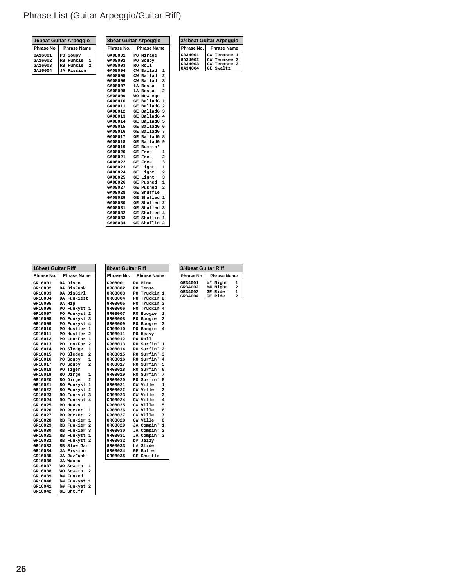### Phrase List (Guitar Arpeggio/Guitar Riff)

| 16beat Guitar Arpeggio |                           |  |  |  |  |
|------------------------|---------------------------|--|--|--|--|
| Phrase No.             | <b>Phrase Name</b>        |  |  |  |  |
| GA16001                | PO Soupy                  |  |  |  |  |
| GA16002                | RB Funkie<br>1            |  |  |  |  |
| GA16003                | RB Funkie<br>$\mathbf{z}$ |  |  |  |  |
| GA16004                | JA Fission                |  |  |  |  |

| Phrase No. | <b>Phrase Name</b>                    |  |
|------------|---------------------------------------|--|
| GA08001    | Mirage<br>PO.                         |  |
| GA08002    | PO<br>Soupy                           |  |
| GA08003    | <b>RO</b><br>Rol1                     |  |
| GA08004    | CW<br><b>Ballad</b><br>1              |  |
| GA08005    | $\overline{a}$<br>CW Ballad           |  |
| GA08006    | 3<br>CW Ballad                        |  |
| GA08007    | $\mathbf{1}$<br>LA Bossa              |  |
| GA08008    | $\overline{a}$<br>LA Bossa            |  |
| GA08009    | WO New Age                            |  |
| GA08010    | GE BalladG<br>1                       |  |
| GA08011    | GE BalladG<br>$\overline{a}$          |  |
| GA08012    | 3<br>GE BalladG                       |  |
| GA08013    | $\overline{\mathbf{4}}$<br>GE BalladG |  |
| GA08014    | 5<br>GE BalladG                       |  |
| GA08015    | 6<br>GE BalladG                       |  |
| GA08016    | 7<br>GE BalladG                       |  |
| GA08017    | GE BalladG<br>8                       |  |
| GA08018    | 9<br>BalladG<br>GE                    |  |
| GA08019    | GE<br>Bumpin'                         |  |
| GA08020    | GE<br>Free<br>1                       |  |
| GA08021    | $\overline{a}$<br>GE<br>Free          |  |
| GA08022    | <b>GE Free</b><br>3                   |  |
| GA08023    | $\mathbf{1}$<br>GE<br>Light           |  |
| GA08024    | $\overline{a}$<br>Light<br>GE         |  |
| GA08025    | Light<br>3<br>GE                      |  |
| GA08026    | Pushed<br>$\mathbf{1}$<br>GE          |  |
| GA08027    | $\overline{a}$<br>GE<br>Pushed        |  |
| GA08028    | GE Shuffle                            |  |
| GA08029    | GE Shufled<br>1                       |  |
| GA08030    | $\overline{a}$<br>GE Shufled          |  |
| GA08031    | 3<br>GE Shufled                       |  |
| GA08032    | GE Shufled<br>4                       |  |
| GA08033    | GE Shuflin<br>$\mathbf{1}$            |  |
| GA08034    | $\overline{a}$<br>GE<br>Shuflin       |  |

**Phrase No. Phrase Name 8beat Guitar Riff**

**GR08027 CW Ville 7 GR08028 CW Ville 8 GR08029 JA Compin' 1 GR08030 JA Compin' 2 GR08031 JA Compin' 3**

**GR08032 b# Jazzy GR08033 b# Slide GR08034 GE Butter GR08035 GE Shuffle**

**GR08001 PO Mine GR08002 PO Tense** GR08003 PO Truckin 1<br>
GR08004 PO Truckin 2 **GR08004 PO Truckin 2 GR08005 PO Truckin 3 GR08006 PO Truckin 4 GR08007 RO Boogie 1 GR08008 RO Boogie 2 GR08009 RO Boogie 3 GR08010 RO Boogie 4** GR08011 RO Heavy<br>GR08012 RO Roll **GR08012 RO Roll GR08013 RO Surfin' 1 GR08014 RO Surfin' 2 GR08015 RO Surfin' 3 GR08016 RO Surfin' 4 GR08017 RO Surfin' 5 GR08018** RO Surfin' 6<br> **GR08019** RO Surfin' 7 **GR08019 RO Surfin' 7 GR08020 RO Surfin' 8 GR08021 CW Ville 1 GR08022 CW Ville 2 GR08023 CW Ville 3 GR08024 CW Ville 4 GR08025 CW Ville 5 GR08026 CW Ville 6**

**8beat Guitar Arpeggio**

| <b>16beat Guitar Riff</b> |                                  |
|---------------------------|----------------------------------|
| Phrase No.                | <b>Phrase Name</b>               |
| GR16001                   | DA Disco                         |
| GR16002                   | DA DisFunk                       |
| GR16003                   | DA DisGirl                       |
| GR16004                   | DA Funkiest                      |
| GR16005                   | DA Hip                           |
| GR16006                   | PO Funkyst 1                     |
| GR16007                   | PO Funkyst 2                     |
| GR16008                   | PO Funkvst<br>3                  |
| GR16009                   | PO Funkyst 4                     |
| GR16010                   | PO Hustler 1                     |
| GR16011                   | PO Hustler<br>$\overline{a}$     |
| GR16012                   | PO LookFor 1                     |
| GR16013                   | PO LookFor 2                     |
| GR16014                   | <b>PO Sledge</b><br>$\mathbf{1}$ |
| GR16015                   | PO Sledge 2                      |
| GR16016                   | PO Soupy<br>1                    |
| GR16017                   | $\overline{2}$<br>PO Soupy       |
| GR16018                   | PO Tiger                         |
| GR16019                   | RO Dirge<br>1                    |
| GR16020                   | RO Dirge<br>$\overline{a}$       |
| GR16021                   | RO Funkyst 1                     |
| GR16022                   | RO Funkyst 2                     |
| GR16023                   | RO Funkyst 3                     |
| GR16024                   | RO Funkyst 4                     |
| GR16025                   | <b>RO Heavy</b>                  |
| GR16026                   | RO Rocker<br>1                   |
| GR16027                   | $\overline{a}$<br>RO Rocker      |
| GR16028                   | RB Funkier 1                     |
| GR16029                   | RB Funkier 2                     |
| GR16030                   | RB Funkier 3                     |
| GR16031                   | RB Funkyst 1                     |
| GR16032                   | RB Funkyst 2                     |
| GR16033                   | RB Slow Jam                      |
| GR16034                   | <b>JA Fission</b>                |
| GR16035                   | JA JazFunk                       |
| GR16036                   | JA Waaou                         |
| GR16037                   | WO Soweto<br>1                   |
| GR16038                   | $\overline{a}$<br>WO Soweto      |
| GR16039                   | b# Funked                        |
| GR16040                   | b# Funkyst<br>1                  |
| GR16041                   | b# Funkyst 2                     |
| GR16042                   | GE Shtuff                        |

| <b>3/4beat Guitar Riff</b> |                                     |  |  |  |
|----------------------------|-------------------------------------|--|--|--|
| Phrase No.                 | <b>Phrase Name</b>                  |  |  |  |
| GR34001                    | b# Night<br>1                       |  |  |  |
| GR34002                    | b# Night<br>$\overline{\mathbf{z}}$ |  |  |  |
| GR34003                    | GE Ride<br>1                        |  |  |  |
| GR34004                    | GE Ride<br>2                        |  |  |  |

**Phrase No. Phrase Name**<br> **GA34001 CW Tenasee 1**<br> **GA34002 CW Tenasee 2**<br> **GA34003 CW Tenasee 3**<br> **GA34004 GE Swaltz** 

**GA34001 CW Tenasee 1 GA34002 CW Tenasee 2 GA34003 CW Tenasee 3 GA34004 GE Swaltz**

**3/4beat Guitar Arpeggio**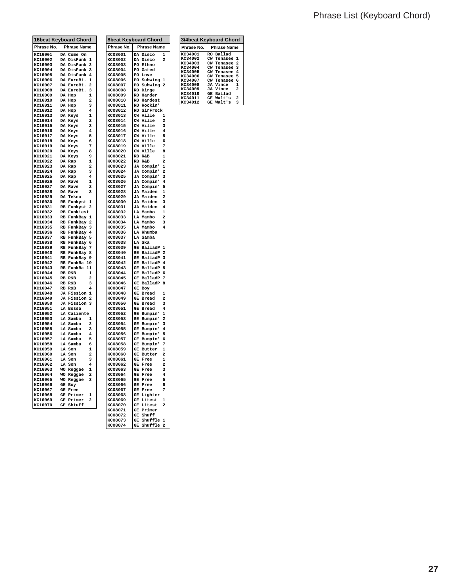### Phrase List (Keyboard Chord)

|                    | 16beat Keyboard Chord        |                              |                    | <b>8beat Keyboard Chord</b>                             |
|--------------------|------------------------------|------------------------------|--------------------|---------------------------------------------------------|
| Phrase No.         | <b>Phrase Name</b>           |                              | Phrase No.         | <b>Phrase Name</b>                                      |
| KC16001            | DA Come On                   |                              | KC08001            | 1<br>DA Disco                                           |
| KC16002            | DA DisFunk 1                 |                              | KC08002            | DA Disco<br>$\overline{\mathbf{z}}$                     |
| KC16003            | DA DisFunk 2                 |                              | KC08003            | PO Ethno                                                |
| KC16004<br>KC16005 | DA DisFunk 3<br>DA DisFunk 4 |                              | KC08004<br>KC08005 | PO Gated<br>PO Love                                     |
| KC16006            | DA EuroBt.                   | 1                            | KC08006            | PO Suhwing<br>1                                         |
| KC16007            | DA EuroBt.                   | 2                            | KC08007            | PO Suhwing 2                                            |
| KC16008            | DA EuroBt.                   | 3                            | KC08008            | RO Dirge                                                |
| KC16009            | DA Hop                       | 1                            | KC08009            | RO Harder                                               |
| KC16010<br>KC16011 | DA Hop<br>DA Hop             | $\overline{\mathbf{2}}$<br>з | KC08010<br>KC08011 | RO Hardest<br>RO Rockin'                                |
| KC16012            | DA Hop                       | 4                            | KC08012            | RO SirFrock                                             |
| KC16013            | DA Keys                      | $\mathbf{1}$                 | KC08013            | CW Ville<br>1                                           |
| KC16014            | DA Keys                      | 2                            | KC08014            | CW Ville<br>2                                           |
| KC16015            | DA Keys                      | 3                            | KC08015            | CW Ville<br>3                                           |
| KC16016<br>KC16017 | DA Keys<br>DA Keys           | 4<br>5                       | KC08016<br>KC08017 | $\overline{\mathbf{4}}$<br>CW Ville<br>CW Ville<br>5    |
| KC16018            | DA Keys                      | 6                            | KC08018            | CW Ville<br>6                                           |
| KC16019            | DA Keys                      | 7                            | KC08019            | CW Ville<br>7                                           |
| KC16020            | DA Keys                      | 8                            | KC08020            | CW Ville<br>8                                           |
| KC16021            | DA Keys                      | 9                            | KC08021            | 1<br>RB R&B                                             |
| KC16022<br>KC16023 | DA Rap<br>DA Rap             | 1<br>2                       | KC08022<br>KC08023 | RB R&B<br>$\overline{a}$<br>$\mathbf{1}$<br>JA Compin'  |
| KC16024            | DA Rap                       | 3                            | KC08024            | $\overline{a}$<br>JA Compin'                            |
| KC16025            | DA Rap                       | 4                            | KC08025            | 3<br>JA Compin'                                         |
| KC16026            | DA Rave                      | 1                            | KC08026            | JA Compin'<br>$\overline{4}$                            |
| KC16027<br>KC16028 | DA Rave<br>DA Rave           | 2<br>з                       | KC08027<br>KC08028 | JA Compin'<br>5<br>1<br>JA Maiden                       |
| KC16029            | DA Tekno                     |                              | KC08029            | JA Maiden<br>$\overline{2}$                             |
| KC16030            | RB Funkyst 1                 |                              | KC08030            | JA Maiden<br>3                                          |
| KC16031            | RB Funkyst 2                 |                              | KC08031            | $\overline{\mathbf{4}}$<br>JA Maiden                    |
| KC16032            | RB Funkiest                  |                              | KC08032            | LA Mambo<br>1                                           |
| KC16033<br>KC16034 | RB FunkBay 1<br>RB FunkBay 2 |                              | KC08033<br>KC08034 | $\overline{\mathbf{2}}$<br>LA Mambo<br>LA Mambo<br>3    |
| KC16035            | RB FunkBay 3                 |                              | KC08035            | 4<br>LA Mambo                                           |
| KC16036            | RB FunkBay 4                 |                              | KC08036            | LA Rhumba                                               |
| KC16037            | RB FunkBay                   | 5                            | KC08037            | LA Samba                                                |
| KC16038            | RB FunkBay<br>RB FunkBay     | 6<br>7                       | KC08038            | LA Ska<br>GE BalladP<br>$\mathbf{1}$                    |
| KC16039<br>KC16040 | RB FunkBay 8                 |                              | KC08039<br>KC08040 | GE BalladP<br>2                                         |
| KC16041            | RB FunkBay 9                 |                              | KC08041            | GE BalladP<br>3                                         |
| KC16042            | RB FunkBa 10                 |                              | KC08042            | $\overline{4}$<br>GE BalladP                            |
| KC16043            | RB FunkBa 11                 |                              | KC08043            | <b>GE BalladP</b><br>5                                  |
| KC16044<br>KC16045 | RB R&B<br>RB R&B             | 1<br>2                       | KC08044<br>KC08045 | GE BalladP<br>6<br>GE BalladP<br>7                      |
| KC16046            | RB R&B                       | 3                            | KC08046            | GE BalladP<br>8                                         |
| KC16047            | RB R&B                       | 4                            | KC08047            | <b>GE Boy</b>                                           |
| KC16048            | JA Fission 1                 |                              | KC08048            | <b>GE Bread</b><br>1                                    |
| KC16049<br>KC16050 | JA Fission 2<br>JA Fission 3 |                              | KC08049<br>KC08050 | <b>GE Bread</b><br>2<br><b>GE Bread</b><br>3            |
| KC16051            | LA Bossa                     |                              | KC08051            | <b>GE Bread</b><br>4                                    |
| KC16052            | LA Caliente                  |                              | KC08052            | GE Bumpin'<br>$\mathbf{1}$                              |
| KC16053            | LA Samba                     | 1                            | KC08053            | GE Bumpin'<br>$\overline{a}$                            |
| KC16054            | LA Samba                     | 2                            | KC08054            | GE Bumpin'<br>3                                         |
| KC16055<br>KC16056 | LA Samba<br>LA Samba         | 3<br>4                       | KC08055<br>KC08056 | GE Bumpin'<br>$\overline{4}$<br>GE Bumpin'<br>5         |
| KC16057            | LA Samba                     | 5                            | KC08057            | GE Bumpin'<br>6                                         |
| KC16058            | LA Samba                     | 6                            | KC08058            | GE Bumpin'<br>7                                         |
| KC16059            | LA Son                       | 1                            | KC08059            | <b>GE Butter</b><br>1                                   |
| KC16060            | LA Son                       | $\overline{a}$               | KC08060            | GE Butter<br>$\overline{a}$                             |
| KC16061<br>KC16062 | LA Son<br>LA Son             | 3<br>4                       | KC08061<br>KC08062 | <b>GE Free</b><br>1<br><b>GE Free</b><br>$\overline{a}$ |
| KC16063            | WO Reggae                    | 1                            | KC08063            | <b>GE Free</b><br>3                                     |
| KC16064            | WO Reggae                    | 2                            | KC08064            | <b>GE Free</b><br>4                                     |
| KC16065            | WO Reggae                    | з                            | KC08065            | <b>GE Free</b><br>5                                     |
| KC16066            | GE Boy<br><b>GE Free</b>     |                              | KC08066<br>KC08067 | <b>GE Free</b><br>6<br><b>GE Free</b><br>7              |
| KC16067<br>KC16068 | GE Primer                    | 1                            | KC08068            | GE Lighter                                              |
| KC16069            | GE Primer                    | 2                            | KC08069            | GE Litest<br>1                                          |
| KC16070            | GE Shtuff                    |                              | KC08070            | GE Litest<br>2                                          |
|                    |                              |                              | KC08071<br>KC08072 | <b>GE Primer</b>                                        |
|                    |                              |                              | KC08073            | GE Shuff<br>GE Shuffle 1                                |
|                    |                              |                              | KC08074            | GE Shuffle 2                                            |

|  | 3/4beat Keyboard Chord |    |                    |                |  |  |  |
|--|------------------------|----|--------------------|----------------|--|--|--|
|  | Phrase No.             |    | <b>Phrase Name</b> |                |  |  |  |
|  | KC34001                | RO | Ballad             |                |  |  |  |
|  | KC34002                |    | CW Tenasee         | 1              |  |  |  |
|  | KC34003                | CW | Tenasee            | 2              |  |  |  |
|  | KC34004                | CW | Tenasee            | 3              |  |  |  |
|  | KC34005                |    | CW Tenasee         | 4              |  |  |  |
|  | KC34006                | CW | Tenasee            | 5              |  |  |  |
|  | KC34007                | CW | Tenasee            | 6              |  |  |  |
|  | KC34008                |    | JA Vince           | 1              |  |  |  |
|  | KC34009                |    | JA Vince           | $\overline{a}$ |  |  |  |
|  | KC34010                |    | GE Ballad          |                |  |  |  |
|  | KC34011                |    | GE Walt's          | 2              |  |  |  |
|  | KC34012                |    | GE Walt's          | 3              |  |  |  |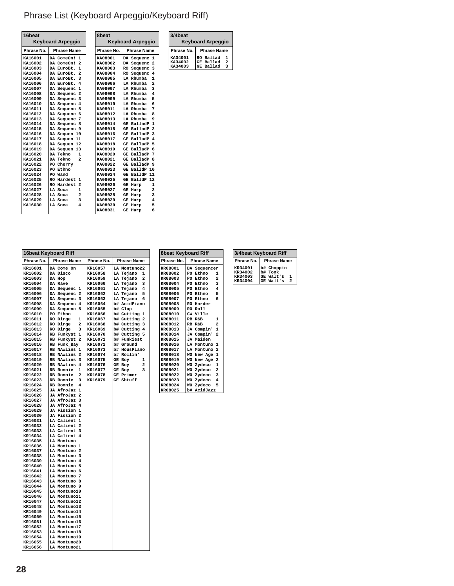# Phrase List (Keyboard Arpeggio/Keyboard Riff)

| 16 <sub>beat</sub> |                              | 8beat      |                              |
|--------------------|------------------------------|------------|------------------------------|
|                    | <b>Keyboard Arpeggio</b>     |            | <b>Keyboard Arpeggio</b>     |
| Phrase No.         | <b>Phrase Name</b>           | Phrase No. | <b>Phrase Name</b>           |
| KA16001            | 1<br>DA ComeOn!              | KA08001    | DA Sequenc<br>1              |
| KA16002            | $\overline{2}$<br>DA ComeOn! | KA08002    | DA Sequenc<br>2              |
| KA16003            | 1<br>DA EuroBt.              | KA08003    | RO Sequenc<br>3              |
| KA16004            | $\overline{a}$<br>DA EuroBt. | KA08004    | RO Sequenc<br>4              |
| KA16005            | 3<br>DA EuroBt.              | KA08005    | LA Rhumba<br>$\mathbf{1}$    |
| KA16006            | 4<br>DA EuroBt.              | KA08006    | $\overline{a}$<br>LA Rhumba  |
| KA16007            | 1<br>DA Sequenc              | KA08007    | 3<br>LA Rhumba               |
| KA16008            | $\overline{a}$<br>DA Sequenc | KA08008    | LA Rhumba<br>4               |
| KA16009            | 3<br>DA Sequenc              | KA08009    | LA Rhumba<br>5               |
| KA16010            | DA Sequenc<br>4              | KA08010    | 6<br><b>LA Rhumba</b>        |
| KA16011            | 5<br>DA Sequenc              | KA08011    | LA Rhumba<br>7               |
| KA16012            | 6<br>DA Sequenc              | KA08012    | LA Rhumba<br>8               |
| KA16013            | 7<br>DA Sequenc              | KA08013    | LA Rhumba<br>q               |
| KA16014            | 8<br>DA Sequenc              | KA08014    | $\mathbf{1}$<br>GE BalladP   |
| KA16015            | DA Sequenc<br>9              | KA08015    | GE BalladP<br>2              |
| KA16016            | DA Sequen 10                 | KA08016    | GE BalladP<br>3              |
| KA16017            | DA Sequen 11                 | KA08017    | BalladP<br>4<br>GE           |
| KA16018            | DA Sequen 12                 | KA08018    | BalladP<br>5<br>GE           |
| KA16019            | DA Sequen 13                 | KA08019    | BalladP<br>6<br>GE           |
| KA16020            | DA Tekno<br>1                | KA08020    | BalladP<br>7<br>GE           |
| KA16021            | $\overline{a}$<br>DA Tekno   | KA08021    | <b>BalladP</b><br>GE<br>я    |
| KA16022            | PO Cherry                    | KA08022    | BalladP<br>9<br>GE           |
| KA16023            | PO Ethno                     | KA08023    | BalldP 10<br>GE              |
| KA16024            | PO Wand                      | KA08024    | BalldP 11<br>GE              |
| KA16025            | RO Hardest<br>1              | KA08025    | BalldP 12<br>GE              |
| KA16026            | RO Hardest<br>$\overline{a}$ | KA08026    | 1<br>GE<br>Harp              |
| KA16027            | $\mathbf{1}$<br>LA Soca      | KA08027    | $\overline{a}$<br>Harp<br>GE |
| KA16028            | $\overline{a}$<br>LA Soca    | KA08028    | 3<br>Harp<br>GE              |
| KA16029            | 3<br>LA Soca                 | KA08029    | 4<br>Harp<br>GE              |
| KA16030            | 4<br>LA Soca                 | KA08030    | 5<br><b>GE Harp</b>          |
|                    |                              | KA08031    | 6<br><b>GE Harp</b>          |

|                    | 16beat Keyboard Riff                             |                    |                        |
|--------------------|--------------------------------------------------|--------------------|------------------------|
|                    |                                                  |                    |                        |
| Phrase No.         | <b>Phrase Name</b>                               | Phrase No.         | <b>Phrase Name</b>     |
| KR16001            | DA Come On                                       | KR16057            | LA Montuno22           |
| KR16002            | DA Disco                                         | KR16058            | LA Tejano<br>1         |
| KR16003            | DA Hop                                           | KR16059            | LA Tejano<br>2         |
| KR16004            | DA Rave                                          | KR16060            | LA Tejano<br>з         |
| KR16005            | DA Sequenc<br>1                                  | KR16061            | LA Tejano<br>4         |
| KR16006            | DA Sequenc <sub>2</sub>                          | KR16062            | LA Tejano<br>5         |
| <b>KR16007</b>     | DA Sequenc<br>з                                  | KR16063            | LA Tejano<br>6         |
| KR16008            | DA Sequenc<br>4                                  | KR16064            | b# AcidPiano           |
| KR16009            | DA Sequenc<br>5                                  | KR16065            | b# Clap                |
| KR16010            | PO Ethno                                         | KR16066            | b# Cutting<br>1        |
| KR16011            | 1<br>RO Dirge                                    | KR16067            | b# Cutting<br>2        |
| KR16012            | RO Dirge<br>2                                    | KR16068            | b# Cutting 3           |
| KR16013            | RO Dirge<br>з                                    | <b>KR16069</b>     | b# Cutting 4           |
| KR16014            | RB Funkyst<br>1                                  | KR16070            | b# Cutting<br>5        |
| KR16015            | RB Funkyst<br>$\overline{\mathbf{2}}$            | KR16071            | b# Funkiest            |
| KR16016            | RB Funk Bay                                      | KR16072            | b# Ground              |
| KR16017            | RB NAwlins 1                                     | KR16073            | b# HousPiano           |
| KR16018            | RB NAwlins<br>-2                                 | KR16074            | b# Rollin'             |
| KR16019            | RB NAwlins<br>3                                  | KR16075            | GE Boy<br>1<br>2       |
| KR16020            | RB NAwlins 4                                     | KR16076            | GE Boy                 |
| KR16021            | <b>RB</b> Ronnie<br>1<br>$\overline{\mathbf{2}}$ | KR16077            | <b>GE Boy</b><br>3     |
| KR16022<br>KR16023 | <b>RB</b> Ronnie<br><b>RB</b> Ronnie<br>3        | KR16078<br>KR16079 | GE Primer<br>GE Shtuff |
| KR16024            | <b>RB</b> Ronnie<br>4                            |                    |                        |
| KR16025            | JA AfroJaz<br>1                                  |                    |                        |
| KR16026            | JA AfroJaz 2                                     |                    |                        |
| KR16027            | JA AfroJaz<br>3                                  |                    |                        |
| KR16028            | JA AfroJaz 4                                     |                    |                        |
| KR16029            | JA Fission 1                                     |                    |                        |
| KR16030            | JA Fission 2                                     |                    |                        |
| KR16031            | LA Calient<br>1                                  |                    |                        |
| KR16032            | LA Calient<br>-2                                 |                    |                        |
| KR16033            | LA Calient<br>3                                  |                    |                        |
| KR16034            | LA Calient<br>4                                  |                    |                        |
| KR16035            | LA Montuno                                       |                    |                        |
| KR16036            | LA Montuno 1                                     |                    |                        |
| KR16037            | LA Montuno<br>$\overline{\mathbf{2}}$            |                    |                        |
| KR16038            | LA Montuno<br>٦                                  |                    |                        |
| KR16039            | LA Montuno<br>$\overline{4}$                     |                    |                        |
| KR16040            | LA Montuno 5                                     |                    |                        |
| KR16041            | LA Montuno<br>6                                  |                    |                        |
| KR16042            | LA Montuno<br>7                                  |                    |                        |
| KR16043            | LA Montuno<br>8                                  |                    |                        |
| KR16044            | LA Montuno 9                                     |                    |                        |
| KR16045            | LA Montuno10                                     |                    |                        |
| KR16046            | LA Montuno11                                     |                    |                        |
| KR16047            | LA Montuno12                                     |                    |                        |
| KR16048            | LA Montuno13                                     |                    |                        |
| KR16049            | LA Montuno14                                     |                    |                        |
| KR16050            | LA Montuno15                                     |                    |                        |
| KR16051            | LA Montuno16                                     |                    |                        |
| KR16052            | LA Montuno17                                     |                    |                        |
| KR16053            | LA Montuno18                                     |                    |                        |
| KR16054            | LA Montuno19                                     |                    |                        |
| KR16055            | LA Montuno20                                     |                    |                        |
| KR16056            | LA Montuno21                                     |                    |                        |

|                | <b>8beat Keyboard Riff</b> |                        |                         |  |  |
|----------------|----------------------------|------------------------|-------------------------|--|--|
| Phrase No.     |                            | <b>Phrase Name</b>     |                         |  |  |
| KR08001        |                            | DA Sequencer           |                         |  |  |
| <b>KR08002</b> |                            | PO Ethno               | $\mathbf{1}$            |  |  |
| <b>KR08003</b> |                            | PO Ethno               | $\overline{2}$          |  |  |
| KR08004        |                            | PO Ethno               | $\overline{\mathbf{3}}$ |  |  |
| KR08005        |                            | PO Ethno               | $\overline{4}$          |  |  |
| <b>KR08006</b> |                            | PO Ethno               | - 5                     |  |  |
| <b>KR08007</b> |                            | PO Ethno               | 6                       |  |  |
| <b>KR08008</b> |                            | RO Harder              |                         |  |  |
| <b>KR08009</b> |                            | RO Roll                |                         |  |  |
| KR08010        |                            | CW Ville               |                         |  |  |
| KR08011        |                            | RB R&B                 | $\mathbf{1}$            |  |  |
| KR08012        |                            | RB R&B                 | $\overline{a}$          |  |  |
| KR08013        |                            | JA Compin' 1           |                         |  |  |
| KR08014        |                            | JA Compin' 2           |                         |  |  |
| <b>KR08015</b> |                            | JA Maiden              |                         |  |  |
| <b>KR08016</b> |                            | LA Montuno 1           |                         |  |  |
| KR08017        |                            | LA Montuno 2           |                         |  |  |
| KR08018        |                            | WO New Age 1           |                         |  |  |
| KR08019        | WO                         | New Age 2              |                         |  |  |
| KR08020        |                            | WO Zydeco              | $\mathbf{1}$            |  |  |
| <b>KR08021</b> |                            | WO Zydeco <sub>2</sub> |                         |  |  |
| KR08022        |                            | WO Zydeco              | $\overline{\mathbf{3}}$ |  |  |
| KR08023        |                            | WO Zydeco              | $\overline{4}$          |  |  |
| KR08024        |                            | WO Zvdeco              | 5                       |  |  |
| KR08025        |                            | b# AcidJazz            |                         |  |  |

**Phrase No. Phrase Name**<br> **RA34001** RO Ballad 1<br> **RA34002** GE Ballad 2<br> **RA34003** GE Ballad 3

**KA34001 RO Ballad 1 KA34002 GE Ballad 2 KA34003 GE Ballad 3**

 **Keyboard Arpeggio**

**3/4beat** 

| 3/4beat Keyboard Riff |                    |  |  |  |
|-----------------------|--------------------|--|--|--|
| Phrase No.            | <b>Phrase Name</b> |  |  |  |
| KR34001               | b# Choppin         |  |  |  |
| KR34002               | b# Tonk            |  |  |  |
| KR34003               | GE Walt's<br>1     |  |  |  |
| KR34004               | GE Walt's<br>っ     |  |  |  |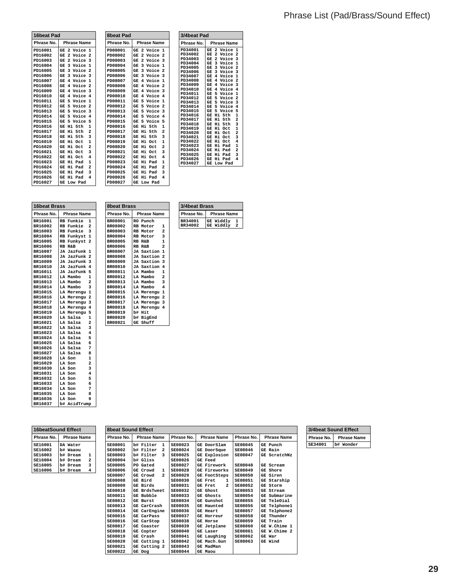|            | 16beat Pad                            |  |  |  |  |
|------------|---------------------------------------|--|--|--|--|
| Phrase No. | <b>Phrase Name</b>                    |  |  |  |  |
| PD16001    | 2 Voice<br>GE<br>1                    |  |  |  |  |
| PD16002    | Voice 2<br>GE <sub>2</sub>            |  |  |  |  |
| PD16003    | $\overline{a}$<br>Voice<br>3<br>GE    |  |  |  |  |
| PD16004    | 3 Voice 1<br>GE                       |  |  |  |  |
| PD16005    | GE 3 Voice 2                          |  |  |  |  |
| PD16006    | GE 3 Voice 3                          |  |  |  |  |
| PD16007    | GE 4 Voice 1                          |  |  |  |  |
| PD16008    | GE 4 Voice 2                          |  |  |  |  |
| PD16009    | GE 4 Voice 3                          |  |  |  |  |
| PD16010    | Voice 4<br>4<br>GЕ                    |  |  |  |  |
| PD16011    | GE 5 Voice 1                          |  |  |  |  |
| PD16012    | GE 5 Voice<br>$\overline{2}$          |  |  |  |  |
| PD16013    | 5 Voice 3<br>GE                       |  |  |  |  |
| PD16014    | GE 5<br>Voice 4                       |  |  |  |  |
| PD16015    | GE 5 Voice 5                          |  |  |  |  |
| PD16016    | $\mathbf{1}$<br>Hi 5th<br>GE          |  |  |  |  |
| PD16017    | $\overline{a}$<br>Hi 5th<br>GE        |  |  |  |  |
| PD16018    | GE Hi 5th<br>3                        |  |  |  |  |
| PD16019    | $\mathbf{1}$<br>GE<br>Hi Oct          |  |  |  |  |
| PD16020    | $\overline{a}$<br>GE Hi Oct           |  |  |  |  |
| PD16021    | 3<br>GE<br>нi<br>Oct.                 |  |  |  |  |
| PD16022    | нi<br>4<br>GE<br>0ct.                 |  |  |  |  |
| PD16023    | Нi<br>$\mathbf{1}$<br>GE<br>Pad       |  |  |  |  |
| PD16024    | $\overline{a}$<br>Нi<br>Pad<br>GE     |  |  |  |  |
| PD16025    | GE Hi<br>3<br>Pad                     |  |  |  |  |
| PD16026    | $\overline{\bf 4}$<br>Нi<br>GE<br>Pad |  |  |  |  |
| PD16027    | GE Low Pad                            |  |  |  |  |

| <b>8beat Pad</b>                                                                                                                                                                                                                                                                           |                                                                                                                                                                                                                                                                                                                                                                                                                                                                                                                                                                                       |                                                                                                                                                                                                                                                                                                     | 3/4beat Pad                                                                                                                                                                                                                                                                                           |                                                                                                                                                                                                                                                                                                     |                                                                                                                                                                                                                                                                                                                                                                                                                                                                                                                                                                                                                                                                                                                                                                  |
|--------------------------------------------------------------------------------------------------------------------------------------------------------------------------------------------------------------------------------------------------------------------------------------------|---------------------------------------------------------------------------------------------------------------------------------------------------------------------------------------------------------------------------------------------------------------------------------------------------------------------------------------------------------------------------------------------------------------------------------------------------------------------------------------------------------------------------------------------------------------------------------------|-----------------------------------------------------------------------------------------------------------------------------------------------------------------------------------------------------------------------------------------------------------------------------------------------------|-------------------------------------------------------------------------------------------------------------------------------------------------------------------------------------------------------------------------------------------------------------------------------------------------------|-----------------------------------------------------------------------------------------------------------------------------------------------------------------------------------------------------------------------------------------------------------------------------------------------------|------------------------------------------------------------------------------------------------------------------------------------------------------------------------------------------------------------------------------------------------------------------------------------------------------------------------------------------------------------------------------------------------------------------------------------------------------------------------------------------------------------------------------------------------------------------------------------------------------------------------------------------------------------------------------------------------------------------------------------------------------------------|
| Phrase No.                                                                                                                                                                                                                                                                                 | <b>Phrase Name</b>                                                                                                                                                                                                                                                                                                                                                                                                                                                                                                                                                                    |                                                                                                                                                                                                                                                                                                     | Phrase No.                                                                                                                                                                                                                                                                                            |                                                                                                                                                                                                                                                                                                     | <b>Phrase Name</b>                                                                                                                                                                                                                                                                                                                                                                                                                                                                                                                                                                                                                                                                                                                                               |
| PD08001<br>PD08002<br>PD08003<br>PD08004<br>PD08005<br>PD08006<br>PD08007<br>PD08008<br>PD08009<br>PD08010<br>PD08011<br>PD08012<br>PD08013<br>PD08014<br>PD08015<br>PD08016<br>PD08017<br>PD08018<br>PD08019<br>PD08020<br>PD08021<br>PD08022<br>PD08023<br>PD08024<br>PD08025<br>PD08026 | $\overline{\mathbf{z}}$<br>Voice<br>GE<br>$\overline{a}$<br>Voice 2<br>GE<br>$\overline{a}$<br>Voice 3<br>GE<br>3<br>Voice<br>GE<br>3<br>Voice<br>GE<br>3<br>Voice 3<br>GE<br>Voice<br>4<br>GE<br>Voice<br>4<br>GE<br>Voice 3<br>4<br>GE<br>4<br>Voice<br>GE<br>5<br>Voice<br>GE<br>5<br>Voice<br>GE<br>5<br>Voice 3<br>GE<br>5<br>Voice<br>GE<br>5<br>Voice<br>GE<br>5th<br>Нi<br>GE<br>Нi<br>5th<br>GE<br>5th<br>нi<br>GE<br>Нi<br>GE<br>Oct.<br>Hi<br>Oct<br>GE<br>Hi<br>GE<br>Oct.<br>Нi<br>Oct<br>GE<br>Нi<br>Pad<br>GE<br>Hi<br>Pad<br>GE<br>Hi<br>Pad<br>GE<br>Нi<br>Pad<br>GE | $\mathbf{1}$<br>$\mathbf{1}$<br>$\overline{2}$<br>$\mathbf{1}$<br>$\overline{2}$<br>4<br>$\mathbf{1}$<br>$\overline{2}$<br>$\overline{a}$<br>5<br>$\mathbf{1}$<br>$\overline{a}$<br>3<br>$\mathbf{1}$<br>$\overline{a}$<br>3<br>4<br>$\mathbf{1}$<br>$\overline{a}$<br>3<br>$\overline{\mathbf{A}}$ | PD34001<br>PD34002<br>PD34003<br>PD34004<br>PD34005<br>PD34006<br>PD34007<br>PD34008<br>PD34009<br>PD34010<br>PD34011<br>PD34012<br>PD34013<br>PD34014<br>PD34015<br>PD34016<br>PD34017<br>PD34018<br>PD34019<br>PD34020<br>PD34021<br>PD34022<br>PD34023<br>PD34024<br>PD34025<br>PD34026<br>PD34027 | <b>GE</b><br>GE<br><b>GE</b><br><b>GE</b><br><b>GE</b><br><b>GE</b><br><b>GE</b><br><b>GE</b><br><b>GE</b><br><b>GE</b><br><b>GE</b><br><b>GE</b><br><b>GE</b><br><b>GE</b><br>GE<br><b>GE</b><br><b>GE</b><br><b>GE</b><br><b>GE</b><br>GE<br>GE<br>GE<br><b>GE</b><br>GE<br><b>GE</b><br>GE<br>GE | $\mathbf{1}$<br>$\overline{a}$<br>Voice<br>$\overline{2}$<br>$\overline{a}$<br>Voice<br>3<br>$\overline{a}$<br>Voice<br>3<br>$\mathbf{1}$<br>Voice<br>$\overline{2}$<br>3<br>Voice<br>$\overline{\mathbf{3}}$<br>3<br>Voice<br>4<br>Voice<br>$\mathbf{1}$<br>$\overline{a}$<br>4<br>Voice<br>3<br>4<br>Voice<br>4<br>$\overline{4}$<br>Voice<br>5<br>$\mathbf{1}$<br>Voice<br>$\overline{2}$<br>5<br>Voice<br>3<br>5<br>Voice<br>4<br>5<br>Voice<br>5<br>5<br>Voice<br>$\mathbf{1}$<br>5th<br>Нi<br>$\overline{a}$<br>5th<br>нi<br>3<br>нi<br>5th<br>$\mathbf{1}$<br>Нi<br>Oct.<br>$\overline{a}$<br>Нi<br>Oct.<br>3<br>Нi<br>Oct.<br>Hi<br>4<br>Oct.<br>$\mathbf{1}$<br>Нi<br>Pad<br>$\overline{a}$<br>Нi<br>Pad<br>3<br>Нi<br>Pad<br>Нi<br>4<br>Pad<br>Low Pad |
| PD08027                                                                                                                                                                                                                                                                                    | Low Pad<br>GE                                                                                                                                                                                                                                                                                                                                                                                                                                                                                                                                                                         |                                                                                                                                                                                                                                                                                                     |                                                                                                                                                                                                                                                                                                       |                                                                                                                                                                                                                                                                                                     |                                                                                                                                                                                                                                                                                                                                                                                                                                                                                                                                                                                                                                                                                                                                                                  |

| 16beat Brass   |                    |                         | <b>8beat Brass</b> |    |                    |                |
|----------------|--------------------|-------------------------|--------------------|----|--------------------|----------------|
| Phrase No.     | <b>Phrase Name</b> |                         | Phrase No.         |    | <b>Phrase Name</b> |                |
| BR16001        | RB Funkie          | 1                       | BR08001            |    | RO Punch           |                |
| BR16002        | RB Funkie          | $\overline{a}$          | BR08002            |    | RB Motor           | 1              |
| BR16003        | RB Funkie          | 3                       | BR08003            |    | RB Motor           | 2              |
| <b>BR16004</b> | RB Funkyst         | 1                       | BR08004            |    | RB Motor           | 3              |
| BR16005        | RB Funkyst 2       |                         | BR08005            |    | RB R&B             | 1              |
| <b>BR16006</b> | RB R&B             |                         | BR08006            |    | RB R&B             | $\overline{a}$ |
| <b>BR16007</b> | JA JazFunk 1       |                         | BR08007            |    | JA Saxtion 1       |                |
| <b>BR16008</b> | JA JazFunk 2       |                         | <b>BR08008</b>     |    | JA Saxtion 2       |                |
| <b>BR16009</b> | JA JazFunk 3       |                         | BR08009            |    | JA Saxtion 3       |                |
| BR16010        | JA JazFunk 4       |                         | <b>BR08010</b>     |    | JA Saxtion 4       |                |
| BR16011        | JA JazFunk 5       |                         | BR08011            |    | LA Mambo           | 1              |
| BR16012        | LA Mambo           | 1                       | BR08012            |    | LA Mambo           | $\overline{a}$ |
| BR16013        | LA Mambo           | $\overline{a}$          | BR08013            |    | LA Mambo           | 3              |
| <b>BR16014</b> | LA Mambo           | 3                       | BR08014            |    | LA Mambo           | 4              |
| BR16015        | LA Merengu 1       |                         | <b>BR08015</b>     |    | LA Merengu 1       |                |
| <b>BR16016</b> | LA Merengu 2       |                         | BR08016            |    | LA Merengu 2       |                |
| BR16017        | LA Merengu 3       |                         | BR08017            |    | LA Merengu 3       |                |
| <b>BR16018</b> | LA Merengu 4       |                         | <b>BR08018</b>     |    | LA Merengu 4       |                |
| <b>BR16019</b> | LA Merengu 5       |                         | BR08019            |    | b# Hit             |                |
| <b>BR16020</b> | LA Salsa           | 1                       | BR08020            |    | b# BigEnd          |                |
| BR16021        | LA Salsa           | $\overline{\mathbf{2}}$ | BR08021            | GE | Shuff              |                |
| BR16022        | LA Salsa           | 3                       |                    |    |                    |                |
| BR16023        | LA Salsa           | 4                       |                    |    |                    |                |
| BR16024        | LA Salsa           | 5                       |                    |    |                    |                |
| BR16025        | LA Salsa           | 6                       |                    |    |                    |                |
| BR16026        | LA Salsa           | 7                       |                    |    |                    |                |
| BR16027        | LA Salsa           | 8                       |                    |    |                    |                |
| BR16028        | LA Son             | 1                       |                    |    |                    |                |
| <b>BR16029</b> | LA Son             | $\overline{\mathbf{2}}$ |                    |    |                    |                |
| <b>BR16030</b> | LA Son             | 3                       |                    |    |                    |                |
| BR16031        | LA Son             | 4                       |                    |    |                    |                |
| BR16032        | LA Son             | 5                       |                    |    |                    |                |
| BR16033        | LA Son             | 6                       |                    |    |                    |                |
| BR16034        | LA Son             | 7                       |                    |    |                    |                |
| <b>BR16035</b> | LA Son             | 8                       |                    |    |                    |                |
| BR16036        | LA Son             | 9                       |                    |    |                    |                |
| BR16037        | b# AcidTrump       |                         |                    |    |                    |                |

| oweat prass    | www                |                |         |
|----------------|--------------------|----------------|---------|
| Phrase No.     | <b>Phrase Name</b> |                | Phrase  |
| BR08001        | RO Punch           |                | BR34001 |
| BR08002        | RB Motor           | 1              | BR34002 |
| BR08003        | RB Motor           | $\overline{2}$ |         |
| <b>BR08004</b> | RB Motor 3         |                |         |
| BR08005        | RB R&B             | $\mathbf{1}$   |         |
| <b>BR08006</b> | RB R&B             | $\overline{a}$ |         |
| BR08007        | JA Saxtion 1       |                |         |
| <b>BR08008</b> | JA Saxtion 2       |                |         |
| BR08009        | JA Saxtion 3       |                |         |
| BR08010        | JA Saxtion 4       |                |         |
| BR08011        | LA Mambo           | 1              |         |
| BR08012        | LA Mambo           | $\overline{2}$ |         |
| BR08013        | LA Mambo           | 3              |         |

| 3/4beat Brass |                       |  |  |  |  |
|---------------|-----------------------|--|--|--|--|
| Phrase No.    | <b>Phrase Name</b>    |  |  |  |  |
| BR34001       | GE Widdly             |  |  |  |  |
| BR34002       | <b>GE Widdly</b><br>2 |  |  |  |  |

| <b>16beatSound Effect</b> |                    |  |  |  |
|---------------------------|--------------------|--|--|--|
| Phrase No.                | <b>Phrase Name</b> |  |  |  |
| SE16001                   | DA Water           |  |  |  |
| SE16002                   | b# Waaou           |  |  |  |
| SE16003                   | b# Dream<br>1      |  |  |  |
| SE16004                   | 2<br>b# Dream      |  |  |  |
| SE16005                   | b# Dream<br>3      |  |  |  |
| SE16006                   | Dream              |  |  |  |

| <b>8beat Sound Effect</b> |                              |                |                                  |                |                    |  |  |  |  |
|---------------------------|------------------------------|----------------|----------------------------------|----------------|--------------------|--|--|--|--|
| Phrase No.                | <b>Phrase Name</b>           | Phrase No.     | <b>Phrase Name</b>               | Phrase No.     | <b>Phrase Name</b> |  |  |  |  |
| SE08001                   | b# Filter<br>1               | SE08023        | GE DoorSlam                      | SE08045        | GE Punch           |  |  |  |  |
| SE08002                   | b# Filter<br>$\overline{a}$  | SE08024        | GE DoorSque                      | SE08046        | GE Rain            |  |  |  |  |
| SE08003                   | Filter<br>h#<br>$\mathbf{a}$ | SE08025        | <b>GE Explosion</b>              | SE08047        | GE ScratchNz       |  |  |  |  |
| SE08004                   | b# Gliss                     | SE08026        | <b>GE</b> Feed                   |                |                    |  |  |  |  |
| SE08005                   | PO.<br>Gated                 | SE08027        | GE Firework                      | SE08048        | Scream<br>GE.      |  |  |  |  |
| SE08006                   | GE Crowd<br>1                | SE08028        | <b>GE Fireworks</b>              | SE08049        | GE Shore           |  |  |  |  |
| SE08007                   | $\overline{2}$<br>GE Crowd   | SE08029        | GE FootSteps                     | SE08050        | GE Siren           |  |  |  |  |
| SE08008                   | GE Bird                      | SE08030        | <b>GE Fret</b><br>1              | SE08051        | GE Starship        |  |  |  |  |
| SE08009                   | GE Birds                     | SE08031        | $\overline{a}$<br><b>GE Fret</b> | SE08052        | Storm<br>GE        |  |  |  |  |
| SE08010                   | <b>GE BrdsTweet</b>          | SE08032        | GE Ghost                         | SE08053        | <b>GE Stream</b>   |  |  |  |  |
| SE08011                   | GE Bubble                    | SE08033        | Ghosts<br>GE                     | <b>SE08054</b> | Submarine<br>GE    |  |  |  |  |
| SE08012                   | <b>GE Burst</b>              | SE08034        | GE Gunshot                       | SE08055        | GE TeleDial        |  |  |  |  |
| SE08013                   | <b>GE CarCrash</b>           | SE08035        | GE Haunted                       | SE08056        | Telphone1<br>GE    |  |  |  |  |
| <b>SE08014</b>            | <b>GE CarEngine</b>          | SE08036        | <b>GE Heart</b>                  | <b>SE08057</b> | Telphone2<br>GE    |  |  |  |  |
| SE08015                   | <b>GE CarPass</b>            | SE08037        | Horreur<br>GE                    | SE08058        | Thunder<br>GE      |  |  |  |  |
| <b>SE08016</b>            | <b>GE CarStop</b>            | <b>SE08038</b> | <b>GE Horse</b>                  | <b>SE08059</b> | Train<br>GE        |  |  |  |  |
| SE08017                   | GE<br>Coaster                | SE08039        | GE Jetplane                      | SE08060        | GE W.Chime 1       |  |  |  |  |
| SE08018                   | GE<br>Copter                 | <b>SE08040</b> | <b>GE Laser</b>                  | SE08061        | W.Chime 2<br>GE    |  |  |  |  |
| SE08019                   | GE Crash                     | SE08041        | GE Laughing                      | SE08062        | <b>GE War</b>      |  |  |  |  |
| SE08020                   | Cutting 1<br>GE              | <b>SE08042</b> | Mach.Gun<br>GE                   | SE08063        | GE Wind            |  |  |  |  |
| SE08021                   | Cutting 2<br>GE              | SE08043        | <b>GE MadMan</b>                 |                |                    |  |  |  |  |
| SE08022                   | GE Dog                       | SE08044        | <b>GE Maou</b>                   |                |                    |  |  |  |  |

| 4beat Sound Effect |                          |  |  |  |  |  |  |  |
|--------------------|--------------------------|--|--|--|--|--|--|--|
|                    | Phrase No.   Phrase Name |  |  |  |  |  |  |  |
| SE34001            | Wonder                   |  |  |  |  |  |  |  |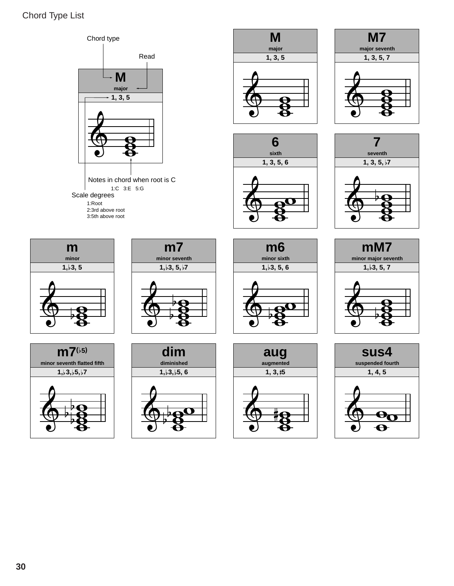### Chord Type List

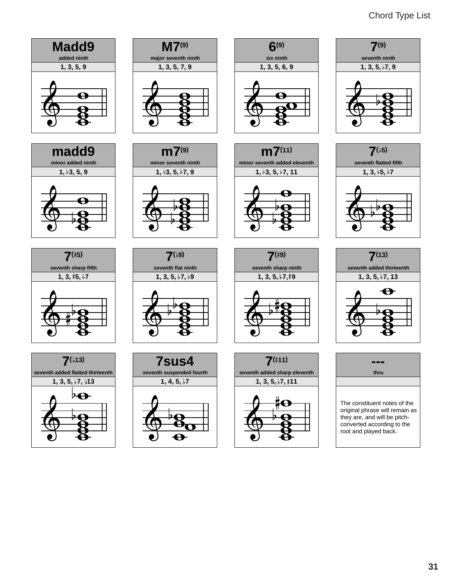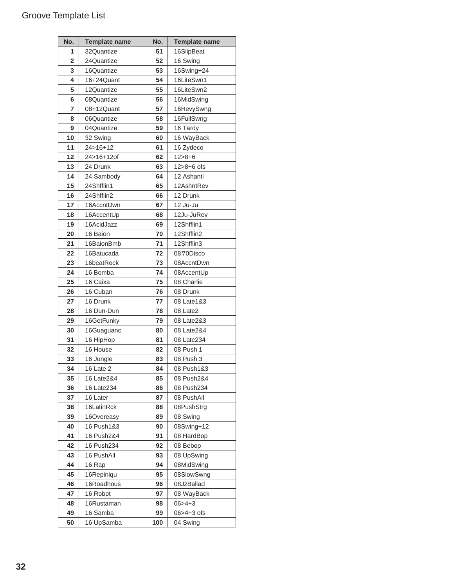| No.            | <b>Template name</b> | No.      | <b>Template name</b>     |
|----------------|----------------------|----------|--------------------------|
| 1              | 32Quantize           | 51       | 16SlipBeat               |
| $\overline{2}$ | 24Quantize           | 52       | 16 Swing                 |
| 3              | 16Quantize           | 53       | 16Swing+24               |
| 4              | 16+24Quant           | 54       | 16LiteSwn1               |
| 5              | 12Quantize           | 55       | 16LiteSwn2               |
| 6              | 08Quantize           | 56       | 16MidSwing               |
| $\overline{7}$ | 08+12Quant           | 57       | 16HevySwng               |
| 8              | 06Quantize           | 58       | 16FullSwng               |
| 9              | 04Quantize           | 59       | 16 Tardy                 |
| 10             | 32 Swing             | 60       | 16 WayBack               |
| 11             | $24 > 16 + 12$       | 61       | 16 Zydeco                |
| 12             | 24>16+12of           | 62       | $12 > 8 + 6$             |
| 13             | 24 Drunk             | 63       | 12>8+6 ofs               |
| 14             | 24 Sambody           | 64       | 12 Ashanti               |
| 15             | 24Shfflin1           | 65       | 12AshntRev               |
| 16             | 24Shfflin2           | 66       | 12 Drunk                 |
| 17             | 16AccntDwn           | 67       | 12 Ju-Ju                 |
| 18             | 16AccentUp           | 68       | 12Ju-JuRev               |
| 19             | 16AcidJazz           | 69       | 12Shfflin1               |
| 20             | 16 Baion             | 70       | 12Shfflin2               |
| 21             | 16BaionBmb           | 71       | 12Shfflin3               |
| 22             | 16Batucada           | 72       | 0870Disco                |
| 23             | 16beatRock           | 73       | 08AccntDwn               |
| 24             | 16 Bomba             | 74       | 08AccentUp               |
| 25             | 16 Caixa             | 75       | 08 Charlie               |
| 26             | 16 Cuban             | 76       | 08 Drunk                 |
| 27             | 16 Drunk             | 77       | 08 Late1&3               |
| 28             | 16 Dun-Dun           | 78       | 08 Late2                 |
| 29             | 16GetFunky           | 79       | 08 Late2&3               |
| 30             | 16Guaguanc           | 80       | 08 Late2&4               |
| 31             | 16 HipHop            | 81       | 08 Late234               |
| 32             | 16 House             | 82       | 08 Push 1                |
| 33             | 16 Jungle            | 83       | 08 Push 3                |
| 34             | 16 Late 2            | 84       | 08 Push1&3               |
| 35             | 16 Late2&4           | 85       | 08 Push2&4               |
| 36             | 16 Late234           | 86       | 08 Push234               |
| 37             | 16 Later             | 87       | 08 PushAll               |
| 38             | 16LatinRck           | 88       | 08PushStrg               |
| 39             | 16Overeasy           | 89       | 08 Swing                 |
|                |                      |          |                          |
| 40<br>41       | 16 Push1&3           | 90<br>91 | 08Swing+12<br>08 HardBop |
| 42             | 16 Push2&4           |          | 08 Bebop                 |
|                | 16 Push234           | 92       |                          |
| 43             | 16 PushAll           | 93       | 08 UpSwing               |
| 44             | 16 Rap               | 94       | 08MidSwing               |
| 45             | 16Repiniqu           | 95       | 08SlowSwng               |
| 46             | 16Roadhous           | 96       | 08JzBallad               |
| 47             | 16 Robot             | 97       | 08 WayBack               |
| 48             | 16Rustaman           | 98       | $06 > 4 + 3$             |
| 49             | 16 Samba             | 99       | 06>4+3 ofs               |
| 50             | 16 UpSamba           | 100      | 04 Swing                 |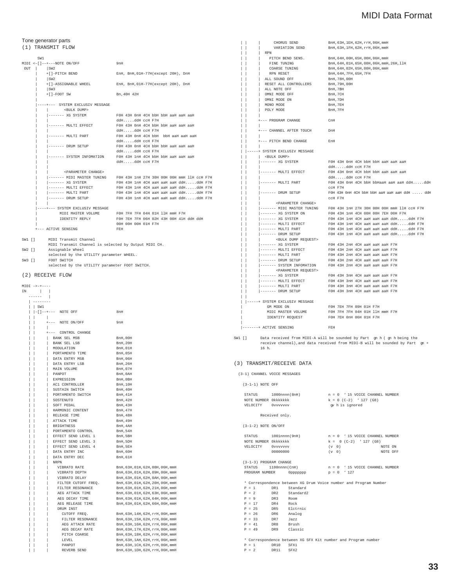### Tone generator parts

(1) TRANSMIT FLOW

|            | SW1                                                  |                                                                       |  |  |  |  |  |  |  |
|------------|------------------------------------------------------|-----------------------------------------------------------------------|--|--|--|--|--|--|--|
|            | $MIDI < -[ ] -- + -- - NOTE ON/OFF$                  | 9nH                                                                   |  |  |  |  |  |  |  |
| <b>OUT</b> | SW2                                                  |                                                                       |  |  |  |  |  |  |  |
|            | +[]-PITCH BEND                                       | EnH, BnH, 01H-77H(except 20H), DnH                                    |  |  |  |  |  |  |  |
|            | SW2                                                  |                                                                       |  |  |  |  |  |  |  |
|            | +[]-ASSIGNABLE WHEEL                                 | EnH, BnH, 01H-77H (except 20H), DnH                                   |  |  |  |  |  |  |  |
|            | SW3                                                  |                                                                       |  |  |  |  |  |  |  |
|            | $+$ $[-$ FOOT SW                                     | Bn, 40H 42H                                                           |  |  |  |  |  |  |  |
|            | ---+--- SYSTEM EXCLUSIV MESSAGE                      |                                                                       |  |  |  |  |  |  |  |
|            | <bulk dump=""></bulk>                                |                                                                       |  |  |  |  |  |  |  |
|            | $------XG$ SYSTEM                                    | FOH 43H OnH 4CH bbH bbH aaH aaH aaH                                   |  |  |  |  |  |  |  |
|            |                                                      | ddHddH ccH F7H                                                        |  |  |  |  |  |  |  |
|            | ------- MULTI EFFECT                                 | FOH 43H OnH 4CH bbH bbH aaH aaH aaH                                   |  |  |  |  |  |  |  |
|            |                                                      | ddHddH ccH F7H                                                        |  |  |  |  |  |  |  |
|            | ------- MULTI PART                                   | FOH 43H OnH 4CH bbH bbH aaH aaH aaH                                   |  |  |  |  |  |  |  |
|            |                                                      | ddHddH ccH F7H                                                        |  |  |  |  |  |  |  |
|            | ------- DRUM SETUP                                   | FOH 43H OnH 4CH bbH bbH aaH aaH aaH                                   |  |  |  |  |  |  |  |
|            |                                                      | ddHddH ccH F7H                                                        |  |  |  |  |  |  |  |
|            | ------- SYSTEM INFOMATION                            | FOH 43H 1nH 4CH bbH bbH aaH aaH aaH                                   |  |  |  |  |  |  |  |
|            |                                                      | ddHddH ccH F7H                                                        |  |  |  |  |  |  |  |
|            | <parameter change=""></parameter>                    |                                                                       |  |  |  |  |  |  |  |
|            |                                                      | ------ MIDI MASTER TUNING FOH 43H 1nH 27H 30H 00H 00H mmH 11H ccH F7H |  |  |  |  |  |  |  |
|            | ------- XG SYSTEM                                    | FOH 43H 1nH 4CH aaH aaH aaH ddHddH F7H                                |  |  |  |  |  |  |  |
|            | ------- MULTI EFFECT                                 | FOH 43H 1nH 4CH aaH aaH aaH ddHddH F7H                                |  |  |  |  |  |  |  |
|            | ------- MULTI PART                                   | FOH 43H 1nH 4CH aaH aaH aaH ddHddH F7H                                |  |  |  |  |  |  |  |
|            | ------- DRUM SETUP                                   | FOH 43H 1nH 4CH aaH aaH aaH ddHddH F7H                                |  |  |  |  |  |  |  |
|            | ----+--- SYSTEM EXCLUSIV MESSAGE                     |                                                                       |  |  |  |  |  |  |  |
|            |                                                      | MIDI MASTER VOLUME FOH 7FH 7FH 04H 01H 11H mmH F7H                    |  |  |  |  |  |  |  |
|            | IDENTITY REPLY                                       | FOH 7EH 7FH 06H 02H 43H 00H 41H ddH ddH                               |  |  |  |  |  |  |  |
|            |                                                      | 00H 00H 00H 01H F7H                                                   |  |  |  |  |  |  |  |
|            | +--- ACTIVE SENSING                                  | FEH                                                                   |  |  |  |  |  |  |  |
|            | $SW1$ $[1$<br>MIDI Transmit Channel                  |                                                                       |  |  |  |  |  |  |  |
|            | MIDI Transmit Channel is selected by Output MIDI CH. |                                                                       |  |  |  |  |  |  |  |

SW2 [] Assignable Wheel

selected by the UTILITY parameter WHEEL. SW3 [] FOOT SWITCH

selected by the UTILITY parameter FOOT SWITCH.

### (2) RECEIVE FLOW

| $MIDI \rightarrow++---$ |                                            |                                   |
|-------------------------|--------------------------------------------|-----------------------------------|
| ΙN                      |                                            |                                   |
|                         |                                            |                                   |
| --------                |                                            |                                   |
| SW1                     |                                            |                                   |
|                         | $ -[]$ --+--- NOTE OFF                     | 8nH                               |
|                         | L                                          |                                   |
|                         | +--- NOTE ON/OFF                           | 9nH                               |
|                         |                                            |                                   |
|                         | +--- CONTROL CHANGE                        |                                   |
|                         | BANK SEL MSB                               | BnH, 00H                          |
|                         | BANK SEL LSB                               | <b>BnH, 20H</b>                   |
|                         | MODULATION                                 | <b>BnH, 01H</b>                   |
|                         | PORTAMENTO TIME                            | BnH, 05H                          |
|                         | DATA ENTRY MSB                             | <b>BnH, 06H</b>                   |
|                         | DATA ENTRY LSB                             | <b>BnH.26H</b>                    |
|                         | MAIN VOLUME                                | BnH, 07H                          |
|                         | PANPOT                                     | BnH, OAH                          |
|                         | EXPRESSION                                 | BnH, OBH                          |
|                         | AC1 CONTROLLER                             | <b>BnH, 10H</b>                   |
|                         | SUSTAIN SWITCH                             | BnH, 40H                          |
|                         |                                            |                                   |
|                         | PORTAMENTO SWITCH<br>SOSTENUTO             | BnH, 41H<br><b>BnH, 42H</b>       |
|                         |                                            |                                   |
|                         | SOFT PEDAL                                 | <b>BnH, 43H</b>                   |
|                         | HARMONIC CONTENT<br>RELEASE TIME           | <b>BnH, 47H</b>                   |
|                         |                                            | BnH, 48H                          |
|                         | ATTACK TIME                                | BnH, 49H                          |
|                         | <b>BRIGHTNESS</b>                          | BnH, 4AH                          |
|                         | PORTAMENTO CONTROL                         | <b>BnH, 54H</b>                   |
|                         | EFFECT SEND LEVEL 1                        | BnH, 5BH                          |
|                         | EFFECT SEND LEVEL 3<br>EFFECT SEND LEVEL 4 | BnH, 5DH                          |
|                         |                                            | BnH, 5EH                          |
|                         | DATA ENTRY INC                             | BnH, 60H                          |
|                         | DATA ENTRY DEC                             | <b>BnH, 61H</b>                   |
|                         | <b>NRPN</b>                                |                                   |
|                         | VIBRATO RATE                               | BnH, 63H, 01H, 62H, 08H, 06H, mmH |
|                         | VIBRATO DEPTH                              | BnH, 63H, 01H, 62H, 09H, 06H, mmH |
|                         | VIBRATO DELAY                              | BnH, 63H, 01H, 62H, 0AH, 06H, mmH |
|                         | FILTER CUTOFF FREQ.                        | BnH, 63H, 01H, 62H, 20H, 06H, mmH |
|                         | FILTER RESONANCE                           | BnH, 63H, 01H, 62H, 21H, 06H, mmH |
|                         | AEG ATTACK TIME                            | BnH, 63H, 01H, 62H, 63H, 06H, mmH |
|                         | AEG DECAY TIME                             | BnH, 63H, 01H, 62H, 64H, 06H, mmH |
|                         | AEG RELEASE TIME                           | BnH, 63H, 01H, 62H, 66H, 06H, mmH |
|                         | DRUM INST                                  |                                   |
|                         | CUTOFF FREQ.                               | BnH, 63H, 14H, 62H, rrH, 06H, mmH |
|                         | FILTER RESONANCE                           | BnH, 63H, 15H, 62H, rrH, 06H, mmH |
|                         | AEG ATTACK RATE                            | BnH, 63H, 16H, 62H, rrH, 06H, mmH |
|                         | AEG DECAY RATE                             | BnH, 63H, 17H, 62H, rrH, 06H, mmH |
|                         | PITCH COARSE                               | BnH, 63H, 18H, 62H, rrH, 06H, mmH |
|                         | LEVEL                                      | BnH, 63H, 1AH, 62H, rrH, 06H, mmH |
|                         | PANPOT                                     | BnH, 63H, 1CH, 62H, rrH, 06H, mmH |
|                         | REVERB SEND                                | BnH, 63H, 1DH, 62H, rrH, 06H, mmH |

|   | CHORUS SEND                                  | BnH, 63H, 1EH, 62H, rrH, 06H, mmH                                                                                                                          |  |
|---|----------------------------------------------|------------------------------------------------------------------------------------------------------------------------------------------------------------|--|
|   | VARIATION SEND                               | BnH, 63H, 1FH, 62H, rrH, 06H, mmH                                                                                                                          |  |
|   | RPN                                          |                                                                                                                                                            |  |
|   | PITCH BEND SENS.                             | BnH, 64H, 00H, 65H, 00H, 06H, mmH                                                                                                                          |  |
|   | $\Box$<br>FINE TUNING                        | BnH, 64H, 01H, 65H, 00H, 06H, mmH, 26H, 11H                                                                                                                |  |
|   | COARSE TUNING                                | BnH, 64H, 02H, 65H, 00H, 06H, mmH                                                                                                                          |  |
|   | RPN RESET                                    | BnH, 64H, 7FH, 65H, 7FH                                                                                                                                    |  |
|   | $\mathsf{L}$<br>ALL SOUND OFF                | BnH, 78H, 00H                                                                                                                                              |  |
|   | RESET ALL CONTROLLERS                        | BnH, 79H, 00H                                                                                                                                              |  |
|   | ALL NOTE OFF                                 | BnH, 7BH                                                                                                                                                   |  |
|   | $\mathbf{1}$<br>OMNI MODE OFF                | BnH, 7CH                                                                                                                                                   |  |
|   | OMNI MODE ON                                 | BnH, 7DH                                                                                                                                                   |  |
|   | MONO MODE                                    | BnH, 7EH                                                                                                                                                   |  |
|   | POLY MODE                                    | BnH, 7FH                                                                                                                                                   |  |
|   |                                              |                                                                                                                                                            |  |
|   | +--- PROGRAM CHANGE                          | CnH                                                                                                                                                        |  |
|   |                                              |                                                                                                                                                            |  |
|   | +--- CHANNEL AFTER TOUCH DnH                 |                                                                                                                                                            |  |
|   |                                              |                                                                                                                                                            |  |
|   | +--- PITCH BEND CHANGE                       | EnH                                                                                                                                                        |  |
|   |                                              |                                                                                                                                                            |  |
|   | ------ SYSTEM EXCLUSIV MESSAGE               |                                                                                                                                                            |  |
| Н | <bulk dump=""></bulk>                        |                                                                                                                                                            |  |
|   | $ -----$ XG SYSTEM                           | FOH 43H OnH 4CH bbH bbH aaH aaH aaH                                                                                                                        |  |
|   |                                              | ddHddH ccH F7H                                                                                                                                             |  |
|   |                                              | $ \hbox{\tt \texttt{-----} } \hspace*{0.5cm} \text{MULTI EFFECT} \hspace*{1.5cm} \text{FOH 43H 0nH 4CH bbH bbH aaH aaH}$                                   |  |
|   |                                              | $ddH$ $ddH$ ccH F7H                                                                                                                                        |  |
|   | ------- MULTI PART                           | FOH 43H OnH 4CH bbH bbHaaH aaH aaH ddHddH                                                                                                                  |  |
|   |                                              | CCH F7H                                                                                                                                                    |  |
|   | ------- DRUM SETUP                           | F0H 43H 0nH 4CH bbH bbH aaH aaH aaH ddH  ddH                                                                                                               |  |
|   | $\mathbf{I}$                                 | CCH F7H                                                                                                                                                    |  |
|   | <parameter change=""></parameter>            |                                                                                                                                                            |  |
|   |                                              | $ ----- MIDI MASTER TUNING FOH 43H 1nH 27H 30H 00H 00H mmH 11H ccH F7H$                                                                                    |  |
| I | $\vert$ ------- XG SYSTEM ON                 |                                                                                                                                                            |  |
|   | $ -----$ XG SYSTEM                           |                                                                                                                                                            |  |
|   | ------- MULTI EFFECT                         |                                                                                                                                                            |  |
|   | $ -----$ MULTI PART<br>$\vert \ \ \vert$     |                                                                                                                                                            |  |
|   | $\vert \ \ \vert$<br>$ -----$ DRUM SETUP     | FOH 43H 1nH 4CH aaH aaH aaH ddHddH F7H                                                                                                                     |  |
|   | <bulk dump="" request=""></bulk>             |                                                                                                                                                            |  |
| ı | $ -----$ XG SYSTEM                           | FOH 43H 2nH 4CH aaH aaH aaH F7H                                                                                                                            |  |
|   | $ -----$ MULTI EFFECT                        |                                                                                                                                                            |  |
|   | ------- MULTI PART                           |                                                                                                                                                            |  |
|   | $ -----$ DRUM SETUP                          | FOH 43H 2nH 4CH aaH aaH aaH F7H<br>FOH 43H 2nH 4CH aaH aaH aaH F7H<br>FOH 43H 2nH 4CH aaH aaH aaH F7H                                                      |  |
|   |                                              | ------ SYSTEM INFOMATION FOH 43H 2nH 4CH aaH aaH aaH F7H                                                                                                   |  |
|   | <parameter request=""></parameter>           |                                                                                                                                                            |  |
|   | $ -----$ XG SYSTEM                           | FOH 43H 3nH 4CH aaH aaH aaH F7H                                                                                                                            |  |
|   |                                              |                                                                                                                                                            |  |
|   |                                              |                                                                                                                                                            |  |
|   |                                              | ------- MULTI EFFECT   FOH 43H 3nH 4CH aaH aaH aaH F7H  ------- MULTI PART   FOH 43H 3nH 4CH aaH aaH R7H  ------- DRUM SETUP   FOH 43H 3nH 4CH aaH aaH R7H |  |
|   |                                              |                                                                                                                                                            |  |
|   |                                              |                                                                                                                                                            |  |
|   | -----+ SYSTEM EXCLUSIV MESSAGE<br>GM MODE ON | FOH 7EH 7FH 09H 01H F7H                                                                                                                                    |  |
|   | MIDI MASTER VOLUME                           | FOH 7FH 7FH 04H 01H 11H mmH F7H                                                                                                                            |  |
|   | IDENTITY REQUEST                             | FOH 7EH OnH 06H 01H F7H                                                                                                                                    |  |
|   |                                              |                                                                                                                                                            |  |
|   | $\vert$ -------+ ACTIVE SENSING              | FEH                                                                                                                                                        |  |
|   |                                              |                                                                                                                                                            |  |

SW1 [] Data received from MIDI-A will be sounded by Part gn h ( gn h being the receive channel),and data received from MIDI-B will be sounded by Part gn + 16 h.

#### (3) TRANSMIT/RECEIVE DATA

(3-1) CHANNEL VOICE MESSAGES

(3-1-1) NOTE OFF

|                        |                |                                      |            | STATUS $1000 \text{nnnn}(8 \text{ nH})$ $n = 0$ ' 15 VOICE CHANNEL NUMBER |  |
|------------------------|----------------|--------------------------------------|------------|---------------------------------------------------------------------------|--|
| NOTE NUMBER Okkkkkkk   |                |                                      |            | $k = 0$ (C-2) $\cdot$ 127 (G8)                                            |  |
| VELOCITY 0vvvvvvv      |                |                                      |            | av h is ignored                                                           |  |
|                        | Received only. |                                      |            |                                                                           |  |
| (3-1-2) NOTE ON/OFF    |                |                                      |            |                                                                           |  |
|                        |                |                                      |            | STATUS $1001$ nnnn $(9nH)$ $n = 0$ '15 VOICE CHANNEL NUMBER               |  |
| NOTE NUMBER Okkkkkkk   |                |                                      |            | $k = 0$ (C-2) $\sqrt{127}$ (G8)                                           |  |
| VELOCITY 0vvvvvvv      |                |                                      | $(v \t 0)$ | NOTE ON                                                                   |  |
|                        | 00000000       |                                      | $(v \t 0)$ | NOTE OFF                                                                  |  |
| (3-1-3) PROGRAM CHANGE |                |                                      |            |                                                                           |  |
|                        |                |                                      |            | STATUS $1100 \text{nnnn}(\text{CH})$ $n = 0$ ' 15 VOICE CHANNEL NUMBER    |  |
|                        |                | PROGRAM NUMBER 0pppppppp $p = 0$ 127 |            |                                                                           |  |
|                        |                |                                      |            | * Correspondence between XG Drum Voice number and Program Number          |  |
| $P = 1$ DR1 Standard   |                |                                      |            |                                                                           |  |
| $P = 2$ DR2 Standard2  |                |                                      |            |                                                                           |  |
| $P = 9$ DR3 Room       |                |                                      |            |                                                                           |  |
| $P = 17$               | DR4 Rock       |                                      |            |                                                                           |  |
| $P = 25$               |                | DR5 Eletrnic                         |            |                                                                           |  |
| $P = 26$               |                | DR6 Analog                           |            |                                                                           |  |
| $P = 33$ DR7 Jazz      |                |                                      |            |                                                                           |  |
| $P = 41$ DR8 Brush     |                |                                      |            |                                                                           |  |
| $P = 49$ DR9 Classic   |                |                                      |            |                                                                           |  |
|                        |                |                                      |            | * Correctordence between YC CFY Kit number and Brogram number             |  |

 $\ast$  Correspondence between XG SFX Kit number and Program P = 1  $\,$  DR10  $\,$  SFX1 P = 1 DR10 SFX1 P = 2 DR11 SFX2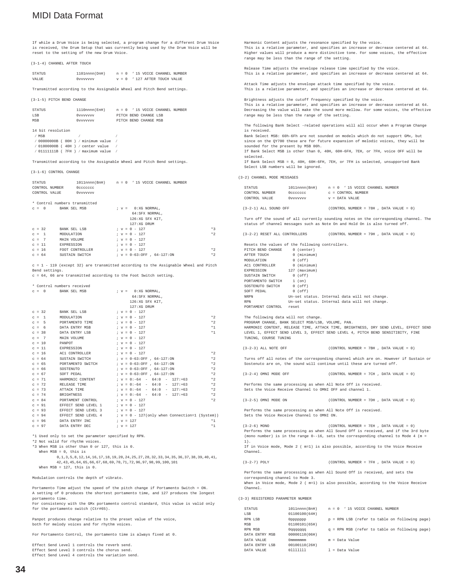If while a Drum Voice is being selected, a program change for a different Drum Voice is received, the Drum Setup that was currently being used by the Drum Voice will be reset to the setting of the new Drum Voice.

(3-1-4) CHANNEL AFTER TOUCH

| STATUS | 1101nnnn(DnH) |  |  |  |                                 | $n = 0$ ' 15 VOICE CHANNEL NUMBER |
|--------|---------------|--|--|--|---------------------------------|-----------------------------------|
| VALUE  | 0vvvvvvv      |  |  |  | $v = 0$ ' 127 AFTER TOUCH VALUE |                                   |

Transmitted according to the Assignable Wheel and Pitch Bend settings.

(3-1-5) PITCH BEND CHANGE

| STATUS | 1110nnnn(FnH) |                       |  | $n = 0$ ' 15 VOICE CHANNEL NUMBER |
|--------|---------------|-----------------------|--|-----------------------------------|
| LSB    | Ovvvvvv       | PITCH BEND CHANGE LSB |  |                                   |
| MSB    | Ovvvvvv       | PITCH BEND CHANGE MSB |  |                                   |
|        |               |                       |  |                                   |

14 bit resolution ⁄ MSB ⁄ ⁄ ⁄ 00000000B ( 00H ) ⁄ minimum value ⁄ ⁄ 01000000B ( 40H ) ⁄ center value ⁄  $/$  011111111B ( 7FH )  $/$  maximum value

Transmitted according to the Assignable Wheel and Pitch Bend settings.

(3-1-6) CONTROL CHANGE

| STATUS                        | 1011nnnn(BnH) n = 0 '15 VOICE CHANNEL NUMBER |  |  |                 |                       |                               |  |      |
|-------------------------------|----------------------------------------------|--|--|-----------------|-----------------------|-------------------------------|--|------|
| CONTROL NUMBER                | Occccccc                                     |  |  |                 |                       |                               |  |      |
| CONTROL VALUE                 | 0vvvvvvv                                     |  |  |                 |                       |                               |  |      |
| * Control numbers transmitted |                                              |  |  |                 |                       |                               |  |      |
| BANK SEL MSB<br>$C = 0$       |                                              |  |  |                 | $; v = 0: XG$ NORMAL. |                               |  |      |
|                               |                                              |  |  |                 | 64: SFX NORMAL.       |                               |  |      |
|                               |                                              |  |  |                 | 126:XG SFX KIT.       |                               |  |      |
|                               |                                              |  |  |                 | 127:XG DRUM           |                               |  |      |
| $C = 32$<br>BANK SEL LSB      |                                              |  |  | $: v = 0 - 127$ |                       |                               |  | $*3$ |
| MODULATION<br>$c = 1$         |                                              |  |  | $: v = 0 - 127$ |                       |                               |  | $*2$ |
| $C = 7$<br>MAIN VOLUME        |                                              |  |  | $: v = 0 - 127$ |                       |                               |  |      |
| $c = 11$<br>EXPRESSION        |                                              |  |  | $: v = 0 - 127$ |                       |                               |  |      |
| $c = 16$                      | FOOT CONTROLLER                              |  |  | $; v = 0 - 127$ |                       |                               |  | $*2$ |
| $C = 64$                      | SUSTAIN SWITCH                               |  |  |                 |                       | $V = 0-63:$ OFF $.64-127:$ ON |  | $*2$ |

 $c = 1 - 119$  (except 32) are transmitted according to the Assignable Wheel and Pitch Bend settings.

c = 64, 66 are transmitted according to the Foot Switch setting.

|  |          | * Control numbers received                                |  |                                                                                                                                                                                                                                                                                                                                |      |
|--|----------|-----------------------------------------------------------|--|--------------------------------------------------------------------------------------------------------------------------------------------------------------------------------------------------------------------------------------------------------------------------------------------------------------------------------|------|
|  |          | $c = 0$ BANK SEL MSB                                      |  | $V = 0: XG$ NORMAL.                                                                                                                                                                                                                                                                                                            |      |
|  |          |                                                           |  | 64: SFX NORMAL.                                                                                                                                                                                                                                                                                                                |      |
|  |          |                                                           |  | 126:XG SFX KIT.                                                                                                                                                                                                                                                                                                                |      |
|  |          |                                                           |  | 127:XG DRIM                                                                                                                                                                                                                                                                                                                    |      |
|  | $c = 32$ | BANK SEL LSB                                              |  | $V = 0 - 127$                                                                                                                                                                                                                                                                                                                  |      |
|  | $c = 1$  | MODIJLATION                                               |  | $*2$<br>$: v = 0 - 127$                                                                                                                                                                                                                                                                                                        |      |
|  | $C = 5$  | PORTAMENTO TIME                                           |  | $*2$<br>$; v = 0 - 127$                                                                                                                                                                                                                                                                                                        |      |
|  | $c = 6$  | DATA ENTRY MSB                                            |  | $*1$<br>$V = 0 - 127$                                                                                                                                                                                                                                                                                                          |      |
|  | $C = 38$ | DATA ENTRY LSB                                            |  | $: v = 0 - 127$<br>$*1$                                                                                                                                                                                                                                                                                                        |      |
|  | $c = 7$  | MAIN VOLUME                                               |  | $V = 0 - 127$                                                                                                                                                                                                                                                                                                                  |      |
|  | $C = 10$ | PANPOT                                                    |  | $: v = 0 - 127$                                                                                                                                                                                                                                                                                                                |      |
|  | $c = 11$ | EXPRESSION                                                |  | $: v = 0 - 127$                                                                                                                                                                                                                                                                                                                |      |
|  | $c = 16$ | AC1 CONTROLLER                                            |  | $*2$<br>$V = 0 - 127$                                                                                                                                                                                                                                                                                                          |      |
|  | $C = 64$ | SUSTAIN SWITCH $\qquad$ $; v = 0-63:$ OFF $.64-127:$ ON   |  | $*2$                                                                                                                                                                                                                                                                                                                           |      |
|  | $c = 65$ | PORTAMENTO SWITCH $i \vee j = 0-63:$ OFF $i$ , 64-127: ON |  | $*2$                                                                                                                                                                                                                                                                                                                           |      |
|  | $C = 66$ | SOSTENUTO                                                 |  | $*2$<br>$V = 0-63:OFF$ , $64-127:ON$                                                                                                                                                                                                                                                                                           |      |
|  | $C = 67$ | SOFT PEDAL                                                |  | $*2$<br>$; v = 0-63:OFF$ , $64-127:ON$                                                                                                                                                                                                                                                                                         |      |
|  | $c = 71$ |                                                           |  | HARMONTC CONTENT $; v = 0:-64 - 64:0 - 127:+63$<br>$*2$                                                                                                                                                                                                                                                                        |      |
|  | $C = 72$ | RELEASE TIME                                              |  | $*2$<br>$V = 0:-64 - 64:0 - 127:+63$                                                                                                                                                                                                                                                                                           |      |
|  | $C = 73$ | ATTACK TIME                                               |  | $V = 0:-64 - 64:0 - 127:+63$<br>$*2$                                                                                                                                                                                                                                                                                           |      |
|  | $C = 74$ | BRIGHTNESS                                                |  | $; v = 0:-64 - 64:0 - 127:+63$<br>$*2$                                                                                                                                                                                                                                                                                         |      |
|  | $c = 84$ | PORTAMENT CONTROL                                         |  | $*2$<br>$V = 0 - 127$                                                                                                                                                                                                                                                                                                          |      |
|  | $C = 91$ | EFFECT SEND LEVEL 1                                       |  | $; v = 0 - 127$                                                                                                                                                                                                                                                                                                                |      |
|  | $C = 93$ | EFFECT SEND LEVEL 3                                       |  | $; v = 0 - 127$                                                                                                                                                                                                                                                                                                                |      |
|  | $c = 94$ |                                                           |  | EFFECT SEND LEVEL $4$ $\qquad$ $\qquad$ $\qquad$ $\qquad$ $\qquad$ $\qquad$ $\qquad$ $\qquad$ $\qquad$ $\qquad$ $\qquad$ $\qquad$ $\qquad$ $\qquad$ $\qquad$ $\qquad$ $\qquad$ $\qquad$ $\qquad$ $\qquad$ $\qquad$ $\qquad$ $\qquad$ $\qquad$ $\qquad$ $\qquad$ $\qquad$ $\qquad$ $\qquad$ $\qquad$ $\qquad$ $\qquad$ $\qquad$ |      |
|  | $C = 96$ | DATA ENTRY INC                                            |  | $; v = 127$                                                                                                                                                                                                                                                                                                                    | $*1$ |
|  | $c = 97$ | DATA ENTRY DEC                                            |  | $*1$<br>$; v = 127$                                                                                                                                                                                                                                                                                                            |      |

\*1 Used only to set the parameter specified by RPN.

\*2 Not valid for rhythm voices.

\*3 When MSB is other than 0 or 127, this is 0.

When MSB = 0, this is

0,1,3,5,8,12,14,16,17,18,19,20,24,25,27,28,32,33,34,35,36,37,38,39,40,41, 42,43,45,64,65,66,67,68,69,70,71,72,96,97,98,99,100,101 When  $MSB = 127$ , this is 0.

Modulation controls the depth of vibrato.

Portamento Time adjust the speed of the pitch change if Portamento Switch = ON. A setting of 0 produces the shortest portamento time, and 127 produces the longest portamento time.

.<br>For consistency with the GMx portamento control standard, this value is valid only for the portamento switch (Ctr#65).

Panpot produces change relative to the preset value of the voice, both for melody voices and for rhythm voices.

For Portamento Control, the portamento time is always fixed at 0.

Effect Send Level 1 controls the reverb send. Effect Send Level 3 controls the chorus send. Effect Send Level 4 controls the variation send.

Harmonic Content adjusts the resonance specified by the voice. This is a relative parameter, and specifies an increase or decrease centered at 64. Higher values will produce a more distinctive tone. For some voices, the effective range may be less than the range of the setting. Release Time adjusts the envelope release time specified by the voice. This is a relative parameter, and specifies an increase or decrease centered at 64. Attack Time adjusts the envelope attack time specified by the voice. This is a relative parameter, and specifies an increase or decrease centered at 64. Brightness adjusts the cutoff frequency specified by the voice. This is a relative parameter, and specifies an increase or decrease centered at 64. Decreasing the value will make the sound more mellow. For some voices, the effective range may be less than the range of the setting. The following Bank Select -related operations will all occur when a Program Change is received. Bank Select MSB: 60h-6Fh are not sounded on models which do not support GMx, but since on the QY700 these are for future expansion of melodic voices, they will be sounded for the present by MSB 00h. If Bank Select MSB is other than 0, 40H, 60H-6FH, 7EH, or 7FH, voice OFF will be selected. If Bank Select MSB = 0, 40H, 60H-6FH, 7EH, or 7FH is selected, unsupported Bank Select LSB numbers will be ignored. (3-2) CHANNEL MODE MESSAGES STATUS 1011nnnn(BnH)  $n = 0$  ' 15 VOICE CHANNEL NUMBER<br>CONTROL NUMBER 0ccccccc c = CONTROL NUMBER CONTROL NUMBER 0cccccccc c c = CONTROL NUMBER<br>CONTROL VALUE 0vvvvvvvv c = DATA VALUE  $\begin{array}{ccc} 0 & \text{v}\\ \text{v} & \text{v} \end{array} \xrightarrow{\text{DATA}} \text{VALUE}$  $(3-2-1)$  ALL SOUND OFF  $(CONTROL NUMBER = 78H , DATA VALUE = 0)$ Turn off the sound of all currently sounding notes on the corresponding channel. The status of channel messages such as Note On and Hold On is also turned off.  $(3-2-2)$  RESET ALL CONTROLLERS  $(COMTROIL)$  MIMBER = 79H, DATA VALUE = 0) Resets the values of the following controllers.<br>PITCH BEND CHANGE 0 (center) PITCH BEND CHANGE 0 (center)<br>AFTER TOUCH 0 (minimum) AFTER TOUCH 0 (minimum)<br>MODULATION 0 (off) MODULATION 0 (off)<br>ACL CONTROLLER 0 (minimum) AC1 CONTROLLER 0 (minimum) EXPRESSION 127 (maximum)<br>SUSTAIN SWITCH 0 (off)<br>PORTAMENTO SWITCH 1 (on)  ${\tt SUSTAIN} \begin{tabular}{l} \multicolumn{2}{l}{{\bf SUTALN}} \end{tabular}$ PORTAMENTO SWITCH 1 (on) SOSTENUTO SWITCH 0 (off)<br>SOFT PEDAL 0 (off) SOFT PEDAL NEDDA NRPN Un-set status. Internal data will not change. RPN Un-set status. Internal data will not change. PORTAMENT CONTROL reset The following data will not change. PROGRAM CHANGE, BANK SELECT MSB/LSB, VOLUME, PAN. HARMONIC CONTENT, RELEASE TIME, ATTACK TIME, BRIGHTNESS, DRY SEND LEVEL, EFFECT SEND LEVEL 1, EFFECT SEND LEVEL 3, EFFECT SEND LEVEL 4, PITCH BEND SENSITIBITY, FINE TUNING, COURSE TUNING (3-2-3) ALL NOTE OFF (CONTROL NUMBER = 7BH , DATA VALUE = 0) Turns off all notes of the corresponding channel which are on. However if Sustain or Sostenuto are on, the sound will continue until these are turned off. (3-2-4) OMNI MODE OFF  $(COMTROI, NIMBER = 7CH \t DATA VATIIR = 0)$ Performs the same processing as when All Note Off is received. Sets the Voice Receive Channel to OMNI OFF and channel 1. (3-2-5) OMNI MODE ON  $(COMTROL NUMBER = 7DH, DATA VALUE = 0)$ Performs the same processing as when All Note Off is received. Sets the Voice Receive Channel to OMNI ON. (3-2-6) MONO (CONTROL NUMBER = 7EH , DATA VALUE = 0) Performs the same processing as when All Sound Off is received, and if the 3rd byte (mono number) is in the range 0--16, sets the corresponding channel to Mode 4 (m 1). If in Voice mode, Mode 2 ( m=1) is also possible, according to the Voice Receive Channel. (3-2-7) POLY (CONTROL NUMBER = 7FH , DATA VALUE = 0) Performs the same processing as when All Sound Off is received, and sets the corresponding channel to Mode 3. When in Voice mode, Mode 2 ( m=1) is also possible, according to the Voice Receive Channel. (3-3) REGISTERED PARAMETER NUMBER STATUS 1011nnnn(BnH) n = 0 ' 15 VOICE CHANNEL NUMBER LSB 01100100(64H)  $p = RPN$  LSB (refer to table on following page) MSB 01100101(65H)  $0qqqqqqqq$ <br>  $q = RPN MSB$  (refer to table on following page)<br>  $00000110(068)$ DATA ENTRY MSB DATA VALUE  $0$ mmmmmmm  $m = Data Value$ <br>DATA ENTEV LSB  $0.0100110/264$ 

 $l = Data Value$ 

DATA ENTRY LSB 00100110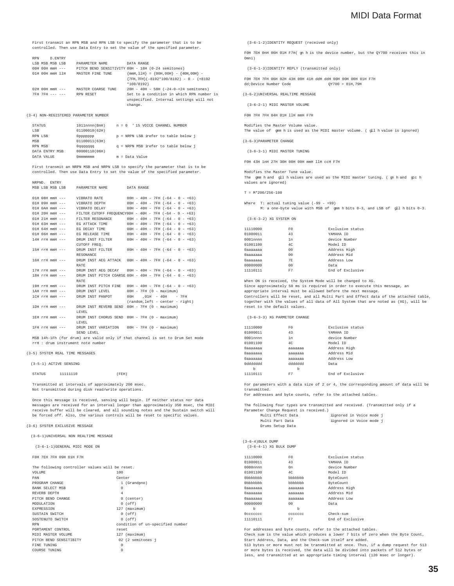First transmit an RPN MSB and RPN LSB to specify the parameter that is to be controlled. Then use Data Entry to set the value of the specified parameter.

| <b>RPN</b>           | D . ENTRY               |                         |                    |                                                   |
|----------------------|-------------------------|-------------------------|--------------------|---------------------------------------------------|
| LSB MSB MSB LSB      |                         |                         | PARAMETER NAME     | DATA RANGE                                        |
|                      | $0.0H$ $0.0H$ mmH $---$ |                         |                    | PITCH BEND SENSITIVITY 00H - 18H (0-24 semitones) |
|                      |                         | 01H 00H mmH 11H         | MASTER FINE TUNE   | $\{mmH, 11H\} = \{00H, 00H\} - \{40H, 00H\} -$    |
|                      |                         |                         |                    | ${7FH,7FH} (-8192*100/8192) - 0 - (+8192)$        |
|                      |                         |                         |                    | $*100/8192)$                                      |
|                      |                         | $0.2H$ $0.0H$ mmH $---$ | MASTER COARSE TUNE | 28H - 40H - 58H (-24-0-+24 semitones)             |
| $7FH$ $7FH$ $-- ---$ |                         |                         | RPN RESET          | Set to a condition in which RPN number is         |
|                      |                         |                         |                    | unspecified. Internal settings will not           |
|                      |                         |                         |                    | change                                            |

#### (3-4) NON-REGISTERED PARAMETER NUMBER

NRPND. ENTRY

| <b>STATUS</b>  | 1011nnnn(BnH) | $n = 0$ ' 15 VOICE CHANNEL NUMBER    |
|----------------|---------------|--------------------------------------|
| LSB            | 01100010(62H) |                                      |
| <b>RPN LSB</b> | 0ppppppp      | p = NRPN LSB irefer to table below j |
| MSB            | 01100011(63H) |                                      |
| <b>RPN MSB</b> | Oaaaaaaa      | q = NRPN MSB irefer to table below j |
| DATA ENTRY MSB | 00000110(06H) |                                      |
| DATA VALUE     | 0mmmmmmm      | m = Data Value                       |

First transmit an NRPN MSB and NRPN LSB to specify the parameter that is to be controlled. Then use Data Entry to set the value of the specified parameter.

|  |                     | MSB LSB MSB LSB PARAMETER NAME THE DATA RANGE |                                                                               |
|--|---------------------|-----------------------------------------------|-------------------------------------------------------------------------------|
|  |                     |                                               | 01H 08H mmH --- VIBRATO RATE 00H - 40H - 7FH (-64 - 0 - +63)                  |
|  |                     |                                               | 01H 09H mmH --- VIBRATO DEPTH 00H - 40H - 7FH (-64 - 0 - +63)                 |
|  |                     | 01H 0AH mmH --- VIBRATO DELAY                 | $00H - 40H - 7FH (-64 - 0 - +63)$                                             |
|  |                     |                                               | 01H 20H mmH --- FILTER CUTOFF FREQUENCY00H - 40H - 7FH (-64 - 0 - +63)        |
|  | $01H$ 21H mmH $---$ |                                               | FILTER RESONANCE $00H - 40H - 7FH (-64 - 0 - +63)$                            |
|  |                     |                                               | 01H 63H mmH --- EG ATTACK TIME 00H - 40H - 7FH (-64 - 0 - +63)                |
|  | $01H$ 64H mmH $---$ | EG DECAY TIME                                 | $00H - 40H - 7FH (-64 - 0 - +63)$                                             |
|  |                     |                                               | 01H 66H mmH --- EG RELEASE TIME 00H - 40H - 7FH (-64 - 0 - +63)               |
|  | $14H$ rrH mmH $---$ |                                               |                                                                               |
|  |                     | CUTOFF FREO.                                  | DRUM INST FILTER 00H - 40H - 7FH (-64 - 0 - +63)                              |
|  | $15H$ rrH $mmH$ --- |                                               | DRUM INST FILTER 00H - 40H - 7FH (-64 - 0 - +63)                              |
|  |                     | RESONANCE                                     |                                                                               |
|  |                     |                                               | 16H rrH mmH --- DRUM INST AEG ATTACK 00H - 40H - 7FH (-64 - 0 - +63)          |
|  |                     | <b>RATE</b>                                   |                                                                               |
|  |                     |                                               | 17H rrH mmH --- DRUM INST AEG DECAY 00H - 40H - 7FH (-64 - 0 - +63)           |
|  |                     |                                               | 18H rrH mmH --- DRUM INST PITCH COARSE 00H - 40H - 7FH (-64 - 0 - +63)        |
|  |                     | RATE                                          |                                                                               |
|  |                     |                                               | 19H rrH mmH --- DRUM INST PITCH FINE 00H - 40H - 7FH (-64 - 0 - +63)          |
|  |                     |                                               | 1AH rrH mmH --- DRUM INST LEVEL 00H - 7FH (0 - maximum)                       |
|  |                     | 1CH rrH mmH --- DRUM INST PANPOT              | 00H .01H - 40H - 7FH                                                          |
|  |                     |                                               | (random.left - center - right)                                                |
|  |                     |                                               | 1DH rrH mmH --- DRUM INST REVERB SEND 00H - 7FH (0 - maximum)                 |
|  |                     | LEVEL                                         |                                                                               |
|  |                     |                                               | 1EH rrH mmH --- DRUM INST CHORUS SEND 00H - 7FH (0 - maximum)                 |
|  |                     | LEVEL                                         |                                                                               |
|  |                     |                                               | 1FH rrH mmH --- DRUM INST VARIATION 00H - 7FH (0 - maximum)                   |
|  |                     | SEND LEVEL                                    |                                                                               |
|  |                     |                                               | MSB 14h-1Fh (for drum) are valid only if that channel is set to Drum Set mode |

rrH : drum instrument note number

#### (3-5) SYSTEM REAL TIME MESSAGES

(3-5-1) ACTIVE SENSING

| <b>STATUS</b> | 11111110 | (FEH) |
|---------------|----------|-------|

Transmitted at intervals of approximately 200 msec. Not transmitted during disk read/write operations.

Once this message is received, sensing will begin. If neither status nor data messages are received for an interval longer than approximately 350 msec, the MIDI receive buffer will be cleared, and all sounding notes and the Sustain switch will be forced off. Also, the various controls will be reset to specific values.

#### (3-6) SYSTEM EXCLUSIVE MESSAGE

(3-6-1)UNIVERSAL NON REALTIME MESSAGE

#### (3-6-1-1)GENERAL MIDI MODE ON

F0H 7EH 7FH 09H 01H F7H

The following controller values will be reset.

| <b>VOLUME</b>          | 100                              |
|------------------------|----------------------------------|
| PAN                    | Center                           |
| PROGRAM CHANGE         | 1 (Grandpno)                     |
| <b>BANK SELECT MSB</b> | $\Omega$                         |
| REVERB DEPTH           | $\overline{4}$                   |
| PITCH BEND CHANGE      | $0$ (center)                     |
| MODIILATION            | $0$ (off)                        |
| <b>EXPRESSION</b>      | 127 (maximum)                    |
| SUSTAIN SWITCH         | $0$ (off)                        |
| SOSTENUTO SWITCH       | $0$ (off)                        |
| <b>RPN</b>             | condition of un-specified number |
| PORTAMENT CONTROL      | reset                            |
| MIDI MASTER VOLUME     | 127 (maximum)                    |
| PITCH BEND SENSITIBITY | 02 (2 semitones i                |
| FINE TUNING            | $\Omega$                         |
| COURSE TUNING          | $\Omega$                         |
|                        |                                  |

(3-6-1-2)IDENTITY REQUEST (received only)

F0H 7EH 0nH 06H 01H F7H( gn h is the device number, but the QY700 receives this in Omni)

(3-6-1-3)IDENTITY REPLY (transmitted only)

F0H 7EH 7FH 06H 02H 43H 00H 41H ddH ddH 00H 00H 00H 01H F7H dd;Device Number Code

(3-6-2)UNIVERSAL REALTIME MESSAGE

(3-6-2-1) MIDI MASTER VOLUME

F0H 7FH 7FH 04H 01H llH mmH F7H

Modifies the Master Volume value. The value of gmm h is used as the MIDI master volume. ( gll h value is ignored)

(3-6-3)PARAMETER CHANGE

(3-6-3-1) MIDI MASTER TUNING

F0H 43H 1nH 27H 30H 00H 00H mmH llH ccH F7H

Modifies the Master Tune value. The gmm h and gll h values are used as the MIDI master tuning. (gn h and gcc h values are ignored)

 $T = M*200/256 - 100$ 

Where T: actual tuning value (-99 - +99) M: a one-byte value with MSB of gmm h bits 0-3, and LSB of gll h bits 0-3.

(3-6-3-2) XG SYSTEM ON

| 11110000    | F0             | Exclusive status |
|-------------|----------------|------------------|
| 01000011    | 43             | YAMAHA ID        |
| $0001$ nnnn | 1n             | device Number    |
| 01001100    | 4C             | Model ID         |
| 0aaaaaaa    | 0 <sub>0</sub> | Address High     |
| 0aaaaaaa    | 0 <sub>0</sub> | Address Mid      |
| 0aaaaaaa    | <b>7F</b>      | Address Low      |
| 00000000    | 0 <sub>0</sub> | Data             |
| 11110111    | F7             | End of Exclusive |

When ON is received, the System Mode will be changed to XG.

Since approximately 50 ms is required in order to execute this message, an

appropriate interval must be allowed before the next message. Controllers will be reset, and all Multi Part and Effect data of the attached table, together with the values of all data of All System that are noted as (XG), will be reset to the default values.

(3-6-3-3) XG PARMETER CHANGE

| 11110000        | F()     | Exclusive status |
|-----------------|---------|------------------|
| 01000011        | 43      | YAMAHA TD        |
| $0001$ nnnn     | 1n      | device Number    |
| 01001100        | 4C      | Model ID         |
| 0aaaaaaa        | aaaaaaa | Address High     |
| 0aaaaaaa        | aaaaaaa | Address Mid      |
| 0aaaaaaa        | aaaaaaa | Address Low      |
| <b>DAAAAAAA</b> | hhhhhhh | Data             |
| $\mathbf b$     | ħ       |                  |
| 11110111        | F7      | End of Exclusive |

For parameters with a data size of 2 or 4, the corresponding amount of data will be transmitted.

For addresses and byte counts, refer to the attached tables.

The following four types are transmitted and received. (Transmitted only if a Parameter Change Request is received.)

| Multi Effect Data | iignored in Voice mode j |  |  |
|-------------------|--------------------------|--|--|
| Multi Part Data   | iignored in Voice mode i |  |  |
| Drums Setup Data  |                          |  |  |

#### (3-6-4)BULK DUMP  $(3-6-4-1)$  XG BULK DUMP

| 11110000    | F0             | Exclusive status |
|-------------|----------------|------------------|
| 01000011    | 43             | YAMAHA TD        |
| $0000$ nnnn | 0n             | device Number    |
| 01001100    | 4C             | Model ID         |
| 0bbbbbbb    | bbbbbbb        | ByteCount        |
| 0bbbbbbb    | bbbbbbb        | ByteCount        |
| 0aaaaaaa    | aaaaaaa        | Address High     |
| 0aaaaaaa    | aaaaaaa        | Address Mid      |
| 0aaaaaaa    | aaaaaaa        | Address Low      |
| 000000000   | 0 <sub>0</sub> | Data             |
| b           | b              |                  |
| Occccccc    | ccccccc        | Check-sum        |
| 11110111    | F7             | End of Exclusive |
|             |                |                  |

For addresses and byte counts, refer to the attached tables.

Check sum is the value which produces a lower 7 bits of zero when the Byte Count, Start Address, Data, and the Check-sum itself are added.

513 bytes or more must not be transmitted at once. Thus, if a dump request for 513 or more bytes is received, the data will be divided into packets of 512 bytes or less, and transmitted at an appropriate timing interval (120 msec or longer).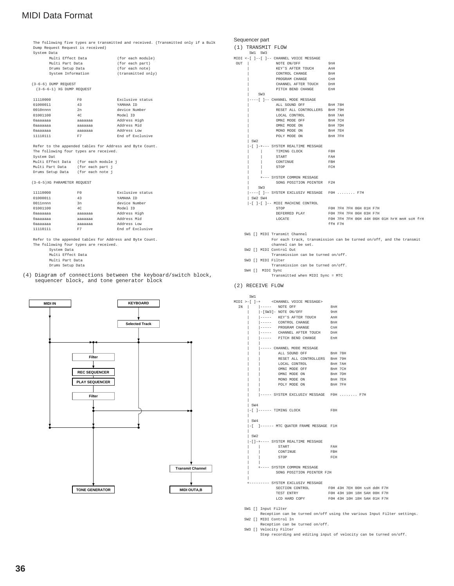The following five types are transmitted and received. (Transmitted only if a Bulk Dump Request Request is received) System Data

| Multi Effect Data  | (for each module)  |
|--------------------|--------------------|
| Multi Part Data    | (for each part)    |
| Drums Setup Data   | (for each note)    |
| System Information | (transmitted only) |
|                    |                    |

(3-6-6) DUMP REQUEST (3-6-6-1) XG DUMP REQUEST

| 11110000    | F0      | Exclusive status |
|-------------|---------|------------------|
| 01000011    | 43      | YAMAHA TD        |
| $0010$ nnnn | 2n      | device Number    |
| 01001100    | 4C      | Model ID         |
| Оааааааа    | ааааааа | Address High     |
| Оааааааа    | ааааааа | Address Mid      |
| Оааааааа    | ааааааа | Address Low      |
| 11110111    | F7      | End of Exclusive |

Refer to the appended tables for Address and Byte Count. The following four types are received. System Dat Multi Effect Data (for each module j Multi Part Data (for each part j Drums Setup Data (for each note j

(3-6-5)XG PARAMETER REQUEST

| 11110000    | F()     | Exclusive status |
|-------------|---------|------------------|
| 01000011    | 43      | YAMAHA TD        |
| $0011$ nnnn | 3n      | device Number    |
| 01001100    | 4C      | Model ID         |
| Оааааааа    | ааааааа | Address High     |
| Оааааааа    | aaaaaaa | Address Mid      |
| Оааааааа    | aaaaaaa | Address Low      |
| 11110111    | F7      | End of Exclusive |
|             |         |                  |

Refer to the appended tables for Address and Byte Count. The following four types are received.

- System Data
- Multi Effect Data
- Multi Part Data
- Drums Setup Data

(4) Diagram of connections between the keyboard/switch block, sequencer block, and tone generator block



### Sequencer part

```
(1) TRANSMIT FLOW
```

| SW1 SW3                                    |                                             |
|--------------------------------------------|---------------------------------------------|
| MIDI <-[ ]--[ ]-- CHANNEL VOICE MESSAGE    |                                             |
| OUT<br>NOTE ON/OFF                         | 9nH                                         |
| KEY'S AFTER TOUCH                          | AnH                                         |
| CONTROL CHANGE                             | BnH                                         |
| PROGRAM CHANGE                             | CnH                                         |
| CHANNEL AFTER TOUCH DnH                    |                                             |
| PITCH BEND CHANGE EnH                      |                                             |
| SW3                                        |                                             |
| ----[ ]-- CHANNEL MODE MESSAGE             |                                             |
| ALL SOUND OFF BRH 78H                      |                                             |
| RESET ALL CONTROLLERS BnH 79H              |                                             |
| LOCAL CONTROL BnH 7AH                      |                                             |
| OMNI MODE OFF BnH 7CH                      |                                             |
| OMNI MODE ON                               | BnH 7DH                                     |
| MONO MODE ON                               | BnH 7EH                                     |
| POLY MODE ON                               | BnH 7FH                                     |
| SW <sub>2</sub>                            |                                             |
| -[ ]-+--- SYSTEM REALTIME MESSAGE          |                                             |
| TIMING CLOCK                               | F8H                                         |
| START                                      | FAH                                         |
| CONTINUE                                   | FBH                                         |
| STOP                                       | FCH                                         |
|                                            |                                             |
| +--- SYSTEM COMMON MESSAGE                 |                                             |
| SONG POSITION POINTER F2H                  |                                             |
| SW <sub>3</sub>                            |                                             |
| ----[ ]-- SYSTEM EXCLUSIV MESSAGE FOH  F7H |                                             |
| SW2 SW4                                    |                                             |
| -[ ]-[ ]-- MIDI MACHINE CONTROL            |                                             |
| STOP                                       | F0H 7FH 7FH 06H 01H F7H                     |
| DEFERRED PLAY                              | F0H 7FH 7FH 06H 03H F7H                     |
| LOCATE                                     | FOH 7FH 7FH 06H 44H 06H 01H hrH mnH scH frH |
|                                            | ffH F7H                                     |
|                                            |                                             |
| SW1 [] MIDI Transmit Channel               |                                             |

- For each track, transmission can be turned on/off, and the transmit channel can be set. SW2 [] MIDI Control Out
- Transmission can be turned on/off.
- SW3 [] MIDI Filter Transmission can be turned on/off.
- SW4 [] MIDI Sync Transmitted when MIDI Sync = MTC

#### (2) RECEIVE FLOW

ow1

|  |     | MIDI >-[ ]-+ < CHANNEL VOICE MESSAGE>                                                                           |  |                             |  |  |  |
|--|-----|-----------------------------------------------------------------------------------------------------------------|--|-----------------------------|--|--|--|
|  |     | IN    ----- NOTE OFF                                                                                            |  | 8nH                         |  |  |  |
|  |     | $-$ [SW3] - NOTE ON/OFF                                                                                         |  | 9nH                         |  |  |  |
|  |     | ----- KEY'S AFTER TOUCH AnH                                                                                     |  |                             |  |  |  |
|  |     | $\vert$ ----- CONTROL CHANGE                                                                                    |  | BnH                         |  |  |  |
|  |     | $\begin{tabular}{ c c c c c } \hline \texttt{---} & \texttt{PROGRAPH} & \texttt{CHANGE} \\\hline \end{tabular}$ |  | CnH                         |  |  |  |
|  |     | ----- CHANNEL AFTER TOUCH                                                                                       |  | $_{\rm{DMH}}$               |  |  |  |
|  |     | ----- PITCH BEND CHANGE                                                                                         |  | EnH                         |  |  |  |
|  |     |                                                                                                                 |  |                             |  |  |  |
|  |     | ----- CHANNEL MODE MESSAGE                                                                                      |  |                             |  |  |  |
|  |     | ALL SOUND OFF BnH 78H                                                                                           |  |                             |  |  |  |
|  |     | RESET ALL CONTROLLERS BnH 79H                                                                                   |  |                             |  |  |  |
|  |     | LOCAL CONTROL                                                                                                   |  | BnH 7AH                     |  |  |  |
|  |     | OMNI MODE OFF                                                                                                   |  | BnH 7CH                     |  |  |  |
|  |     | OMNI MODE ON                                                                                                    |  | BnH 7DH                     |  |  |  |
|  |     | MONO MODE ON                                                                                                    |  | BnH 7EH                     |  |  |  |
|  |     | POLY MODE ON                                                                                                    |  | BnH 7FH                     |  |  |  |
|  |     |                                                                                                                 |  |                             |  |  |  |
|  |     | ----- SYSTEM EXCLUSIV MESSAGE FOH  F7H                                                                          |  |                             |  |  |  |
|  |     |                                                                                                                 |  |                             |  |  |  |
|  | SW4 |                                                                                                                 |  |                             |  |  |  |
|  |     | $-[$ $]$ $--  TIMING$ $CLOCK$                                                                                   |  | F8H                         |  |  |  |
|  |     |                                                                                                                 |  |                             |  |  |  |
|  | SW4 |                                                                                                                 |  |                             |  |  |  |
|  |     | -[ ]------ MTC QUATER FRAME MESSAGE F1H                                                                         |  |                             |  |  |  |
|  |     |                                                                                                                 |  |                             |  |  |  |
|  | SW2 |                                                                                                                 |  |                             |  |  |  |
|  |     | -[]-+---- SYSTEM REALTIME MESSAGE                                                                               |  |                             |  |  |  |
|  |     | START                                                                                                           |  | FAH                         |  |  |  |
|  |     | CONTINUE                                                                                                        |  | FBH                         |  |  |  |
|  |     | STOP                                                                                                            |  | FCH                         |  |  |  |
|  |     |                                                                                                                 |  |                             |  |  |  |
|  |     | +---- SYSTEM COMMON MESSAGE                                                                                     |  |                             |  |  |  |
|  |     | SONG POSITION POINTER F2H                                                                                       |  |                             |  |  |  |
|  |     |                                                                                                                 |  |                             |  |  |  |
|  |     | +--------- SYSTEM EXCLUSIV MESSAGE                                                                              |  |                             |  |  |  |
|  |     | SECTION CONTROL FOH 43H 7EH OOH SSH ddH F7H                                                                     |  |                             |  |  |  |
|  |     | TEST ENTRY                                                                                                      |  | F0H 43H 10H 18H 5AH 00H F7H |  |  |  |
|  |     | LCD HARD COPY FOH 43H 10H 18H 5AH 01H F7H                                                                       |  |                             |  |  |  |
|  |     |                                                                                                                 |  |                             |  |  |  |

SW1 [] Input Filter

Reception can be turned on/off using the various Input Filter settings. SW2 [] MIDI Control In

Reception can be turned on/off. SW3 [] Velocity Filter

Step recording and editing input of velocity can be turned on/off.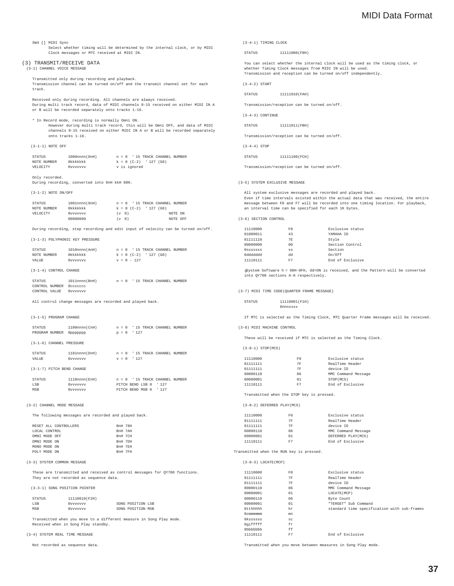|  | SW4 [ ] MIDI Sync |  |
|--|-------------------|--|

SW4 [] MIDI Sync Select whether timing will be determined by the internal clock, or by MIDI Clock messages or MTC received at MIDI IN.

#### (3) TRANSMIT/RECEIVE DATA

(3-1) CHANNEL VOICE MESSAGE

Transmitted only during recording and playback. Transmission channel can be turned on/off and the transmit channel set for each track.

Received only during recording. All channels are always received. During multi track record, data of MIDI channels 0-15 received on either MIDI IN A or B will be recorded separately onto tracks 1-16.

\* In Record mode, recording is normally Omni ON. However during multi track record, this will be Omni OFF, and data of MIDI channels 0-15 received on either MIDI IN A or B will be recorded separately onto tracks 1-16.

#### (3-1-1) NOTE OFF

| STATUS      | 1000nnnn(8nH) |  |  |              |                                | $n = 0$ ' 15 TRACK CHANNEL NUMBER |  |
|-------------|---------------|--|--|--------------|--------------------------------|-----------------------------------|--|
| NOTE NUMBER | Okkkkkkk      |  |  |              | $k = 0$ (C-2) $\cdot$ 127 (G8) |                                   |  |
| VELOCITY    | 0vvvvvvv      |  |  | v is ignored |                                |                                   |  |

Only recorded. During recording, converted into 9nH kkH 00H.

#### (3-1-2) NOTE ON/OFF

| STATUS      | $1001$ nnnn $(9nH)$ |                   |  |                               | $n = 0$ ' 15 TRACK CHANNEL NUMBER |         |          |
|-------------|---------------------|-------------------|--|-------------------------------|-----------------------------------|---------|----------|
| NOTE NUMBER | Okkkkkkk            |                   |  | $k = 0$ (C-2) $\mid$ 127 (G8) |                                   |         |          |
| VELOCITY    | Ovvvvvvv            | (v <sub>0</sub> ) |  |                               |                                   | NOTE ON |          |
|             | 00000000            | $(v \t 0)$        |  |                               |                                   |         | NOTE OFF |

During recording, step recording and edit input of velocity can be turned on/off.

#### (3-1-3) POLYPHONIC KEY PRESSURE

| STATUS                 | 1010nnnn(AnH) |  |               |                                | $n = 0$ ' 15 TRACK CHANNEL NUMBER |  |
|------------------------|---------------|--|---------------|--------------------------------|-----------------------------------|--|
| NOTE NUMBER            | Okkkkkkk      |  |               | $k = 0$ (C-2) $\cdot$ 127 (G8) |                                   |  |
| VALUE                  | Ovvvvvvv      |  | $v = 0 - 127$ |                                |                                   |  |
|                        |               |  |               |                                |                                   |  |
| (3-1-4) CONTROL CHANGE |               |  |               |                                |                                   |  |
|                        |               |  |               |                                |                                   |  |
| STATUS                 | 1011nnnn(BnH) |  |               |                                | $n = 0$ ' 15 TRACK CHANNEL NUMBER |  |
| CONTROL NUMBER         | Occoccoc      |  |               |                                |                                   |  |
| CONTROL VALUE          | Ovvvvvvv      |  |               |                                |                                   |  |

All control change messages are recorded and played back.

#### (3-1-5) PROGRAM CHANGE

| STATUS                   | $1100$ nnnn $(CnH)$ |           |               |         | $n = 0$ ' 15 TRACK CHANNEL NUMBER |  |
|--------------------------|---------------------|-----------|---------------|---------|-----------------------------------|--|
| PROGRAM NUMBER           | 0ppppppp            |           | $p = 0 \t127$ |         |                                   |  |
|                          |                     |           |               |         |                                   |  |
| (3-1-6) CHANNEL PRESSURE |                     |           |               |         |                                   |  |
|                          |                     |           |               |         |                                   |  |
| STATUS                   | 1101nnnn(DnH)       |           | $n = 0$       |         | ' 15 TRACK CHANNEL NUMBER         |  |
| VALUE                    | Ovvvvvvv            | <b>TT</b> | $= 0$         | 1 1 2 7 |                                   |  |

(3-1-7) PITCH BEND CHANGE

| STATUS      | 1110nnnn(EnH) |  |                       | $n = 0$ ' 15 TRACK CHANNEL NUMBER |
|-------------|---------------|--|-----------------------|-----------------------------------|
| <b>T.SB</b> | Ovvvvvvv      |  | PITCH BEND LSB 0 '127 |                                   |
| MSB         | 0vvvvvvv      |  | PITCH BEND MSB 0 127  |                                   |

(3-2) CHANNEL MODE MESSAGE

The following messages are recorded and played back.

|               | RESET ALL CONTROLLERS | BnH 78H |  |
|---------------|-----------------------|---------|--|
| LOCAL CONTROL |                       | BnH 7AH |  |
|               |                       |         |  |
| OMNI MODE OFF |                       | BnH 7CH |  |
| OMNI MODE ON  |                       | BnH 7DH |  |
| MONO MODE ON  |                       | BnH 7EH |  |
| POLY MODE ON  |                       | BnH 7FH |  |

#### (3-3) SYSTEM COMMON MESSAGE

hese are transmitted and received as control messages for QY700 functions. They are not recorded as sequence data.

#### (3-3-1) SONG POSITION POINTER

| STATUS | 11110010(F2H) |                   |  |
|--------|---------------|-------------------|--|
| LSB    | 0vvvvvvv      | SONG POSITION LSB |  |
| MSB    | 0vvvvvvv      | SONG POSITION MSB |  |

Transmitted when you move to a different measure in Song Play mode. Received when in Song Play standby.

#### (3-4) SYSTEM REAL TIME MESSAGE

Not recorded as sequence data.

#### (3-4-1) TIMING CLOCK

STATUS 11111000(F8H)

You can select whether the internal clock will be used as the timing clock, or whether Timing Clock messages from MIDI IN will be used. Transmission and reception can be turned on/off independently.

(3-4-2) START

STATUS 11111010(FAH)

Transmission/reception can be turned on/off.

(3-4-3) CONTINUE

STATUS 11111011(FBH)

Transmission/reception can be turned on/off.

(3-4-4) STOP

STATUS 11111100(FCH)

Transmission/reception can be turned on/off.

#### (3-5) SYSTEM EXCLUSIVE MESSAGE

All system exclusive messages are recorded and played back. Even if time intervals existed within the actual data that was received, the entire message between F0 and F7 will be recorded into one timing location. For playback, an interval time can be specified for each 1K bytes.

(3-6) SECTION CONTROL

| 11110000 | F0             | Exclusive status |
|----------|----------------|------------------|
| 01000011 | 43             | YAMAHA ID        |
| 01111110 | <b>7E</b>      | Style            |
| 00000000 | 0 <sub>0</sub> | Section Control  |
| Osssssss | SS             | Section          |
| hhhhhhhh | dd             | On/Off           |
| 11110111 | F7             | End of Exclusive |

gSystem Software h = 08H-0FH, dd=ON is received, and the Pattern will be converted into QY700 sections A-H respectively.

(3-7) MIDI TIME CODE(QUARTER FRAME MESSAGE)

STATUS 11110001(F1H) 0nnnxxxx

#### If MTC is selected as the Timing Clock, MTC Quarter Frame messages will be received.

(3-8) MIDI MACHINE CONTROL

These will be received if MTC is selected as the Timing Clock.

#### (3-8-1) STOP(MCS)

| 11110000 | F0 | Exclusive status    |
|----------|----|---------------------|
| 01111111 | 7F | RealTime Header     |
| 01111111 | 7F | device ID           |
| 00000110 | 06 | MMC Command Message |
| 00000001 | 01 | STOP (MCS)          |
| 11110111 | F7 | End of Exclusive    |

Transmitted when the STOP key is pressed.

(3-8-2) DEFERRED PLAY(MCS)

| 11110000 | F0 | Exclusive status    |
|----------|----|---------------------|
| 01111111 | 7F | RealTime Header     |
| 01111111 | 7F | device ID           |
| 00000110 | 06 | MMC Command Message |
| 00000001 | 01 | DEFERRED PLAY(MCS)  |
| 11110111 | F7 | End of Exclusive    |

Transmitted when the RUN key is pressed.

 $(3-8-3)$  LOCATE(MCP)

| 11110000  | F0 | Exclusive status                            |
|-----------|----|---------------------------------------------|
| 01111111  | 7F | RealTime Header                             |
| 01111111  | 7F | device ID                                   |
| 00000110  | 06 | MMC Command Message                         |
| 00000001  | 01 | LOCATE (MCP)                                |
| 00000110  | 06 | Byte Count                                  |
| 00000001  | 01 | "TERGET" Sub Command                        |
| Otthhhhh  | hr | standard time specification with sub-frames |
| 0 cmmmmmm | mn |                                             |
| Okssssss  | SC |                                             |
| Ogifffff  | fr |                                             |
| 0bbbbbbb  | ff |                                             |
| 11110111  | F7 | End of Exclusive                            |

Transmitted when you move between measures in Song Play mode.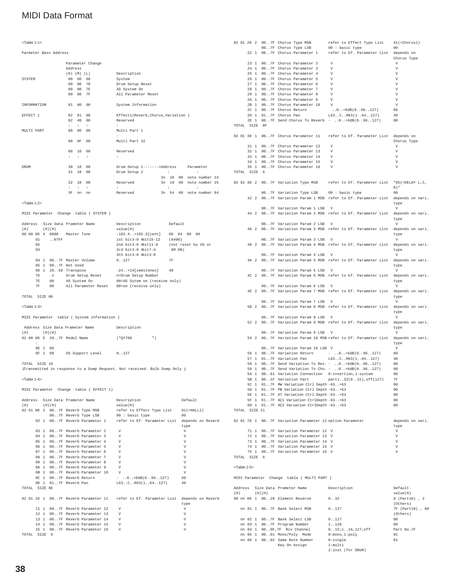#### <Table 1-1>

Parmeter Bass Address

|             |                   |                | Parameter Change     |                                       |                   |       |  |                         |  |
|-------------|-------------------|----------------|----------------------|---------------------------------------|-------------------|-------|--|-------------------------|--|
|             | Address           |                |                      |                                       |                   |       |  |                         |  |
|             | $(H)$ $(M)$ $(L)$ |                |                      | Description                           |                   |       |  |                         |  |
| SYSTEM      | 00 <sup>o</sup>   | 00             | 00                   | System                                |                   |       |  |                         |  |
|             | 0 <sup>0</sup>    | 00             | 7D                   | Drum Setup Reset                      |                   |       |  |                         |  |
|             | 00 00             |                | 7E                   | XG System On                          |                   |       |  |                         |  |
|             | 00 <sup>o</sup>   | 0 <sup>0</sup> | 7F                   | All Parameter Reset                   |                   |       |  |                         |  |
| INFORMATION | 01 00             |                | 00                   | System Information                    |                   |       |  |                         |  |
| EFFECT 1    | 02                | 01             | 00                   | Effectl(Reverb, Chorus, Variation)    |                   |       |  |                         |  |
|             | 02                | 40             | 00                   | Reserved                              |                   |       |  |                         |  |
|             | $\mathbf{r}$      | $\sim$         | $\ddot{\phantom{a}}$ | ÷                                     |                   |       |  |                         |  |
| MULTI PART  | 08                | 0 <sup>0</sup> | 00                   | Multi Part 1<br>÷                     |                   |       |  |                         |  |
|             | 08                | 0F             | 00                   | Multi Part 32                         |                   |       |  |                         |  |
|             | 08                | 10             | 0 <sup>0</sup>       | Reserved                              |                   |       |  |                         |  |
|             | $1 - 1 - 1$       |                |                      | $\ddot{\phantom{a}}$                  |                   |       |  |                         |  |
| DRIJM       | 30                | 18             | 00                   | Drum Setup 1------->Address Parameter |                   |       |  |                         |  |
|             | 31                | 18             | 00                   | Drum Setup 2                          | <b>Contractor</b> |       |  | ÷                       |  |
|             |                   |                |                      |                                       |                   |       |  | 3n 18 00 note number 24 |  |
|             | 32<br>18          |                | 00                   | Reserved                              |                   | 3n 19 |  | 00 note number 25       |  |
|             | ٠                 | ÷              | ÷                    | ÷                                     |                   | ÷.    |  | ÷                       |  |
|             | 3F                | nn             | nn                   | Reserved                              |                   | 3n 54 |  | 00 note number 84       |  |

<Table 1-2>

MIDI Parameter Change table ( SYSTEM )

| Address |     |           | Size Data Prameter Name | Default<br>Description |                               |                                 |                     |
|---------|-----|-----------|-------------------------|------------------------|-------------------------------|---------------------------------|---------------------|
|         | (H) |           |                         | $(H)$ (H)              |                               | value(H)                        |                     |
|         |     |           |                         | 00 00 00 4 0000        | Master Tune                   | $-102.4$ $+102.3$ [cent]        | 00004<br>nn<br>00   |
|         |     | 01        |                         | .07FF                  |                               | $1st$ bit $3-0$ $db$ it $15-12$ | (0400)              |
|         |     | 02        |                         |                        |                               | 2nd bit3-0 $\phi$ it11-8        | (not reset by XG or |
|         |     | 03        |                         |                        | $3rd$ bit $3-0$ $ab$ it $7-4$ | GM ON)                          |                     |
|         |     |           |                         |                        |                               | $4th$ bit3-0 $4th3-0$           |                     |
|         |     |           |                         |                        | 04 1 007F Master Volume       | 0.127                           | 7F                  |
|         |     |           |                         |                        | 05 1 007F Not Used            |                                 |                     |
|         |     |           |                         |                        | 06 1 2858 Transpose           | $-24. . + 24$ semitones         | 40                  |
|         |     | 7D        |                         | n                      | Drum Setup Reset              | n=Drum Setup Number             |                     |
|         |     | <b>7E</b> |                         | 0 <sup>0</sup>         | XG System On                  | 00=XG Sytem on (receive only)   |                     |
|         |     | 7F        |                         | 0 <sup>0</sup>         | All Parameter Reset           | 00=on (receive only)            |                     |
|         |     |           |                         |                        |                               |                                 |                     |

TOTAL SIZE 06

<Table 1-3>

MIDI Parameter table ( System information )

|     |   |                 |        | Address Size Data Prameter Name | Description |   |
|-----|---|-----------------|--------|---------------------------------|-------------|---|
| (H) |   |                 | (H)(H) |                                 |             |   |
|     |   |                 |        | 01 00 00 E 207F Model Name      | (°OY700     | " |
|     | ÷ |                 |        |                                 |             |   |
|     |   | 0E <sub>1</sub> | 00     |                                 |             |   |
|     |   | 0F <sub>1</sub> | 00     | XG Support Level                | 0.127       |   |
|     |   |                 |        |                                 |             |   |

TOTAL SIZE 10 iTransmitted in response to a Dump Request. Not received. Bulk Dump Only j

### <Table 1-4>

MIDI Parameter Change table ( EFFECT 1)

|               |  |             | Address Size Data Prameter Name      |             | Description                                                                       | Default        |
|---------------|--|-------------|--------------------------------------|-------------|-----------------------------------------------------------------------------------|----------------|
| (H)           |  | $(H)$ $(H)$ |                                      |             | value(H)                                                                          |                |
|               |  |             |                                      |             | 02 01 00 2 007F Reverb Type MSB refer to Effect Type List 01(=HALL1)              |                |
|               |  |             | 007F Reverb Type LSB 00 : basic type |             |                                                                                   | 0 <sup>0</sup> |
|               |  |             |                                      |             | 02 1 007F Reverb Parameter 1 refer to Ef. Parameter List depends on Reverb        |                |
|               |  |             |                                      |             |                                                                                   | type           |
|               |  |             | 03 1 007F Reverb Parameter 2         |             | $\mathbf{V}$                                                                      | $\mathbf{V}$   |
|               |  |             | 04 1 007F Reverb Parameter 3 V       |             |                                                                                   | V              |
|               |  |             | 05 1 00.7F Reverb Parameter 4 V      |             |                                                                                   | V              |
|               |  |             | 06 1 007F Reverb Parameter 5 V       |             |                                                                                   | V              |
|               |  |             | 07 1 007F Reverb Parameter 6         |             | V                                                                                 | V              |
|               |  |             | 08 1 007F Reverb Parameter 7         |             | $\mathbf v$                                                                       | V              |
|               |  |             | 09 1 007F Reverb Parameter 8         | $\mathbf v$ |                                                                                   | V              |
|               |  |             | 0A 1 007F Reverb Parameter 9 V       |             |                                                                                   | V              |
|               |  |             | 0B 1 007F Reverb Parameter 10 V      |             |                                                                                   | V              |
|               |  |             |                                      |             | 0C 1 007F Reverb Return - 0+6dB(096127)                                           | 60             |
|               |  |             |                                      |             | 0D 1 017F Reverb Pan L63CR63(164127)                                              | 40             |
| TOTAL SIZE OR |  |             |                                      |             |                                                                                   |                |
|               |  |             |                                      |             | 02 01 10 1 007F Reverb Parameter 11 refer to Ef. Parameter List depends on Reverb |                |
|               |  |             |                                      |             |                                                                                   | type           |
|               |  |             | 11 1 007F Reverb Parameter 12        |             | V                                                                                 | V              |
|               |  |             | 12 1 007F Reverb Parameter 13        |             | V                                                                                 | $\mathbf{V}$   |
|               |  |             | 13 1 007F Reverb Parameter 14 V      |             |                                                                                   | V              |
|               |  |             | 14 1 007F Reverb Parameter 15        |             | V                                                                                 | V              |
|               |  |             | 15 1 007F Reverb Parameter 16        |             | V                                                                                 | V              |
| TOTAL SIZE    |  | - 6         |                                      |             |                                                                                   |                |

|                        | 02 01 20 2 007F Chorus Type MSB                                                      | refer to Effect Type List                                                    | $41$ (=Chorus1)                           |
|------------------------|--------------------------------------------------------------------------------------|------------------------------------------------------------------------------|-------------------------------------------|
|                        | 007F Chorus Type LSB                                                                 | 00 : basic type                                                              | 00                                        |
|                        | 22 1 007F Chorus Parameter 1                                                         | refer to Ef. Parameter List                                                  | depends on<br>Chorus Type                 |
|                        | 23 1 007F Chorus Parameter 2                                                         | $\mathbf{v}$                                                                 | V                                         |
|                        | 24 1 007F Chorus Parameter 3                                                         | V                                                                            | $\mathbf v$                               |
|                        | 25 1 007F Chorus Parameter 4                                                         | V                                                                            | V                                         |
|                        | 26 1 007F Chorus Parameter 5                                                         | V                                                                            | $\boldsymbol{\nabla}$                     |
| 271                    | 007F Chorus Parameter 6                                                              | V                                                                            | V                                         |
|                        | 28 1 007F Chorus Parameter 7                                                         | V<br>V                                                                       | V                                         |
|                        | 29 1 007F Chorus Parameter 8<br>2A 1 007F Chorus Parameter 9                         | V                                                                            | $\mathbf V$<br>V                          |
|                        | 2B 1 007F Chorus Parameter 10                                                        | v                                                                            | V                                         |
|                        | 2C 1 007F Chorus Return                                                              | $.0.1 + 6dB(0.096.127)$                                                      | 60                                        |
|                        | 2D 1 017F Chorus Pan                                                                 | L63CR63(164127)                                                              | 40                                        |
|                        |                                                                                      | 2E 1 007F Send Chorus To Reverb - 0+6dB(096127)                              | 0 <sub>0</sub>                            |
| TOTAL SIZE OF          |                                                                                      |                                                                              |                                           |
|                        | 02 01 30 1 007F Chorus Parameter 11                                                  | refer to Ef. Parameter List depends on                                       |                                           |
|                        |                                                                                      |                                                                              | Chorus Type                               |
|                        | 31 1 007F Chorus Parameter 12                                                        | V                                                                            | V                                         |
|                        | 32 1 007F Chorus Parameter 13                                                        | V                                                                            | V                                         |
|                        | 33 1 007F Chorus Parameter 14                                                        | V                                                                            | $\mathbf v$                               |
|                        | 34 1 007F Chorus Parameter 15                                                        | V                                                                            | $\boldsymbol{\nabla}$                     |
|                        | 35 1 007F Chorus Parameter 16                                                        | V                                                                            | V                                         |
| TOTAL SIZE 6           |                                                                                      |                                                                              |                                           |
|                        |                                                                                      | 02 01 40 2 007F Variation Type MSB refer to Ef. Parameter List               | $"05(=\text{DELAY L}, C,$                 |
|                        |                                                                                      |                                                                              | R) "                                      |
|                        | 007F Variation Type LSB 00 : basic type                                              |                                                                              | 00                                        |
| 42 2                   |                                                                                      | 007F Variation Param 1 MSB refer to Ef. Parameter List depends on vari.      |                                           |
|                        |                                                                                      |                                                                              | type                                      |
| 44 2                   | 007F Variation Param 1 LSB                                                           | V                                                                            | V                                         |
|                        |                                                                                      | 007F Variation Param 2 MSB refer to Ef. Parameter List                       | depends on vari.                          |
|                        | 007F Variation Param 2 LSB                                                           | $\mathbf{v}$                                                                 | type<br>$\boldsymbol{\nabla}$             |
|                        |                                                                                      | 46 2 007F Variation Param 3 MSB refer to Ef. Parameter List depends on vari. |                                           |
|                        |                                                                                      |                                                                              | type                                      |
|                        | 007F Variation Param 3 LSB                                                           | V                                                                            | V                                         |
|                        |                                                                                      | 48 2 007F Variation Param 4 MSB refer to Ef. Parameter List                  | depends on vari.                          |
|                        |                                                                                      |                                                                              | type                                      |
| 4A 2                   | 007F Variation Param 4 LSB                                                           | V<br>007F Variation Param 5 MSB refer to Ef. Parameter List                  | $\boldsymbol{\nabla}$<br>depends on vari. |
|                        |                                                                                      |                                                                              | type                                      |
|                        | 007F Variation Param 5 LSB                                                           | V                                                                            | V                                         |
| 4C <sub>2</sub>        |                                                                                      | 007F Variation Param 6 MSB refer to Ef. Parameter List                       | depends on vari.                          |
|                        |                                                                                      |                                                                              | type                                      |
|                        | 007F Variation Param 6 LSB                                                           | $\mathbf{v}$                                                                 | $\boldsymbol{\nabla}$                     |
|                        |                                                                                      | 4E 2 007F Variation Param 7 MSB refer to Ef. Parameter List                  | depends on vari.                          |
|                        |                                                                                      |                                                                              | type<br>V                                 |
|                        | 007F Variation Param 7 LSB                                                           | V<br>50 2 007F Variation Param 8 MSB refer to Ef. Parameter List             | depends on vari.                          |
|                        |                                                                                      |                                                                              | type                                      |
|                        | 007F Variation Param 8 LSB                                                           | V                                                                            | $\boldsymbol{\nabla}$                     |
| 52 2                   |                                                                                      | 007F Variation Param 9 MSB refer to Ef. Parameter List depends on vari.      |                                           |
|                        |                                                                                      |                                                                              | type                                      |
|                        | 007F Variation Param 9 LSB                                                           | V                                                                            | V                                         |
| 54 2                   |                                                                                      | 007F Variation Param 10 MSB refer to Ef. Parameter List                      | depends on vari.                          |
|                        | 007F Variation Param 10 LSB V                                                        |                                                                              | type<br>V                                 |
| 56 1                   |                                                                                      | 007F Variation Return - 0+6dB(096127)                                        | 60                                        |
|                        | 57 1 017F Variation Pan                                                              | L63CR63(164127)                                                              | 40                                        |
|                        |                                                                                      | 58 1 007F Send Variation To Rev. - 0+6dB(096127)                             | 00                                        |
|                        |                                                                                      | 59 1 007F Send Variation To Cho. - 0+6dB(096127)                             | 0 <sub>0</sub>                            |
|                        | 5A 1 0001 Variation Connection 0:insertion, 1:system                                 |                                                                              | 00                                        |
|                        | 5B 1 001F Variation Part                                                             | partl32(031), off(127)                                                       | 7F<br>0 <sub>0</sub>                      |
|                        | 5C 1 017F MW Variation Ctrl Depth -63+63<br>5D 1 017F PB Variation Ctrl Depth -63+63 |                                                                              | 00                                        |
|                        | 5E 1 017F AT Variation Ctrl Depth -63+63                                             |                                                                              | 00                                        |
|                        | 5F 1 017F AC1 Variation CtrlDepth -63+63                                             |                                                                              | 00                                        |
|                        | 60 1 017F AC2 Variation CtrlDepth -63+63                                             |                                                                              | 00                                        |
| TOTAL SIZE 21          |                                                                                      |                                                                              |                                           |
|                        |                                                                                      |                                                                              |                                           |
|                        | 02 01 70 1 007F Variation Parameter 11 option Parameter                              |                                                                              | depends on vari.                          |
|                        | 71 1 007F Variation Parameter 12 V                                                   |                                                                              | type<br>V                                 |
|                        | 72 1 007F Variation Parameter 13 V                                                   |                                                                              | $\boldsymbol{\nabla}$                     |
|                        | 73 1 007F Variation Parameter 14 V                                                   |                                                                              | $\mathbf v$                               |
|                        | 74 1 007F Variation Parameter 15 V                                                   |                                                                              | V                                         |
|                        | 75 1 007F Variation Parameter 16 V                                                   |                                                                              | $\mathbf v$                               |
| TOTAL SIZE 6           |                                                                                      |                                                                              |                                           |
| <table 1-5=""></table> |                                                                                      |                                                                              |                                           |
|                        |                                                                                      |                                                                              |                                           |
|                        | MIDI Parameter Change table ( MULTI PART )                                           |                                                                              |                                           |
|                        |                                                                                      |                                                                              |                                           |
|                        | Address Size Data Prameter Name                                                      | Description                                                                  | Default                                   |

|     |  |        | Address - Size Data Prameter Name - | Description          | Default          |
|-----|--|--------|-------------------------------------|----------------------|------------------|
| (H) |  | (H)(H) |                                     |                      | value(H)         |
|     |  |        | 08 nn 00 1 0020 Element Reserve     | 0.032                | $0 (Part10)$ , 2 |
|     |  |        |                                     |                      | (Others)         |
|     |  |        | nn 01 1 007F Bank Select MSB        | 0.127                | 7F (Part10) , 00 |
|     |  |        |                                     |                      | (Others)         |
|     |  |        | nn 02 1 007F Bank Select LSB        | 0.127                | 0 <sub>0</sub>   |
|     |  |        | nn 03 1 007F Program Number         | 1128                 | 00               |
|     |  |        | nn 04 1 000F.7F Rcv Channel         | $0.15;1.16.127;$ off | Part No.7F       |
|     |  |        | nn 05 1 0001 Mono/Polv Mode         | $0:$ mono. $1:$ polv | 01               |
|     |  |        | nn 06 1 00.02 Same Note Number      | 0:single             | 01               |
|     |  |        | Kev On Assign                       | 1:multi              |                  |
|     |  |        |                                     | 2:inst (for DRUM)    |                  |
|     |  |        |                                     |                      |                  |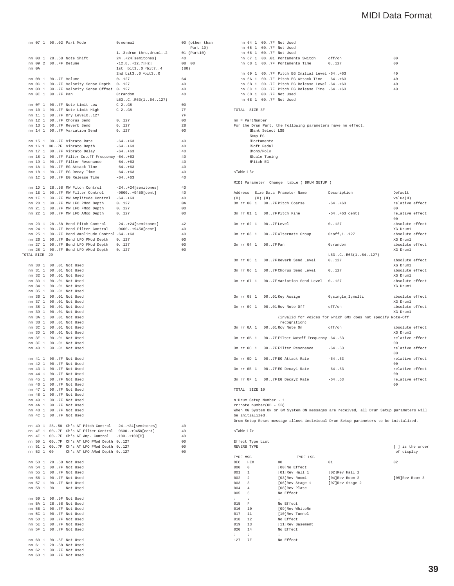|               |            |                     | nn 07 1 0002 Part Mode                                                                                         | 0:normal                                                    |                                  | 00 (other than |
|---------------|------------|---------------------|----------------------------------------------------------------------------------------------------------------|-------------------------------------------------------------|----------------------------------|----------------|
|               |            |                     |                                                                                                                |                                                             |                                  | Part 10)       |
|               |            |                     | nn 08 $1$ 2858 Note Shift                                                                                      | $1.3:$ drum thru,drum $1.2$ 01 (Part10)<br>24+24[semitones] | 40                               |                |
|               |            | nn 09 2 00FF Detune |                                                                                                                | $-12.8$ $+12.7$ [Hz]                                        | 08 00                            |                |
|               | nn $\,$ 0A |                     |                                                                                                                | 1st bit30 dbit74                                            | (80)                             |                |
|               |            |                     |                                                                                                                | 2nd bit30 dbit30                                            |                                  |                |
|               |            | nn 0B 1 007F Volume |                                                                                                                | 0.127                                                       | 64<br>40                         |                |
|               |            |                     | nn OC 1 007F Velocity Sense Depth 0127<br>nn 0D 1 007F Velocity Sense Offset 0127                              |                                                             | 40                               |                |
|               |            | nn 0E 1 007F Pan    |                                                                                                                | $0:$ random                                                 | 40                               |                |
|               |            |                     |                                                                                                                | L63CR63(164127)                                             |                                  |                |
|               |            |                     | nn OF 1 007F Note Limit Low                                                                                    | $C-2. . G8$                                                 | 00                               |                |
|               |            |                     | nn 10 1 007F Note Limit High<br>nn 11 1 007F Dry Level0127                                                     | $C-2. . G8$                                                 | 7F<br>7F                         |                |
|               |            |                     | nn 12 1 007F Chorus Send                                                                                       | 0.127                                                       | 0 <sup>0</sup>                   |                |
|               |            |                     | nn 13 1 007F Reverb Send                                                                                       | 0.127                                                       | 28                               |                |
|               |            |                     | nn 14 1 007F Variation Send                                                                                    | 0.127                                                       | 0 <sup>0</sup>                   |                |
|               |            |                     |                                                                                                                |                                                             |                                  |                |
|               |            |                     | nn 15 1 007F Vibrato Rate<br>nn 16 1 007F Vibrato Depth                                                        | $-64. . +63$<br>$-64. . +63$                                | 40<br>40                         |                |
|               |            |                     | nn 17 1 007F Vibrato Delay                                                                                     | $-64. . +63$                                                | 40                               |                |
|               |            |                     | nn 18 1 007F Filter Cutoff Frequency -64+63                                                                    |                                                             | 40                               |                |
|               |            |                     | nn 19 1 007F Filter Resonance -64+63                                                                           |                                                             | 40                               |                |
|               |            |                     | nn 1A 1 007F EG Attack Time                                                                                    | $-64. . +63$                                                | 40                               |                |
|               |            |                     | nn 1B 1 007F EG Decay Time<br>nn 1C 1 007F EG Release Time                                                     | $-64+63$<br>$-64+63$                                        | 40<br>40                         |                |
|               |            |                     |                                                                                                                |                                                             |                                  |                |
|               |            |                     |                                                                                                                |                                                             | 40                               |                |
|               |            |                     | nn 1D 1 2858 MW Pitch Control $-24+24$ [semitones]<br>nn 1E 1 007F MW Filter Control $-9600+9450$ [cent]       |                                                             | 40                               |                |
|               |            |                     | nn 1F 1 007F MW Amplitude Control -64+63                                                                       |                                                             | 40                               |                |
|               |            |                     | nn 20 1 007F MW LFO PMod Depth                                                                                 | 0.127                                                       | 0A<br>$00$                       |                |
|               |            |                     | nn 21 1 007F MW LFO FMod Depth<br>nn 22 1 007F MW LFO AMod Depth                                               | 0.127<br>0.127                                              | 0 <sup>0</sup>                   |                |
|               |            |                     |                                                                                                                |                                                             |                                  |                |
|               |            |                     | nn 23 1 2858 Bend Pitch Control $-24$ +24 [semitones]<br>nn 24 1 007F Bend Filter Control $-9600$ +9450 [cent] |                                                             | 42                               |                |
|               |            |                     |                                                                                                                |                                                             | 40                               |                |
|               |            |                     | nn 25 1 007F Bend Amplitude Control -64+63                                                                     |                                                             | 40                               |                |
|               |            |                     | nn 26 1 007F Bend LFO PMod Depth 0127<br>nn 27 1 007F Bend LFO FMod Depth 0127                                 |                                                             | 0 <sub>0</sub><br>0 <sup>0</sup> |                |
|               |            |                     | nn 28 1 007F Bend LFO AMod Depth 0127                                                                          |                                                             | 0 <sup>0</sup>                   |                |
| TOTAL SIZE 29 |            |                     |                                                                                                                |                                                             |                                  |                |
|               |            |                     |                                                                                                                |                                                             |                                  |                |
|               |            |                     | nn 30 1 0001 Not Used                                                                                          |                                                             |                                  |                |
|               |            |                     | nn 31 1 0001 Not Used<br>nn 32 1 0001 Not Used                                                                 |                                                             |                                  |                |
|               |            |                     | nn 33 1 0001 Not Used                                                                                          |                                                             |                                  |                |
|               |            |                     | nn 34 1 0001 Not Used                                                                                          |                                                             |                                  |                |
|               |            |                     | nn 35 1 0001 Not Used                                                                                          |                                                             |                                  |                |
|               |            |                     | nn 36 1 0001 Not Used                                                                                          |                                                             |                                  |                |
|               |            |                     | nn 37 1 0001 Not Used                                                                                          |                                                             |                                  |                |
|               |            |                     | nn 38 1 0001 Not Used<br>nn 39 1 0001 Not Used                                                                 |                                                             |                                  |                |
|               |            |                     | nn 3A 1 0001 Not Used                                                                                          |                                                             |                                  |                |
|               |            |                     | nn 3B 1 0001 Not Used                                                                                          |                                                             |                                  |                |
|               |            |                     | nn 3C 1 0001 Not Used                                                                                          |                                                             |                                  |                |
|               |            |                     | nn 3D 1 0001 Not Used                                                                                          |                                                             |                                  |                |
|               |            |                     | nn 3E 1 0001 Not Used<br>nn 3F 1 0001 Not Used                                                                 |                                                             |                                  |                |
|               |            |                     | nn 40 1 0001 Not Used                                                                                          |                                                             |                                  |                |
|               |            |                     |                                                                                                                |                                                             |                                  |                |
|               |            |                     | nn 41 1 007F Not Used                                                                                          |                                                             |                                  |                |
|               |            |                     | nn 42 1 007F Not Used                                                                                          |                                                             |                                  |                |
|               |            |                     | nn 43 1 007F Not Used                                                                                          |                                                             |                                  |                |
|               | nn 44 1    |                     | 007F Not Used<br>nn 45 1 007F Not Used                                                                         |                                                             |                                  |                |
|               |            |                     | nn 46 1 007F Not Used                                                                                          |                                                             |                                  |                |
|               |            |                     | nn 47 1 007F Not Used                                                                                          |                                                             |                                  |                |
|               |            |                     | nn 48 1 007F Not Used                                                                                          |                                                             |                                  |                |
|               |            |                     | nn 49 1 007F Not Used                                                                                          |                                                             |                                  |                |
|               |            |                     | nn 4A 1 007F Not Used                                                                                          |                                                             |                                  |                |
|               |            |                     | nn 4B 1 007F Not Used<br>nn 4C 1 007F Not Used                                                                 |                                                             |                                  |                |
|               |            |                     |                                                                                                                |                                                             |                                  |                |
|               |            |                     | nn 4D 1 2858 Ch's AT Pitch Control -24+24[semitones]                                                           |                                                             | 40                               |                |
|               |            |                     | nn 4E 1 007F Ch's AT Filter Control -9600+9450[cent]                                                           |                                                             | 40                               |                |
|               |            |                     | nn 4F 1 007F Ch's AT Amp. Control                                                                              | $-100+100$ [%]                                              | 40                               |                |
|               |            |                     | nn 50 1 007F Ch's AT LFO PMod Depth 0127<br>nn 51 1 007F Ch's AT LFO FMod Depth 0127                           |                                                             | 00<br>0 <sup>0</sup>             |                |
|               | nn 52 1 00 |                     | Ch's AT LFO AMod Depth 0127                                                                                    |                                                             | 00                               |                |
|               |            |                     |                                                                                                                |                                                             |                                  |                |
|               |            |                     | nn 53 1 2858 Not Used                                                                                          |                                                             |                                  |                |
|               |            |                     | nn 54 1 007F Not Used                                                                                          |                                                             |                                  |                |
|               |            |                     | nn 55 1 007F Not Used                                                                                          |                                                             |                                  |                |
|               |            |                     | nn 56 1 007F Not Used<br>nn 57 1 007F Not Used                                                                 |                                                             |                                  |                |
|               |            | nn 58 1 00          | Not Used                                                                                                       |                                                             |                                  |                |
|               |            |                     |                                                                                                                |                                                             |                                  |                |
|               |            |                     | nn 59 1 005F Not Used                                                                                          |                                                             |                                  |                |
|               |            |                     | nn 5A 1 2858 Not Used                                                                                          |                                                             |                                  |                |
|               |            |                     | nn 5B 1 007F Not Used<br>nn 5C 1 007F Not Used                                                                 |                                                             |                                  |                |
|               |            |                     | nn 5D 1 007F Not Used                                                                                          |                                                             |                                  |                |
|               |            |                     | nn 5E 1 007F Not Used                                                                                          |                                                             |                                  |                |
|               |            |                     | nn 5F 1 007F Not Used                                                                                          |                                                             |                                  |                |
|               |            |                     |                                                                                                                |                                                             |                                  |                |
|               |            |                     | nn 60 1 005F Not Used                                                                                          |                                                             |                                  |                |
|               |            |                     | nn 61 1 2858 Not Used<br>nn 62 1 007F Not Used                                                                 |                                                             |                                  |                |
|               |            |                     | nn 63 1 007F Not Used                                                                                          |                                                             |                                  |                |
|               |            |                     |                                                                                                                |                                                             |                                  |                |

|                                                      |                                          | nn 64 1 007F Not Used<br>nn 65 1 007F Not Used                                                                                |                                                             |                                   |
|------------------------------------------------------|------------------------------------------|-------------------------------------------------------------------------------------------------------------------------------|-------------------------------------------------------------|-----------------------------------|
|                                                      |                                          | nn 66 1 007F Not Used                                                                                                         |                                                             |                                   |
|                                                      |                                          | nn 67 1 0001 Portamento Switch off/on                                                                                         |                                                             | 0 <sub>0</sub>                    |
|                                                      |                                          | nn 68 1 007F Portamento Time                                                                                                  | 0.127                                                       | 00                                |
|                                                      |                                          | nn 69 1 007F Pitch EG Initial Level -64+63                                                                                    |                                                             | $40$                              |
|                                                      |                                          | nn 6A 1 007F Pitch EG Attack Time -64+63                                                                                      |                                                             | 40                                |
|                                                      |                                          | nn 6B 1 007F Pitch EG Release Level -64+63                                                                                    |                                                             | 40                                |
|                                                      |                                          | nn 6C 1 007F Pitch EG Release Time -64+63                                                                                     |                                                             | 40                                |
|                                                      |                                          | nn 6D 1 007F Not Used                                                                                                         |                                                             |                                   |
|                                                      |                                          | nn 6E 1 007F Not Used                                                                                                         |                                                             |                                   |
| TOTAL SIZE 3F                                        |                                          |                                                                                                                               |                                                             |                                   |
| $nn = PartNumber$                                    | EAmp EG<br><b>Mono/Poly</b><br>EPitch EG | For the Drum Part, the following parameters have no effect.<br>EBank Select LSB<br>Portamento<br>ESoft Pedal<br>EScale Tuning |                                                             |                                   |
| <table 1-6=""></table>                               |                                          | MIDI Parameter Change table ( DRUM SETUP )                                                                                    |                                                             |                                   |
|                                                      |                                          |                                                                                                                               |                                                             |                                   |
| (H)                                                  | $(H)$ $(H)$                              | Address Size Data Prameter Name                                                                                               | Description                                                 | Default<br>value(H)               |
|                                                      |                                          | 3n rr 00 1 007F Pitch Coarse                                                                                                  | $-64. . +63$                                                | relative effect                   |
|                                                      |                                          |                                                                                                                               |                                                             | 0 <sup>0</sup>                    |
| 3n rr 01 1                                           |                                          | 007F Pitch Fine                                                                                                               | $-64. . +63[cent]$                                          | relative effect                   |
|                                                      |                                          |                                                                                                                               |                                                             | 00                                |
| 3n rr 02 1                                           |                                          | $00.7F$ Level                                                                                                                 | 0.127                                                       | absolute effect                   |
|                                                      |                                          |                                                                                                                               |                                                             | XG Druml                          |
| 3n rr 03 1                                           |                                          | 007F Alternate Group                                                                                                          | $0:$ of f.1. $.127$                                         | absolute effect                   |
|                                                      |                                          |                                                                                                                               |                                                             | XG Druml                          |
| 3n rr 04 1                                           |                                          | $00 \ldots 7$ F Pan                                                                                                           | $0:$ random                                                 | absolute effect                   |
|                                                      |                                          |                                                                                                                               |                                                             | XG Druml                          |
|                                                      |                                          |                                                                                                                               | L63CR63(164127)                                             |                                   |
| 3n rr 05 1                                           |                                          | 007F Reverb Send Level                                                                                                        | 0.127                                                       | absolute effect                   |
|                                                      |                                          |                                                                                                                               |                                                             | XG Druml                          |
| 3n rr 06 1                                           |                                          | 007F Chorus Send Level                                                                                                        | 0.127                                                       | absolute effect                   |
|                                                      |                                          |                                                                                                                               |                                                             | XG Druml                          |
|                                                      |                                          | 3n rr 07 1 007F Variation Send Level 0127                                                                                     |                                                             | absolute effect                   |
|                                                      |                                          |                                                                                                                               |                                                             | XG Druml                          |
|                                                      |                                          | 3n rr 08 1 0001 Key Assign                                                                                                    | 0; single, 1; multi                                         | absolute effect                   |
|                                                      |                                          |                                                                                                                               |                                                             | XG Druml                          |
|                                                      |                                          | 3n rr 09 1 0001 Rcv Note Off                                                                                                  | off/on                                                      | absolute effect                   |
|                                                      |                                          |                                                                                                                               |                                                             | XG Druml                          |
|                                                      |                                          |                                                                                                                               | (invalid for voices for which GMx does not specify Note-Off |                                   |
|                                                      |                                          | recognition)                                                                                                                  |                                                             |                                   |
|                                                      |                                          |                                                                                                                               | off/on                                                      | absolute effect<br>XG Druml       |
|                                                      |                                          | 0001 Rcv Note On                                                                                                              |                                                             |                                   |
|                                                      |                                          |                                                                                                                               |                                                             |                                   |
|                                                      |                                          | 007F Filter Cutoff Frequency -6463                                                                                            |                                                             | relative effect                   |
|                                                      |                                          |                                                                                                                               |                                                             | 00                                |
|                                                      |                                          | 007FFilter Resonance                                                                                                          | $-6463$                                                     | relative effect                   |
|                                                      |                                          |                                                                                                                               |                                                             | 00                                |
|                                                      |                                          | 007FEG Attack Rate                                                                                                            | $-6463$                                                     | relative effect                   |
| 3n rr 0A 1<br>3n rr 0B 1<br>3n rr 0C 1<br>3n rr 0D 1 |                                          |                                                                                                                               |                                                             | n <sub>0</sub>                    |
|                                                      |                                          | 3n rr OE 1 007FEG Decayl Rate                                                                                                 | $-64.063$                                                   | relative effect<br>n <sub>0</sub> |
|                                                      |                                          |                                                                                                                               |                                                             |                                   |
|                                                      |                                          | 3n rr OF 1 007FEG Decay2 Rate                                                                                                 | $-6463$                                                     | 0 <sup>0</sup>                    |
|                                                      |                                          |                                                                                                                               |                                                             | relative effect                   |
| TOTAL SIZE 10                                        |                                          |                                                                                                                               |                                                             |                                   |

When XG System ON or GM System ON messages are received, all Drum Setup parameters will<br>be initialized.<br>Drum Setup Reset message allows individual Drum Setup parameters to be initialized.

<Table 1-7>

|              | Effect Type List |                   |                 |                                |
|--------------|------------------|-------------------|-----------------|--------------------------------|
|              | REVERB TYPE      |                   |                 | [ ] is the order<br>of display |
| TYPE MSB     |                  | TYPE LSB          |                 |                                |
| DEC          | HEX              | 00                | 01              | 02                             |
| 000          | $\Omega$         | [00]No Effect     |                 |                                |
| 001          | 1                | [01]Rev Hall 1    | [02]Rev Hall 2  |                                |
| 002          | $\overline{2}$   | [03]Rev Rooml     | [04]Rev Room 2  | [05]Rev Room 3                 |
| 003          | $\mathbf{R}$     | [06]Rev Stage 1   | [07]Rev Stage 2 |                                |
| 004          | $\overline{4}$   | [08]Rev Plate     |                 |                                |
| 005          | 5                | No Effect         |                 |                                |
| $\mathbf{r}$ | ٠                | ÷                 |                 |                                |
| 015          | $\mathbf{F}$     | No Effect         |                 |                                |
| 016          | 10               | [09]Rev WhiteRm   |                 |                                |
| 017          | 11               | [10]Rev Tunnel    |                 |                                |
| 018          | 12               | No Effect         |                 |                                |
| 019          | 13               | [11] Rev Basement |                 |                                |
| 020          | 14               | No Effect         |                 |                                |
| t.           | ÷                | ÷                 |                 |                                |
| 127          | <b>7F</b>        | No Effect         |                 |                                |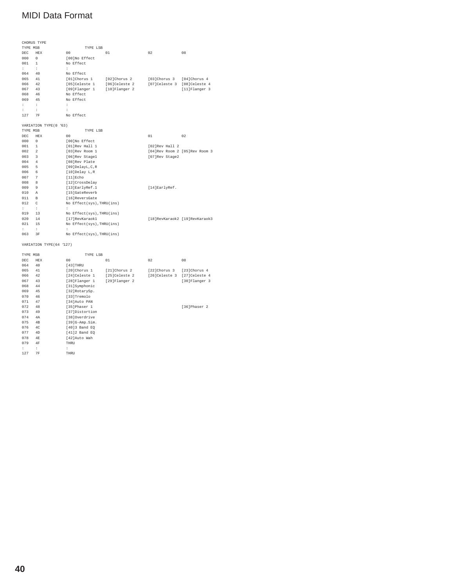|                       | CHORUS TYPE             |                           |               |                             |                               |  |  |  |
|-----------------------|-------------------------|---------------------------|---------------|-----------------------------|-------------------------------|--|--|--|
| TYPE MSB              |                         | TYPE LSB                  |               |                             |                               |  |  |  |
| DEC.                  | <b>HEX</b>              | 0 <sub>0</sub>            | 01            | 02                          | 08                            |  |  |  |
| 000                   | $\Omega$                | [00]No Effect             |               |                             |                               |  |  |  |
| 001                   | $\mathbf{1}$            | No Effect                 |               |                             |                               |  |  |  |
| t.                    | $\ddot{\phantom{a}}$    | $\ddot{\phantom{a}}$      |               |                             |                               |  |  |  |
| 064                   | 40                      | No Effect                 |               |                             |                               |  |  |  |
| 065                   | 41                      | [01]Chorus 1              | [02]Chorus 2  | [03]Chorus 3                | [04]Chorus 4                  |  |  |  |
| 066                   | 42                      | [05]Celeste 1             | [06]Celeste 2 | [07]Celeste 3 [08]Celeste 4 |                               |  |  |  |
| 067                   | 43                      | $[09]$ Flanger 1          | [10]Flanger 2 |                             | $[11]$ Flanger 3              |  |  |  |
| 068                   | 46                      | No Effect                 |               |                             |                               |  |  |  |
| 069                   | 45                      | No Effect                 |               |                             |                               |  |  |  |
| $\ddot{\phantom{a}}$  | $\ddot{\phantom{a}}$    | ÷                         |               |                             |                               |  |  |  |
| ÷                     | ÷                       | ÷                         |               |                             |                               |  |  |  |
| 127                   | 7F                      | No Effect                 |               |                             |                               |  |  |  |
|                       |                         |                           |               |                             |                               |  |  |  |
| VARIATION TYPE(0 '63) |                         |                           |               |                             |                               |  |  |  |
| TYPE MSB              |                         | TYPE LSB                  |               |                             |                               |  |  |  |
| <b>DEC</b>            | <b>HEX</b>              | 0 <sub>0</sub>            |               | 01                          | 02                            |  |  |  |
| 000                   | $\Omega$                | [00]No Effect             |               |                             |                               |  |  |  |
| 001                   | 1                       | [01]Rev Hall 1            |               | [02]Rev Hall 2              |                               |  |  |  |
| 002                   | $\overline{a}$          | [03]Rev Room 1            |               |                             | [04]Rev Room 2 [05]Rev Room 3 |  |  |  |
| 003                   | $\overline{\mathbf{3}}$ | [06]Rev Stagel            |               | [07]Rev Stage2              |                               |  |  |  |
| 004                   | 4                       | [08]Rev Plate             |               |                             |                               |  |  |  |
| 005                   | 5                       | [09]DelayL, C, R          |               |                             |                               |  |  |  |
| 006                   | 6                       | [10]Delay L,R             |               |                             |                               |  |  |  |
| 007                   | 7                       | [11]Echo                  |               |                             |                               |  |  |  |
| 008                   | 8                       | [12] CrossDelay           |               |                             |                               |  |  |  |
| 009                   | 9                       | [13]EarlyRef.1            |               | [14]EarlyRef.               |                               |  |  |  |
| 010                   | А                       | [15]GateReverb            |               |                             |                               |  |  |  |
| 011                   | $\mathbb{R}$            | [16]ReversGate            |               |                             |                               |  |  |  |
| 012                   | Ċ.                      | No Effect(sys), THRU(ins) |               |                             |                               |  |  |  |
| $\mathbf{r}$          | ÷                       | ÷                         |               |                             |                               |  |  |  |
| 019                   | 13                      | No Effect(sys), THRU(ins) |               |                             |                               |  |  |  |
| 020                   | 14                      | [17]RevKaraok1            |               |                             | [18]RevKaraok2 [19]RevKaraok3 |  |  |  |
| 021                   | 15                      | No Effect(sys), THRU(ins) |               |                             |                               |  |  |  |
| $\mathbf{r}$          | ÷                       | $\ddot{\phantom{a}}$      |               |                             |                               |  |  |  |
| 063                   | 3F                      | No Effect(sys), THRU(ins) |               |                             |                               |  |  |  |
|                       |                         |                           |               |                             |                               |  |  |  |

### VARIATION TYPE(64 '127)

| TYPE MSB             |            | TYPE LSB         |               |               |               |
|----------------------|------------|------------------|---------------|---------------|---------------|
| <b>DEC</b>           | <b>HEX</b> | 00               | 01            | 02            | 08            |
| 064                  | 40         | $[43]$ THRU      |               |               |               |
| 065                  | 41         | [20]Chorus 1     | [21]Chorus 2  | [22]Chorus 3  | [23]Chorus 4  |
| 066                  | 42         | [24] Celeste 1   | [25]Celeste 2 | [26]Celeste 3 | [27]Celeste 4 |
| 067                  | 43         | [28]Flanger 1    | [29]Flanger 2 |               | [30]Flanger 3 |
| 068                  | 44         | [31] Symphonic   |               |               |               |
| 069                  | 45         | [32]RotarySp.    |               |               |               |
| 070                  | 46         | [33]Tremolo      |               |               |               |
| 071                  | 47         | [34]Auto PAN     |               |               |               |
| 072                  | 48         | [35]Phaser 1     |               |               | [36]Phaser 2  |
| 073                  | 49         | [37]Distortion   |               |               |               |
| 074                  | 4A         | [38]Overdrive    |               |               |               |
| 075                  | 4B         | $[39]G-amp.Sim.$ |               |               |               |
| 076                  | 4C         | [40]3 Band EQ    |               |               |               |
| 077                  | 4D         | $[41]2$ Band EQ  |               |               |               |
| 078                  | 4E         | [42]Auto Wah     |               |               |               |
| 079                  | 4F         | THRI             |               |               |               |
| $\ddot{\phantom{a}}$ | ÷          | ÷                |               |               |               |
| 127                  | 7F         | THRU             |               |               |               |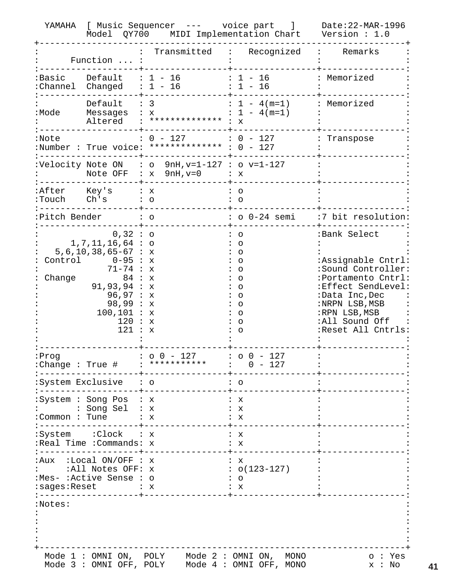|                             | YAMAHA [ Music Sequencer --- voice part ]                                                                                                                                                       | Date: 22-MAR-1996<br>Model QY700 MIDI Implementation Chart Version: 1.0               |                                                                                                                |                                                                                                                                                                                                   |
|-----------------------------|-------------------------------------------------------------------------------------------------------------------------------------------------------------------------------------------------|---------------------------------------------------------------------------------------|----------------------------------------------------------------------------------------------------------------|---------------------------------------------------------------------------------------------------------------------------------------------------------------------------------------------------|
|                             | Function  :                                                                                                                                                                                     | Transmitted : Recognized<br>$\ddot{\cdot}$                                            |                                                                                                                | : Remarks                                                                                                                                                                                         |
|                             | $: Basic$ Default : $1 - 16$<br>: Channel Changed $: 1 - 16$                                                                                                                                    |                                                                                       | $: 1 - 16$<br>$: 1 - 16$                                                                                       | : Memorized                                                                                                                                                                                       |
| :Mode                       | Default $: 3$                                                                                                                                                                                   | Messages : x<br>Altered : ************** : x                                          | $: 1 - 4(m=1)$<br>$: 1 - 4(m=1)$                                                                               | : Memorized                                                                                                                                                                                       |
| :Note                       |                                                                                                                                                                                                 | $: 0 - 127$ : $0 - 127$<br>:Number : True voice: ************** : 0 - 127             |                                                                                                                | Transpose                                                                                                                                                                                         |
|                             |                                                                                                                                                                                                 | :Velocity Note ON : o $9nH, v=1-127$ : o $v=1-127$<br>Note OFF : $x$ 9nH, $v=0$ : $x$ |                                                                                                                |                                                                                                                                                                                                   |
| :After Key's<br>:Touch Ch's | $\mathbf{X}$ : $\mathbf{X}$                                                                                                                                                                     | $\colon$ 0                                                                            | ∶ o<br>$\circ$                                                                                                 |                                                                                                                                                                                                   |
| :Pitch Bender               | $\overline{\phantom{a}}$ : $\overline{\phantom{a}}$                                                                                                                                             |                                                                                       |                                                                                                                | : o 0-24 semi :7 bit resolution:                                                                                                                                                                  |
| Change                      | $0,32:$ 0<br>$1, 7, 11, 16, 64$ : o<br>$5, 6, 10, 38, 65 - 67 : x$<br>Control $0-95: x$<br>71-74 : x<br>84 : x<br>91, 93, 94 : x<br>96,97 : x<br>98,99: x<br>100, 101 : x<br>120 : x<br>121 : x |                                                                                       | $\circ$<br>$\circ$<br>$\circ$<br>$\circ$<br>$\circ$<br>$\circ$<br>$\circ$<br>O<br>O<br>O<br>$\circ$<br>$\circ$ | :Bank Select<br>:Assignable Cntrl:<br>:Sound Controller:<br>:Portamento Cntrl:<br>:Effect SendLevel:<br>:Data Inc, Dec<br>:NRPN LSB, MSB<br>:RPN LSB, MSB<br>:All Sound Off<br>:Reset All Cntrls: |
| :Prog                       |                                                                                                                                                                                                 | $: 00 - 127$<br>:Change : True # : ********** : $0 - 127$                             | $: 00 - 127$                                                                                                   |                                                                                                                                                                                                   |
|                             | :System Exclusive : o                                                                                                                                                                           |                                                                                       | $\cdot$ 0                                                                                                      |                                                                                                                                                                                                   |
| :Common : Tune              | :System : Song Pos : x<br>: Song Sel : x                                                                                                                                                        | : x                                                                                   | : x<br>: х<br>∶ x                                                                                              |                                                                                                                                                                                                   |
|                             | :System :Clock : x<br>:Real Time : Commands: x                                                                                                                                                  |                                                                                       | : x<br>: x                                                                                                     |                                                                                                                                                                                                   |
|                             | :Aux :Local ON/OFF : x<br>:All Notes OFF: x<br>:Mes- :Active Sense : o<br>:sages:Reset : x                                                                                                      |                                                                                       | : x<br>$: 0(123-127)$<br>$\circ$<br>: x                                                                        |                                                                                                                                                                                                   |
| :Notes:                     | Mode 1 : OMNI ON, POLY                                                                                                                                                                          |                                                                                       | Mode $2:OMNI ON, MONO$                                                                                         | o: Yes                                                                                                                                                                                            |
|                             | Mode 3 : OMNI OFF, POLY                                                                                                                                                                         |                                                                                       | Mode 4 : OMNI OFF, MONO                                                                                        | x : No                                                                                                                                                                                            |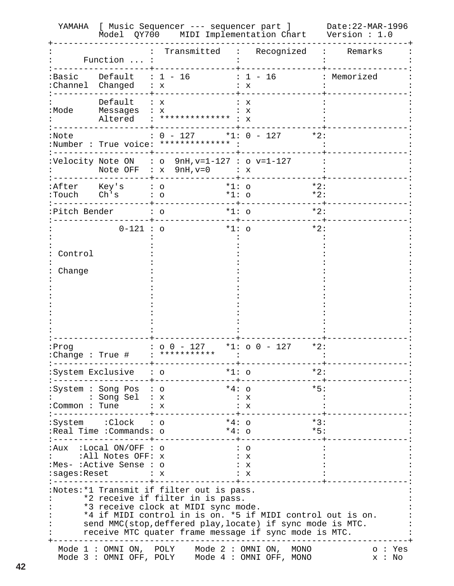|                                           |                                                                         | YAMAHA [ Music Sequencer --- sequencer part ]<br>Model QY700 MIDI Implementation Chart Version: 1.0                                                                                                                                                                                                       |                                                      | Date:22-MAR-1996 |
|-------------------------------------------|-------------------------------------------------------------------------|-----------------------------------------------------------------------------------------------------------------------------------------------------------------------------------------------------------------------------------------------------------------------------------------------------------|------------------------------------------------------|------------------|
|                                           | Function  :                                                             | Transmitted                                                                                                                                                                                                                                                                                               | Recognized : Remarks                                 |                  |
|                                           | $: Basic$ Default : $1 - 16$<br>: Channel Changed : x                   |                                                                                                                                                                                                                                                                                                           | $: 1 - 16$<br>: x                                    | : Memorized      |
| :Mode                                     | Default $: x$<br>Messages : x<br>Altered                                | $:$ ************** : $X$                                                                                                                                                                                                                                                                                  | : x<br>$\mathbf{x}$                                  |                  |
| :Note                                     |                                                                         | $: 0 - 127$ *1: $0 - 127$ *2:<br>:Number : True voice: ************* :                                                                                                                                                                                                                                    |                                                      |                  |
|                                           |                                                                         | :Velocity Note ON : o $9nH, v=1-127$ : o $v=1-127$<br>Note OFF : $x$ 9nH, $v=0$<br>$\mathbf{X}$ : $\mathbf{X}$                                                                                                                                                                                            |                                                      |                  |
| $: \text{Touch}$ $\overrightarrow{Ch}$ 's | :After Key's                                                            | $\colon$ 0<br>$\colon$ $\circ$                                                                                                                                                                                                                                                                            | $*2:$<br>$*1:$ 0<br>$*2:$<br>$*1:$ $\circ$           |                  |
| :Pitch Bender                             |                                                                         | $\colon$ $\circ$                                                                                                                                                                                                                                                                                          | $*2:$<br>$*1:$ 0                                     |                  |
|                                           | $0 - 121 : o$                                                           |                                                                                                                                                                                                                                                                                                           | $*1:$ 0<br>$*2:$                                     |                  |
| Control                                   |                                                                         |                                                                                                                                                                                                                                                                                                           |                                                      |                  |
| Change                                    |                                                                         |                                                                                                                                                                                                                                                                                                           |                                                      |                  |
|                                           |                                                                         |                                                                                                                                                                                                                                                                                                           |                                                      |                  |
|                                           |                                                                         |                                                                                                                                                                                                                                                                                                           |                                                      |                  |
|                                           |                                                                         |                                                                                                                                                                                                                                                                                                           |                                                      |                  |
|                                           |                                                                         |                                                                                                                                                                                                                                                                                                           |                                                      |                  |
| :Prog                                     | :Change : True #                                                        | $: 00 - 127$<br><b>:</b> ***********                                                                                                                                                                                                                                                                      | $*2:$<br>*1: $\circ$ 0 - 127                         |                  |
|                                           | :System Exclusive : o                                                   |                                                                                                                                                                                                                                                                                                           | $*1:$ $\circ$<br>$*2:$                               |                  |
| :Common : Tune                            | :System : Song Pos : o<br>: Song Sel                                    | : x<br>: x                                                                                                                                                                                                                                                                                                | $*5:$<br>$*4:$ 0<br>: x<br>: x                       |                  |
|                                           | :System :Clock : o<br>Real Time :Commands: o:                           |                                                                                                                                                                                                                                                                                                           | $*4: \circ$<br>$*3:$<br>$*5:$<br>$*4: \Omega$        |                  |
| :sages:Reset                              | :Aux  :Local ON/OFF : o<br>:All Notes OFF: x<br>:Mes- :Active Sense : o | : x                                                                                                                                                                                                                                                                                                       | $\circ$<br>: x<br>: х<br>: х                         |                  |
|                                           |                                                                         | :Notes:*1 Transmit if filter out is pass.<br>*2 receive if filter in is pass.<br>*3 receive clock at MIDI sync mode.<br>*4 if MIDI control in is on. *5 if MIDI control out is on.<br>send MMC(stop, deffered play, locate) if sync mode is MTC.<br>receive MTC quater frame message if sync mode is MTC. |                                                      |                  |
|                                           | Mode 1 : OMNI ON, POLY<br>Mode 3 : OMNI OFF, POLY                       |                                                                                                                                                                                                                                                                                                           | Mode 2 : OMNI ON,<br>MONO<br>Mode 4 : OMNI OFF, MONO | o: Yes<br>x : No |